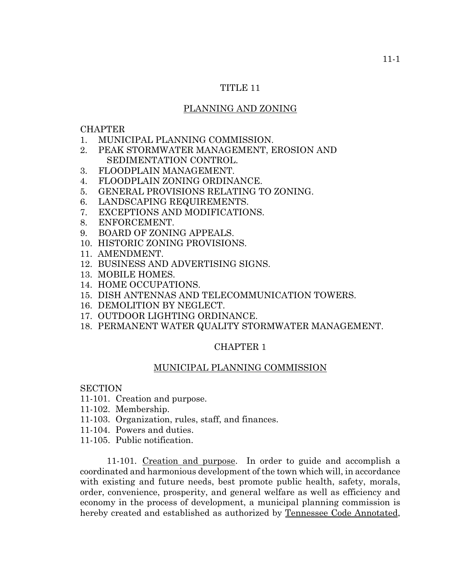## TITLE 11

# PLANNING AND ZONING

#### **CHAPTER**

- 1. MUNICIPAL PLANNING COMMISSION.
- 2. PEAK STORMWATER MANAGEMENT, EROSION AND SEDIMENTATION CONTROL.
- 3. FLOODPLAIN MANAGEMENT.
- 4. FLOODPLAIN ZONING ORDINANCE.
- 5. GENERAL PROVISIONS RELATING TO ZONING.
- 6. LANDSCAPING REQUIREMENTS.
- 7. EXCEPTIONS AND MODIFICATIONS.
- 8. ENFORCEMENT.
- 9. BOARD OF ZONING APPEALS.
- 10. HISTORIC ZONING PROVISIONS.
- 11. AMENDMENT.
- 12. BUSINESS AND ADVERTISING SIGNS.
- 13. MOBILE HOMES.
- 14. HOME OCCUPATIONS.
- 15. DISH ANTENNAS AND TELECOMMUNICATION TOWERS.
- 16. DEMOLITION BY NEGLECT.
- 17. OUTDOOR LIGHTING ORDINANCE.
- 18. PERMANENT WATER QUALITY STORMWATER MANAGEMENT.

# CHAPTER 1

## MUNICIPAL PLANNING COMMISSION

## **SECTION**

- 11-101. Creation and purpose.
- 11-102. Membership.
- 11-103. Organization, rules, staff, and finances.
- 11-104. Powers and duties.
- 11-105. Public notification.

11-101. Creation and purpose. In order to guide and accomplish a coordinated and harmonious development of the town which will, in accordance with existing and future needs, best promote public health, safety, morals, order, convenience, prosperity, and general welfare as well as efficiency and economy in the process of development, a municipal planning commission is hereby created and established as authorized by Tennessee Code Annotated,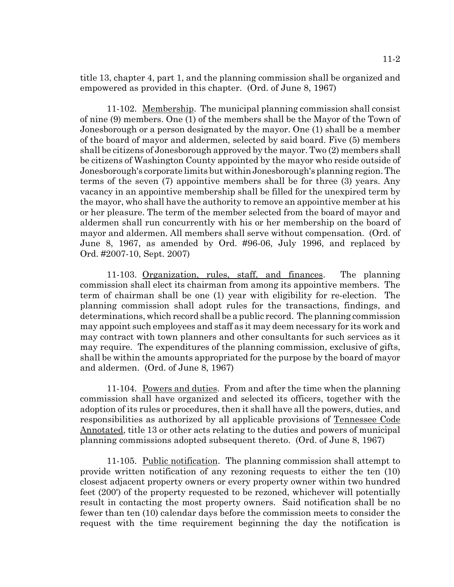title 13, chapter 4, part 1, and the planning commission shall be organized and empowered as provided in this chapter. (Ord. of June 8, 1967)

11-102. Membership. The municipal planning commission shall consist of nine (9) members. One (1) of the members shall be the Mayor of the Town of Jonesborough or a person designated by the mayor. One (1) shall be a member of the board of mayor and aldermen, selected by said board. Five (5) members shall be citizens of Jonesborough approved by the mayor. Two (2) members shall be citizens of Washington County appointed by the mayor who reside outside of Jonesborough's corporate limits but within Jonesborough's planning region. The terms of the seven (7) appointive members shall be for three (3) years. Any vacancy in an appointive membership shall be filled for the unexpired term by the mayor, who shall have the authority to remove an appointive member at his or her pleasure. The term of the member selected from the board of mayor and aldermen shall run concurrently with his or her membership on the board of mayor and aldermen. All members shall serve without compensation. (Ord. of June 8, 1967, as amended by Ord. #96-06, July 1996, and replaced by Ord. #2007-10, Sept. 2007)

11-103. Organization, rules, staff, and finances. The planning commission shall elect its chairman from among its appointive members. The term of chairman shall be one (1) year with eligibility for re-election. The planning commission shall adopt rules for the transactions, findings, and determinations, which record shall be a public record. The planning commission may appoint such employees and staff as it may deem necessary for its work and may contract with town planners and other consultants for such services as it may require. The expenditures of the planning commission, exclusive of gifts, shall be within the amounts appropriated for the purpose by the board of mayor and aldermen. (Ord. of June 8, 1967)

11-104. Powers and duties. From and after the time when the planning commission shall have organized and selected its officers, together with the adoption of its rules or procedures, then it shall have all the powers, duties, and responsibilities as authorized by all applicable provisions of Tennessee Code Annotated, title 13 or other acts relating to the duties and powers of municipal planning commissions adopted subsequent thereto. (Ord. of June 8, 1967)

11-105. Public notification. The planning commission shall attempt to provide written notification of any rezoning requests to either the ten (10) closest adjacent property owners or every property owner within two hundred feet (200') of the property requested to be rezoned, whichever will potentially result in contacting the most property owners. Said notification shall be no fewer than ten (10) calendar days before the commission meets to consider the request with the time requirement beginning the day the notification is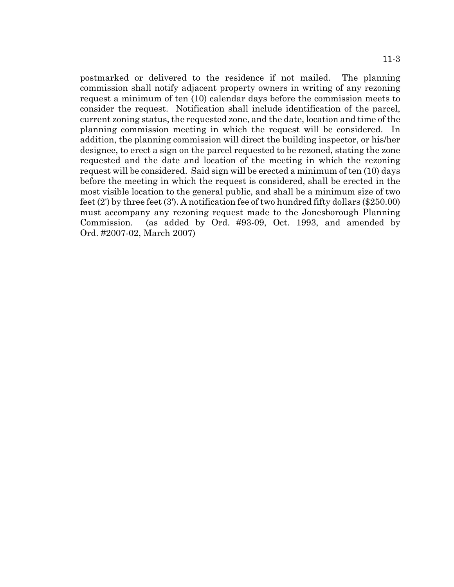postmarked or delivered to the residence if not mailed. The planning commission shall notify adjacent property owners in writing of any rezoning request a minimum of ten (10) calendar days before the commission meets to consider the request. Notification shall include identification of the parcel, current zoning status, the requested zone, and the date, location and time of the planning commission meeting in which the request will be considered. In addition, the planning commission will direct the building inspector, or his/her designee, to erect a sign on the parcel requested to be rezoned, stating the zone requested and the date and location of the meeting in which the rezoning request will be considered. Said sign will be erected a minimum of ten (10) days before the meeting in which the request is considered, shall be erected in the most visible location to the general public, and shall be a minimum size of two feet (2') by three feet (3'). A notification fee of two hundred fifty dollars (\$250.00) must accompany any rezoning request made to the Jonesborough Planning Commission. (as added by Ord. #93-09, Oct. 1993, and amended by Ord. #2007-02, March 2007)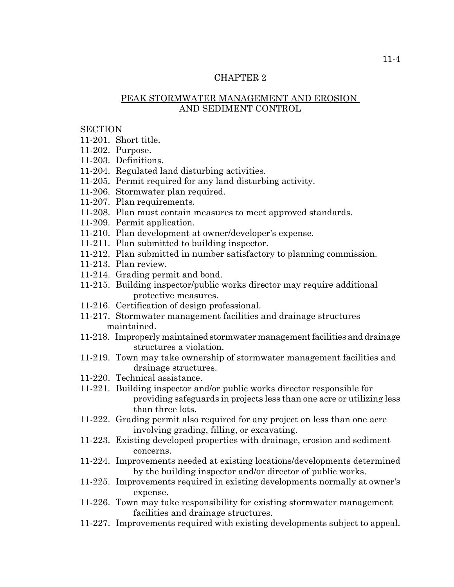# CHAPTER 2

# PEAK STORMWATER MANAGEMENT AND EROSION AND SEDIMENT CONTROL

## **SECTION**

- 11-201. Short title.
- 11-202. Purpose.
- 11-203. Definitions.
- 11-204. Regulated land disturbing activities.
- 11-205. Permit required for any land disturbing activity.
- 11-206. Stormwater plan required.
- 11-207. Plan requirements.
- 11-208. Plan must contain measures to meet approved standards.
- 11-209. Permit application.
- 11-210. Plan development at owner/developer's expense.
- 11-211. Plan submitted to building inspector.
- 11-212. Plan submitted in number satisfactory to planning commission.
- 11-213. Plan review.
- 11-214. Grading permit and bond.
- 11-215. Building inspector/public works director may require additional protective measures.
- 11-216. Certification of design professional.
- 11-217. Stormwater management facilities and drainage structures maintained.
- 11-218. Improperly maintained stormwater management facilities and drainage structures a violation.
- 11-219. Town may take ownership of stormwater management facilities and drainage structures.
- 11-220. Technical assistance.
- 11-221. Building inspector and/or public works director responsible for providing safeguards in projects less than one acre or utilizing less than three lots.
- 11-222. Grading permit also required for any project on less than one acre involving grading, filling, or excavating.
- 11-223. Existing developed properties with drainage, erosion and sediment concerns.
- 11-224. Improvements needed at existing locations/developments determined by the building inspector and/or director of public works.
- 11-225. Improvements required in existing developments normally at owner's expense.
- 11-226. Town may take responsibility for existing stormwater management facilities and drainage structures.
- 11-227. Improvements required with existing developments subject to appeal.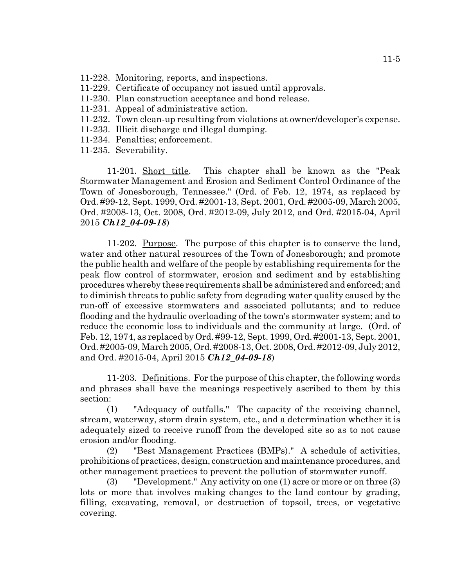- 11-228. Monitoring, reports, and inspections.
- 11-229. Certificate of occupancy not issued until approvals.
- 11-230. Plan construction acceptance and bond release.
- 11-231. Appeal of administrative action.
- 11-232. Town clean-up resulting from violations at owner/developer's expense.
- 11-233. Illicit discharge and illegal dumping.
- 11-234. Penalties; enforcement.
- 11-235. Severability.

11-201. Short title. This chapter shall be known as the "Peak Stormwater Management and Erosion and Sediment Control Ordinance of the Town of Jonesborough, Tennessee." (Ord. of Feb. 12, 1974, as replaced by Ord. #99-12, Sept. 1999, Ord. #2001-13, Sept. 2001, Ord. #2005-09, March 2005, Ord. #2008-13, Oct. 2008, Ord. #2012-09, July 2012, and Ord. #2015-04, April 2015 *Ch12\_04-09-18*)

11-202. Purpose. The purpose of this chapter is to conserve the land, water and other natural resources of the Town of Jonesborough; and promote the public health and welfare of the people by establishing requirements for the peak flow control of stormwater, erosion and sediment and by establishing procedures whereby these requirements shall be administered and enforced; and to diminish threats to public safety from degrading water quality caused by the run-off of excessive stormwaters and associated pollutants; and to reduce flooding and the hydraulic overloading of the town's stormwater system; and to reduce the economic loss to individuals and the community at large. (Ord. of Feb. 12, 1974, as replaced by Ord. #99-12, Sept. 1999, Ord. #2001-13, Sept. 2001, Ord. #2005-09, March 2005, Ord. #2008-13, Oct. 2008, Ord. #2012-09, July 2012, and Ord. #2015-04, April 2015 *Ch12\_04-09-18*)

11-203. Definitions. For the purpose of this chapter, the following words and phrases shall have the meanings respectively ascribed to them by this section:

(1) "Adequacy of outfalls." The capacity of the receiving channel, stream, waterway, storm drain system, etc., and a determination whether it is adequately sized to receive runoff from the developed site so as to not cause erosion and/or flooding.

(2) "Best Management Practices (BMPs)." A schedule of activities, prohibitions of practices, design, construction and maintenance procedures, and other management practices to prevent the pollution of stormwater runoff.

(3) "Development." Any activity on one (1) acre or more or on three (3) lots or more that involves making changes to the land contour by grading, filling, excavating, removal, or destruction of topsoil, trees, or vegetative covering.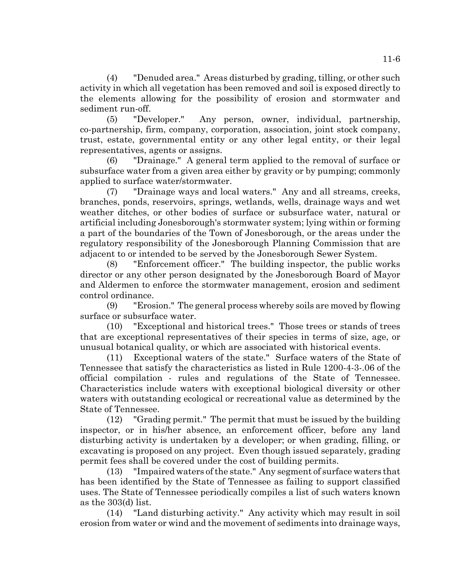(4) "Denuded area." Areas disturbed by grading, tilling, or other such activity in which all vegetation has been removed and soil is exposed directly to the elements allowing for the possibility of erosion and stormwater and sediment run-off.

(5) "Developer." Any person, owner, individual, partnership, co-partnership, firm, company, corporation, association, joint stock company, trust, estate, governmental entity or any other legal entity, or their legal representatives, agents or assigns.

(6) "Drainage." A general term applied to the removal of surface or subsurface water from a given area either by gravity or by pumping; commonly applied to surface water/stormwater.

(7) "Drainage ways and local waters." Any and all streams, creeks, branches, ponds, reservoirs, springs, wetlands, wells, drainage ways and wet weather ditches, or other bodies of surface or subsurface water, natural or artificial including Jonesborough's stormwater system; lying within or forming a part of the boundaries of the Town of Jonesborough, or the areas under the regulatory responsibility of the Jonesborough Planning Commission that are adjacent to or intended to be served by the Jonesborough Sewer System.

(8) "Enforcement officer." The building inspector, the public works director or any other person designated by the Jonesborough Board of Mayor and Aldermen to enforce the stormwater management, erosion and sediment control ordinance.

(9) "Erosion." The general process whereby soils are moved by flowing surface or subsurface water.

(10) "Exceptional and historical trees." Those trees or stands of trees that are exceptional representatives of their species in terms of size, age, or unusual botanical quality, or which are associated with historical events.

(11) Exceptional waters of the state." Surface waters of the State of Tennessee that satisfy the characteristics as listed in Rule 1200-4-3-.06 of the official compilation - rules and regulations of the State of Tennessee. Characteristics include waters with exceptional biological diversity or other waters with outstanding ecological or recreational value as determined by the State of Tennessee.

(12) "Grading permit." The permit that must be issued by the building inspector, or in his/her absence, an enforcement officer, before any land disturbing activity is undertaken by a developer; or when grading, filling, or excavating is proposed on any project. Even though issued separately, grading permit fees shall be covered under the cost of building permits.

(13) "Impaired waters of the state." Any segment of surface waters that has been identified by the State of Tennessee as failing to support classified uses. The State of Tennessee periodically compiles a list of such waters known as the 303(d) list.

(14) "Land disturbing activity." Any activity which may result in soil erosion from water or wind and the movement of sediments into drainage ways,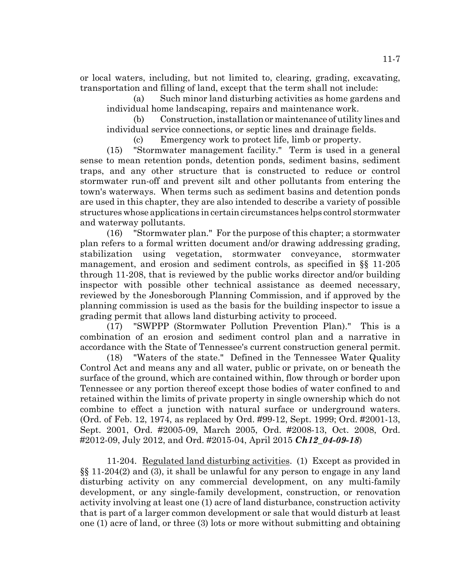or local waters, including, but not limited to, clearing, grading, excavating, transportation and filling of land, except that the term shall not include:

(a) Such minor land disturbing activities as home gardens and individual home landscaping, repairs and maintenance work.

(b) Construction, installation or maintenance of utility lines and individual service connections, or septic lines and drainage fields.

(c) Emergency work to protect life, limb or property.

(15) "Stormwater management facility." Term is used in a general sense to mean retention ponds, detention ponds, sediment basins, sediment traps, and any other structure that is constructed to reduce or control stormwater run-off and prevent silt and other pollutants from entering the town's waterways. When terms such as sediment basins and detention ponds are used in this chapter, they are also intended to describe a variety of possible structures whose applications in certain circumstances helps control stormwater and waterway pollutants.

(16) "Stormwater plan." For the purpose of this chapter; a stormwater plan refers to a formal written document and/or drawing addressing grading, stabilization using vegetation, stormwater conveyance, stormwater management, and erosion and sediment controls, as specified in §§ 11-205 through 11-208, that is reviewed by the public works director and/or building inspector with possible other technical assistance as deemed necessary, reviewed by the Jonesborough Planning Commission, and if approved by the planning commission is used as the basis for the building inspector to issue a grading permit that allows land disturbing activity to proceed.

(17) "SWPPP (Stormwater Pollution Prevention Plan)." This is a combination of an erosion and sediment control plan and a narrative in accordance with the State of Tennessee's current construction general permit.

(18) "Waters of the state." Defined in the Tennessee Water Quality Control Act and means any and all water, public or private, on or beneath the surface of the ground, which are contained within, flow through or border upon Tennessee or any portion thereof except those bodies of water confined to and retained within the limits of private property in single ownership which do not combine to effect a junction with natural surface or underground waters. (Ord. of Feb. 12, 1974, as replaced by Ord. #99-12, Sept. 1999; Ord. #2001-13, Sept. 2001, Ord. #2005-09, March 2005, Ord. #2008-13, Oct. 2008, Ord. #2012-09, July 2012, and Ord. #2015-04, April 2015 *Ch12\_04-09-18*)

11-204. Regulated land disturbing activities. (1) Except as provided in §§ 11-204(2) and (3), it shall be unlawful for any person to engage in any land disturbing activity on any commercial development, on any multi-family development, or any single-family development, construction, or renovation activity involving at least one (1) acre of land disturbance, construction activity that is part of a larger common development or sale that would disturb at least one (1) acre of land, or three (3) lots or more without submitting and obtaining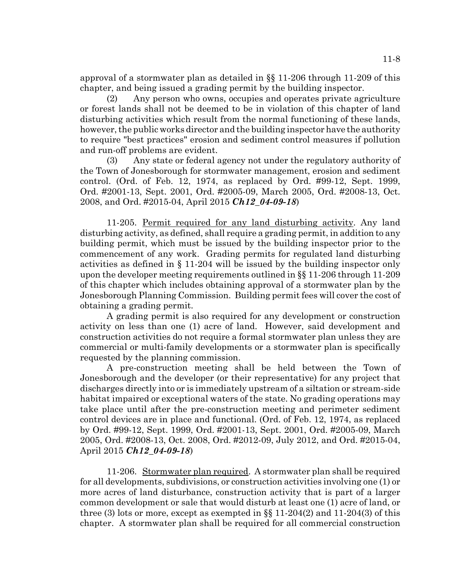approval of a stormwater plan as detailed in §§ 11-206 through 11-209 of this chapter, and being issued a grading permit by the building inspector.

(2) Any person who owns, occupies and operates private agriculture or forest lands shall not be deemed to be in violation of this chapter of land disturbing activities which result from the normal functioning of these lands, however, the public works director and the building inspector have the authority to require "best practices" erosion and sediment control measures if pollution and run-off problems are evident.

(3) Any state or federal agency not under the regulatory authority of the Town of Jonesborough for stormwater management, erosion and sediment control. (Ord. of Feb. 12, 1974, as replaced by Ord. #99-12, Sept. 1999, Ord. #2001-13, Sept. 2001, Ord. #2005-09, March 2005, Ord. #2008-13, Oct. 2008, and Ord. #2015-04, April 2015 *Ch12\_04-09-18*)

11-205. Permit required for any land disturbing activity. Any land disturbing activity, as defined, shall require a grading permit, in addition to any building permit, which must be issued by the building inspector prior to the commencement of any work. Grading permits for regulated land disturbing activities as defined in § 11-204 will be issued by the building inspector only upon the developer meeting requirements outlined in §§ 11-206 through 11-209 of this chapter which includes obtaining approval of a stormwater plan by the Jonesborough Planning Commission. Building permit fees will cover the cost of obtaining a grading permit.

A grading permit is also required for any development or construction activity on less than one (1) acre of land. However, said development and construction activities do not require a formal stormwater plan unless they are commercial or multi-family developments or a stormwater plan is specifically requested by the planning commission.

A pre-construction meeting shall be held between the Town of Jonesborough and the developer (or their representative) for any project that discharges directly into or is immediately upstream of a siltation or stream-side habitat impaired or exceptional waters of the state. No grading operations may take place until after the pre-construction meeting and perimeter sediment control devices are in place and functional. (Ord. of Feb. 12, 1974, as replaced by Ord. #99-12, Sept. 1999, Ord. #2001-13, Sept. 2001, Ord. #2005-09, March 2005, Ord. #2008-13, Oct. 2008, Ord. #2012-09, July 2012, and Ord. #2015-04, April 2015 *Ch12\_04-09-18*)

11-206. Stormwater plan required. A stormwater plan shall be required for all developments, subdivisions, or construction activities involving one (1) or more acres of land disturbance, construction activity that is part of a larger common development or sale that would disturb at least one (1) acre of land, or three (3) lots or more, except as exempted in  $\S$  11-204(2) and 11-204(3) of this chapter. A stormwater plan shall be required for all commercial construction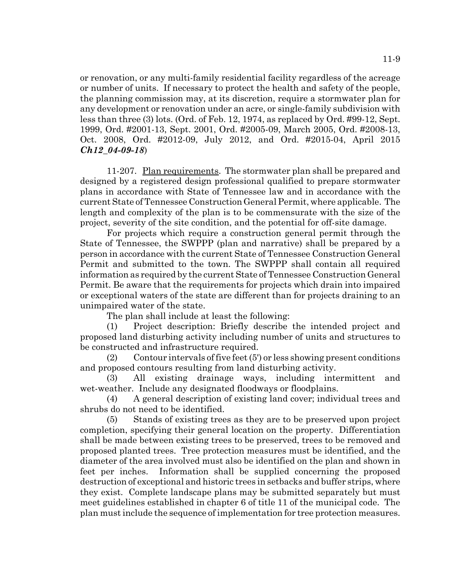11-9

or renovation, or any multi-family residential facility regardless of the acreage or number of units. If necessary to protect the health and safety of the people, the planning commission may, at its discretion, require a stormwater plan for any development or renovation under an acre, or single-family subdivision with less than three (3) lots. (Ord. of Feb. 12, 1974, as replaced by Ord. #99-12, Sept. 1999, Ord. #2001-13, Sept. 2001, Ord. #2005-09, March 2005, Ord. #2008-13, Oct. 2008, Ord. #2012-09, July 2012, and Ord. #2015-04, April 2015 *Ch12\_04-09-18*)

11-207. Plan requirements. The stormwater plan shall be prepared and designed by a registered design professional qualified to prepare stormwater plans in accordance with State of Tennessee law and in accordance with the current State of Tennessee Construction General Permit, where applicable. The length and complexity of the plan is to be commensurate with the size of the project, severity of the site condition, and the potential for off-site damage.

For projects which require a construction general permit through the State of Tennessee, the SWPPP (plan and narrative) shall be prepared by a person in accordance with the current State of Tennessee Construction General Permit and submitted to the town. The SWPPP shall contain all required information as required by the current State of Tennessee Construction General Permit. Be aware that the requirements for projects which drain into impaired or exceptional waters of the state are different than for projects draining to an unimpaired water of the state.

The plan shall include at least the following:

(1) Project description: Briefly describe the intended project and proposed land disturbing activity including number of units and structures to be constructed and infrastructure required.

(2) Contour intervals of five feet (5') or less showing present conditions and proposed contours resulting from land disturbing activity.

(3) All existing drainage ways, including intermittent and wet-weather. Include any designated floodways or floodplains.

(4) A general description of existing land cover; individual trees and shrubs do not need to be identified.

(5) Stands of existing trees as they are to be preserved upon project completion, specifying their general location on the property. Differentiation shall be made between existing trees to be preserved, trees to be removed and proposed planted trees. Tree protection measures must be identified, and the diameter of the area involved must also be identified on the plan and shown in feet per inches. Information shall be supplied concerning the proposed destruction of exceptional and historic trees in setbacks and buffer strips, where they exist. Complete landscape plans may be submitted separately but must meet guidelines established in chapter 6 of title 11 of the municipal code. The plan must include the sequence of implementation for tree protection measures.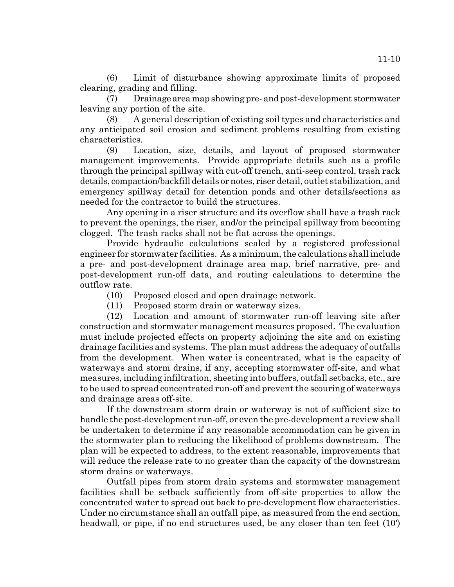(6) Limit of disturbance showing approximate limits of proposed clearing, grading and filling.

(7) Drainage area map showing pre- and post-development stormwater leaving any portion of the site.

(8) A general description of existing soil types and characteristics and any anticipated soil erosion and sediment problems resulting from existing characteristics.

(9) Location, size, details, and layout of proposed stormwater management improvements. Provide appropriate details such as a profile through the principal spillway with cut-off trench, anti-seep control, trash rack details, compaction/backfill details or notes, riser detail, outlet stabilization, and emergency spillway detail for detention ponds and other details/sections as needed for the contractor to build the structures.

Any opening in a riser structure and its overflow shall have a trash rack to prevent the openings, the riser, and/or the principal spillway from becoming clogged. The trash racks shall not be flat across the openings.

Provide hydraulic calculations sealed by a registered professional engineer for stormwater facilities. As a minimum, the calculations shall include a pre- and post-development drainage area map, brief narrative, pre- and post-development run-off data, and routing calculations to determine the outflow rate.

- (10) Proposed closed and open drainage network.
- (11) Proposed storm drain or waterway sizes.

(12) Location and amount of stormwater run-off leaving site after construction and stormwater management measures proposed. The evaluation must include projected effects on property adjoining the site and on existing drainage facilities and systems. The plan must address the adequacy of outfalls from the development. When water is concentrated, what is the capacity of waterways and storm drains, if any, accepting stormwater off-site, and what measures, including infiltration, sheeting into buffers, outfall setbacks, etc., are to be used to spread concentrated run-off and prevent the scouring of waterways and drainage areas off-site.

If the downstream storm drain or waterway is not of sufficient size to handle the post-development run-off, or even the pre-development a review shall be undertaken to determine if any reasonable accommodation can be given in the stormwater plan to reducing the likelihood of problems downstream. The plan will be expected to address, to the extent reasonable, improvements that will reduce the release rate to no greater than the capacity of the downstream storm drains or waterways.

Outfall pipes from storm drain systems and stormwater management facilities shall be setback sufficiently from off-site properties to allow the concentrated water to spread out back to pre-development flow characteristics. Under no circumstance shall an outfall pipe, as measured from the end section, headwall, or pipe, if no end structures used, be any closer than ten feet (10')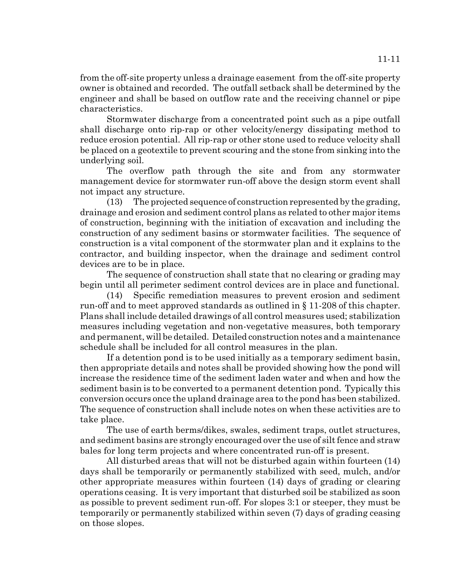from the off-site property unless a drainage easement from the off-site property owner is obtained and recorded. The outfall setback shall be determined by the engineer and shall be based on outflow rate and the receiving channel or pipe characteristics.

Stormwater discharge from a concentrated point such as a pipe outfall shall discharge onto rip-rap or other velocity/energy dissipating method to reduce erosion potential. All rip-rap or other stone used to reduce velocity shall be placed on a geotextile to prevent scouring and the stone from sinking into the underlying soil.

The overflow path through the site and from any stormwater management device for stormwater run-off above the design storm event shall not impact any structure.

(13) The projected sequence of construction represented by the grading, drainage and erosion and sediment control plans as related to other major items of construction, beginning with the initiation of excavation and including the construction of any sediment basins or stormwater facilities. The sequence of construction is a vital component of the stormwater plan and it explains to the contractor, and building inspector, when the drainage and sediment control devices are to be in place.

The sequence of construction shall state that no clearing or grading may begin until all perimeter sediment control devices are in place and functional.

(14) Specific remediation measures to prevent erosion and sediment run-off and to meet approved standards as outlined in § 11-208 of this chapter. Plans shall include detailed drawings of all control measures used; stabilization measures including vegetation and non-vegetative measures, both temporary and permanent, will be detailed. Detailed construction notes and a maintenance schedule shall be included for all control measures in the plan.

If a detention pond is to be used initially as a temporary sediment basin, then appropriate details and notes shall be provided showing how the pond will increase the residence time of the sediment laden water and when and how the sediment basin is to be converted to a permanent detention pond. Typically this conversion occurs once the upland drainage area to the pond has been stabilized. The sequence of construction shall include notes on when these activities are to take place.

The use of earth berms/dikes, swales, sediment traps, outlet structures, and sediment basins are strongly encouraged over the use of silt fence and straw bales for long term projects and where concentrated run-off is present.

All disturbed areas that will not be disturbed again within fourteen (14) days shall be temporarily or permanently stabilized with seed, mulch, and/or other appropriate measures within fourteen (14) days of grading or clearing operations ceasing. It is very important that disturbed soil be stabilized as soon as possible to prevent sediment run-off. For slopes 3:1 or steeper, they must be temporarily or permanently stabilized within seven (7) days of grading ceasing on those slopes.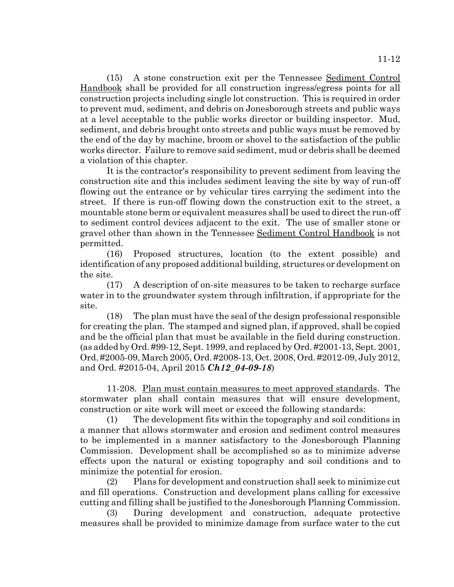(15) A stone construction exit per the Tennessee Sediment Control Handbook shall be provided for all construction ingress/egress points for all construction projects including single lot construction. This is required in order to prevent mud, sediment, and debris on Jonesborough streets and public ways at a level acceptable to the public works director or building inspector. Mud, sediment, and debris brought onto streets and public ways must be removed by the end of the day by machine, broom or shovel to the satisfaction of the public works director. Failure to remove said sediment, mud or debris shall be deemed a violation of this chapter.

It is the contractor's responsibility to prevent sediment from leaving the construction site and this includes sediment leaving the site by way of run-off flowing out the entrance or by vehicular tires carrying the sediment into the street. If there is run-off flowing down the construction exit to the street, a mountable stone berm or equivalent measures shall be used to direct the run-off to sediment control devices adjacent to the exit. The use of smaller stone or gravel other than shown in the Tennessee Sediment Control Handbook is not permitted.

(16) Proposed structures, location (to the extent possible) and identification of any proposed additional building, structures or development on the site.

(17) A description of on-site measures to be taken to recharge surface water in to the groundwater system through infiltration, if appropriate for the site.

(18) The plan must have the seal of the design professional responsible for creating the plan. The stamped and signed plan, if approved, shall be copied and be the official plan that must be available in the field during construction. (as added by Ord. #99-12, Sept. 1999, and replaced by Ord. #2001-13, Sept. 2001, Ord. #2005-09, March 2005, Ord. #2008-13, Oct. 2008, Ord. #2012-09, July 2012, and Ord. #2015-04, April 2015 *Ch12\_04-09-18*)

11-208. Plan must contain measures to meet approved standards. The stormwater plan shall contain measures that will ensure development, construction or site work will meet or exceed the following standards:

(1) The development fits within the topography and soil conditions in a manner that allows stormwater and erosion and sediment control measures to be implemented in a manner satisfactory to the Jonesborough Planning Commission. Development shall be accomplished so as to minimize adverse effects upon the natural or existing topography and soil conditions and to minimize the potential for erosion.

(2) Plans for development and construction shall seek to minimize cut and fill operations. Construction and development plans calling for excessive cutting and filling shall be justified to the Jonesborough Planning Commission.

(3) During development and construction, adequate protective measures shall be provided to minimize damage from surface water to the cut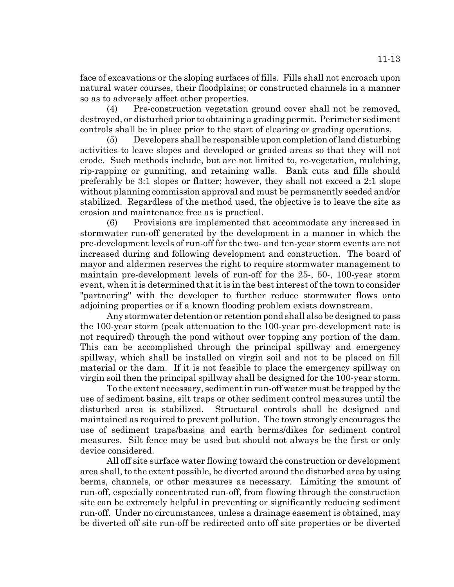face of excavations or the sloping surfaces of fills. Fills shall not encroach upon natural water courses, their floodplains; or constructed channels in a manner so as to adversely affect other properties.

(4) Pre-construction vegetation ground cover shall not be removed, destroyed, or disturbed prior to obtaining a grading permit. Perimeter sediment controls shall be in place prior to the start of clearing or grading operations.

(5) Developers shall be responsible upon completion of land disturbing activities to leave slopes and developed or graded areas so that they will not erode. Such methods include, but are not limited to, re-vegetation, mulching, rip-rapping or gunniting, and retaining walls. Bank cuts and fills should preferably be 3:1 slopes or flatter; however, they shall not exceed a 2:1 slope without planning commission approval and must be permanently seeded and/or stabilized. Regardless of the method used, the objective is to leave the site as erosion and maintenance free as is practical.

(6) Provisions are implemented that accommodate any increased in stormwater run-off generated by the development in a manner in which the pre-development levels of run-off for the two- and ten-year storm events are not increased during and following development and construction. The board of mayor and aldermen reserves the right to require stormwater management to maintain pre-development levels of run-off for the 25-, 50-, 100-year storm event, when it is determined that it is in the best interest of the town to consider "partnering" with the developer to further reduce stormwater flows onto adjoining properties or if a known flooding problem exists downstream.

Any stormwater detention or retention pond shall also be designed to pass the 100-year storm (peak attenuation to the 100-year pre-development rate is not required) through the pond without over topping any portion of the dam. This can be accomplished through the principal spillway and emergency spillway, which shall be installed on virgin soil and not to be placed on fill material or the dam. If it is not feasible to place the emergency spillway on virgin soil then the principal spillway shall be designed for the 100-year storm.

To the extent necessary, sediment in run-off water must be trapped by the use of sediment basins, silt traps or other sediment control measures until the disturbed area is stabilized. Structural controls shall be designed and maintained as required to prevent pollution. The town strongly encourages the use of sediment traps/basins and earth berms/dikes for sediment control measures. Silt fence may be used but should not always be the first or only device considered.

All off site surface water flowing toward the construction or development area shall, to the extent possible, be diverted around the disturbed area by using berms, channels, or other measures as necessary. Limiting the amount of run-off, especially concentrated run-off, from flowing through the construction site can be extremely helpful in preventing or significantly reducing sediment run-off. Under no circumstances, unless a drainage easement is obtained, may be diverted off site run-off be redirected onto off site properties or be diverted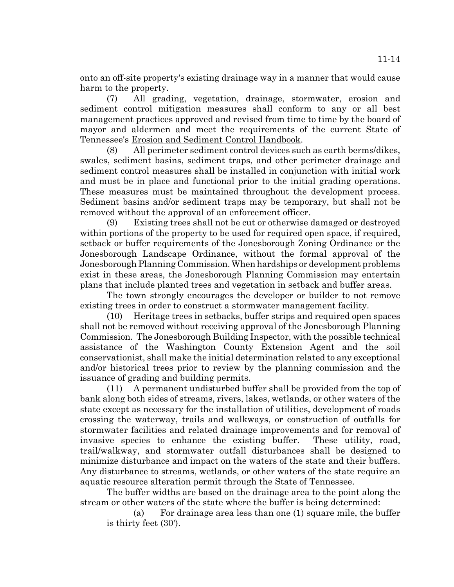onto an off-site property's existing drainage way in a manner that would cause harm to the property.

(7) All grading, vegetation, drainage, stormwater, erosion and sediment control mitigation measures shall conform to any or all best management practices approved and revised from time to time by the board of mayor and aldermen and meet the requirements of the current State of Tennessee's Erosion and Sediment Control Handbook.

(8) All perimeter sediment control devices such as earth berms/dikes, swales, sediment basins, sediment traps, and other perimeter drainage and sediment control measures shall be installed in conjunction with initial work and must be in place and functional prior to the initial grading operations. These measures must be maintained throughout the development process. Sediment basins and/or sediment traps may be temporary, but shall not be removed without the approval of an enforcement officer.

(9) Existing trees shall not be cut or otherwise damaged or destroyed within portions of the property to be used for required open space, if required, setback or buffer requirements of the Jonesborough Zoning Ordinance or the Jonesborough Landscape Ordinance, without the formal approval of the Jonesborough Planning Commission. When hardships or development problems exist in these areas, the Jonesborough Planning Commission may entertain plans that include planted trees and vegetation in setback and buffer areas.

The town strongly encourages the developer or builder to not remove existing trees in order to construct a stormwater management facility.

(10) Heritage trees in setbacks, buffer strips and required open spaces shall not be removed without receiving approval of the Jonesborough Planning Commission. The Jonesborough Building Inspector, with the possible technical assistance of the Washington County Extension Agent and the soil conservationist, shall make the initial determination related to any exceptional and/or historical trees prior to review by the planning commission and the issuance of grading and building permits.

(11) A permanent undisturbed buffer shall be provided from the top of bank along both sides of streams, rivers, lakes, wetlands, or other waters of the state except as necessary for the installation of utilities, development of roads crossing the waterway, trails and walkways, or construction of outfalls for stormwater facilities and related drainage improvements and for removal of invasive species to enhance the existing buffer. These utility, road, trail/walkway, and stormwater outfall disturbances shall be designed to minimize disturbance and impact on the waters of the state and their buffers. Any disturbance to streams, wetlands, or other waters of the state require an aquatic resource alteration permit through the State of Tennessee.

The buffer widths are based on the drainage area to the point along the stream or other waters of the state where the buffer is being determined:

(a) For drainage area less than one (1) square mile, the buffer is thirty feet (30').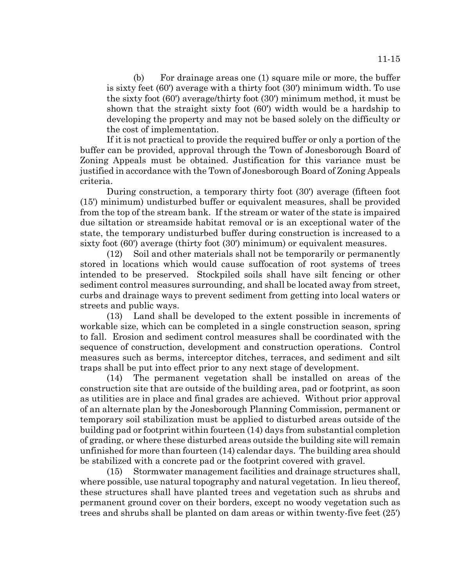(b) For drainage areas one (1) square mile or more, the buffer is sixty feet (60') average with a thirty foot (30') minimum width. To use the sixty foot (60') average/thirty foot (30') minimum method, it must be shown that the straight sixty foot (60') width would be a hardship to developing the property and may not be based solely on the difficulty or the cost of implementation.

If it is not practical to provide the required buffer or only a portion of the buffer can be provided, approval through the Town of Jonesborough Board of Zoning Appeals must be obtained. Justification for this variance must be justified in accordance with the Town of Jonesborough Board of Zoning Appeals criteria.

During construction, a temporary thirty foot (30') average (fifteen foot (15') minimum) undisturbed buffer or equivalent measures, shall be provided from the top of the stream bank. If the stream or water of the state is impaired due siltation or streamside habitat removal or is an exceptional water of the state, the temporary undisturbed buffer during construction is increased to a sixty foot (60') average (thirty foot (30') minimum) or equivalent measures.

(12) Soil and other materials shall not be temporarily or permanently stored in locations which would cause suffocation of root systems of trees intended to be preserved. Stockpiled soils shall have silt fencing or other sediment control measures surrounding, and shall be located away from street, curbs and drainage ways to prevent sediment from getting into local waters or streets and public ways.

(13) Land shall be developed to the extent possible in increments of workable size, which can be completed in a single construction season, spring to fall. Erosion and sediment control measures shall be coordinated with the sequence of construction, development and construction operations. Control measures such as berms, interceptor ditches, terraces, and sediment and silt traps shall be put into effect prior to any next stage of development.

(14) The permanent vegetation shall be installed on areas of the construction site that are outside of the building area, pad or footprint, as soon as utilities are in place and final grades are achieved. Without prior approval of an alternate plan by the Jonesborough Planning Commission, permanent or temporary soil stabilization must be applied to disturbed areas outside of the building pad or footprint within fourteen (14) days from substantial completion of grading, or where these disturbed areas outside the building site will remain unfinished for more than fourteen (14) calendar days. The building area should be stabilized with a concrete pad or the footprint covered with gravel.

(15) Stormwater management facilities and drainage structures shall, where possible, use natural topography and natural vegetation. In lieu thereof, these structures shall have planted trees and vegetation such as shrubs and permanent ground cover on their borders, except no woody vegetation such as trees and shrubs shall be planted on dam areas or within twenty-five feet (25')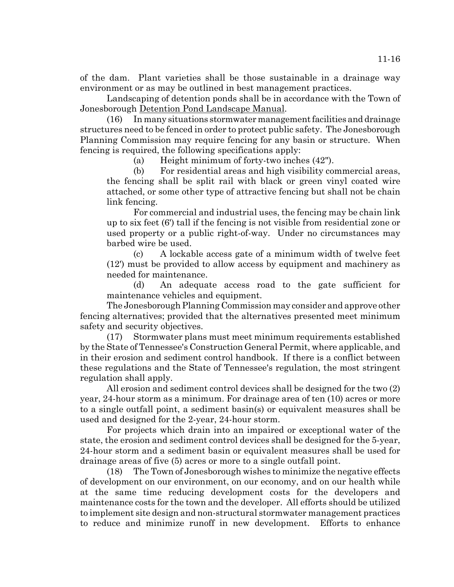of the dam. Plant varieties shall be those sustainable in a drainage way environment or as may be outlined in best management practices.

Landscaping of detention ponds shall be in accordance with the Town of Jonesborough Detention Pond Landscape Manual.

(16) In many situations stormwater management facilities and drainage structures need to be fenced in order to protect public safety. The Jonesborough Planning Commission may require fencing for any basin or structure. When fencing is required, the following specifications apply:

(a) Height minimum of forty-two inches (42").

(b) For residential areas and high visibility commercial areas, the fencing shall be split rail with black or green vinyl coated wire attached, or some other type of attractive fencing but shall not be chain link fencing.

For commercial and industrial uses, the fencing may be chain link up to six feet (6') tall if the fencing is not visible from residential zone or used property or a public right-of-way. Under no circumstances may barbed wire be used.

(c) A lockable access gate of a minimum width of twelve feet (12') must be provided to allow access by equipment and machinery as needed for maintenance.

(d) An adequate access road to the gate sufficient for maintenance vehicles and equipment.

The Jonesborough Planning Commission may consider and approve other fencing alternatives; provided that the alternatives presented meet minimum safety and security objectives.

(17) Stormwater plans must meet minimum requirements established by the State of Tennessee's Construction General Permit, where applicable, and in their erosion and sediment control handbook. If there is a conflict between these regulations and the State of Tennessee's regulation, the most stringent regulation shall apply.

All erosion and sediment control devices shall be designed for the two (2) year, 24-hour storm as a minimum. For drainage area of ten (10) acres or more to a single outfall point, a sediment basin(s) or equivalent measures shall be used and designed for the 2-year, 24-hour storm.

For projects which drain into an impaired or exceptional water of the state, the erosion and sediment control devices shall be designed for the 5-year, 24-hour storm and a sediment basin or equivalent measures shall be used for drainage areas of five (5) acres or more to a single outfall point.

(18) The Town of Jonesborough wishes to minimize the negative effects of development on our environment, on our economy, and on our health while at the same time reducing development costs for the developers and maintenance costs for the town and the developer. All efforts should be utilized to implement site design and non-structural stormwater management practices to reduce and minimize runoff in new development. Efforts to enhance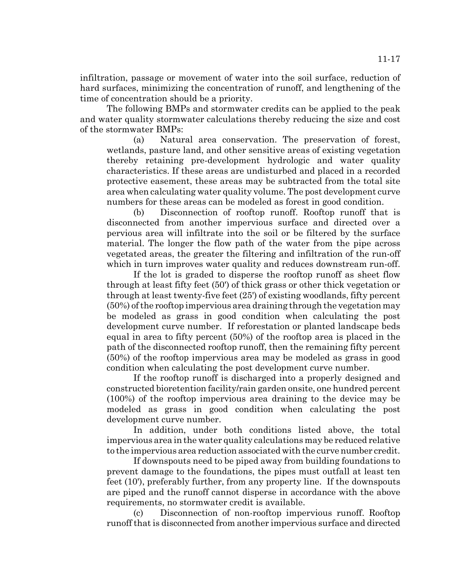infiltration, passage or movement of water into the soil surface, reduction of hard surfaces, minimizing the concentration of runoff, and lengthening of the time of concentration should be a priority.

The following BMPs and stormwater credits can be applied to the peak and water quality stormwater calculations thereby reducing the size and cost of the stormwater BMPs:

(a) Natural area conservation. The preservation of forest, wetlands, pasture land, and other sensitive areas of existing vegetation thereby retaining pre-development hydrologic and water quality characteristics. If these areas are undisturbed and placed in a recorded protective easement, these areas may be subtracted from the total site area when calculating water quality volume. The post development curve numbers for these areas can be modeled as forest in good condition.

(b) Disconnection of rooftop runoff. Rooftop runoff that is disconnected from another impervious surface and directed over a pervious area will infiltrate into the soil or be filtered by the surface material. The longer the flow path of the water from the pipe across vegetated areas, the greater the filtering and infiltration of the run-off which in turn improves water quality and reduces downstream run-off.

If the lot is graded to disperse the rooftop runoff as sheet flow through at least fifty feet (50') of thick grass or other thick vegetation or through at least twenty-five feet (25') of existing woodlands, fifty percent (50%) of the rooftop impervious area draining through the vegetation may be modeled as grass in good condition when calculating the post development curve number. If reforestation or planted landscape beds equal in area to fifty percent (50%) of the rooftop area is placed in the path of the disconnected rooftop runoff, then the remaining fifty percent (50%) of the rooftop impervious area may be modeled as grass in good condition when calculating the post development curve number.

If the rooftop runoff is discharged into a properly designed and constructed bioretention facility/rain garden onsite, one hundred percent (100%) of the rooftop impervious area draining to the device may be modeled as grass in good condition when calculating the post development curve number.

In addition, under both conditions listed above, the total impervious area in the water quality calculations may be reduced relative to the impervious area reduction associated with the curve number credit.

If downspouts need to be piped away from building foundations to prevent damage to the foundations, the pipes must outfall at least ten feet (10'), preferably further, from any property line. If the downspouts are piped and the runoff cannot disperse in accordance with the above requirements, no stormwater credit is available.

(c) Disconnection of non-rooftop impervious runoff. Rooftop runoff that is disconnected from another impervious surface and directed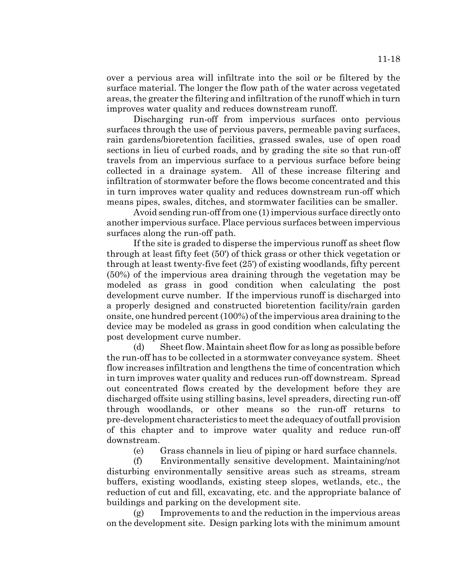over a pervious area will infiltrate into the soil or be filtered by the surface material. The longer the flow path of the water across vegetated areas, the greater the filtering and infiltration of the runoff which in turn improves water quality and reduces downstream runoff.

Discharging run-off from impervious surfaces onto pervious surfaces through the use of pervious pavers, permeable paving surfaces, rain gardens/bioretention facilities, grassed swales, use of open road sections in lieu of curbed roads, and by grading the site so that run-off travels from an impervious surface to a pervious surface before being collected in a drainage system. All of these increase filtering and infiltration of stormwater before the flows become concentrated and this in turn improves water quality and reduces downstream run-off which means pipes, swales, ditches, and stormwater facilities can be smaller.

Avoid sending run-off from one (1) impervious surface directly onto another impervious surface. Place pervious surfaces between impervious surfaces along the run-off path.

If the site is graded to disperse the impervious runoff as sheet flow through at least fifty feet (50') of thick grass or other thick vegetation or through at least twenty-five feet (25') of existing woodlands, fifty percent (50%) of the impervious area draining through the vegetation may be modeled as grass in good condition when calculating the post development curve number. If the impervious runoff is discharged into a properly designed and constructed bioretention facility/rain garden onsite, one hundred percent (100%) of the impervious area draining to the device may be modeled as grass in good condition when calculating the post development curve number.

(d) Sheet flow. Maintain sheet flow for as long as possible before the run-off has to be collected in a stormwater conveyance system. Sheet flow increases infiltration and lengthens the time of concentration which in turn improves water quality and reduces run-off downstream. Spread out concentrated flows created by the development before they are discharged offsite using stilling basins, level spreaders, directing run-off through woodlands, or other means so the run-off returns to pre-development characteristics to meet the adequacy of outfall provision of this chapter and to improve water quality and reduce run-off downstream.

(e) Grass channels in lieu of piping or hard surface channels.

(f) Environmentally sensitive development. Maintaining/not disturbing environmentally sensitive areas such as streams, stream buffers, existing woodlands, existing steep slopes, wetlands, etc., the reduction of cut and fill, excavating, etc. and the appropriate balance of buildings and parking on the development site.

(g) Improvements to and the reduction in the impervious areas on the development site. Design parking lots with the minimum amount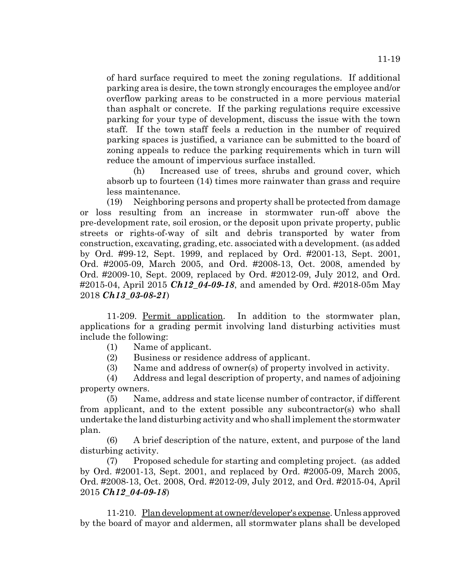of hard surface required to meet the zoning regulations. If additional parking area is desire, the town strongly encourages the employee and/or overflow parking areas to be constructed in a more pervious material than asphalt or concrete. If the parking regulations require excessive parking for your type of development, discuss the issue with the town staff. If the town staff feels a reduction in the number of required parking spaces is justified, a variance can be submitted to the board of zoning appeals to reduce the parking requirements which in turn will reduce the amount of impervious surface installed.

(h) Increased use of trees, shrubs and ground cover, which absorb up to fourteen (14) times more rainwater than grass and require less maintenance.

(19) Neighboring persons and property shall be protected from damage or loss resulting from an increase in stormwater run-off above the pre-development rate, soil erosion, or the deposit upon private property, public streets or rights-of-way of silt and debris transported by water from construction, excavating, grading, etc. associated with a development. (as added by Ord. #99-12, Sept. 1999, and replaced by Ord. #2001-13, Sept. 2001, Ord. #2005-09, March 2005, and Ord. #2008-13, Oct. 2008, amended by Ord. #2009-10, Sept. 2009, replaced by Ord. #2012-09, July 2012, and Ord. #2015-04, April 2015 *Ch12\_04-09-18*, and amended by Ord. #2018-05m May 2018 *Ch13\_03-08-21*)

11-209. Permit application. In addition to the stormwater plan, applications for a grading permit involving land disturbing activities must include the following:

- (1) Name of applicant.
- (2) Business or residence address of applicant.
- (3) Name and address of owner(s) of property involved in activity.

(4) Address and legal description of property, and names of adjoining property owners.

(5) Name, address and state license number of contractor, if different from applicant, and to the extent possible any subcontractor(s) who shall undertake the land disturbing activity and who shall implement the stormwater plan.

(6) A brief description of the nature, extent, and purpose of the land disturbing activity.

(7) Proposed schedule for starting and completing project. (as added by Ord. #2001-13, Sept. 2001, and replaced by Ord. #2005-09, March 2005, Ord. #2008-13, Oct. 2008, Ord. #2012-09, July 2012, and Ord. #2015-04, April 2015 *Ch12\_04-09-18*)

11-210. Plan development at owner/developer's expense. Unless approved by the board of mayor and aldermen, all stormwater plans shall be developed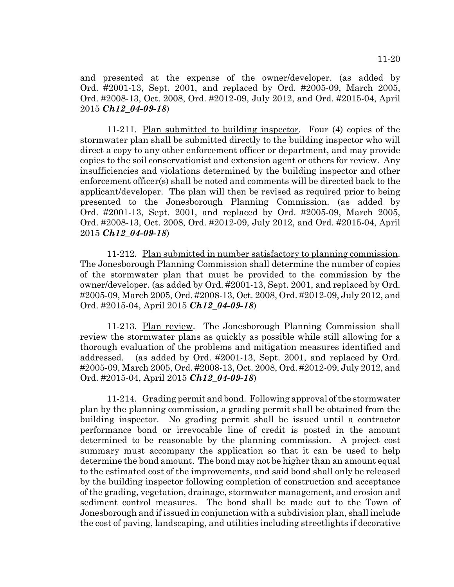and presented at the expense of the owner/developer. (as added by Ord. #2001-13, Sept. 2001, and replaced by Ord. #2005-09, March 2005, Ord. #2008-13, Oct. 2008, Ord. #2012-09, July 2012, and Ord. #2015-04, April 2015 *Ch12\_04-09-18*)

11-211. Plan submitted to building inspector. Four (4) copies of the stormwater plan shall be submitted directly to the building inspector who will direct a copy to any other enforcement officer or department, and may provide copies to the soil conservationist and extension agent or others for review. Any insufficiencies and violations determined by the building inspector and other enforcement officer(s) shall be noted and comments will be directed back to the applicant/developer. The plan will then be revised as required prior to being presented to the Jonesborough Planning Commission. (as added by Ord. #2001-13, Sept. 2001, and replaced by Ord. #2005-09, March 2005, Ord. #2008-13, Oct. 2008, Ord. #2012-09, July 2012, and Ord. #2015-04, April 2015 *Ch12\_04-09-18*)

11-212. Plan submitted in number satisfactory to planning commission. The Jonesborough Planning Commission shall determine the number of copies of the stormwater plan that must be provided to the commission by the owner/developer. (as added by Ord. #2001-13, Sept. 2001, and replaced by Ord. #2005-09, March 2005, Ord. #2008-13, Oct. 2008, Ord. #2012-09, July 2012, and Ord. #2015-04, April 2015 *Ch12\_04-09-18*)

11-213. Plan review. The Jonesborough Planning Commission shall review the stormwater plans as quickly as possible while still allowing for a thorough evaluation of the problems and mitigation measures identified and addressed. (as added by Ord. #2001-13, Sept. 2001, and replaced by Ord. #2005-09, March 2005, Ord. #2008-13, Oct. 2008, Ord. #2012-09, July 2012, and Ord. #2015-04, April 2015 *Ch12\_04-09-18*)

11-214. Grading permit and bond. Following approval of the stormwater plan by the planning commission, a grading permit shall be obtained from the building inspector. No grading permit shall be issued until a contractor performance bond or irrevocable line of credit is posted in the amount determined to be reasonable by the planning commission. A project cost summary must accompany the application so that it can be used to help determine the bond amount. The bond may not be higher than an amount equal to the estimated cost of the improvements, and said bond shall only be released by the building inspector following completion of construction and acceptance of the grading, vegetation, drainage, stormwater management, and erosion and sediment control measures. The bond shall be made out to the Town of Jonesborough and if issued in conjunction with a subdivision plan, shall include the cost of paving, landscaping, and utilities including streetlights if decorative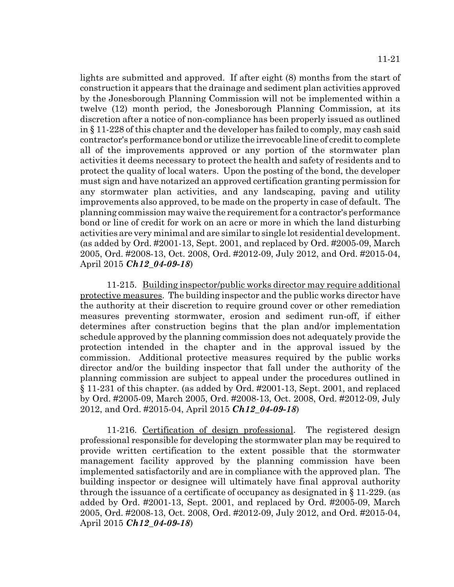lights are submitted and approved. If after eight (8) months from the start of construction it appears that the drainage and sediment plan activities approved by the Jonesborough Planning Commission will not be implemented within a twelve (12) month period, the Jonesborough Planning Commission, at its discretion after a notice of non-compliance has been properly issued as outlined in § 11-228 of this chapter and the developer has failed to comply, may cash said contractor's performance bond or utilize the irrevocable line of credit to complete all of the improvements approved or any portion of the stormwater plan activities it deems necessary to protect the health and safety of residents and to protect the quality of local waters. Upon the posting of the bond, the developer must sign and have notarized an approved certification granting permission for any stormwater plan activities, and any landscaping, paving and utility improvements also approved, to be made on the property in case of default. The planning commission may waive the requirement for a contractor's performance bond or line of credit for work on an acre or more in which the land disturbing activities are very minimal and are similar to single lot residential development. (as added by Ord. #2001-13, Sept. 2001, and replaced by Ord. #2005-09, March 2005, Ord. #2008-13, Oct. 2008, Ord. #2012-09, July 2012, and Ord. #2015-04, April 2015 *Ch12\_04-09-18*)

11-215. Building inspector/public works director may require additional protective measures. The building inspector and the public works director have the authority at their discretion to require ground cover or other remediation measures preventing stormwater, erosion and sediment run-off, if either determines after construction begins that the plan and/or implementation schedule approved by the planning commission does not adequately provide the protection intended in the chapter and in the approval issued by the commission. Additional protective measures required by the public works director and/or the building inspector that fall under the authority of the planning commission are subject to appeal under the procedures outlined in § 11-231 of this chapter. (as added by Ord. #2001-13, Sept. 2001, and replaced by Ord. #2005-09, March 2005, Ord. #2008-13, Oct. 2008, Ord. #2012-09, July 2012, and Ord. #2015-04, April 2015 *Ch12\_04-09-18*)

11-216. Certification of design professional. The registered design professional responsible for developing the stormwater plan may be required to provide written certification to the extent possible that the stormwater management facility approved by the planning commission have been implemented satisfactorily and are in compliance with the approved plan. The building inspector or designee will ultimately have final approval authority through the issuance of a certificate of occupancy as designated in § 11-229. (as added by Ord. #2001-13, Sept. 2001, and replaced by Ord. #2005-09, March 2005, Ord. #2008-13, Oct. 2008, Ord. #2012-09, July 2012, and Ord. #2015-04, April 2015 *Ch12\_04-09-18*)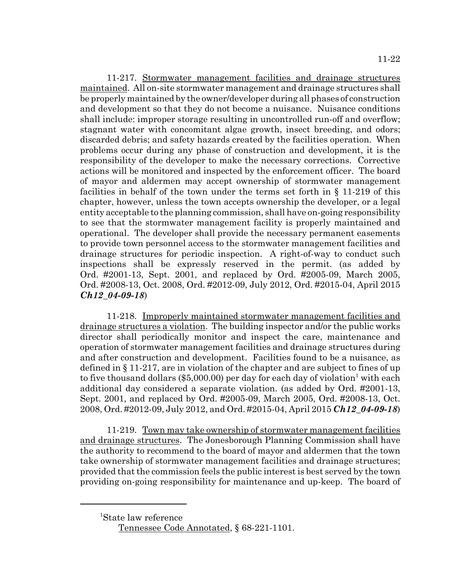11-217. Stormwater management facilities and drainage structures maintained. All on-site stormwater management and drainage structures shall be properly maintained by the owner/developer during all phases of construction and development so that they do not become a nuisance. Nuisance conditions shall include: improper storage resulting in uncontrolled run-off and overflow; stagnant water with concomitant algae growth, insect breeding, and odors; discarded debris; and safety hazards created by the facilities operation. When problems occur during any phase of construction and development, it is the responsibility of the developer to make the necessary corrections. Corrective actions will be monitored and inspected by the enforcement officer. The board of mayor and aldermen may accept ownership of stormwater management facilities in behalf of the town under the terms set forth in § 11-219 of this chapter, however, unless the town accepts ownership the developer, or a legal entity acceptable to the planning commission, shall have on-going responsibility to see that the stormwater management facility is properly maintained and operational. The developer shall provide the necessary permanent easements to provide town personnel access to the stormwater management facilities and drainage structures for periodic inspection. A right-of-way to conduct such inspections shall be expressly reserved in the permit. (as added by Ord. #2001-13, Sept. 2001, and replaced by Ord. #2005-09, March 2005, Ord. #2008-13, Oct. 2008, Ord. #2012-09, July 2012, Ord. #2015-04, April 2015 *Ch12\_04-09-18*)

11-218. Improperly maintained stormwater management facilities and drainage structures a violation. The building inspector and/or the public works director shall periodically monitor and inspect the care, maintenance and operation of stormwater management facilities and drainage structures during and after construction and development. Facilities found to be a nuisance, as defined in § 11-217, are in violation of the chapter and are subject to fines of up to five thousand dollars (\$5,000.00) per day for each day of violation<sup>1</sup> with each additional day considered a separate violation. (as added by Ord. #2001-13, Sept. 2001, and replaced by Ord. #2005-09, March 2005, Ord. #2008-13, Oct. 2008, Ord. #2012-09, July 2012, and Ord. #2015-04, April 2015 *Ch12\_04-09-18*)

11-219. Town may take ownership of stormwater management facilities and drainage structures. The Jonesborough Planning Commission shall have the authority to recommend to the board of mayor and aldermen that the town take ownership of stormwater management facilities and drainage structures; provided that the commission feels the public interest is best served by the town providing on-going responsibility for maintenance and up-keep. The board of

<sup>1</sup> State law reference

Tennessee Code Annotated, § 68-221-1101.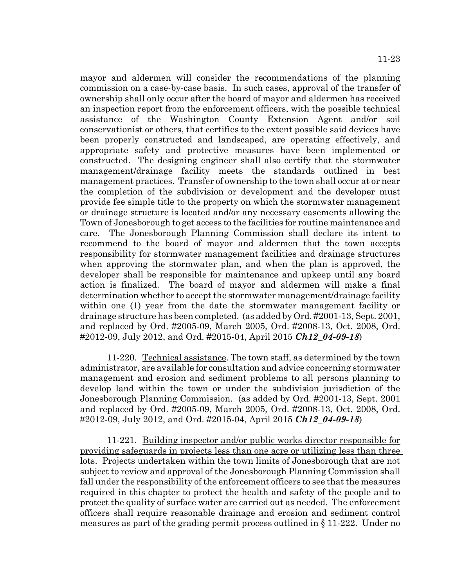mayor and aldermen will consider the recommendations of the planning commission on a case-by-case basis. In such cases, approval of the transfer of ownership shall only occur after the board of mayor and aldermen has received an inspection report from the enforcement officers, with the possible technical assistance of the Washington County Extension Agent and/or soil conservationist or others, that certifies to the extent possible said devices have been properly constructed and landscaped, are operating effectively, and appropriate safety and protective measures have been implemented or constructed. The designing engineer shall also certify that the stormwater management/drainage facility meets the standards outlined in best management practices. Transfer of ownership to the town shall occur at or near the completion of the subdivision or development and the developer must provide fee simple title to the property on which the stormwater management or drainage structure is located and/or any necessary easements allowing the Town of Jonesborough to get access to the facilities for routine maintenance and care. The Jonesborough Planning Commission shall declare its intent to recommend to the board of mayor and aldermen that the town accepts responsibility for stormwater management facilities and drainage structures when approving the stormwater plan, and when the plan is approved, the developer shall be responsible for maintenance and upkeep until any board action is finalized. The board of mayor and aldermen will make a final determination whether to accept the stormwater management/drainage facility within one (1) year from the date the stormwater management facility or drainage structure has been completed. (as added by Ord. #2001-13, Sept. 2001, and replaced by Ord. #2005-09, March 2005, Ord. #2008-13, Oct. 2008, Ord. #2012-09, July 2012, and Ord. #2015-04, April 2015 *Ch12\_04-09-18*)

11-220. Technical assistance. The town staff, as determined by the town administrator, are available for consultation and advice concerning stormwater management and erosion and sediment problems to all persons planning to develop land within the town or under the subdivision jurisdiction of the Jonesborough Planning Commission. (as added by Ord. #2001-13, Sept. 2001 and replaced by Ord. #2005-09, March 2005, Ord. #2008-13, Oct. 2008, Ord. #2012-09, July 2012, and Ord. #2015-04, April 2015 *Ch12\_04-09-18*)

11-221. Building inspector and/or public works director responsible for providing safeguards in projects less than one acre or utilizing less than three lots. Projects undertaken within the town limits of Jonesborough that are not subject to review and approval of the Jonesborough Planning Commission shall fall under the responsibility of the enforcement officers to see that the measures required in this chapter to protect the health and safety of the people and to protect the quality of surface water are carried out as needed. The enforcement officers shall require reasonable drainage and erosion and sediment control measures as part of the grading permit process outlined in § 11-222. Under no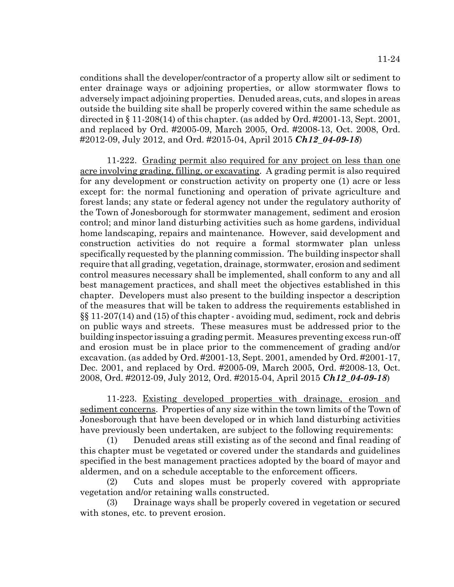conditions shall the developer/contractor of a property allow silt or sediment to enter drainage ways or adjoining properties, or allow stormwater flows to adversely impact adjoining properties. Denuded areas, cuts, and slopes in areas outside the building site shall be properly covered within the same schedule as directed in  $\S 11-208(14)$  of this chapter. (as added by Ord. #2001-13, Sept. 2001, and replaced by Ord. #2005-09, March 2005, Ord. #2008-13, Oct. 2008, Ord. #2012-09, July 2012, and Ord. #2015-04, April 2015 *Ch12\_04-09-18*)

11-222. Grading permit also required for any project on less than one acre involving grading, filling, or excavating. A grading permit is also required for any development or construction activity on property one (1) acre or less except for: the normal functioning and operation of private agriculture and forest lands; any state or federal agency not under the regulatory authority of the Town of Jonesborough for stormwater management, sediment and erosion control; and minor land disturbing activities such as home gardens, individual home landscaping, repairs and maintenance. However, said development and construction activities do not require a formal stormwater plan unless specifically requested by the planning commission. The building inspector shall require that all grading, vegetation, drainage, stormwater, erosion and sediment control measures necessary shall be implemented, shall conform to any and all best management practices, and shall meet the objectives established in this chapter. Developers must also present to the building inspector a description of the measures that will be taken to address the requirements established in §§ 11-207(14) and (15) of this chapter - avoiding mud, sediment, rock and debris on public ways and streets. These measures must be addressed prior to the building inspector issuing a grading permit. Measures preventing excess run-off and erosion must be in place prior to the commencement of grading and/or excavation. (as added by Ord. #2001-13, Sept. 2001, amended by Ord. #2001-17, Dec. 2001, and replaced by Ord. #2005-09, March 2005, Ord. #2008-13, Oct. 2008, Ord. #2012-09, July 2012, Ord. #2015-04, April 2015 *Ch12\_04-09-18*)

11-223. Existing developed properties with drainage, erosion and sediment concerns. Properties of any size within the town limits of the Town of Jonesborough that have been developed or in which land disturbing activities have previously been undertaken, are subject to the following requirements:

(1) Denuded areas still existing as of the second and final reading of this chapter must be vegetated or covered under the standards and guidelines specified in the best management practices adopted by the board of mayor and aldermen, and on a schedule acceptable to the enforcement officers.

(2) Cuts and slopes must be properly covered with appropriate vegetation and/or retaining walls constructed.

(3) Drainage ways shall be properly covered in vegetation or secured with stones, etc. to prevent erosion.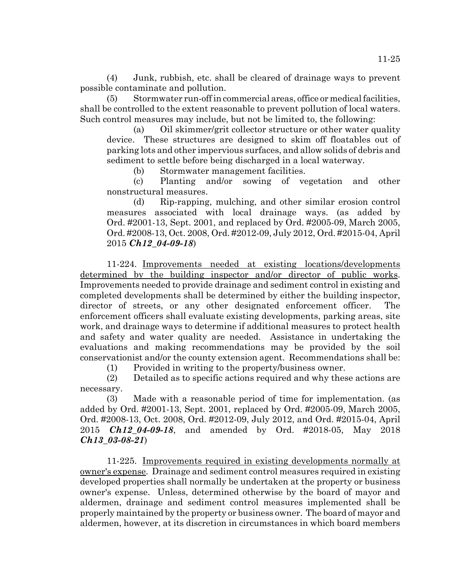(4) Junk, rubbish, etc. shall be cleared of drainage ways to prevent possible contaminate and pollution.

(5) Stormwater run-off in commercial areas, office or medical facilities, shall be controlled to the extent reasonable to prevent pollution of local waters. Such control measures may include, but not be limited to, the following:

(a) Oil skimmer/grit collector structure or other water quality device. These structures are designed to skim off floatables out of parking lots and other impervious surfaces, and allow solids of debris and sediment to settle before being discharged in a local waterway.

(b) Stormwater management facilities.

(c) Planting and/or sowing of vegetation and other nonstructural measures.

(d) Rip-rapping, mulching, and other similar erosion control measures associated with local drainage ways. (as added by Ord. #2001-13, Sept. 2001, and replaced by Ord. #2005-09, March 2005, Ord. #2008-13, Oct. 2008, Ord. #2012-09, July 2012, Ord. #2015-04, April 2015 *Ch12\_04-09-18*)

11-224. Improvements needed at existing locations/developments determined by the building inspector and/or director of public works. Improvements needed to provide drainage and sediment control in existing and completed developments shall be determined by either the building inspector, director of streets, or any other designated enforcement officer. The enforcement officers shall evaluate existing developments, parking areas, site work, and drainage ways to determine if additional measures to protect health and safety and water quality are needed. Assistance in undertaking the evaluations and making recommendations may be provided by the soil conservationist and/or the county extension agent. Recommendations shall be:

(1) Provided in writing to the property/business owner.

(2) Detailed as to specific actions required and why these actions are necessary.

(3) Made with a reasonable period of time for implementation. (as added by Ord. #2001-13, Sept. 2001, replaced by Ord. #2005-09, March 2005, Ord. #2008-13, Oct. 2008, Ord. #2012-09, July 2012, and Ord. #2015-04, April 2015 *Ch12\_04-09-18*, and amended by Ord. #2018-05, May 2018 *Ch13\_03-08-21*)

11-225. Improvements required in existing developments normally at owner's expense. Drainage and sediment control measures required in existing developed properties shall normally be undertaken at the property or business owner's expense. Unless, determined otherwise by the board of mayor and aldermen, drainage and sediment control measures implemented shall be properly maintained by the property or business owner. The board of mayor and aldermen, however, at its discretion in circumstances in which board members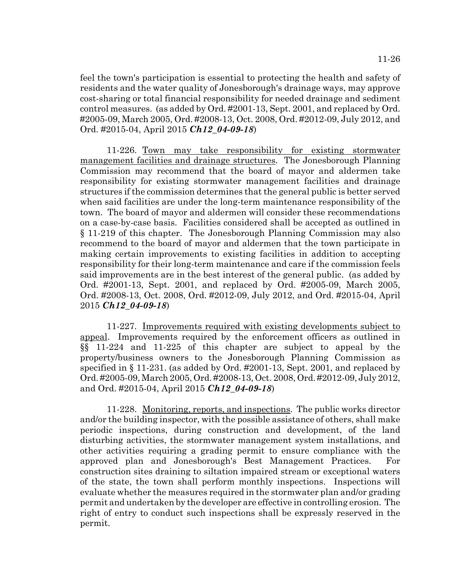feel the town's participation is essential to protecting the health and safety of residents and the water quality of Jonesborough's drainage ways, may approve cost-sharing or total financial responsibility for needed drainage and sediment control measures. (as added by Ord. #2001-13, Sept. 2001, and replaced by Ord. #2005-09, March 2005, Ord. #2008-13, Oct. 2008, Ord. #2012-09, July 2012, and Ord. #2015-04, April 2015 *Ch12\_04-09-18*)

11-226. Town may take responsibility for existing stormwater management facilities and drainage structures. The Jonesborough Planning Commission may recommend that the board of mayor and aldermen take responsibility for existing stormwater management facilities and drainage structures if the commission determines that the general public is better served when said facilities are under the long-term maintenance responsibility of the town. The board of mayor and aldermen will consider these recommendations on a case-by-case basis. Facilities considered shall be accepted as outlined in § 11-219 of this chapter. The Jonesborough Planning Commission may also recommend to the board of mayor and aldermen that the town participate in making certain improvements to existing facilities in addition to accepting responsibility for their long-term maintenance and care if the commission feels said improvements are in the best interest of the general public. (as added by Ord. #2001-13, Sept. 2001, and replaced by Ord. #2005-09, March 2005, Ord. #2008-13, Oct. 2008, Ord. #2012-09, July 2012, and Ord. #2015-04, April 2015 *Ch12\_04-09-18*)

11-227. Improvements required with existing developments subject to appeal. Improvements required by the enforcement officers as outlined in §§ 11-224 and 11-225 of this chapter are subject to appeal by the property/business owners to the Jonesborough Planning Commission as specified in § 11-231. (as added by Ord. #2001-13, Sept. 2001, and replaced by Ord. #2005-09, March 2005, Ord. #2008-13, Oct. 2008, Ord. #2012-09, July 2012, and Ord. #2015-04, April 2015 *Ch12\_04-09-18*)

11-228. Monitoring, reports, and inspections. The public works director and/or the building inspector, with the possible assistance of others, shall make periodic inspections, during construction and development, of the land disturbing activities, the stormwater management system installations, and other activities requiring a grading permit to ensure compliance with the approved plan and Jonesborough's Best Management Practices. For construction sites draining to siltation impaired stream or exceptional waters of the state, the town shall perform monthly inspections. Inspections will evaluate whether the measures required in the stormwater plan and/or grading permit and undertaken by the developer are effective in controlling erosion. The right of entry to conduct such inspections shall be expressly reserved in the permit.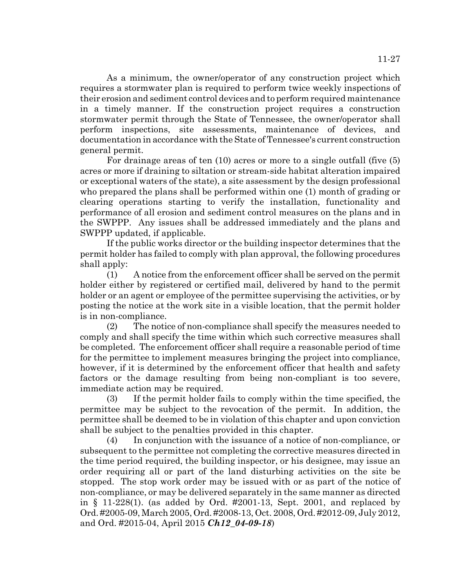As a minimum, the owner/operator of any construction project which requires a stormwater plan is required to perform twice weekly inspections of their erosion and sediment control devices and to perform required maintenance in a timely manner. If the construction project requires a construction stormwater permit through the State of Tennessee, the owner/operator shall perform inspections, site assessments, maintenance of devices, and documentation in accordance with the State of Tennessee's current construction general permit.

For drainage areas of ten (10) acres or more to a single outfall (five (5) acres or more if draining to siltation or stream-side habitat alteration impaired or exceptional waters of the state), a site assessment by the design professional who prepared the plans shall be performed within one (1) month of grading or clearing operations starting to verify the installation, functionality and performance of all erosion and sediment control measures on the plans and in the SWPPP. Any issues shall be addressed immediately and the plans and SWPPP updated, if applicable.

If the public works director or the building inspector determines that the permit holder has failed to comply with plan approval, the following procedures shall apply:

(1) A notice from the enforcement officer shall be served on the permit holder either by registered or certified mail, delivered by hand to the permit holder or an agent or employee of the permittee supervising the activities, or by posting the notice at the work site in a visible location, that the permit holder is in non-compliance.

(2) The notice of non-compliance shall specify the measures needed to comply and shall specify the time within which such corrective measures shall be completed. The enforcement officer shall require a reasonable period of time for the permittee to implement measures bringing the project into compliance, however, if it is determined by the enforcement officer that health and safety factors or the damage resulting from being non-compliant is too severe, immediate action may be required.

(3) If the permit holder fails to comply within the time specified, the permittee may be subject to the revocation of the permit. In addition, the permittee shall be deemed to be in violation of this chapter and upon conviction shall be subject to the penalties provided in this chapter.

(4) In conjunction with the issuance of a notice of non-compliance, or subsequent to the permittee not completing the corrective measures directed in the time period required, the building inspector, or his designee, may issue an order requiring all or part of the land disturbing activities on the site be stopped. The stop work order may be issued with or as part of the notice of non-compliance, or may be delivered separately in the same manner as directed in § 11-228(1). (as added by Ord. #2001-13, Sept. 2001, and replaced by Ord. #2005-09, March 2005, Ord. #2008-13, Oct. 2008, Ord. #2012-09, July 2012, and Ord. #2015-04, April 2015 *Ch12\_04-09-18*)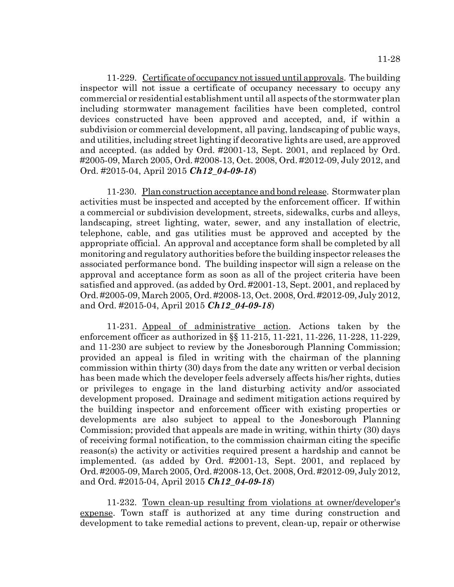11-229. Certificate of occupancy not issued until approvals. The building inspector will not issue a certificate of occupancy necessary to occupy any commercial or residential establishment until all aspects of the stormwater plan including stormwater management facilities have been completed, control devices constructed have been approved and accepted, and, if within a subdivision or commercial development, all paving, landscaping of public ways, and utilities, including street lighting if decorative lights are used, are approved and accepted. (as added by Ord. #2001-13, Sept. 2001, and replaced by Ord. #2005-09, March 2005, Ord. #2008-13, Oct. 2008, Ord. #2012-09, July 2012, and Ord. #2015-04, April 2015 *Ch12\_04-09-18*)

11-230. Plan construction acceptance and bond release. Stormwater plan activities must be inspected and accepted by the enforcement officer. If within a commercial or subdivision development, streets, sidewalks, curbs and alleys, landscaping, street lighting, water, sewer, and any installation of electric, telephone, cable, and gas utilities must be approved and accepted by the appropriate official. An approval and acceptance form shall be completed by all monitoring and regulatory authorities before the building inspector releases the associated performance bond. The building inspector will sign a release on the approval and acceptance form as soon as all of the project criteria have been satisfied and approved. (as added by Ord. #2001-13, Sept. 2001, and replaced by Ord. #2005-09, March 2005, Ord. #2008-13, Oct. 2008, Ord. #2012-09, July 2012, and Ord. #2015-04, April 2015 *Ch12\_04-09-18*)

11-231. Appeal of administrative action. Actions taken by the enforcement officer as authorized in §§ 11-215, 11-221, 11-226, 11-228, 11-229, and 11-230 are subject to review by the Jonesborough Planning Commission; provided an appeal is filed in writing with the chairman of the planning commission within thirty (30) days from the date any written or verbal decision has been made which the developer feels adversely affects his/her rights, duties or privileges to engage in the land disturbing activity and/or associated development proposed. Drainage and sediment mitigation actions required by the building inspector and enforcement officer with existing properties or developments are also subject to appeal to the Jonesborough Planning Commission; provided that appeals are made in writing, within thirty (30) days of receiving formal notification, to the commission chairman citing the specific reason(s) the activity or activities required present a hardship and cannot be implemented. (as added by Ord. #2001-13, Sept. 2001, and replaced by Ord. #2005-09, March 2005, Ord. #2008-13, Oct. 2008, Ord. #2012-09, July 2012, and Ord. #2015-04, April 2015 *Ch12\_04-09-18*)

11-232. Town clean-up resulting from violations at owner/developer's expense. Town staff is authorized at any time during construction and development to take remedial actions to prevent, clean-up, repair or otherwise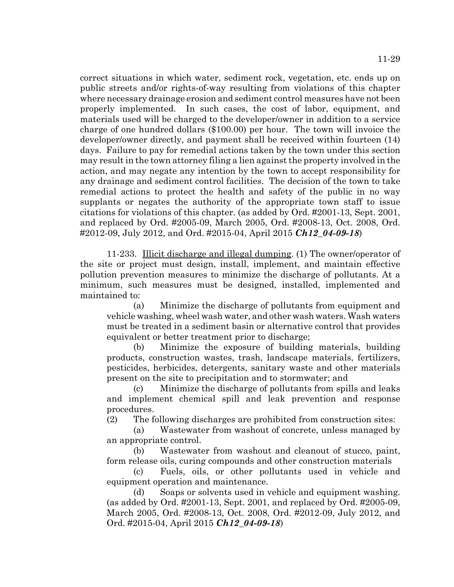correct situations in which water, sediment rock, vegetation, etc. ends up on public streets and/or rights-of-way resulting from violations of this chapter where necessary drainage erosion and sediment control measures have not been properly implemented. In such cases, the cost of labor, equipment, and materials used will be charged to the developer/owner in addition to a service charge of one hundred dollars (\$100.00) per hour. The town will invoice the developer/owner directly, and payment shall be received within fourteen (14) days. Failure to pay for remedial actions taken by the town under this section may result in the town attorney filing a lien against the property involved in the action, and may negate any intention by the town to accept responsibility for any drainage and sediment control facilities. The decision of the town to take remedial actions to protect the health and safety of the public in no way supplants or negates the authority of the appropriate town staff to issue citations for violations of this chapter. (as added by Ord. #2001-13, Sept. 2001, and replaced by Ord. #2005-09, March 2005, Ord. #2008-13, Oct. 2008, Ord. #2012-09, July 2012, and Ord. #2015-04, April 2015 *Ch12\_04-09-18*)

11-233. Illicit discharge and illegal dumping. (1) The owner/operator of the site or project must design, install, implement, and maintain effective pollution prevention measures to minimize the discharge of pollutants. At a minimum, such measures must be designed, installed, implemented and maintained to:

(a) Minimize the discharge of pollutants from equipment and vehicle washing, wheel wash water, and other wash waters. Wash waters must be treated in a sediment basin or alternative control that provides equivalent or better treatment prior to discharge;

(b) Minimize the exposure of building materials, building products, construction wastes, trash, landscape materials, fertilizers, pesticides, herbicides, detergents, sanitary waste and other materials present on the site to precipitation and to stormwater; and

(c) Minimize the discharge of pollutants from spills and leaks and implement chemical spill and leak prevention and response procedures.

(2) The following discharges are prohibited from construction sites:

(a) Wastewater from washout of concrete, unless managed by an appropriate control.

(b) Wastewater from washout and cleanout of stucco, paint, form release oils, curing compounds and other construction materials

(c) Fuels, oils, or other pollutants used in vehicle and equipment operation and maintenance.

(d) Soaps or solvents used in vehicle and equipment washing. (as added by Ord. #2001-13, Sept. 2001, and replaced by Ord. #2005-09, March 2005, Ord. #2008-13, Oct. 2008, Ord. #2012-09, July 2012, and Ord. #2015-04, April 2015 *Ch12\_04-09-18*)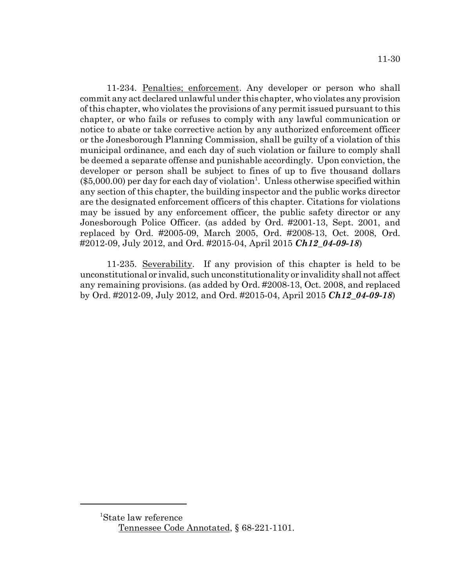11-234. Penalties; enforcement. Any developer or person who shall commit any act declared unlawful under this chapter, who violates any provision of this chapter, who violates the provisions of any permit issued pursuant to this chapter, or who fails or refuses to comply with any lawful communication or notice to abate or take corrective action by any authorized enforcement officer or the Jonesborough Planning Commission, shall be guilty of a violation of this municipal ordinance, and each day of such violation or failure to comply shall be deemed a separate offense and punishable accordingly. Upon conviction, the developer or person shall be subject to fines of up to five thousand dollars  $(\$5,000.00)$  per day for each day of violation<sup>1</sup>. Unless otherwise specified within any section of this chapter, the building inspector and the public works director are the designated enforcement officers of this chapter. Citations for violations may be issued by any enforcement officer, the public safety director or any Jonesborough Police Officer. (as added by Ord. #2001-13, Sept. 2001, and replaced by Ord. #2005-09, March 2005, Ord. #2008-13, Oct. 2008, Ord. #2012-09, July 2012, and Ord. #2015-04, April 2015 *Ch12\_04-09-18*)

11-235. Severability. If any provision of this chapter is held to be unconstitutional or invalid, such unconstitutionality or invalidity shall not affect any remaining provisions. (as added by Ord. #2008-13, Oct. 2008, and replaced by Ord. #2012-09, July 2012, and Ord. #2015-04, April 2015 *Ch12\_04-09-18*)

<sup>1</sup> State law reference Tennessee Code Annotated, § 68-221-1101.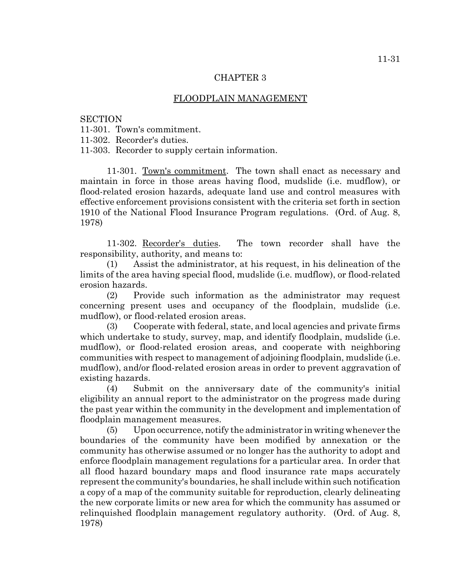## CHAPTER 3

## FLOODPLAIN MANAGEMENT

#### **SECTION**

11-301. Town's commitment.

11-302. Recorder's duties.

11-303. Recorder to supply certain information.

11-301. Town's commitment. The town shall enact as necessary and maintain in force in those areas having flood, mudslide (i.e. mudflow), or flood-related erosion hazards, adequate land use and control measures with effective enforcement provisions consistent with the criteria set forth in section 1910 of the National Flood Insurance Program regulations. (Ord. of Aug. 8, 1978)

11-302. Recorder's duties. The town recorder shall have the responsibility, authority, and means to:

(1) Assist the administrator, at his request, in his delineation of the limits of the area having special flood, mudslide (i.e. mudflow), or flood-related erosion hazards.

(2) Provide such information as the administrator may request concerning present uses and occupancy of the floodplain, mudslide (i.e. mudflow), or flood-related erosion areas.

(3) Cooperate with federal, state, and local agencies and private firms which undertake to study, survey, map, and identify floodplain, mudslide (i.e. mudflow), or flood-related erosion areas, and cooperate with neighboring communities with respect to management of adjoining floodplain, mudslide (i.e. mudflow), and/or flood-related erosion areas in order to prevent aggravation of existing hazards.

(4) Submit on the anniversary date of the community's initial eligibility an annual report to the administrator on the progress made during the past year within the community in the development and implementation of floodplain management measures.

(5) Upon occurrence, notify the administrator in writing whenever the boundaries of the community have been modified by annexation or the community has otherwise assumed or no longer has the authority to adopt and enforce floodplain management regulations for a particular area. In order that all flood hazard boundary maps and flood insurance rate maps accurately represent the community's boundaries, he shall include within such notification a copy of a map of the community suitable for reproduction, clearly delineating the new corporate limits or new area for which the community has assumed or relinquished floodplain management regulatory authority. (Ord. of Aug. 8, 1978)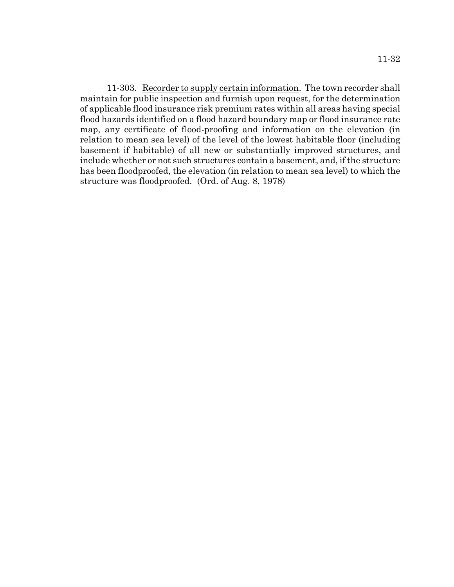11-303. Recorder to supply certain information. The town recorder shall maintain for public inspection and furnish upon request, for the determination of applicable flood insurance risk premium rates within all areas having special flood hazards identified on a flood hazard boundary map or flood insurance rate map, any certificate of flood-proofing and information on the elevation (in relation to mean sea level) of the level of the lowest habitable floor (including basement if habitable) of all new or substantially improved structures, and include whether or not such structures contain a basement, and, if the structure has been floodproofed, the elevation (in relation to mean sea level) to which the structure was floodproofed. (Ord. of Aug. 8, 1978)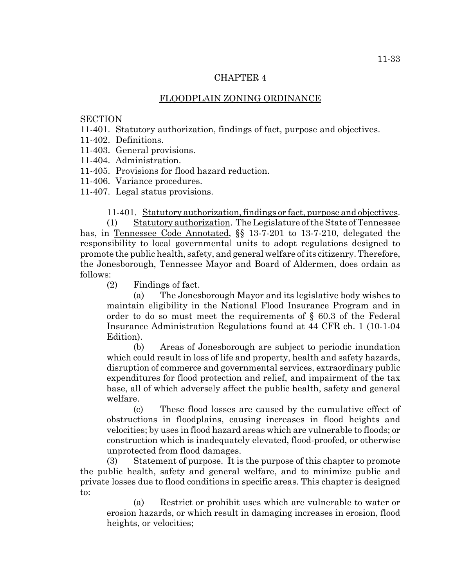## CHAPTER 4

# FLOODPLAIN ZONING ORDINANCE

## **SECTION**

11-401. Statutory authorization, findings of fact, purpose and objectives.

11-402. Definitions.

11-403. General provisions.

11-404. Administration.

11-405. Provisions for flood hazard reduction.

11-406. Variance procedures.

11-407. Legal status provisions.

11-401. Statutory authorization, findings or fact, purpose and objectives.

(1) Statutory authorization. The Legislature of the State of Tennessee has, in Tennessee Code Annotated, §§ 13-7-201 to 13-7-210, delegated the responsibility to local governmental units to adopt regulations designed to promote the public health, safety, and general welfare of its citizenry. Therefore, the Jonesborough, Tennessee Mayor and Board of Aldermen, does ordain as follows:

(2) Findings of fact.

(a) The Jonesborough Mayor and its legislative body wishes to maintain eligibility in the National Flood Insurance Program and in order to do so must meet the requirements of § 60.3 of the Federal Insurance Administration Regulations found at 44 CFR ch. 1 (10-1-04 Edition).

(b) Areas of Jonesborough are subject to periodic inundation which could result in loss of life and property, health and safety hazards, disruption of commerce and governmental services, extraordinary public expenditures for flood protection and relief, and impairment of the tax base, all of which adversely affect the public health, safety and general welfare.

(c) These flood losses are caused by the cumulative effect of obstructions in floodplains, causing increases in flood heights and velocities; by uses in flood hazard areas which are vulnerable to floods; or construction which is inadequately elevated, flood-proofed, or otherwise unprotected from flood damages.

(3) Statement of purpose. It is the purpose of this chapter to promote the public health, safety and general welfare, and to minimize public and private losses due to flood conditions in specific areas. This chapter is designed to:

(a) Restrict or prohibit uses which are vulnerable to water or erosion hazards, or which result in damaging increases in erosion, flood heights, or velocities;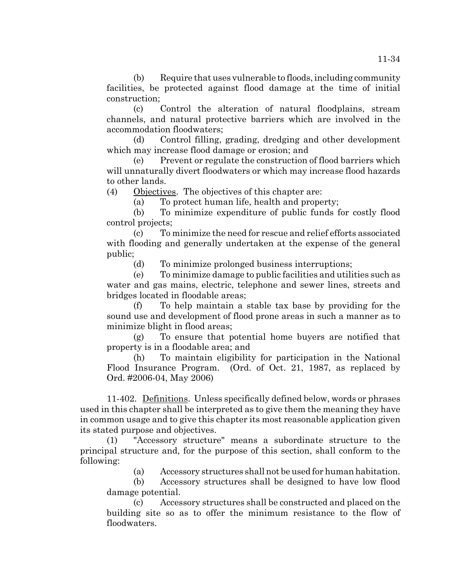(b) Require that uses vulnerable to floods, including community facilities, be protected against flood damage at the time of initial construction;

(c) Control the alteration of natural floodplains, stream channels, and natural protective barriers which are involved in the accommodation floodwaters;

(d) Control filling, grading, dredging and other development which may increase flood damage or erosion; and

(e) Prevent or regulate the construction of flood barriers which will unnaturally divert floodwaters or which may increase flood hazards to other lands.

(4) Objectives. The objectives of this chapter are:

(a) To protect human life, health and property;

(b) To minimize expenditure of public funds for costly flood control projects;

(c) To minimize the need for rescue and relief efforts associated with flooding and generally undertaken at the expense of the general public;

(d) To minimize prolonged business interruptions;

(e) To minimize damage to public facilities and utilities such as water and gas mains, electric, telephone and sewer lines, streets and bridges located in floodable areas;

(f) To help maintain a stable tax base by providing for the sound use and development of flood prone areas in such a manner as to minimize blight in flood areas;

(g) To ensure that potential home buyers are notified that property is in a floodable area; and

(h) To maintain eligibility for participation in the National Flood Insurance Program. (Ord. of Oct. 21, 1987, as replaced by Ord. #2006-04, May 2006)

11-402. Definitions. Unless specifically defined below, words or phrases used in this chapter shall be interpreted as to give them the meaning they have in common usage and to give this chapter its most reasonable application given its stated purpose and objectives.

(1) "Accessory structure" means a subordinate structure to the principal structure and, for the purpose of this section, shall conform to the following:

(a) Accessory structures shall not be used for human habitation.

(b) Accessory structures shall be designed to have low flood damage potential.

(c) Accessory structures shall be constructed and placed on the building site so as to offer the minimum resistance to the flow of floodwaters.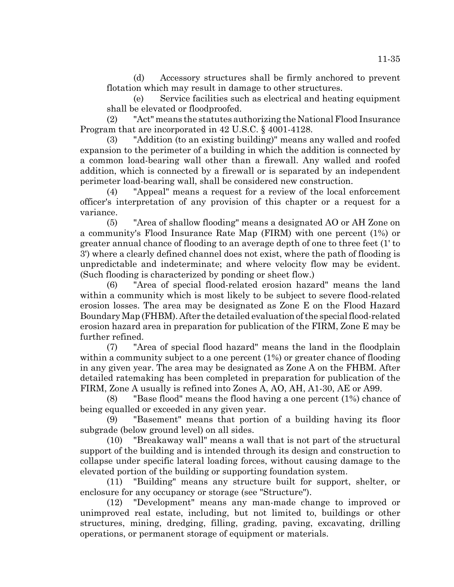(d) Accessory structures shall be firmly anchored to prevent flotation which may result in damage to other structures.

(e) Service facilities such as electrical and heating equipment shall be elevated or floodproofed.

(2) "Act" means the statutes authorizing the National Flood Insurance Program that are incorporated in 42 U.S.C. § 4001-4128.

(3) "Addition (to an existing building)" means any walled and roofed expansion to the perimeter of a building in which the addition is connected by a common load-bearing wall other than a firewall. Any walled and roofed addition, which is connected by a firewall or is separated by an independent perimeter load-bearing wall, shall be considered new construction.

(4) "Appeal" means a request for a review of the local enforcement officer's interpretation of any provision of this chapter or a request for a variance.

(5) "Area of shallow flooding" means a designated AO or AH Zone on a community's Flood Insurance Rate Map (FIRM) with one percent (1%) or greater annual chance of flooding to an average depth of one to three feet (1' to 3') where a clearly defined channel does not exist, where the path of flooding is unpredictable and indeterminate; and where velocity flow may be evident. (Such flooding is characterized by ponding or sheet flow.)

(6) "Area of special flood-related erosion hazard" means the land within a community which is most likely to be subject to severe flood-related erosion losses. The area may be designated as Zone E on the Flood Hazard Boundary Map (FHBM). After the detailed evaluation of the special flood-related erosion hazard area in preparation for publication of the FIRM, Zone E may be further refined.

(7) "Area of special flood hazard" means the land in the floodplain within a community subject to a one percent (1%) or greater chance of flooding in any given year. The area may be designated as Zone A on the FHBM. After detailed ratemaking has been completed in preparation for publication of the FIRM, Zone A usually is refined into Zones A, AO, AH, A1-30, AE or A99.

(8) "Base flood" means the flood having a one percent (1%) chance of being equalled or exceeded in any given year.

(9) "Basement" means that portion of a building having its floor subgrade (below ground level) on all sides.

(10) "Breakaway wall" means a wall that is not part of the structural support of the building and is intended through its design and construction to collapse under specific lateral loading forces, without causing damage to the elevated portion of the building or supporting foundation system.

(11) "Building" means any structure built for support, shelter, or enclosure for any occupancy or storage (see "Structure").

(12) "Development" means any man-made change to improved or unimproved real estate, including, but not limited to, buildings or other structures, mining, dredging, filling, grading, paving, excavating, drilling operations, or permanent storage of equipment or materials.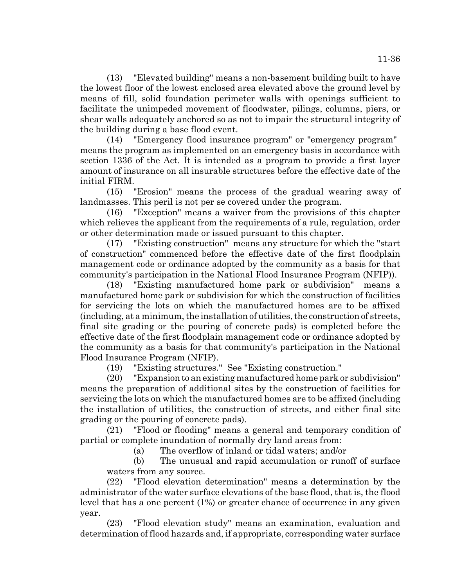(13) "Elevated building" means a non-basement building built to have the lowest floor of the lowest enclosed area elevated above the ground level by means of fill, solid foundation perimeter walls with openings sufficient to facilitate the unimpeded movement of floodwater, pilings, columns, piers, or shear walls adequately anchored so as not to impair the structural integrity of the building during a base flood event.

(14) "Emergency flood insurance program" or "emergency program" means the program as implemented on an emergency basis in accordance with section 1336 of the Act. It is intended as a program to provide a first layer amount of insurance on all insurable structures before the effective date of the initial FIRM.

(15) "Erosion" means the process of the gradual wearing away of landmasses. This peril is not per se covered under the program.

(16) "Exception" means a waiver from the provisions of this chapter which relieves the applicant from the requirements of a rule, regulation, order or other determination made or issued pursuant to this chapter.

(17) "Existing construction" means any structure for which the "start of construction" commenced before the effective date of the first floodplain management code or ordinance adopted by the community as a basis for that community's participation in the National Flood Insurance Program (NFIP)).

(18) "Existing manufactured home park or subdivision" means a manufactured home park or subdivision for which the construction of facilities for servicing the lots on which the manufactured homes are to be affixed (including, at a minimum, the installation of utilities, the construction of streets, final site grading or the pouring of concrete pads) is completed before the effective date of the first floodplain management code or ordinance adopted by the community as a basis for that community's participation in the National Flood Insurance Program (NFIP).

(19) "Existing structures." See "Existing construction."

(20) "Expansion to an existing manufactured home park or subdivision" means the preparation of additional sites by the construction of facilities for servicing the lots on which the manufactured homes are to be affixed (including the installation of utilities, the construction of streets, and either final site grading or the pouring of concrete pads).

(21) "Flood or flooding" means a general and temporary condition of partial or complete inundation of normally dry land areas from:

(a) The overflow of inland or tidal waters; and/or

(b) The unusual and rapid accumulation or runoff of surface waters from any source.

(22) "Flood elevation determination" means a determination by the administrator of the water surface elevations of the base flood, that is, the flood level that has a one percent (1%) or greater chance of occurrence in any given year.

(23) "Flood elevation study" means an examination, evaluation and determination of flood hazards and, if appropriate, corresponding water surface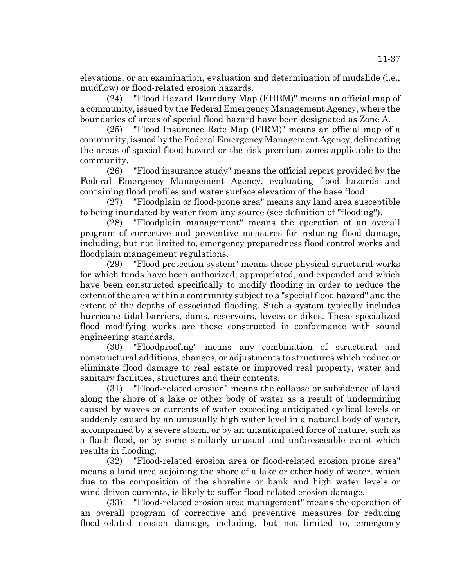elevations, or an examination, evaluation and determination of mudslide (i.e., mudflow) or flood-related erosion hazards.

(24) "Flood Hazard Boundary Map (FHBM)" means an official map of a community, issued by the Federal Emergency Management Agency, where the boundaries of areas of special flood hazard have been designated as Zone A.

(25) "Flood Insurance Rate Map (FIRM)" means an official map of a community, issued by the Federal Emergency Management Agency, delineating the areas of special flood hazard or the risk premium zones applicable to the community.

(26) "Flood insurance study" means the official report provided by the Federal Emergency Management Agency, evaluating flood hazards and containing flood profiles and water surface elevation of the base flood.

(27) "Floodplain or flood-prone area" means any land area susceptible to being inundated by water from any source (see definition of "flooding").

(28) "Floodplain management" means the operation of an overall program of corrective and preventive measures for reducing flood damage, including, but not limited to, emergency preparedness flood control works and floodplain management regulations.

(29) "Flood protection system" means those physical structural works for which funds have been authorized, appropriated, and expended and which have been constructed specifically to modify flooding in order to reduce the extent of the area within a community subject to a "special flood hazard" and the extent of the depths of associated flooding. Such a system typically includes hurricane tidal barriers, dams, reservoirs, levees or dikes. These specialized flood modifying works are those constructed in conformance with sound engineering standards.

(30) "Floodproofing" means any combination of structural and nonstructural additions, changes, or adjustments to structures which reduce or eliminate flood damage to real estate or improved real property, water and sanitary facilities, structures and their contents.

(31) "Flood-related erosion" means the collapse or subsidence of land along the shore of a lake or other body of water as a result of undermining caused by waves or currents of water exceeding anticipated cyclical levels or suddenly caused by an unusually high water level in a natural body of water, accompanied by a severe storm, or by an unanticipated force of nature, such as a flash flood, or by some similarly unusual and unforeseeable event which results in flooding.

(32) "Flood-related erosion area or flood-related erosion prone area" means a land area adjoining the shore of a lake or other body of water, which due to the composition of the shoreline or bank and high water levels or wind-driven currents, is likely to suffer flood-related erosion damage.

(33) "Flood-related erosion area management" means the operation of an overall program of corrective and preventive measures for reducing flood-related erosion damage, including, but not limited to, emergency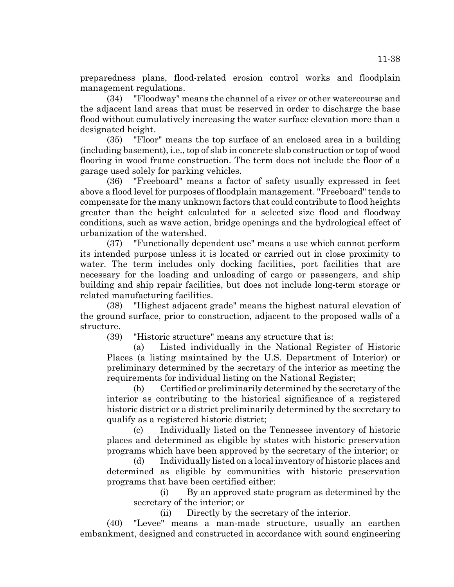preparedness plans, flood-related erosion control works and floodplain management regulations.

(34) "Floodway" means the channel of a river or other watercourse and the adjacent land areas that must be reserved in order to discharge the base flood without cumulatively increasing the water surface elevation more than a designated height.

(35) "Floor" means the top surface of an enclosed area in a building (including basement), i.e., top of slab in concrete slab construction or top of wood flooring in wood frame construction. The term does not include the floor of a garage used solely for parking vehicles.

(36) "Freeboard" means a factor of safety usually expressed in feet above a flood level for purposes of floodplain management. "Freeboard" tends to compensate for the many unknown factors that could contribute to flood heights greater than the height calculated for a selected size flood and floodway conditions, such as wave action, bridge openings and the hydrological effect of urbanization of the watershed.

(37) "Functionally dependent use" means a use which cannot perform its intended purpose unless it is located or carried out in close proximity to water. The term includes only docking facilities, port facilities that are necessary for the loading and unloading of cargo or passengers, and ship building and ship repair facilities, but does not include long-term storage or related manufacturing facilities.

(38) "Highest adjacent grade" means the highest natural elevation of the ground surface, prior to construction, adjacent to the proposed walls of a structure.

(39) "Historic structure" means any structure that is:

(a) Listed individually in the National Register of Historic Places (a listing maintained by the U.S. Department of Interior) or preliminary determined by the secretary of the interior as meeting the requirements for individual listing on the National Register;

(b) Certified or preliminarily determined by the secretary of the interior as contributing to the historical significance of a registered historic district or a district preliminarily determined by the secretary to qualify as a registered historic district;

(c) Individually listed on the Tennessee inventory of historic places and determined as eligible by states with historic preservation programs which have been approved by the secretary of the interior; or

(d) Individually listed on a local inventory of historic places and determined as eligible by communities with historic preservation programs that have been certified either:

(i) By an approved state program as determined by the secretary of the interior; or

(ii) Directly by the secretary of the interior.

(40) "Levee" means a man-made structure, usually an earthen embankment, designed and constructed in accordance with sound engineering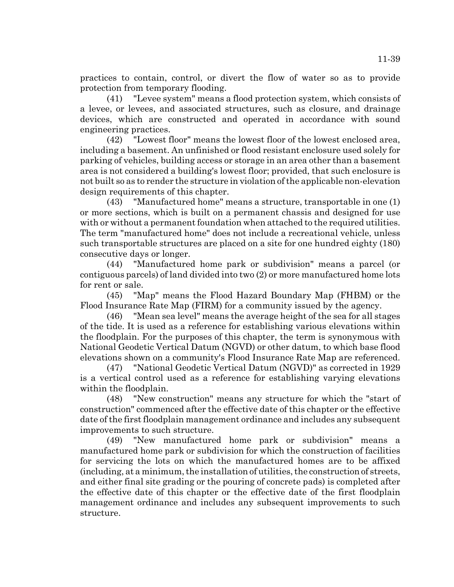practices to contain, control, or divert the flow of water so as to provide protection from temporary flooding.

(41) "Levee system" means a flood protection system, which consists of a levee, or levees, and associated structures, such as closure, and drainage devices, which are constructed and operated in accordance with sound engineering practices.

(42) "Lowest floor" means the lowest floor of the lowest enclosed area, including a basement. An unfinished or flood resistant enclosure used solely for parking of vehicles, building access or storage in an area other than a basement area is not considered a building's lowest floor; provided, that such enclosure is not built so as to render the structure in violation of the applicable non-elevation design requirements of this chapter.

(43) "Manufactured home" means a structure, transportable in one (1) or more sections, which is built on a permanent chassis and designed for use with or without a permanent foundation when attached to the required utilities. The term "manufactured home" does not include a recreational vehicle, unless such transportable structures are placed on a site for one hundred eighty (180) consecutive days or longer.

(44) "Manufactured home park or subdivision" means a parcel (or contiguous parcels) of land divided into two (2) or more manufactured home lots for rent or sale.

(45) "Map" means the Flood Hazard Boundary Map (FHBM) or the Flood Insurance Rate Map (FIRM) for a community issued by the agency.

(46) "Mean sea level" means the average height of the sea for all stages of the tide. It is used as a reference for establishing various elevations within the floodplain. For the purposes of this chapter, the term is synonymous with National Geodetic Vertical Datum (NGVD) or other datum, to which base flood elevations shown on a community's Flood Insurance Rate Map are referenced.

(47) "National Geodetic Vertical Datum (NGVD)" as corrected in 1929 is a vertical control used as a reference for establishing varying elevations within the floodplain.

(48) "New construction" means any structure for which the "start of construction" commenced after the effective date of this chapter or the effective date of the first floodplain management ordinance and includes any subsequent improvements to such structure.

(49) "New manufactured home park or subdivision" means a manufactured home park or subdivision for which the construction of facilities for servicing the lots on which the manufactured homes are to be affixed (including, at a minimum, the installation of utilities, the construction of streets, and either final site grading or the pouring of concrete pads) is completed after the effective date of this chapter or the effective date of the first floodplain management ordinance and includes any subsequent improvements to such structure.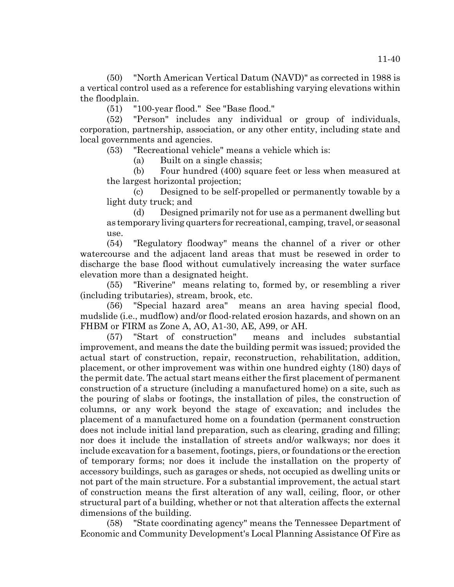(50) "North American Vertical Datum (NAVD)" as corrected in 1988 is a vertical control used as a reference for establishing varying elevations within the floodplain.

(51) "100-year flood." See "Base flood."

(52) "Person" includes any individual or group of individuals, corporation, partnership, association, or any other entity, including state and local governments and agencies.

(53) "Recreational vehicle" means a vehicle which is:

(a) Built on a single chassis;

(b) Four hundred (400) square feet or less when measured at the largest horizontal projection;

(c) Designed to be self-propelled or permanently towable by a light duty truck; and

(d) Designed primarily not for use as a permanent dwelling but as temporary living quarters for recreational, camping, travel, or seasonal use.

(54) "Regulatory floodway" means the channel of a river or other watercourse and the adjacent land areas that must be resewed in order to discharge the base flood without cumulatively increasing the water surface elevation more than a designated height.

(55) "Riverine" means relating to, formed by, or resembling a river (including tributaries), stream, brook, etc.

(56) "Special hazard area" means an area having special flood, mudslide (i.e., mudflow) and/or flood-related erosion hazards, and shown on an FHBM or FIRM as Zone A, AO, A1-30, AE, A99, or AH.

(57) "Start of construction" means and includes substantial improvement, and means the date the building permit was issued; provided the actual start of construction, repair, reconstruction, rehabilitation, addition, placement, or other improvement was within one hundred eighty (180) days of the permit date. The actual start means either the first placement of permanent construction of a structure (including a manufactured home) on a site, such as the pouring of slabs or footings, the installation of piles, the construction of columns, or any work beyond the stage of excavation; and includes the placement of a manufactured home on a foundation (permanent construction does not include initial land preparation, such as clearing, grading and filling; nor does it include the installation of streets and/or walkways; nor does it include excavation for a basement, footings, piers, or foundations or the erection of temporary forms; nor does it include the installation on the property of accessory buildings, such as garages or sheds, not occupied as dwelling units or not part of the main structure. For a substantial improvement, the actual start of construction means the first alteration of any wall, ceiling, floor, or other structural part of a building, whether or not that alteration affects the external dimensions of the building.

(58) "State coordinating agency" means the Tennessee Department of Economic and Community Development's Local Planning Assistance Of Fire as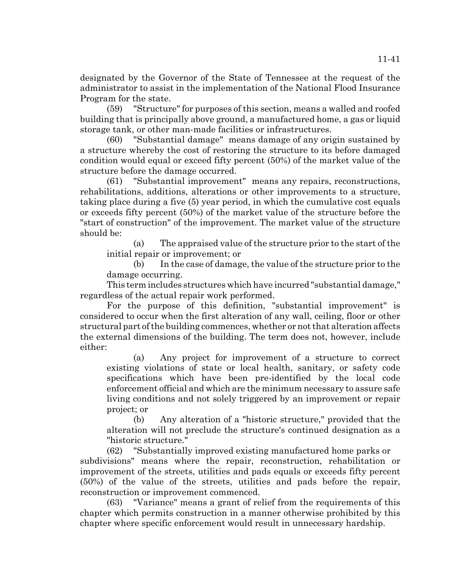designated by the Governor of the State of Tennessee at the request of the administrator to assist in the implementation of the National Flood Insurance Program for the state.

(59) "Structure" for purposes of this section, means a walled and roofed building that is principally above ground, a manufactured home, a gas or liquid storage tank, or other man-made facilities or infrastructures.

(60) "Substantial damage" means damage of any origin sustained by a structure whereby the cost of restoring the structure to its before damaged condition would equal or exceed fifty percent (50%) of the market value of the structure before the damage occurred.

(61) "Substantial improvement" means any repairs, reconstructions, rehabilitations, additions, alterations or other improvements to a structure, taking place during a five (5) year period, in which the cumulative cost equals or exceeds fifty percent (50%) of the market value of the structure before the "start of construction" of the improvement. The market value of the structure should be:

(a) The appraised value of the structure prior to the start of the initial repair or improvement; or

(b) In the case of damage, the value of the structure prior to the damage occurring.

This term includes structures which have incurred "substantial damage," regardless of the actual repair work performed.

For the purpose of this definition, "substantial improvement" is considered to occur when the first alteration of any wall, ceiling, floor or other structural part of the building commences, whether or not that alteration affects the external dimensions of the building. The term does not, however, include either:

(a) Any project for improvement of a structure to correct existing violations of state or local health, sanitary, or safety code specifications which have been pre-identified by the local code enforcement official and which are the minimum necessary to assure safe living conditions and not solely triggered by an improvement or repair project; or

(b) Any alteration of a "historic structure," provided that the alteration will not preclude the structure's continued designation as a "historic structure."

(62) "Substantially improved existing manufactured home parks or

subdivisions" means where the repair, reconstruction, rehabilitation or improvement of the streets, utilities and pads equals or exceeds fifty percent (50%) of the value of the streets, utilities and pads before the repair, reconstruction or improvement commenced.

(63) "Variance" means a grant of relief from the requirements of this chapter which permits construction in a manner otherwise prohibited by this chapter where specific enforcement would result in unnecessary hardship.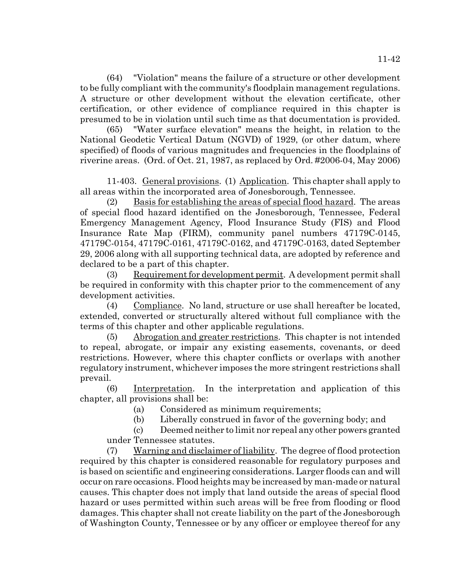(64) "Violation" means the failure of a structure or other development to be fully compliant with the community's floodplain management regulations. A structure or other development without the elevation certificate, other certification, or other evidence of compliance required in this chapter is presumed to be in violation until such time as that documentation is provided.

(65) "Water surface elevation" means the height, in relation to the National Geodetic Vertical Datum (NGVD) of 1929, (or other datum, where specified) of floods of various magnitudes and frequencies in the floodplains of riverine areas. (Ord. of Oct. 21, 1987, as replaced by Ord. #2006-04, May 2006)

11-403. General provisions. (1) Application. This chapter shall apply to all areas within the incorporated area of Jonesborough, Tennessee.

(2) Basis for establishing the areas of special flood hazard. The areas of special flood hazard identified on the Jonesborough, Tennessee, Federal Emergency Management Agency, Flood Insurance Study (FIS) and Flood Insurance Rate Map (FIRM), community panel numbers 47179C-0145, 47179C-0154, 47179C-0161, 47179C-0162, and 47179C-0163, dated September 29, 2006 along with all supporting technical data, are adopted by reference and declared to be a part of this chapter.

(3) Requirement for development permit. A development permit shall be required in conformity with this chapter prior to the commencement of any development activities.

(4) Compliance. No land, structure or use shall hereafter be located, extended, converted or structurally altered without full compliance with the terms of this chapter and other applicable regulations.

(5) Abrogation and greater restrictions. This chapter is not intended to repeal, abrogate, or impair any existing easements, covenants, or deed restrictions. However, where this chapter conflicts or overlaps with another regulatory instrument, whichever imposes the more stringent restrictions shall prevail.

(6) Interpretation. In the interpretation and application of this chapter, all provisions shall be:

(a) Considered as minimum requirements;

(b) Liberally construed in favor of the governing body; and

(c) Deemed neither to limit nor repeal any other powers granted under Tennessee statutes.

(7) Warning and disclaimer of liability. The degree of flood protection required by this chapter is considered reasonable for regulatory purposes and is based on scientific and engineering considerations. Larger floods can and will occur on rare occasions. Flood heights may be increased by man-made or natural causes. This chapter does not imply that land outside the areas of special flood hazard or uses permitted within such areas will be free from flooding or flood damages. This chapter shall not create liability on the part of the Jonesborough of Washington County, Tennessee or by any officer or employee thereof for any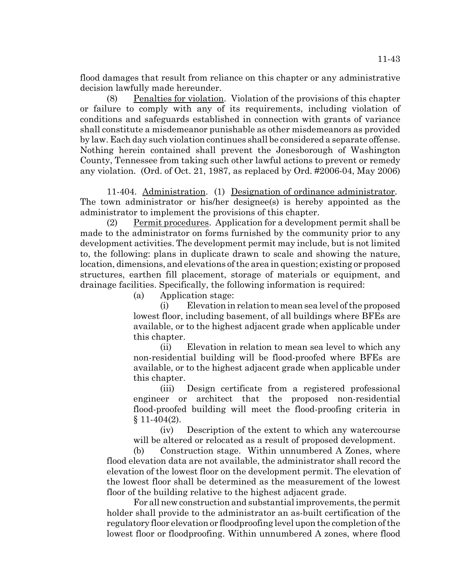flood damages that result from reliance on this chapter or any administrative decision lawfully made hereunder.

(8) Penalties for violation. Violation of the provisions of this chapter or failure to comply with any of its requirements, including violation of conditions and safeguards established in connection with grants of variance shall constitute a misdemeanor punishable as other misdemeanors as provided by law. Each day such violation continues shall be considered a separate offense. Nothing herein contained shall prevent the Jonesborough of Washington County, Tennessee from taking such other lawful actions to prevent or remedy any violation. (Ord. of Oct. 21, 1987, as replaced by Ord. #2006-04, May 2006)

11-404. Administration. (1) Designation of ordinance administrator. The town administrator or his/her designee(s) is hereby appointed as the administrator to implement the provisions of this chapter.

(2) Permit procedures. Application for a development permit shall be made to the administrator on forms furnished by the community prior to any development activities. The development permit may include, but is not limited to, the following: plans in duplicate drawn to scale and showing the nature, location, dimensions, and elevations of the area in question; existing or proposed structures, earthen fill placement, storage of materials or equipment, and drainage facilities. Specifically, the following information is required:

(a) Application stage:

(i) Elevation in relation to mean sea level of the proposed lowest floor, including basement, of all buildings where BFEs are available, or to the highest adjacent grade when applicable under this chapter.

(ii) Elevation in relation to mean sea level to which any non-residential building will be flood-proofed where BFEs are available, or to the highest adjacent grade when applicable under this chapter.

(iii) Design certificate from a registered professional engineer or architect that the proposed non-residential flood-proofed building will meet the flood-proofing criteria in  $§ 11-404(2).$ 

(iv) Description of the extent to which any watercourse will be altered or relocated as a result of proposed development.

(b) Construction stage. Within unnumbered A Zones, where flood elevation data are not available, the administrator shall record the elevation of the lowest floor on the development permit. The elevation of the lowest floor shall be determined as the measurement of the lowest floor of the building relative to the highest adjacent grade.

For all new construction and substantial improvements, the permit holder shall provide to the administrator an as-built certification of the regulatory floor elevation or floodproofing level upon the completion of the lowest floor or floodproofing. Within unnumbered A zones, where flood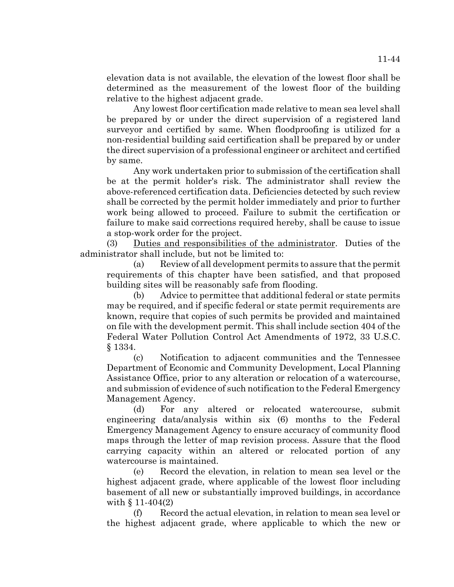elevation data is not available, the elevation of the lowest floor shall be determined as the measurement of the lowest floor of the building relative to the highest adjacent grade.

Any lowest floor certification made relative to mean sea level shall be prepared by or under the direct supervision of a registered land surveyor and certified by same. When floodproofing is utilized for a non-residential building said certification shall be prepared by or under the direct supervision of a professional engineer or architect and certified by same.

Any work undertaken prior to submission of the certification shall be at the permit holder's risk. The administrator shall review the above-referenced certification data. Deficiencies detected by such review shall be corrected by the permit holder immediately and prior to further work being allowed to proceed. Failure to submit the certification or failure to make said corrections required hereby, shall be cause to issue a stop-work order for the project.

(3) Duties and responsibilities of the administrator. Duties of the administrator shall include, but not be limited to:

(a) Review of all development permits to assure that the permit requirements of this chapter have been satisfied, and that proposed building sites will be reasonably safe from flooding.

(b) Advice to permittee that additional federal or state permits may be required, and if specific federal or state permit requirements are known, require that copies of such permits be provided and maintained on file with the development permit. This shall include section 404 of the Federal Water Pollution Control Act Amendments of 1972, 33 U.S.C. § 1334.

(c) Notification to adjacent communities and the Tennessee Department of Economic and Community Development, Local Planning Assistance Office, prior to any alteration or relocation of a watercourse, and submission of evidence of such notification to the Federal Emergency Management Agency.

(d) For any altered or relocated watercourse, submit engineering data/analysis within six (6) months to the Federal Emergency Management Agency to ensure accuracy of community flood maps through the letter of map revision process. Assure that the flood carrying capacity within an altered or relocated portion of any watercourse is maintained.

(e) Record the elevation, in relation to mean sea level or the highest adjacent grade, where applicable of the lowest floor including basement of all new or substantially improved buildings, in accordance with § 11-404(2)

(f) Record the actual elevation, in relation to mean sea level or the highest adjacent grade, where applicable to which the new or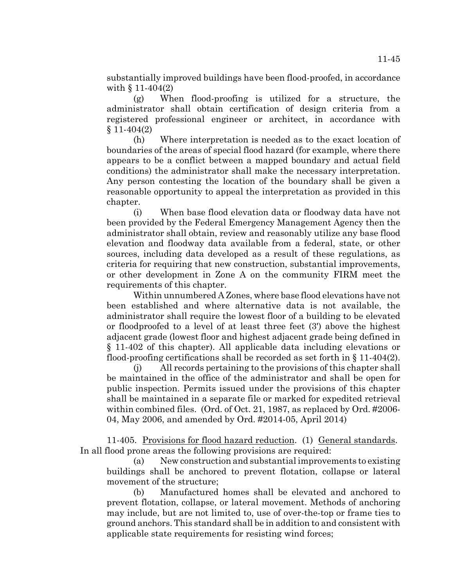substantially improved buildings have been flood-proofed, in accordance with § 11-404(2)

(g) When flood-proofing is utilized for a structure, the administrator shall obtain certification of design criteria from a registered professional engineer or architect, in accordance with  $§ 11-404(2)$ 

(h) Where interpretation is needed as to the exact location of boundaries of the areas of special flood hazard (for example, where there appears to be a conflict between a mapped boundary and actual field conditions) the administrator shall make the necessary interpretation. Any person contesting the location of the boundary shall be given a reasonable opportunity to appeal the interpretation as provided in this chapter.

(i) When base flood elevation data or floodway data have not been provided by the Federal Emergency Management Agency then the administrator shall obtain, review and reasonably utilize any base flood elevation and floodway data available from a federal, state, or other sources, including data developed as a result of these regulations, as criteria for requiring that new construction, substantial improvements, or other development in Zone A on the community FIRM meet the requirements of this chapter.

Within unnumbered A Zones, where base flood elevations have not been established and where alternative data is not available, the administrator shall require the lowest floor of a building to be elevated or floodproofed to a level of at least three feet (3') above the highest adjacent grade (lowest floor and highest adjacent grade being defined in § 11-402 of this chapter). All applicable data including elevations or flood-proofing certifications shall be recorded as set forth in  $\S 11-404(2)$ .

(j) All records pertaining to the provisions of this chapter shall be maintained in the office of the administrator and shall be open for public inspection. Permits issued under the provisions of this chapter shall be maintained in a separate file or marked for expedited retrieval within combined files. (Ord. of Oct. 21, 1987, as replaced by Ord. #2006- 04, May 2006, and amended by Ord. #2014-05, April 2014)

11-405. Provisions for flood hazard reduction. (1) General standards. In all flood prone areas the following provisions are required:

(a) New construction and substantial improvements to existing buildings shall be anchored to prevent flotation, collapse or lateral movement of the structure;

(b) Manufactured homes shall be elevated and anchored to prevent flotation, collapse, or lateral movement. Methods of anchoring may include, but are not limited to, use of over-the-top or frame ties to ground anchors. This standard shall be in addition to and consistent with applicable state requirements for resisting wind forces;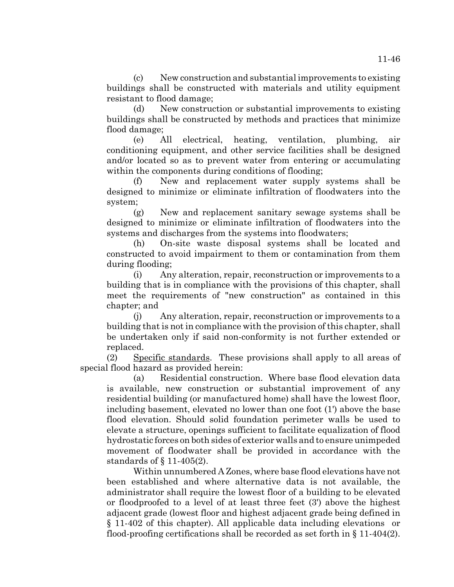(c) New construction and substantial improvements to existing buildings shall be constructed with materials and utility equipment resistant to flood damage;

(d) New construction or substantial improvements to existing buildings shall be constructed by methods and practices that minimize flood damage;

(e) All electrical, heating, ventilation, plumbing, air conditioning equipment, and other service facilities shall be designed and/or located so as to prevent water from entering or accumulating within the components during conditions of flooding;

New and replacement water supply systems shall be designed to minimize or eliminate infiltration of floodwaters into the system;

(g) New and replacement sanitary sewage systems shall be designed to minimize or eliminate infiltration of floodwaters into the systems and discharges from the systems into floodwaters;

(h) On-site waste disposal systems shall be located and constructed to avoid impairment to them or contamination from them during flooding;

(i) Any alteration, repair, reconstruction or improvements to a building that is in compliance with the provisions of this chapter, shall meet the requirements of "new construction" as contained in this chapter; and

(j) Any alteration, repair, reconstruction or improvements to a building that is not in compliance with the provision of this chapter, shall be undertaken only if said non-conformity is not further extended or replaced.

(2) Specific standards. These provisions shall apply to all areas of special flood hazard as provided herein:

(a) Residential construction. Where base flood elevation data is available, new construction or substantial improvement of any residential building (or manufactured home) shall have the lowest floor, including basement, elevated no lower than one foot (1') above the base flood elevation. Should solid foundation perimeter walls be used to elevate a structure, openings sufficient to facilitate equalization of flood hydrostatic forces on both sides of exterior walls and to ensure unimpeded movement of floodwater shall be provided in accordance with the standards of § 11-405(2).

Within unnumbered A Zones, where base flood elevations have not been established and where alternative data is not available, the administrator shall require the lowest floor of a building to be elevated or floodproofed to a level of at least three feet (3') above the highest adjacent grade (lowest floor and highest adjacent grade being defined in § 11-402 of this chapter). All applicable data including elevations or flood-proofing certifications shall be recorded as set forth in  $\S 11-404(2)$ .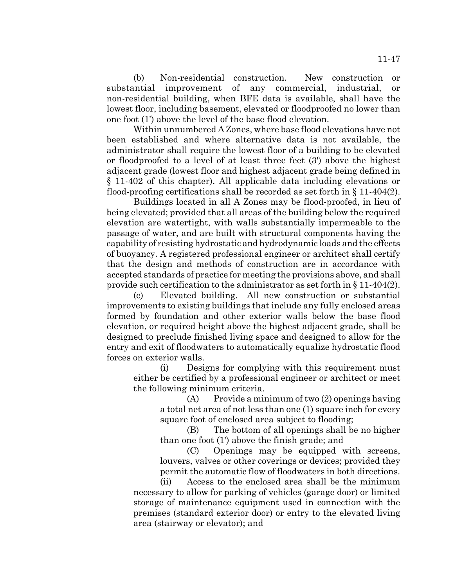(b) Non-residential construction. New construction or substantial improvement of any commercial, industrial, or non-residential building, when BFE data is available, shall have the lowest floor, including basement, elevated or floodproofed no lower than one foot (1') above the level of the base flood elevation.

Within unnumbered A Zones, where base flood elevations have not been established and where alternative data is not available, the administrator shall require the lowest floor of a building to be elevated or floodproofed to a level of at least three feet (3') above the highest adjacent grade (lowest floor and highest adjacent grade being defined in § 11-402 of this chapter). All applicable data including elevations or flood-proofing certifications shall be recorded as set forth in § 11-404(2).

Buildings located in all A Zones may be flood-proofed, in lieu of being elevated; provided that all areas of the building below the required elevation are watertight, with walls substantially impermeable to the passage of water, and are built with structural components having the capability of resisting hydrostatic and hydrodynamic loads and the effects of buoyancy. A registered professional engineer or architect shall certify that the design and methods of construction are in accordance with accepted standards of practice for meeting the provisions above, and shall provide such certification to the administrator as set forth in § 11-404(2).

(c) Elevated building. All new construction or substantial improvements to existing buildings that include any fully enclosed areas formed by foundation and other exterior walls below the base flood elevation, or required height above the highest adjacent grade, shall be designed to preclude finished living space and designed to allow for the entry and exit of floodwaters to automatically equalize hydrostatic flood forces on exterior walls.

(i) Designs for complying with this requirement must either be certified by a professional engineer or architect or meet the following minimum criteria.

> (A) Provide a minimum of two (2) openings having a total net area of not less than one (1) square inch for every square foot of enclosed area subject to flooding;

> (B) The bottom of all openings shall be no higher than one foot (1') above the finish grade; and

> (C) Openings may be equipped with screens, louvers, valves or other coverings or devices; provided they permit the automatic flow of floodwaters in both directions.

(ii) Access to the enclosed area shall be the minimum necessary to allow for parking of vehicles (garage door) or limited storage of maintenance equipment used in connection with the premises (standard exterior door) or entry to the elevated living area (stairway or elevator); and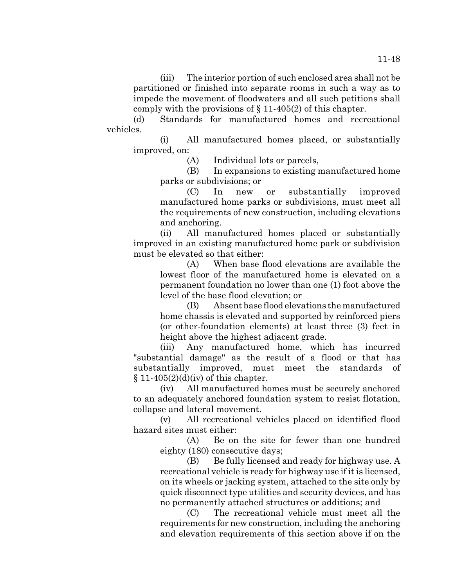(d) Standards for manufactured homes and recreational vehicles.

(i) All manufactured homes placed, or substantially improved, on:

(A) Individual lots or parcels,

(B) In expansions to existing manufactured home parks or subdivisions; or

(C) In new or substantially improved manufactured home parks or subdivisions, must meet all the requirements of new construction, including elevations and anchoring.

(ii) All manufactured homes placed or substantially improved in an existing manufactured home park or subdivision must be elevated so that either:

(A) When base flood elevations are available the lowest floor of the manufactured home is elevated on a permanent foundation no lower than one (1) foot above the level of the base flood elevation; or

(B) Absent base flood elevations the manufactured home chassis is elevated and supported by reinforced piers (or other-foundation elements) at least three (3) feet in height above the highest adjacent grade.

(iii) Any manufactured home, which has incurred "substantial damage" as the result of a flood or that has substantially improved, must meet the standards of  $§ 11-405(2)(d)(iv)$  of this chapter.

(iv) All manufactured homes must be securely anchored to an adequately anchored foundation system to resist flotation, collapse and lateral movement.

(v) All recreational vehicles placed on identified flood hazard sites must either:

(A) Be on the site for fewer than one hundred eighty (180) consecutive days;

(B) Be fully licensed and ready for highway use. A recreational vehicle is ready for highway use if it is licensed, on its wheels or jacking system, attached to the site only by quick disconnect type utilities and security devices, and has no permanently attached structures or additions; and

(C) The recreational vehicle must meet all the requirements for new construction, including the anchoring and elevation requirements of this section above if on the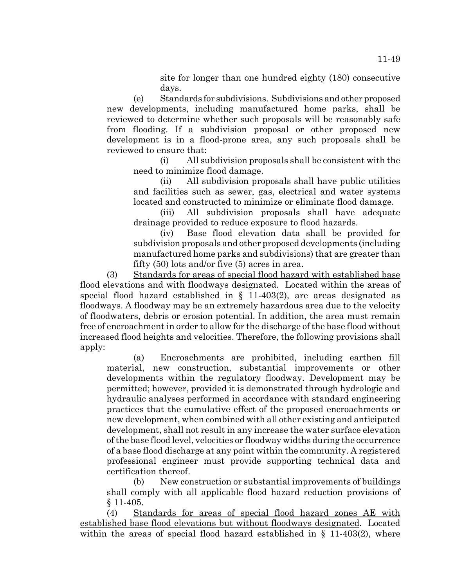site for longer than one hundred eighty (180) consecutive days.

(e) Standards for subdivisions. Subdivisions and other proposed new developments, including manufactured home parks, shall be reviewed to determine whether such proposals will be reasonably safe from flooding. If a subdivision proposal or other proposed new development is in a flood-prone area, any such proposals shall be reviewed to ensure that:

(i) All subdivision proposals shall be consistent with the need to minimize flood damage.

(ii) All subdivision proposals shall have public utilities and facilities such as sewer, gas, electrical and water systems located and constructed to minimize or eliminate flood damage.

(iii) All subdivision proposals shall have adequate drainage provided to reduce exposure to flood hazards.

(iv) Base flood elevation data shall be provided for subdivision proposals and other proposed developments (including manufactured home parks and subdivisions) that are greater than fifty (50) lots and/or five (5) acres in area.

(3) Standards for areas of special flood hazard with established base flood elevations and with floodways designated. Located within the areas of special flood hazard established in  $\S$  11-403(2), are areas designated as floodways. A floodway may be an extremely hazardous area due to the velocity of floodwaters, debris or erosion potential. In addition, the area must remain free of encroachment in order to allow for the discharge of the base flood without increased flood heights and velocities. Therefore, the following provisions shall apply:

(a) Encroachments are prohibited, including earthen fill material, new construction, substantial improvements or other developments within the regulatory floodway. Development may be permitted; however, provided it is demonstrated through hydrologic and hydraulic analyses performed in accordance with standard engineering practices that the cumulative effect of the proposed encroachments or new development, when combined with all other existing and anticipated development, shall not result in any increase the water surface elevation of the base flood level, velocities or floodway widths during the occurrence of a base flood discharge at any point within the community. A registered professional engineer must provide supporting technical data and certification thereof.

(b) New construction or substantial improvements of buildings shall comply with all applicable flood hazard reduction provisions of § 11-405.

(4) Standards for areas of special flood hazard zones AE with established base flood elevations but without floodways designated. Located within the areas of special flood hazard established in  $\S$  11-403(2), where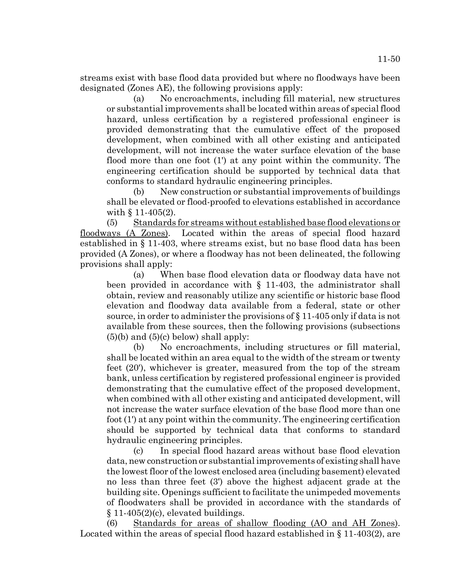streams exist with base flood data provided but where no floodways have been designated (Zones AE), the following provisions apply:

(a) No encroachments, including fill material, new structures or substantial improvements shall be located within areas of special flood hazard, unless certification by a registered professional engineer is provided demonstrating that the cumulative effect of the proposed development, when combined with all other existing and anticipated development, will not increase the water surface elevation of the base flood more than one foot (1') at any point within the community. The engineering certification should be supported by technical data that conforms to standard hydraulic engineering principles.

(b) New construction or substantial improvements of buildings shall be elevated or flood-proofed to elevations established in accordance with  $\{11-405(2)\}$ .

(5) Standards for streams without established base flood elevations or floodways (A Zones). Located within the areas of special flood hazard established in § 11-403, where streams exist, but no base flood data has been provided (A Zones), or where a floodway has not been delineated, the following provisions shall apply:

(a) When base flood elevation data or floodway data have not been provided in accordance with  $\S$  11-403, the administrator shall obtain, review and reasonably utilize any scientific or historic base flood elevation and floodway data available from a federal, state or other source, in order to administer the provisions of § 11-405 only if data is not available from these sources, then the following provisions (subsections  $(5)(b)$  and  $(5)(c)$  below) shall apply:

(b) No encroachments, including structures or fill material, shall be located within an area equal to the width of the stream or twenty feet (20'), whichever is greater, measured from the top of the stream bank, unless certification by registered professional engineer is provided demonstrating that the cumulative effect of the proposed development, when combined with all other existing and anticipated development, will not increase the water surface elevation of the base flood more than one foot (1') at any point within the community. The engineering certification should be supported by technical data that conforms to standard hydraulic engineering principles.

(c) In special flood hazard areas without base flood elevation data, new construction or substantial improvements of existing shall have the lowest floor of the lowest enclosed area (including basement) elevated no less than three feet (3') above the highest adjacent grade at the building site. Openings sufficient to facilitate the unimpeded movements of floodwaters shall be provided in accordance with the standards of  $§ 11-405(2)(c)$ , elevated buildings.

(6) Standards for areas of shallow flooding (AO and AH Zones). Located within the areas of special flood hazard established in § 11-403(2), are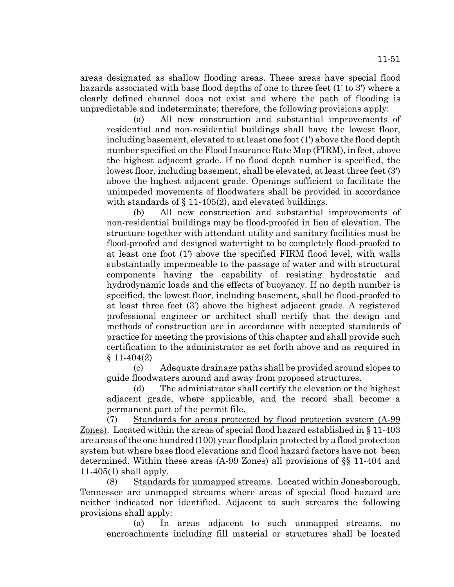areas designated as shallow flooding areas. These areas have special flood hazards associated with base flood depths of one to three feet (1' to 3') where a clearly defined channel does not exist and where the path of flooding is unpredictable and indeterminate; therefore, the following provisions apply:

(a) All new construction and substantial improvements of residential and non-residential buildings shall have the lowest floor, including basement, elevated to at least one foot (1') above the flood depth number specified on the Flood Insurance Rate Map (FIRM), in feet, above the highest adjacent grade. If no flood depth number is specified, the lowest floor, including basement, shall be elevated, at least three feet (3') above the highest adjacent grade. Openings sufficient to facilitate the unimpeded movements of floodwaters shall be provided in accordance with standards of § 11-405(2), and elevated buildings.

(b) All new construction and substantial improvements of non-residential buildings may be flood-proofed in lieu of elevation. The structure together with attendant utility and sanitary facilities must be flood-proofed and designed watertight to be completely flood-proofed to at least one foot (1') above the specified FIRM flood level, with walls substantially impermeable to the passage of water and with structural components having the capability of resisting hydrostatic and hydrodynamic loads and the effects of buoyancy. If no depth number is specified, the lowest floor, including basement, shall be flood-proofed to at least three feet (3') above the highest adjacent grade. A registered professional engineer or architect shall certify that the design and methods of construction are in accordance with accepted standards of practice for meeting the provisions of this chapter and shall provide such certification to the administrator as set forth above and as required in  $§ 11-404(2)$ 

(c) Adequate drainage paths shall be provided around slopes to guide floodwaters around and away from proposed structures.

(d) The administrator shall certify the elevation or the highest adjacent grade, where applicable, and the record shall become a permanent part of the permit file.

(7) Standards for areas protected by flood protection system (A-99 Zones). Located within the areas of special flood hazard established in § 11-403 are areas of the one hundred (100) year floodplain protected by a flood protection system but where base flood elevations and flood hazard factors have not been determined. Within these areas (A-99 Zones) all provisions of §§ 11-404 and 11-405(1) shall apply.

(8) Standards for unmapped streams. Located within Jonesborough, Tennessee are unmapped streams where areas of special flood hazard are neither indicated nor identified. Adjacent to such streams the following provisions shall apply:

(a) In areas adjacent to such unmapped streams, no encroachments including fill material or structures shall be located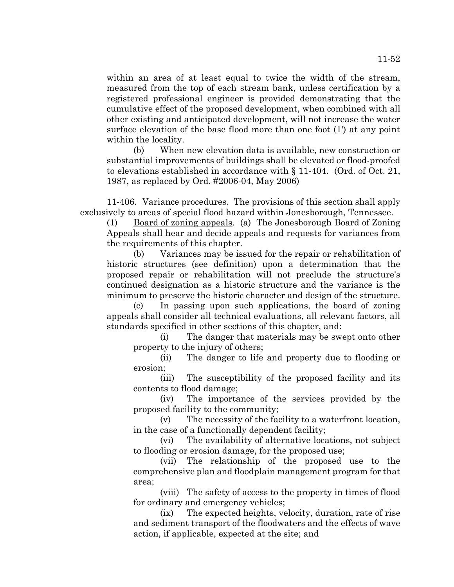within an area of at least equal to twice the width of the stream, measured from the top of each stream bank, unless certification by a registered professional engineer is provided demonstrating that the cumulative effect of the proposed development, when combined with all other existing and anticipated development, will not increase the water surface elevation of the base flood more than one foot (1') at any point within the locality.

(b) When new elevation data is available, new construction or substantial improvements of buildings shall be elevated or flood-proofed to elevations established in accordance with § 11-404. (Ord. of Oct. 21, 1987, as replaced by Ord. #2006-04, May 2006)

11-406. Variance procedures. The provisions of this section shall apply exclusively to areas of special flood hazard within Jonesborough, Tennessee.

(1) Board of zoning appeals. (a) The Jonesborough Board of Zoning Appeals shall hear and decide appeals and requests for variances from the requirements of this chapter.

(b) Variances may be issued for the repair or rehabilitation of historic structures (see definition) upon a determination that the proposed repair or rehabilitation will not preclude the structure's continued designation as a historic structure and the variance is the minimum to preserve the historic character and design of the structure.

(c) In passing upon such applications, the board of zoning appeals shall consider all technical evaluations, all relevant factors, all standards specified in other sections of this chapter, and:

(i) The danger that materials may be swept onto other property to the injury of others;

(ii) The danger to life and property due to flooding or erosion;

(iii) The susceptibility of the proposed facility and its contents to flood damage;

(iv) The importance of the services provided by the proposed facility to the community;

(v) The necessity of the facility to a waterfront location, in the case of a functionally dependent facility;

(vi) The availability of alternative locations, not subject to flooding or erosion damage, for the proposed use;

(vii) The relationship of the proposed use to the comprehensive plan and floodplain management program for that area;

(viii) The safety of access to the property in times of flood for ordinary and emergency vehicles;

(ix) The expected heights, velocity, duration, rate of rise and sediment transport of the floodwaters and the effects of wave action, if applicable, expected at the site; and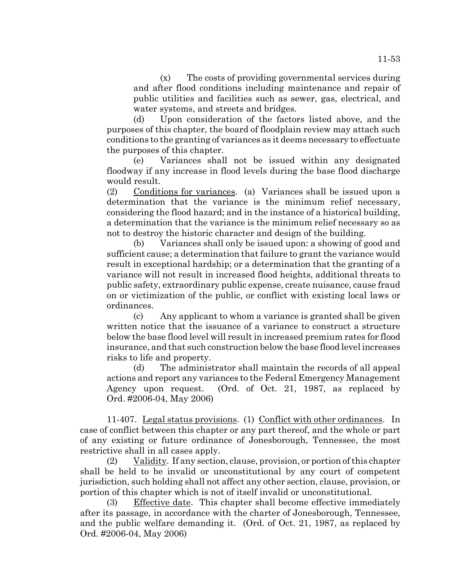(x) The costs of providing governmental services during and after flood conditions including maintenance and repair of public utilities and facilities such as sewer, gas, electrical, and water systems, and streets and bridges.

(d) Upon consideration of the factors listed above, and the purposes of this chapter, the board of floodplain review may attach such conditions to the granting of variances as it deems necessary to effectuate the purposes of this chapter.

(e) Variances shall not be issued within any designated floodway if any increase in flood levels during the base flood discharge would result.

(2) Conditions for variances. (a) Variances shall be issued upon a determination that the variance is the minimum relief necessary, considering the flood hazard; and in the instance of a historical building, a determination that the variance is the minimum relief necessary so as not to destroy the historic character and design of the building.

(b) Variances shall only be issued upon: a showing of good and sufficient cause; a determination that failure to grant the variance would result in exceptional hardship; or a determination that the granting of a variance will not result in increased flood heights, additional threats to public safety, extraordinary public expense, create nuisance, cause fraud on or victimization of the public, or conflict with existing local laws or ordinances.

(c) Any applicant to whom a variance is granted shall be given written notice that the issuance of a variance to construct a structure below the base flood level will result in increased premium rates for flood insurance, and that such construction below the base flood level increases risks to life and property.

(d) The administrator shall maintain the records of all appeal actions and report any variances to the Federal Emergency Management Agency upon request. (Ord. of Oct. 21, 1987, as replaced by Ord. #2006-04, May 2006)

11-407. Legal status provisions. (1) Conflict with other ordinances. In case of conflict between this chapter or any part thereof, and the whole or part of any existing or future ordinance of Jonesborough, Tennessee, the most restrictive shall in all cases apply.

(2) Validity. If any section, clause, provision, or portion of this chapter shall be held to be invalid or unconstitutional by any court of competent jurisdiction, such holding shall not affect any other section, clause, provision, or portion of this chapter which is not of itself invalid or unconstitutional.

(3) Effective date. This chapter shall become effective immediately after its passage, in accordance with the charter of Jonesborough, Tennessee, and the public welfare demanding it. (Ord. of Oct. 21, 1987, as replaced by Ord. #2006-04, May 2006)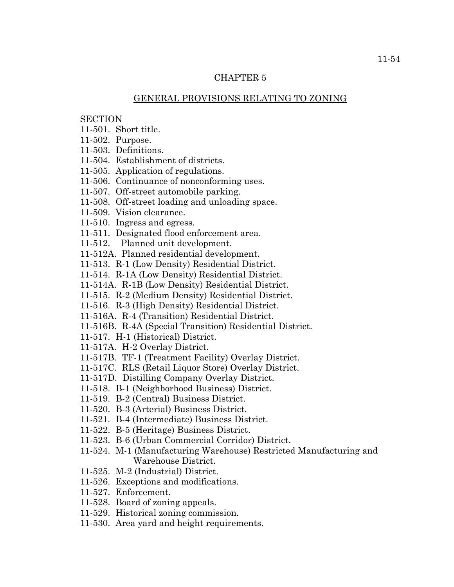## CHAPTER 5

## GENERAL PROVISIONS RELATING TO ZONING

## **SECTION**

- 11-501. Short title.
- 11-502. Purpose.
- 11-503. Definitions.
- 11-504. Establishment of districts.
- 11-505. Application of regulations.
- 11-506. Continuance of nonconforming uses.
- 11-507. Off-street automobile parking.
- 11-508. Off-street loading and unloading space.
- 11-509. Vision clearance.
- 11-510. Ingress and egress.
- 11-511. Designated flood enforcement area.
- 11-512. Planned unit development.
- 11-512A. Planned residential development.
- 11-513. R-1 (Low Density) Residential District.
- 11-514. R-1A (Low Density) Residential District.
- 11-514A. R-1B (Low Density) Residential District.
- 11-515. R-2 (Medium Density) Residential District.
- 11-516. R-3 (High Density) Residential District.
- 11-516A. R-4 (Transition) Residential District.
- 11-516B. R-4A (Special Transition) Residential District.
- 11-517. H-1 (Historical) District.
- 11-517A. H-2 Overlay District.
- 11-517B. TF-1 (Treatment Facility) Overlay District.
- 11-517C. RLS (Retail Liquor Store) Overlay District.
- 11-517D. Distilling Company Overlay District.
- 11-518. B-1 (Neighborhood Business) District.
- 11-519. B-2 (Central) Business District.
- 11-520. B-3 (Arterial) Business District.
- 11-521. B-4 (Intermediate) Business District.
- 11-522. B-5 (Heritage) Business District.
- 11-523. B-6 (Urban Commercial Corridor) District.
- 11-524. M-1 (Manufacturing Warehouse) Restricted Manufacturing and Warehouse District.
- 11-525. M-2 (Industrial) District.
- 11-526. Exceptions and modifications.
- 11-527. Enforcement.
- 11-528. Board of zoning appeals.
- 11-529. Historical zoning commission.
- 11-530. Area yard and height requirements.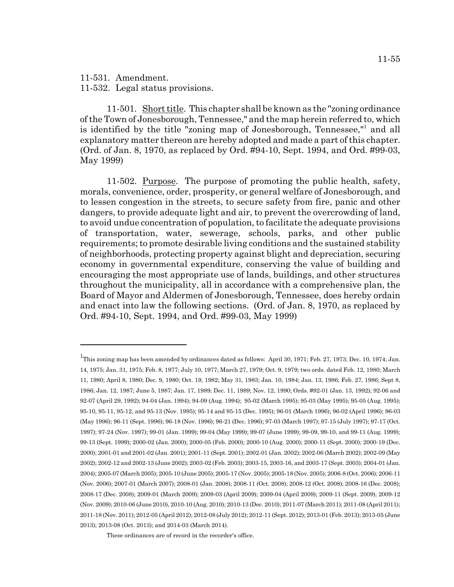11-531. Amendment.

11-532. Legal status provisions.

11-501. Short title. This chapter shall be known as the "zoning ordinance of the Town of Jonesborough, Tennessee," and the map herein referred to, which is identified by the title "zoning map of Jonesborough, Tennessee,"<sup>1</sup> and all explanatory matter thereon are hereby adopted and made a part of this chapter. (Ord. of Jan. 8, 1970, as replaced by Ord. #94-10, Sept. 1994, and Ord. #99-03, May 1999)

11-502. Purpose. The purpose of promoting the public health, safety, morals, convenience, order, prosperity, or general welfare of Jonesborough, and to lessen congestion in the streets, to secure safety from fire, panic and other dangers, to provide adequate light and air, to prevent the overcrowding of land, to avoid undue concentration of population, to facilitate the adequate provisions of transportation, water, sewerage, schools, parks, and other public requirements; to promote desirable living conditions and the sustained stability of neighborhoods, protecting property against blight and depreciation, securing economy in governmental expenditure, conserving the value of building and encouraging the most appropriate use of lands, buildings, and other structures throughout the municipality, all in accordance with a comprehensive plan, the Board of Mayor and Aldermen of Jonesborough, Tennessee, does hereby ordain and enact into law the following sections. (Ord. of Jan. 8, 1970, as replaced by Ord. #94-10, Sept. 1994, and Ord. #99-03, May 1999)

<sup>&</sup>lt;sup>1</sup>This zoning map has been amended by ordinances dated as follows: April 30, 1971; Feb. 27, 1973; Dec. 10, 1974; Jan. 14, 1975; Jan. 31, 1975; Feb. 8, 1977; July 10, 1977; March 27, 1979; Oct. 9, 1979; two ords. dated Feb. 12, 1980; March 11, 1980; April 8, 1980; Dec. 9, 1980; Oct. 19, 1982; May 31, 1983; Jan. 10, 1984; Jan. 13, 1986; Feb. 27, 1986; Sept 8, 1986; Jan. 12, 1987; June 5, 1987; Jan. 17, 1989; Dec. 11, 1989; Nov. 12, 1990; Ords. #92-01 (Jan. 13, 1992); 92-06 and 92-07 (April 29, 1992); 94-04 (Jan. 1994); 94-09 (Aug. 1994); 95-02 (March 1995); 95-03 (May 1995); 95-05 (Aug. 1995); 95-10, 95-11, 95-12, and 95-13 (Nov. 1995); 95-14 and 95-15 (Dec. 1995); 96-01 (March 1996); 96-02 (April 1996); 96-03 (May 1996); 96-11 (Sept. 1996); 96-18 (Nov. 1996); 96-21 (Dec. 1996); 97-03 (March 1997); 97-15 (July 1997); 97-17 (Oct. 1997); 97-24 (Nov. 1997); 99-01 (Jan. 1999); 99-04 (May 1999); 99-07 (June 1999); 99-09, 99-10, and 99-11 (Aug. 1999); 99-13 (Sept. 1999); 2000-02 (Jan. 2000); 2000-05 (Feb. 2000); 2000-10 (Aug. 2000); 2000-11 (Sept. 2000); 2000-19 (Dec. 2000); 2001-01 and 2001-02 (Jan. 2001); 2001-11 (Sept. 2001); 2002-01 (Jan. 2002); 2002-06 (March 2002); 2002-09 (May 2002); 2002-12 and 2002-13 (June 2002); 2003-02 (Feb. 2003); 2003-15, 2003-16, and 2003-17 (Sept. 2003); 2004-01 (Jan. 2004); 2005-07 (March 2005); 2005-10 (June 2005); 2005-17 (Nov. 2005); 2005-18 (Nov. 2005); 2006-8 (Oct. 2006); 2006-11 (Nov. 2006); 2007-01 (March 2007); 2008-01 (Jan. 2008); 2008-11 (Oct. 2008); 2008-12 (Oct. 2008); 2008-16 (Dec. 2008); 2008-17 (Dec. 2008); 2009-01 (March 2009); 2009-03 (April 2009); 2009-04 (April 2009); 2009-11 (Sept. 2009); 2009-12 (Nov. 2009); 2010-06 (June 2010), 2010-10 (Aug. 2010); 2010-13 (Dec. 2010); 2011-07 (March 2011); 2011-08 (April 2011); 2011-18 (Nov. 2011); 2012-05 (April 2012); 2012-08 (July 2012); 2012-11 (Sept. 2012); 2013-01 (Feb. 2013); 2013-05 (June 2013); 2013-08 (Oct. 2013); and 2014-03 (March 2014).

These ordinances are of record in the recorder's office.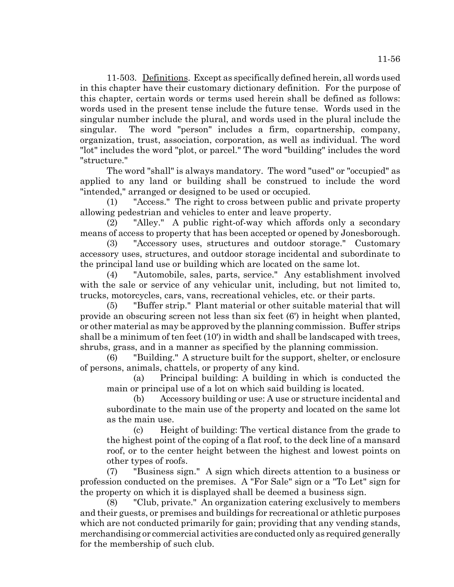11-503. Definitions. Except as specifically defined herein, all words used in this chapter have their customary dictionary definition. For the purpose of this chapter, certain words or terms used herein shall be defined as follows: words used in the present tense include the future tense. Words used in the singular number include the plural, and words used in the plural include the singular. The word "person" includes a firm, copartnership, company, organization, trust, association, corporation, as well as individual. The word "lot" includes the word "plot, or parcel." The word "building" includes the word "structure."

The word "shall" is always mandatory. The word "used" or "occupied" as applied to any land or building shall be construed to include the word "intended," arranged or designed to be used or occupied.

(1) "Access." The right to cross between public and private property allowing pedestrian and vehicles to enter and leave property.

(2) "Alley." A public right-of-way which affords only a secondary means of access to property that has been accepted or opened by Jonesborough.

(3) "Accessory uses, structures and outdoor storage." Customary accessory uses, structures, and outdoor storage incidental and subordinate to the principal land use or building which are located on the same lot.

(4) "Automobile, sales, parts, service." Any establishment involved with the sale or service of any vehicular unit, including, but not limited to, trucks, motorcycles, cars, vans, recreational vehicles, etc. or their parts.

(5) "Buffer strip." Plant material or other suitable material that will provide an obscuring screen not less than six feet (6') in height when planted, or other material as may be approved by the planning commission. Buffer strips shall be a minimum of ten feet (10') in width and shall be landscaped with trees, shrubs, grass, and in a manner as specified by the planning commission.

(6) "Building." A structure built for the support, shelter, or enclosure of persons, animals, chattels, or property of any kind.

(a) Principal building: A building in which is conducted the main or principal use of a lot on which said building is located.

(b) Accessory building or use: A use or structure incidental and subordinate to the main use of the property and located on the same lot as the main use.

(c) Height of building: The vertical distance from the grade to the highest point of the coping of a flat roof, to the deck line of a mansard roof, or to the center height between the highest and lowest points on other types of roofs.

(7) "Business sign." A sign which directs attention to a business or profession conducted on the premises. A "For Sale" sign or a "To Let" sign for the property on which it is displayed shall be deemed a business sign.

(8) "Club, private." An organization catering exclusively to members and their guests, or premises and buildings for recreational or athletic purposes which are not conducted primarily for gain; providing that any vending stands, merchandising or commercial activities are conducted only as required generally for the membership of such club.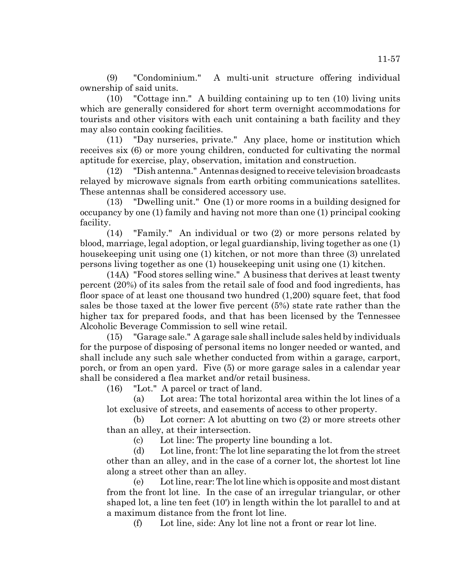(9) "Condominium." A multi-unit structure offering individual ownership of said units.

(10) "Cottage inn." A building containing up to ten (10) living units which are generally considered for short term overnight accommodations for tourists and other visitors with each unit containing a bath facility and they may also contain cooking facilities.

(11) "Day nurseries, private." Any place, home or institution which receives six (6) or more young children, conducted for cultivating the normal aptitude for exercise, play, observation, imitation and construction.

(12) "Dish antenna." Antennas designed to receive television broadcasts relayed by microwave signals from earth orbiting communications satellites. These antennas shall be considered accessory use.

(13) "Dwelling unit." One (1) or more rooms in a building designed for occupancy by one (1) family and having not more than one (1) principal cooking facility.

(14) "Family." An individual or two (2) or more persons related by blood, marriage, legal adoption, or legal guardianship, living together as one (1) housekeeping unit using one (1) kitchen, or not more than three (3) unrelated persons living together as one (1) housekeeping unit using one (1) kitchen.

(14A) "Food stores selling wine." A business that derives at least twenty percent (20%) of its sales from the retail sale of food and food ingredients, has floor space of at least one thousand two hundred (1,200) square feet, that food sales be those taxed at the lower five percent (5%) state rate rather than the higher tax for prepared foods, and that has been licensed by the Tennessee Alcoholic Beverage Commission to sell wine retail.

(15) "Garage sale." A garage sale shall include sales held by individuals for the purpose of disposing of personal items no longer needed or wanted, and shall include any such sale whether conducted from within a garage, carport, porch, or from an open yard. Five (5) or more garage sales in a calendar year shall be considered a flea market and/or retail business.

(16) "Lot." A parcel or tract of land.

(a) Lot area: The total horizontal area within the lot lines of a lot exclusive of streets, and easements of access to other property.

(b) Lot corner: A lot abutting on two (2) or more streets other than an alley, at their intersection.

(c) Lot line: The property line bounding a lot.

(d) Lot line, front: The lot line separating the lot from the street other than an alley, and in the case of a corner lot, the shortest lot line along a street other than an alley.

(e) Lot line, rear: The lot line which is opposite and most distant from the front lot line. In the case of an irregular triangular, or other shaped lot, a line ten feet (10') in length within the lot parallel to and at a maximum distance from the front lot line.

(f) Lot line, side: Any lot line not a front or rear lot line.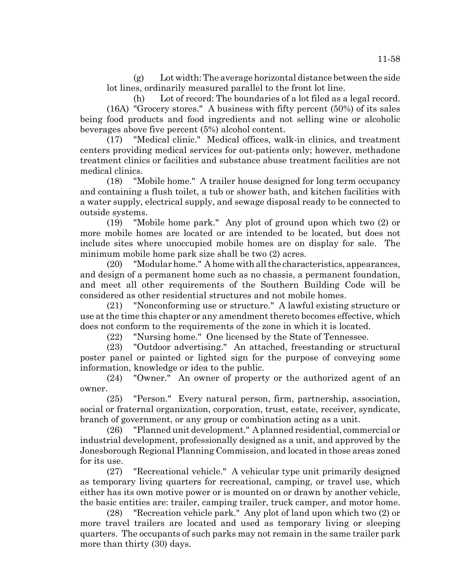(g) Lot width: The average horizontal distance between the side lot lines, ordinarily measured parallel to the front lot line.

(h) Lot of record: The boundaries of a lot filed as a legal record. (16A) "Grocery stores." A business with fifty percent (50%) of its sales being food products and food ingredients and not selling wine or alcoholic beverages above five percent (5%) alcohol content.

(17) "Medical clinic." Medical offices, walk-in clinics, and treatment centers providing medical services for out-patients only; however, methadone treatment clinics or facilities and substance abuse treatment facilities are not medical clinics.

(18) "Mobile home." A trailer house designed for long term occupancy and containing a flush toilet, a tub or shower bath, and kitchen facilities with a water supply, electrical supply, and sewage disposal ready to be connected to outside systems.

(19) "Mobile home park." Any plot of ground upon which two (2) or more mobile homes are located or are intended to be located, but does not include sites where unoccupied mobile homes are on display for sale. The minimum mobile home park size shall be two (2) acres.

(20) "Modular home." A home with all the characteristics, appearances, and design of a permanent home such as no chassis, a permanent foundation, and meet all other requirements of the Southern Building Code will be considered as other residential structures and not mobile homes.

(21) "Nonconforming use or structure." A lawful existing structure or use at the time this chapter or any amendment thereto becomes effective, which does not conform to the requirements of the zone in which it is located.

(22) "Nursing home." One licensed by the State of Tennessee.

(23) "Outdoor advertising." An attached, freestanding or structural poster panel or painted or lighted sign for the purpose of conveying some information, knowledge or idea to the public.

(24) "Owner." An owner of property or the authorized agent of an owner.

(25) "Person." Every natural person, firm, partnership, association, social or fraternal organization, corporation, trust, estate, receiver, syndicate, branch of government, or any group or combination acting as a unit.

(26) "Planned unit development." A planned residential, commercial or industrial development, professionally designed as a unit, and approved by the Jonesborough Regional Planning Commission, and located in those areas zoned for its use.

(27) "Recreational vehicle." A vehicular type unit primarily designed as temporary living quarters for recreational, camping, or travel use, which either has its own motive power or is mounted on or drawn by another vehicle, the basic entities are: trailer, camping trailer, truck camper, and motor home.

(28) "Recreation vehicle park." Any plot of land upon which two (2) or more travel trailers are located and used as temporary living or sleeping quarters. The occupants of such parks may not remain in the same trailer park more than thirty (30) days.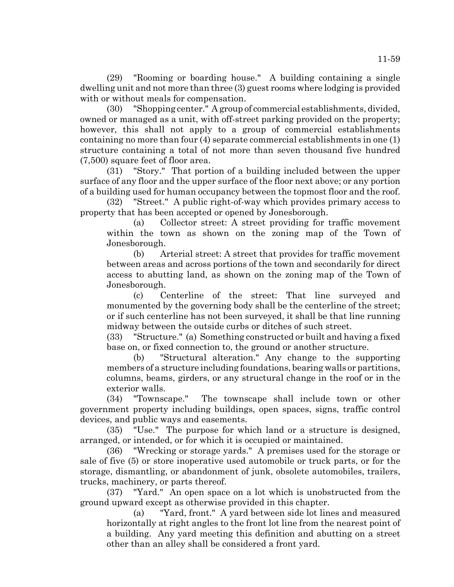(29) "Rooming or boarding house." A building containing a single dwelling unit and not more than three (3) guest rooms where lodging is provided with or without meals for compensation.

(30) "Shopping center." A group of commercial establishments, divided, owned or managed as a unit, with off-street parking provided on the property; however, this shall not apply to a group of commercial establishments containing no more than four (4) separate commercial establishments in one (1) structure containing a total of not more than seven thousand five hundred (7,500) square feet of floor area.

(31) "Story." That portion of a building included between the upper surface of any floor and the upper surface of the floor next above; or any portion of a building used for human occupancy between the topmost floor and the roof.

(32) "Street." A public right-of-way which provides primary access to property that has been accepted or opened by Jonesborough.

(a) Collector street: A street providing for traffic movement within the town as shown on the zoning map of the Town of Jonesborough.

(b) Arterial street: A street that provides for traffic movement between areas and across portions of the town and secondarily for direct access to abutting land, as shown on the zoning map of the Town of Jonesborough.

(c) Centerline of the street: That line surveyed and monumented by the governing body shall be the centerline of the street; or if such centerline has not been surveyed, it shall be that line running midway between the outside curbs or ditches of such street.

(33) "Structure." (a) Something constructed or built and having a fixed base on, or fixed connection to, the ground or another structure.

(b) "Structural alteration." Any change to the supporting members of a structure including foundations, bearing walls or partitions, columns, beams, girders, or any structural change in the roof or in the exterior walls.

(34) "Townscape." The townscape shall include town or other government property including buildings, open spaces, signs, traffic control devices, and public ways and easements.

(35) "Use." The purpose for which land or a structure is designed, arranged, or intended, or for which it is occupied or maintained.

(36) "Wrecking or storage yards." A premises used for the storage or sale of five (5) or store inoperative used automobile or truck parts, or for the storage, dismantling, or abandonment of junk, obsolete automobiles, trailers, trucks, machinery, or parts thereof.

(37) "Yard." An open space on a lot which is unobstructed from the ground upward except as otherwise provided in this chapter.

(a) "Yard, front." A yard between side lot lines and measured horizontally at right angles to the front lot line from the nearest point of a building. Any yard meeting this definition and abutting on a street other than an alley shall be considered a front yard.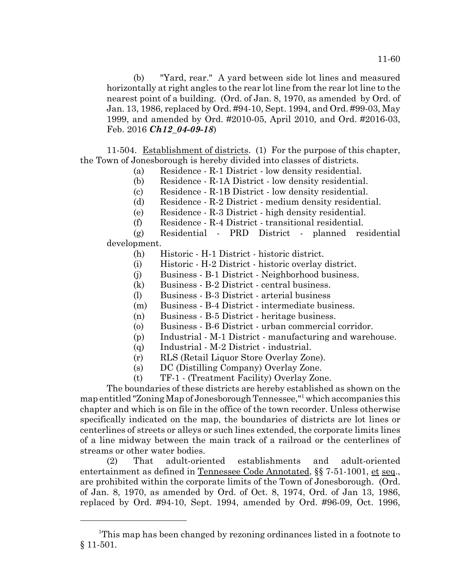(b) "Yard, rear." A yard between side lot lines and measured horizontally at right angles to the rear lot line from the rear lot line to the nearest point of a building. (Ord. of Jan. 8, 1970, as amended by Ord. of Jan. 13, 1986, replaced by Ord. #94-10, Sept. 1994, and Ord. #99-03, May 1999, and amended by Ord. #2010-05, April 2010, and Ord. #2016-03, Feb. 2016 *Ch12\_04-09-18*)

11-504. Establishment of districts. (1) For the purpose of this chapter, the Town of Jonesborough is hereby divided into classes of districts.

- (a) Residence R-1 District low density residential.
- (b) Residence R-1A District low density residential.
- (c) Residence R-1B District low density residential.
- (d) Residence R-2 District medium density residential.
- (e) Residence R-3 District high density residential.
- (f) Residence R-4 District transitional residential.

(g) Residential - PRD District - planned residential development.

- (h) Historic H-1 District historic district.
- (i) Historic H-2 District historic overlay district.
- (j) Business B-1 District Neighborhood business.
- (k) Business B-2 District central business.
- (l) Business B-3 District arterial business
- (m) Business B-4 District intermediate business.
- (n) Business B-5 District heritage business.
- (o) Business B-6 District urban commercial corridor.
- (p) Industrial M-1 District manufacturing and warehouse.
- (q) Industrial M-2 District industrial.
- (r) RLS (Retail Liquor Store Overlay Zone).
- (s) DC (Distilling Company) Overlay Zone.
- (t) TF-1 (Treatment Facility) Overlay Zone.

The boundaries of these districts are hereby established as shown on the

map entitled "Zoning Map of Jonesborough Tennessee,"<sup>1</sup> which accompanies this chapter and which is on file in the office of the town recorder. Unless otherwise specifically indicated on the map, the boundaries of districts are lot lines or centerlines of streets or alleys or such lines extended, the corporate limits lines of a line midway between the main track of a railroad or the centerlines of streams or other water bodies.

(2) That adult-oriented establishments and adult-oriented entertainment as defined in Tennessee Code Annotated, §§ 7-51-1001, et seq., are prohibited within the corporate limits of the Town of Jonesborough. (Ord. of Jan. 8, 1970, as amended by Ord. of Oct. 8, 1974, Ord. of Jan 13, 1986, replaced by Ord. #94-10, Sept. 1994, amended by Ord. #96-09, Oct. 1996,

<sup>&</sup>lt;sup>1</sup>This map has been changed by rezoning ordinances listed in a footnote to § 11-501.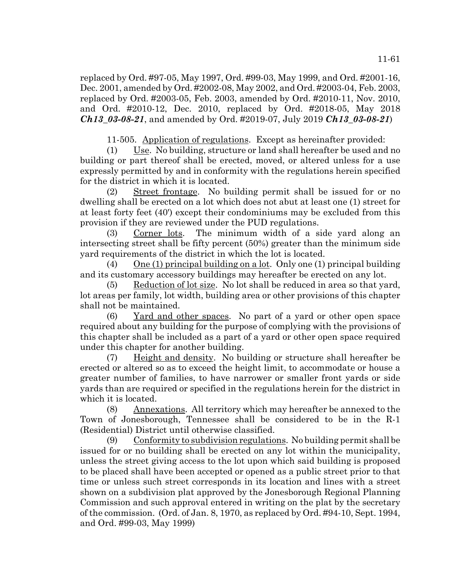replaced by Ord. #97-05, May 1997, Ord. #99-03, May 1999, and Ord. #2001-16, Dec. 2001, amended by Ord. #2002-08, May 2002, and Ord. #2003-04, Feb. 2003, replaced by Ord. #2003-05, Feb. 2003, amended by Ord. #2010-11, Nov. 2010, and Ord. #2010-12, Dec. 2010, replaced by Ord. #2018-05, May 2018 *Ch13\_03-08-21*, and amended by Ord. #2019-07, July 2019 *Ch13\_03-08-21*)

11-505. Application of regulations. Except as hereinafter provided:

(1) Use. No building, structure or land shall hereafter be used and no building or part thereof shall be erected, moved, or altered unless for a use expressly permitted by and in conformity with the regulations herein specified for the district in which it is located.

(2) Street frontage. No building permit shall be issued for or no dwelling shall be erected on a lot which does not abut at least one (1) street for at least forty feet (40') except their condominiums may be excluded from this provision if they are reviewed under the PUD regulations.

(3) Corner lots. The minimum width of a side yard along an intersecting street shall be fifty percent (50%) greater than the minimum side yard requirements of the district in which the lot is located.

(4) One (1) principal building on a lot. Only one (1) principal building and its customary accessory buildings may hereafter be erected on any lot.

(5) Reduction of lot size. No lot shall be reduced in area so that yard, lot areas per family, lot width, building area or other provisions of this chapter shall not be maintained.

(6) Yard and other spaces. No part of a yard or other open space required about any building for the purpose of complying with the provisions of this chapter shall be included as a part of a yard or other open space required under this chapter for another building.

(7) Height and density. No building or structure shall hereafter be erected or altered so as to exceed the height limit, to accommodate or house a greater number of families, to have narrower or smaller front yards or side yards than are required or specified in the regulations herein for the district in which it is located.

(8) Annexations. All territory which may hereafter be annexed to the Town of Jonesborough, Tennessee shall be considered to be in the R-1 (Residential) District until otherwise classified.

 $(9)$  Conformity to subdivision regulations. No building permit shall be issued for or no building shall be erected on any lot within the municipality, unless the street giving access to the lot upon which said building is proposed to be placed shall have been accepted or opened as a public street prior to that time or unless such street corresponds in its location and lines with a street shown on a subdivision plat approved by the Jonesborough Regional Planning Commission and such approval entered in writing on the plat by the secretary of the commission. (Ord. of Jan. 8, 1970, as replaced by Ord. #94-10, Sept. 1994, and Ord. #99-03, May 1999)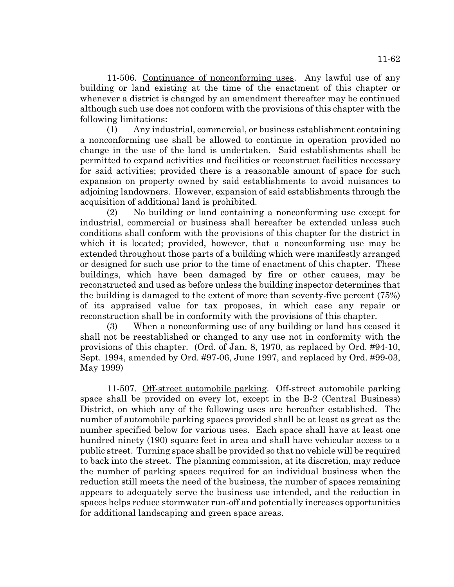11-506. Continuance of nonconforming uses. Any lawful use of any building or land existing at the time of the enactment of this chapter or whenever a district is changed by an amendment thereafter may be continued although such use does not conform with the provisions of this chapter with the following limitations:

(1) Any industrial, commercial, or business establishment containing a nonconforming use shall be allowed to continue in operation provided no change in the use of the land is undertaken. Said establishments shall be permitted to expand activities and facilities or reconstruct facilities necessary for said activities; provided there is a reasonable amount of space for such expansion on property owned by said establishments to avoid nuisances to adjoining landowners. However, expansion of said establishments through the acquisition of additional land is prohibited.

(2) No building or land containing a nonconforming use except for industrial, commercial or business shall hereafter be extended unless such conditions shall conform with the provisions of this chapter for the district in which it is located; provided, however, that a nonconforming use may be extended throughout those parts of a building which were manifestly arranged or designed for such use prior to the time of enactment of this chapter. These buildings, which have been damaged by fire or other causes, may be reconstructed and used as before unless the building inspector determines that the building is damaged to the extent of more than seventy-five percent (75%) of its appraised value for tax proposes, in which case any repair or reconstruction shall be in conformity with the provisions of this chapter.

(3) When a nonconforming use of any building or land has ceased it shall not be reestablished or changed to any use not in conformity with the provisions of this chapter. (Ord. of Jan. 8, 1970, as replaced by Ord. #94-10, Sept. 1994, amended by Ord. #97-06, June 1997, and replaced by Ord. #99-03, May 1999)

11-507. Off-street automobile parking. Off-street automobile parking space shall be provided on every lot, except in the B-2 (Central Business) District, on which any of the following uses are hereafter established. The number of automobile parking spaces provided shall be at least as great as the number specified below for various uses. Each space shall have at least one hundred ninety (190) square feet in area and shall have vehicular access to a public street. Turning space shall be provided so that no vehicle will be required to back into the street. The planning commission, at its discretion, may reduce the number of parking spaces required for an individual business when the reduction still meets the need of the business, the number of spaces remaining appears to adequately serve the business use intended, and the reduction in spaces helps reduce stormwater run-off and potentially increases opportunities for additional landscaping and green space areas.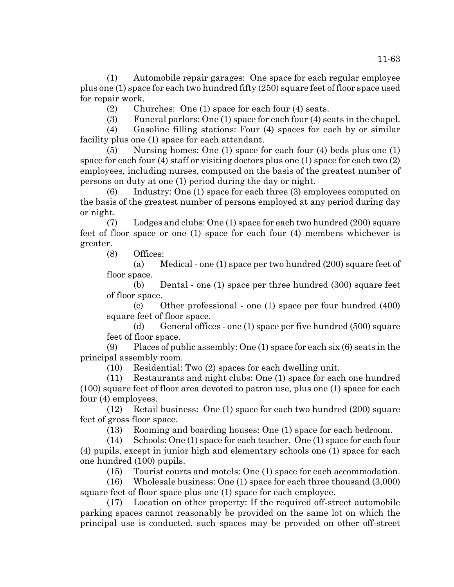(1) Automobile repair garages: One space for each regular employee plus one (1) space for each two hundred fifty (250) square feet of floor space used for repair work.

(2) Churches: One (1) space for each four (4) seats.

(3) Funeral parlors: One (1) space for each four (4) seats in the chapel.

(4) Gasoline filling stations: Four (4) spaces for each by or similar facility plus one (1) space for each attendant.

(5) Nursing homes: One (1) space for each four (4) beds plus one (1) space for each four (4) staff or visiting doctors plus one (1) space for each two (2) employees, including nurses, computed on the basis of the greatest number of persons on duty at one (1) period during the day or night.

(6) Industry: One (1) space for each three (3) employees computed on the basis of the greatest number of persons employed at any period during day or night.

(7) Lodges and clubs: One (1) space for each two hundred (200) square feet of floor space or one (1) space for each four (4) members whichever is greater.

(8) Offices:

(a) Medical - one (1) space per two hundred (200) square feet of floor space.

(b) Dental - one (1) space per three hundred (300) square feet of floor space.

(c) Other professional - one (1) space per four hundred (400) square feet of floor space.

(d) General offices - one (1) space per five hundred (500) square feet of floor space.

(9) Places of public assembly: One (1) space for each six (6) seats in the principal assembly room.

(10) Residential: Two (2) spaces for each dwelling unit.

(11) Restaurants and night clubs: One (1) space for each one hundred (100) square feet of floor area devoted to patron use, plus one (1) space for each four (4) employees.

(12) Retail business: One (1) space for each two hundred (200) square feet of gross floor space.

(13) Rooming and boarding houses: One (1) space for each bedroom.

(14) Schools: One (1) space for each teacher. One (1) space for each four (4) pupils, except in junior high and elementary schools one (1) space for each one hundred (100) pupils.

(15) Tourist courts and motels: One (1) space for each accommodation.

(16) Wholesale business: One (1) space for each three thousand (3,000) square feet of floor space plus one (1) space for each employee.

(17) Location on other property: If the required off-street automobile parking spaces cannot reasonably be provided on the same lot on which the principal use is conducted, such spaces may be provided on other off-street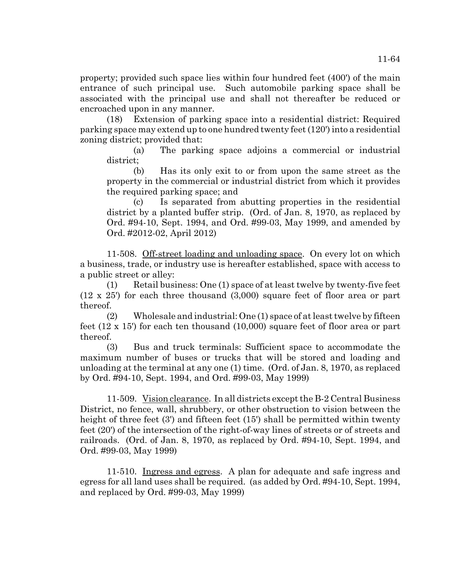property; provided such space lies within four hundred feet (400') of the main entrance of such principal use. Such automobile parking space shall be associated with the principal use and shall not thereafter be reduced or encroached upon in any manner.

(18) Extension of parking space into a residential district: Required parking space may extend up to one hundred twenty feet (120') into a residential zoning district; provided that:

(a) The parking space adjoins a commercial or industrial district;

(b) Has its only exit to or from upon the same street as the property in the commercial or industrial district from which it provides the required parking space; and

(c) Is separated from abutting properties in the residential district by a planted buffer strip. (Ord. of Jan. 8, 1970, as replaced by Ord. #94-10, Sept. 1994, and Ord. #99-03, May 1999, and amended by Ord. #2012-02, April 2012)

11-508. Off-street loading and unloading space. On every lot on which a business, trade, or industry use is hereafter established, space with access to a public street or alley:

(1) Retail business: One (1) space of at least twelve by twenty-five feet (12 x 25') for each three thousand (3,000) square feet of floor area or part thereof.

(2) Wholesale and industrial: One (1) space of at least twelve by fifteen feet (12 x 15') for each ten thousand (10,000) square feet of floor area or part thereof.

(3) Bus and truck terminals: Sufficient space to accommodate the maximum number of buses or trucks that will be stored and loading and unloading at the terminal at any one (1) time. (Ord. of Jan. 8, 1970, as replaced by Ord. #94-10, Sept. 1994, and Ord. #99-03, May 1999)

11-509. Vision clearance. In all districts except the B-2 Central Business District, no fence, wall, shrubbery, or other obstruction to vision between the height of three feet (3') and fifteen feet (15') shall be permitted within twenty feet (20') of the intersection of the right-of-way lines of streets or of streets and railroads. (Ord. of Jan. 8, 1970, as replaced by Ord. #94-10, Sept. 1994, and Ord. #99-03, May 1999)

11-510. Ingress and egress. A plan for adequate and safe ingress and egress for all land uses shall be required. (as added by Ord. #94-10, Sept. 1994, and replaced by Ord. #99-03, May 1999)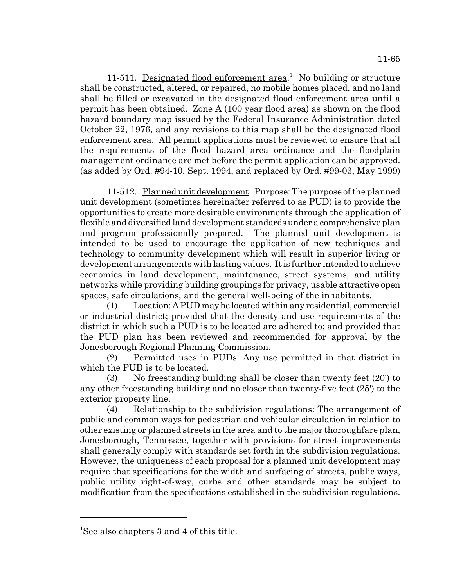11-511. Designated flood enforcement area.<sup>1</sup> No building or structure shall be constructed, altered, or repaired, no mobile homes placed, and no land shall be filled or excavated in the designated flood enforcement area until a permit has been obtained. Zone A (100 year flood area) as shown on the flood hazard boundary map issued by the Federal Insurance Administration dated October 22, 1976, and any revisions to this map shall be the designated flood enforcement area. All permit applications must be reviewed to ensure that all the requirements of the flood hazard area ordinance and the floodplain management ordinance are met before the permit application can be approved. (as added by Ord. #94-10, Sept. 1994, and replaced by Ord. #99-03, May 1999)

11-512. Planned unit development. Purpose: The purpose of the planned unit development (sometimes hereinafter referred to as PUD) is to provide the opportunities to create more desirable environments through the application of flexible and diversified land development standards under a comprehensive plan and program professionally prepared. The planned unit development is intended to be used to encourage the application of new techniques and technology to community development which will result in superior living or development arrangements with lasting values. It is further intended to achieve economies in land development, maintenance, street systems, and utility networks while providing building groupings for privacy, usable attractive open spaces, safe circulations, and the general well-being of the inhabitants.

(1) Location: A PUD may be located within any residential, commercial or industrial district; provided that the density and use requirements of the district in which such a PUD is to be located are adhered to; and provided that the PUD plan has been reviewed and recommended for approval by the Jonesborough Regional Planning Commission.

(2) Permitted uses in PUDs: Any use permitted in that district in which the PUD is to be located.

(3) No freestanding building shall be closer than twenty feet (20') to any other freestanding building and no closer than twenty-five feet (25') to the exterior property line.

(4) Relationship to the subdivision regulations: The arrangement of public and common ways for pedestrian and vehicular circulation in relation to other existing or planned streets in the area and to the major thoroughfare plan, Jonesborough, Tennessee, together with provisions for street improvements shall generally comply with standards set forth in the subdivision regulations. However, the uniqueness of each proposal for a planned unit development may require that specifications for the width and surfacing of streets, public ways, public utility right-of-way, curbs and other standards may be subject to modification from the specifications established in the subdivision regulations.

<sup>1</sup> See also chapters 3 and 4 of this title.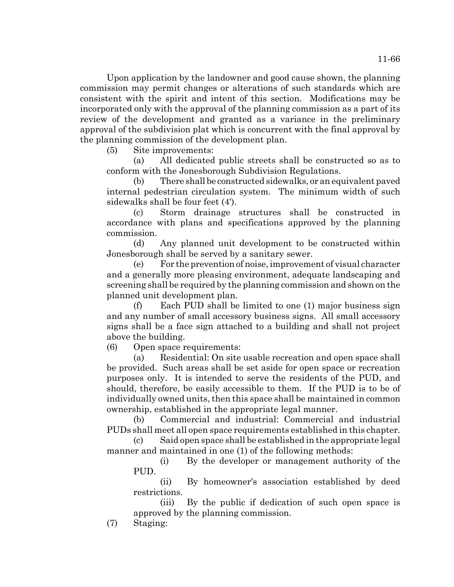Upon application by the landowner and good cause shown, the planning commission may permit changes or alterations of such standards which are consistent with the spirit and intent of this section. Modifications may be incorporated only with the approval of the planning commission as a part of its review of the development and granted as a variance in the preliminary approval of the subdivision plat which is concurrent with the final approval by the planning commission of the development plan.

(5) Site improvements:

(a) All dedicated public streets shall be constructed so as to conform with the Jonesborough Subdivision Regulations.

(b) There shall be constructed sidewalks, or an equivalent paved internal pedestrian circulation system. The minimum width of such sidewalks shall be four feet (4').

(c) Storm drainage structures shall be constructed in accordance with plans and specifications approved by the planning commission.

(d) Any planned unit development to be constructed within Jonesborough shall be served by a sanitary sewer.

(e) For the prevention of noise, improvement of visual character and a generally more pleasing environment, adequate landscaping and screening shall be required by the planning commission and shown on the planned unit development plan.

(f) Each PUD shall be limited to one (1) major business sign and any number of small accessory business signs. All small accessory signs shall be a face sign attached to a building and shall not project above the building.

(6) Open space requirements:

(a) Residential: On site usable recreation and open space shall be provided. Such areas shall be set aside for open space or recreation purposes only. It is intended to serve the residents of the PUD, and should, therefore, be easily accessible to them. If the PUD is to be of individually owned units, then this space shall be maintained in common ownership, established in the appropriate legal manner.

(b) Commercial and industrial: Commercial and industrial PUDs shall meet all open space requirements established in this chapter.

(c) Said open space shall be established in the appropriate legal manner and maintained in one (1) of the following methods:

(i) By the developer or management authority of the PUD.

(ii) By homeowner's association established by deed restrictions.

(iii) By the public if dedication of such open space is approved by the planning commission.

(7) Staging: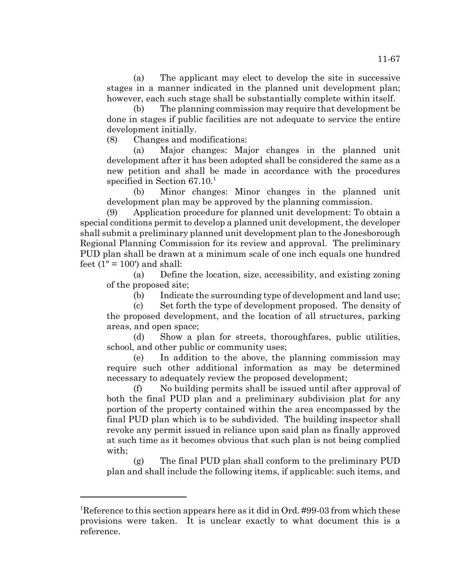(a) The applicant may elect to develop the site in successive stages in a manner indicated in the planned unit development plan; however, each such stage shall be substantially complete within itself.

(b) The planning commission may require that development be done in stages if public facilities are not adequate to service the entire development initially.

(8) Changes and modifications:

(a) Major changes: Major changes in the planned unit development after it has been adopted shall be considered the same as a new petition and shall be made in accordance with the procedures specified in Section  $67.10<sup>1</sup>$ 

(b) Minor changes: Minor changes in the planned unit development plan may be approved by the planning commission.

(9) Application procedure for planned unit development: To obtain a special conditions permit to develop a planned unit development, the developer shall submit a preliminary planned unit development plan to the Jonesborough Regional Planning Commission for its review and approval. The preliminary PUD plan shall be drawn at a minimum scale of one inch equals one hundred feet  $(1" = 100")$  and shall:

(a) Define the location, size, accessibility, and existing zoning of the proposed site;

(b) Indicate the surrounding type of development and land use;

(c) Set forth the type of development proposed. The density of the proposed development, and the location of all structures, parking areas, and open space;

(d) Show a plan for streets, thoroughfares, public utilities, school, and other public or community uses;

(e) In addition to the above, the planning commission may require such other additional information as may be determined necessary to adequately review the proposed development;

(f) No building permits shall be issued until after approval of both the final PUD plan and a preliminary subdivision plat for any portion of the property contained within the area encompassed by the final PUD plan which is to be subdivided. The building inspector shall revoke any permit issued in reliance upon said plan as finally approved at such time as it becomes obvious that such plan is not being complied with;

(g) The final PUD plan shall conform to the preliminary PUD plan and shall include the following items, if applicable: such items, and

<sup>&</sup>lt;sup>1</sup>Reference to this section appears here as it did in Ord. #99-03 from which these provisions were taken. It is unclear exactly to what document this is a reference.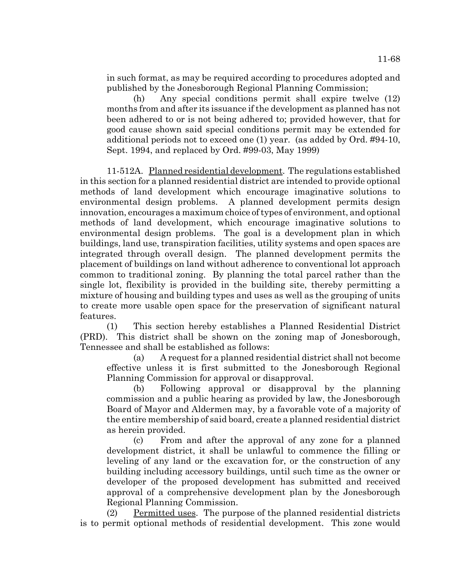in such format, as may be required according to procedures adopted and published by the Jonesborough Regional Planning Commission;

(h) Any special conditions permit shall expire twelve (12) months from and after its issuance if the development as planned has not been adhered to or is not being adhered to; provided however, that for good cause shown said special conditions permit may be extended for additional periods not to exceed one (1) year. (as added by Ord. #94-10, Sept. 1994, and replaced by Ord. #99-03, May 1999)

11-512A. Planned residential development. The regulations established in this section for a planned residential district are intended to provide optional methods of land development which encourage imaginative solutions to environmental design problems. A planned development permits design innovation, encourages a maximum choice of types of environment, and optional methods of land development, which encourage imaginative solutions to environmental design problems. The goal is a development plan in which buildings, land use, transpiration facilities, utility systems and open spaces are integrated through overall design. The planned development permits the placement of buildings on land without adherence to conventional lot approach common to traditional zoning. By planning the total parcel rather than the single lot, flexibility is provided in the building site, thereby permitting a mixture of housing and building types and uses as well as the grouping of units to create more usable open space for the preservation of significant natural features.

(1) This section hereby establishes a Planned Residential District (PRD). This district shall be shown on the zoning map of Jonesborough, Tennessee and shall be established as follows:

(a) A request for a planned residential district shall not become effective unless it is first submitted to the Jonesborough Regional Planning Commission for approval or disapproval.

(b) Following approval or disapproval by the planning commission and a public hearing as provided by law, the Jonesborough Board of Mayor and Aldermen may, by a favorable vote of a majority of the entire membership of said board, create a planned residential district as herein provided.

(c) From and after the approval of any zone for a planned development district, it shall be unlawful to commence the filling or leveling of any land or the excavation for, or the construction of any building including accessory buildings, until such time as the owner or developer of the proposed development has submitted and received approval of a comprehensive development plan by the Jonesborough Regional Planning Commission.

(2) Permitted uses. The purpose of the planned residential districts is to permit optional methods of residential development. This zone would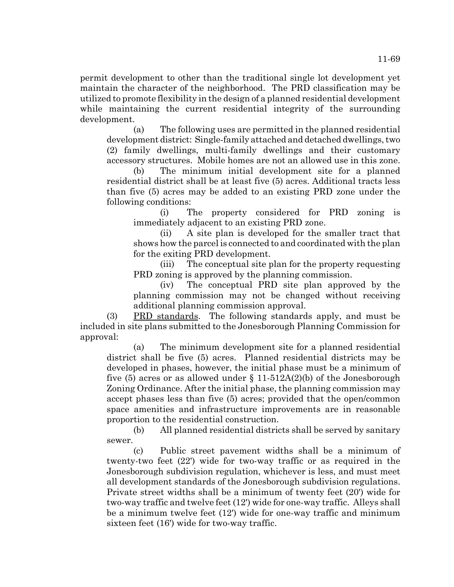permit development to other than the traditional single lot development yet maintain the character of the neighborhood. The PRD classification may be utilized to promote flexibility in the design of a planned residential development while maintaining the current residential integrity of the surrounding development.

(a) The following uses are permitted in the planned residential development district: Single-family attached and detached dwellings, two (2) family dwellings, multi-family dwellings and their customary accessory structures. Mobile homes are not an allowed use in this zone.

(b) The minimum initial development site for a planned residential district shall be at least five (5) acres. Additional tracts less than five (5) acres may be added to an existing PRD zone under the following conditions:

(i) The property considered for PRD zoning is immediately adjacent to an existing PRD zone.

(ii) A site plan is developed for the smaller tract that shows how the parcel is connected to and coordinated with the plan for the exiting PRD development.

(iii) The conceptual site plan for the property requesting PRD zoning is approved by the planning commission.

(iv) The conceptual PRD site plan approved by the planning commission may not be changed without receiving additional planning commission approval.

(3) PRD standards. The following standards apply, and must be included in site plans submitted to the Jonesborough Planning Commission for approval:

(a) The minimum development site for a planned residential district shall be five (5) acres. Planned residential districts may be developed in phases, however, the initial phase must be a minimum of five (5) acres or as allowed under  $\S 11-512A(2)(b)$  of the Jonesborough Zoning Ordinance. After the initial phase, the planning commission may accept phases less than five (5) acres; provided that the open/common space amenities and infrastructure improvements are in reasonable proportion to the residential construction.

(b) All planned residential districts shall be served by sanitary sewer.

(c) Public street pavement widths shall be a minimum of twenty-two feet (22') wide for two-way traffic or as required in the Jonesborough subdivision regulation, whichever is less, and must meet all development standards of the Jonesborough subdivision regulations. Private street widths shall be a minimum of twenty feet (20') wide for two-way traffic and twelve feet (12') wide for one-way traffic. Alleys shall be a minimum twelve feet (12') wide for one-way traffic and minimum sixteen feet (16') wide for two-way traffic.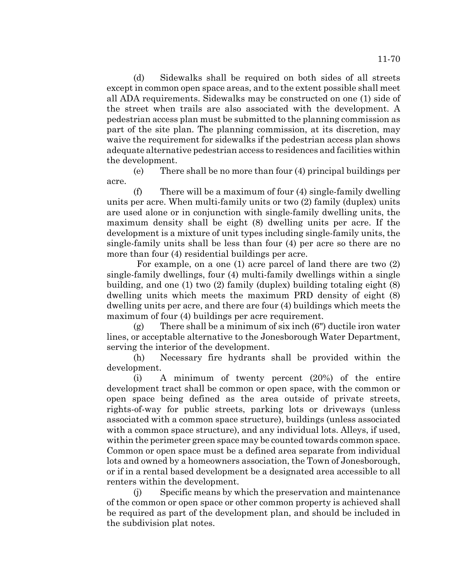(d) Sidewalks shall be required on both sides of all streets except in common open space areas, and to the extent possible shall meet all ADA requirements. Sidewalks may be constructed on one (1) side of the street when trails are also associated with the development. A pedestrian access plan must be submitted to the planning commission as part of the site plan. The planning commission, at its discretion, may waive the requirement for sidewalks if the pedestrian access plan shows adequate alternative pedestrian access to residences and facilities within the development.

(e) There shall be no more than four (4) principal buildings per acre.

(f) There will be a maximum of four (4) single-family dwelling units per acre. When multi-family units or two (2) family (duplex) units are used alone or in conjunction with single-family dwelling units, the maximum density shall be eight (8) dwelling units per acre. If the development is a mixture of unit types including single-family units, the single-family units shall be less than four (4) per acre so there are no more than four (4) residential buildings per acre.

 For example, on a one (1) acre parcel of land there are two (2) single-family dwellings, four (4) multi-family dwellings within a single building, and one (1) two (2) family (duplex) building totaling eight (8) dwelling units which meets the maximum PRD density of eight (8) dwelling units per acre, and there are four (4) buildings which meets the maximum of four (4) buildings per acre requirement.

(g) There shall be a minimum of six inch (6") ductile iron water lines, or acceptable alternative to the Jonesborough Water Department, serving the interior of the development.

(h) Necessary fire hydrants shall be provided within the development.

(i) A minimum of twenty percent (20%) of the entire development tract shall be common or open space, with the common or open space being defined as the area outside of private streets, rights-of-way for public streets, parking lots or driveways (unless associated with a common space structure), buildings (unless associated with a common space structure), and any individual lots. Alleys, if used, within the perimeter green space may be counted towards common space. Common or open space must be a defined area separate from individual lots and owned by a homeowners association, the Town of Jonesborough, or if in a rental based development be a designated area accessible to all renters within the development.

(j) Specific means by which the preservation and maintenance of the common or open space or other common property is achieved shall be required as part of the development plan, and should be included in the subdivision plat notes.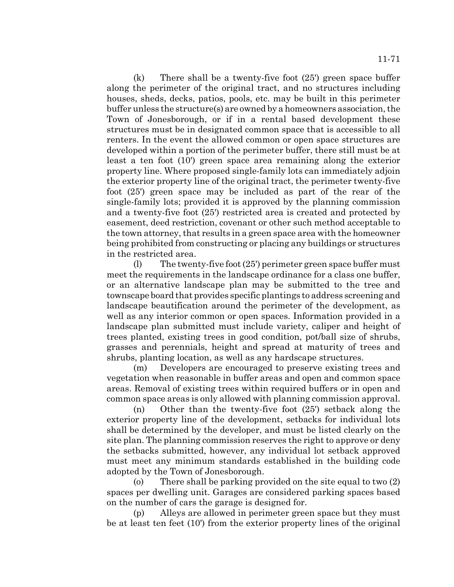11-71

(k) There shall be a twenty-five foot (25') green space buffer along the perimeter of the original tract, and no structures including houses, sheds, decks, patios, pools, etc. may be built in this perimeter buffer unless the structure(s) are owned by a homeowners association, the Town of Jonesborough, or if in a rental based development these structures must be in designated common space that is accessible to all renters. In the event the allowed common or open space structures are developed within a portion of the perimeter buffer, there still must be at least a ten foot (10') green space area remaining along the exterior property line. Where proposed single-family lots can immediately adjoin the exterior property line of the original tract, the perimeter twenty-five foot (25') green space may be included as part of the rear of the single-family lots; provided it is approved by the planning commission and a twenty-five foot (25') restricted area is created and protected by easement, deed restriction, covenant or other such method acceptable to the town attorney, that results in a green space area with the homeowner being prohibited from constructing or placing any buildings or structures in the restricted area.

(l) The twenty-five foot (25') perimeter green space buffer must meet the requirements in the landscape ordinance for a class one buffer, or an alternative landscape plan may be submitted to the tree and townscape board that provides specific plantings to address screening and landscape beautification around the perimeter of the development, as well as any interior common or open spaces. Information provided in a landscape plan submitted must include variety, caliper and height of trees planted, existing trees in good condition, pot/ball size of shrubs, grasses and perennials, height and spread at maturity of trees and shrubs, planting location, as well as any hardscape structures.

(m) Developers are encouraged to preserve existing trees and vegetation when reasonable in buffer areas and open and common space areas. Removal of existing trees within required buffers or in open and common space areas is only allowed with planning commission approval.

(n) Other than the twenty-five foot (25') setback along the exterior property line of the development, setbacks for individual lots shall be determined by the developer, and must be listed clearly on the site plan. The planning commission reserves the right to approve or deny the setbacks submitted, however, any individual lot setback approved must meet any minimum standards established in the building code adopted by the Town of Jonesborough.

(o) There shall be parking provided on the site equal to two (2) spaces per dwelling unit. Garages are considered parking spaces based on the number of cars the garage is designed for.

(p) Alleys are allowed in perimeter green space but they must be at least ten feet (10') from the exterior property lines of the original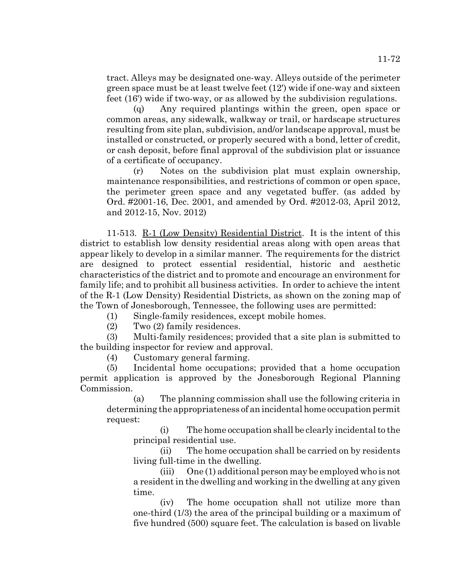tract. Alleys may be designated one-way. Alleys outside of the perimeter green space must be at least twelve feet (12') wide if one-way and sixteen feet (16') wide if two-way, or as allowed by the subdivision regulations.

(q) Any required plantings within the green, open space or common areas, any sidewalk, walkway or trail, or hardscape structures resulting from site plan, subdivision, and/or landscape approval, must be installed or constructed, or properly secured with a bond, letter of credit, or cash deposit, before final approval of the subdivision plat or issuance of a certificate of occupancy.

(r) Notes on the subdivision plat must explain ownership, maintenance responsibilities, and restrictions of common or open space, the perimeter green space and any vegetated buffer. (as added by Ord. #2001-16, Dec. 2001, and amended by Ord. #2012-03, April 2012, and 2012-15, Nov. 2012)

11-513. R-1 (Low Density) Residential District. It is the intent of this district to establish low density residential areas along with open areas that appear likely to develop in a similar manner. The requirements for the district are designed to protect essential residential, historic and aesthetic characteristics of the district and to promote and encourage an environment for family life; and to prohibit all business activities. In order to achieve the intent of the R-1 (Low Density) Residential Districts, as shown on the zoning map of the Town of Jonesborough, Tennessee, the following uses are permitted:

(1) Single-family residences, except mobile homes.

(2) Two (2) family residences.

(3) Multi-family residences; provided that a site plan is submitted to the building inspector for review and approval.

(4) Customary general farming.

(5) Incidental home occupations; provided that a home occupation permit application is approved by the Jonesborough Regional Planning Commission.

(a) The planning commission shall use the following criteria in determining the appropriateness of an incidental home occupation permit request:

(i) The home occupation shall be clearly incidental to the principal residential use.

(ii) The home occupation shall be carried on by residents living full-time in the dwelling.

(iii) One (1) additional person may be employed who is not a resident in the dwelling and working in the dwelling at any given time.

(iv) The home occupation shall not utilize more than one-third (1/3) the area of the principal building or a maximum of five hundred (500) square feet. The calculation is based on livable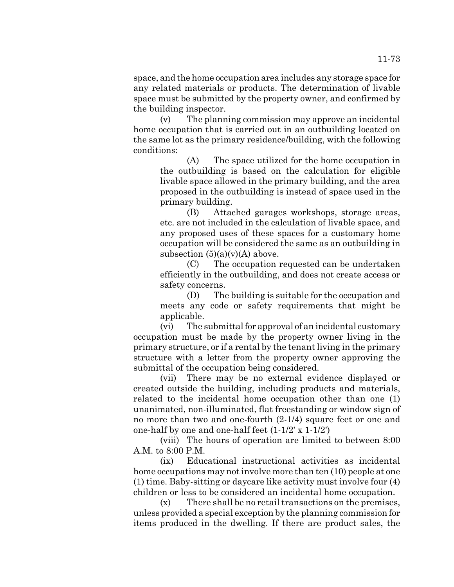space, and the home occupation area includes any storage space for any related materials or products. The determination of livable space must be submitted by the property owner, and confirmed by the building inspector.

(v) The planning commission may approve an incidental home occupation that is carried out in an outbuilding located on the same lot as the primary residence/building, with the following conditions:

(A) The space utilized for the home occupation in the outbuilding is based on the calculation for eligible livable space allowed in the primary building, and the area proposed in the outbuilding is instead of space used in the primary building.

(B) Attached garages workshops, storage areas, etc. are not included in the calculation of livable space, and any proposed uses of these spaces for a customary home occupation will be considered the same as an outbuilding in subsection  $(5)(a)(y)(A)$  above.

(C) The occupation requested can be undertaken efficiently in the outbuilding, and does not create access or safety concerns.

(D) The building is suitable for the occupation and meets any code or safety requirements that might be applicable.

(vi) The submittal for approval of an incidental customary occupation must be made by the property owner living in the primary structure, or if a rental by the tenant living in the primary structure with a letter from the property owner approving the submittal of the occupation being considered.

(vii) There may be no external evidence displayed or created outside the building, including products and materials, related to the incidental home occupation other than one (1) unanimated, non-illuminated, flat freestanding or window sign of no more than two and one-fourth (2-1/4) square feet or one and one-half by one and one-half feet (1-1/2' x 1-1/2')

(viii) The hours of operation are limited to between 8:00 A.M. to 8:00 P.M.

(ix) Educational instructional activities as incidental home occupations may not involve more than ten (10) people at one (1) time. Baby-sitting or daycare like activity must involve four (4) children or less to be considered an incidental home occupation.

(x) There shall be no retail transactions on the premises, unless provided a special exception by the planning commission for items produced in the dwelling. If there are product sales, the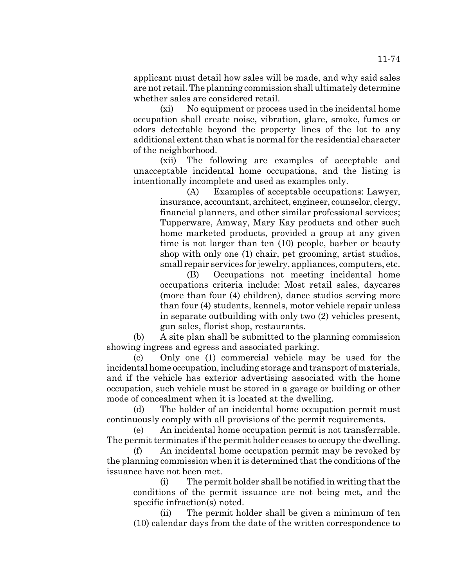applicant must detail how sales will be made, and why said sales are not retail. The planning commission shall ultimately determine whether sales are considered retail.

(xi) No equipment or process used in the incidental home occupation shall create noise, vibration, glare, smoke, fumes or odors detectable beyond the property lines of the lot to any additional extent than what is normal for the residential character of the neighborhood.

(xii) The following are examples of acceptable and unacceptable incidental home occupations, and the listing is intentionally incomplete and used as examples only.

(A) Examples of acceptable occupations: Lawyer, insurance, accountant, architect, engineer, counselor, clergy, financial planners, and other similar professional services; Tupperware, Amway, Mary Kay products and other such home marketed products, provided a group at any given time is not larger than ten (10) people, barber or beauty shop with only one (1) chair, pet grooming, artist studios, small repair services for jewelry, appliances, computers, etc.

(B) Occupations not meeting incidental home occupations criteria include: Most retail sales, daycares (more than four (4) children), dance studios serving more than four (4) students, kennels, motor vehicle repair unless in separate outbuilding with only two (2) vehicles present, gun sales, florist shop, restaurants.

(b) A site plan shall be submitted to the planning commission showing ingress and egress and associated parking.

(c) Only one (1) commercial vehicle may be used for the incidental home occupation, including storage and transport of materials, and if the vehicle has exterior advertising associated with the home occupation, such vehicle must be stored in a garage or building or other mode of concealment when it is located at the dwelling.

(d) The holder of an incidental home occupation permit must continuously comply with all provisions of the permit requirements.

(e) An incidental home occupation permit is not transferrable. The permit terminates if the permit holder ceases to occupy the dwelling.

(f) An incidental home occupation permit may be revoked by the planning commission when it is determined that the conditions of the issuance have not been met.

(i) The permit holder shall be notified in writing that the conditions of the permit issuance are not being met, and the specific infraction(s) noted.

(ii) The permit holder shall be given a minimum of ten (10) calendar days from the date of the written correspondence to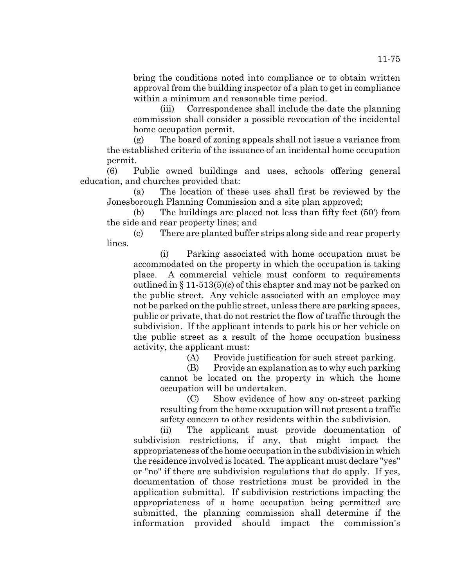bring the conditions noted into compliance or to obtain written approval from the building inspector of a plan to get in compliance within a minimum and reasonable time period.

(iii) Correspondence shall include the date the planning commission shall consider a possible revocation of the incidental home occupation permit.

(g) The board of zoning appeals shall not issue a variance from the established criteria of the issuance of an incidental home occupation permit.

(6) Public owned buildings and uses, schools offering general education, and churches provided that:

(a) The location of these uses shall first be reviewed by the Jonesborough Planning Commission and a site plan approved;

(b) The buildings are placed not less than fifty feet (50') from the side and rear property lines; and

(c) There are planted buffer strips along side and rear property lines.

(i) Parking associated with home occupation must be accommodated on the property in which the occupation is taking place. A commercial vehicle must conform to requirements outlined in § 11-513(5)(c) of this chapter and may not be parked on the public street. Any vehicle associated with an employee may not be parked on the public street, unless there are parking spaces, public or private, that do not restrict the flow of traffic through the subdivision. If the applicant intends to park his or her vehicle on the public street as a result of the home occupation business activity, the applicant must:

(A) Provide justification for such street parking.

(B) Provide an explanation as to why such parking cannot be located on the property in which the home occupation will be undertaken.

(C) Show evidence of how any on-street parking resulting from the home occupation will not present a traffic safety concern to other residents within the subdivision.

(ii) The applicant must provide documentation of subdivision restrictions, if any, that might impact the appropriateness of the home occupation in the subdivision in which the residence involved is located. The applicant must declare "yes" or "no" if there are subdivision regulations that do apply. If yes, documentation of those restrictions must be provided in the application submittal. If subdivision restrictions impacting the appropriateness of a home occupation being permitted are submitted, the planning commission shall determine if the information provided should impact the commission's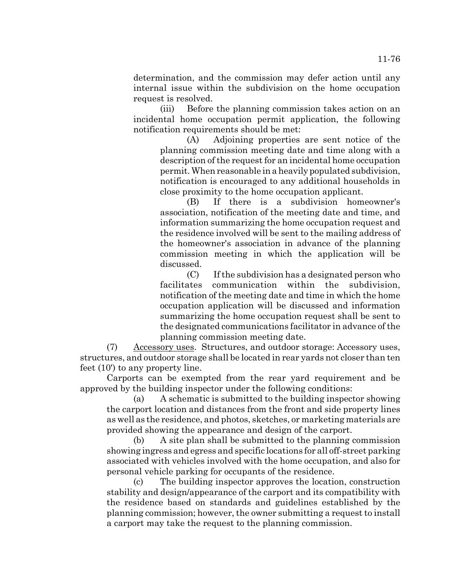determination, and the commission may defer action until any internal issue within the subdivision on the home occupation request is resolved.

(iii) Before the planning commission takes action on an incidental home occupation permit application, the following notification requirements should be met:

(A) Adjoining properties are sent notice of the planning commission meeting date and time along with a description of the request for an incidental home occupation permit. When reasonable in a heavily populated subdivision, notification is encouraged to any additional households in close proximity to the home occupation applicant.

(B) If there is a subdivision homeowner's association, notification of the meeting date and time, and information summarizing the home occupation request and the residence involved will be sent to the mailing address of the homeowner's association in advance of the planning commission meeting in which the application will be discussed.

(C) If the subdivision has a designated person who facilitates communication within the subdivision, notification of the meeting date and time in which the home occupation application will be discussed and information summarizing the home occupation request shall be sent to the designated communications facilitator in advance of the planning commission meeting date.

(7) Accessory uses. Structures, and outdoor storage: Accessory uses, structures, and outdoor storage shall be located in rear yards not closer than ten feet (10') to any property line.

Carports can be exempted from the rear yard requirement and be approved by the building inspector under the following conditions:

(a) A schematic is submitted to the building inspector showing the carport location and distances from the front and side property lines as well as the residence, and photos, sketches, or marketing materials are provided showing the appearance and design of the carport.

(b) A site plan shall be submitted to the planning commission showing ingress and egress and specific locations for all off-street parking associated with vehicles involved with the home occupation, and also for personal vehicle parking for occupants of the residence.

(c) The building inspector approves the location, construction stability and design/appearance of the carport and its compatibility with the residence based on standards and guidelines established by the planning commission; however, the owner submitting a request to install a carport may take the request to the planning commission.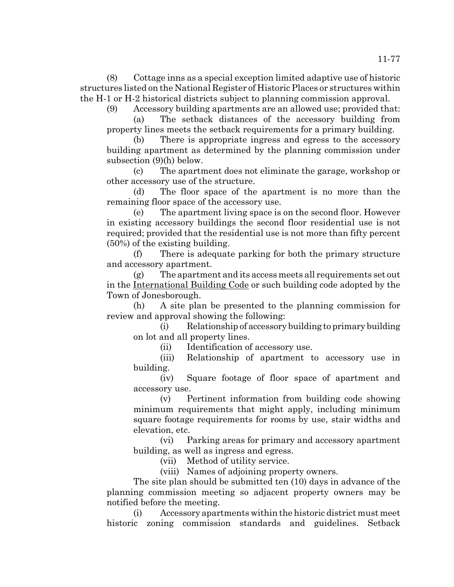(8) Cottage inns as a special exception limited adaptive use of historic structures listed on the National Register of Historic Places or structures within the H-1 or H-2 historical districts subject to planning commission approval.

(9) Accessory building apartments are an allowed use; provided that:

(a) The setback distances of the accessory building from property lines meets the setback requirements for a primary building.

(b) There is appropriate ingress and egress to the accessory building apartment as determined by the planning commission under subsection (9)(h) below.

(c) The apartment does not eliminate the garage, workshop or other accessory use of the structure.

(d) The floor space of the apartment is no more than the remaining floor space of the accessory use.

(e) The apartment living space is on the second floor. However in existing accessory buildings the second floor residential use is not required; provided that the residential use is not more than fifty percent (50%) of the existing building.

(f) There is adequate parking for both the primary structure and accessory apartment.

(g) The apartment and its access meets all requirements set out in the International Building Code or such building code adopted by the Town of Jonesborough.

(h) A site plan be presented to the planning commission for review and approval showing the following:

(i) Relationship of accessory building to primary building on lot and all property lines.

(ii) Identification of accessory use.

(iii) Relationship of apartment to accessory use in building.

(iv) Square footage of floor space of apartment and accessory use.

(v) Pertinent information from building code showing minimum requirements that might apply, including minimum square footage requirements for rooms by use, stair widths and elevation, etc.

(vi) Parking areas for primary and accessory apartment building, as well as ingress and egress.

(vii) Method of utility service.

(viii) Names of adjoining property owners.

The site plan should be submitted ten (10) days in advance of the planning commission meeting so adjacent property owners may be notified before the meeting.

(i) Accessory apartments within the historic district must meet historic zoning commission standards and guidelines. Setback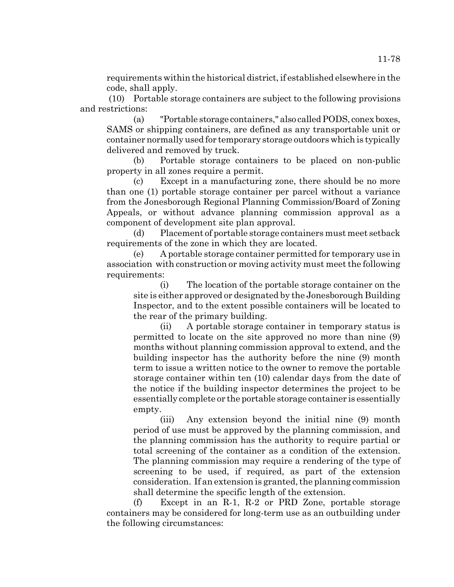requirements within the historical district, if established elsewhere in the code, shall apply.

 (10) Portable storage containers are subject to the following provisions and restrictions:

(a) "Portable storage containers," also called PODS, conex boxes, SAMS or shipping containers, are defined as any transportable unit or container normally used for temporary storage outdoors which is typically delivered and removed by truck.

(b) Portable storage containers to be placed on non-public property in all zones require a permit.

(c) Except in a manufacturing zone, there should be no more than one (1) portable storage container per parcel without a variance from the Jonesborough Regional Planning Commission/Board of Zoning Appeals, or without advance planning commission approval as a component of development site plan approval.

(d) Placement of portable storage containers must meet setback requirements of the zone in which they are located.

A portable storage container permitted for temporary use in association with construction or moving activity must meet the following requirements:

(i) The location of the portable storage container on the site is either approved or designated by the Jonesborough Building Inspector, and to the extent possible containers will be located to the rear of the primary building.

(ii) A portable storage container in temporary status is permitted to locate on the site approved no more than nine (9) months without planning commission approval to extend, and the building inspector has the authority before the nine (9) month term to issue a written notice to the owner to remove the portable storage container within ten (10) calendar days from the date of the notice if the building inspector determines the project to be essentially complete or the portable storage container is essentially empty.

(iii) Any extension beyond the initial nine (9) month period of use must be approved by the planning commission, and the planning commission has the authority to require partial or total screening of the container as a condition of the extension. The planning commission may require a rendering of the type of screening to be used, if required, as part of the extension consideration. If an extension is granted, the planning commission shall determine the specific length of the extension.

(f) Except in an R-1, R-2 or PRD Zone, portable storage containers may be considered for long-term use as an outbuilding under the following circumstances: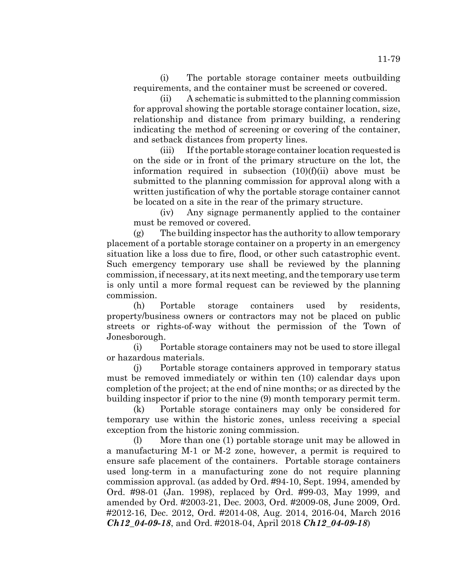(i) The portable storage container meets outbuilding requirements, and the container must be screened or covered.

(ii) A schematic is submitted to the planning commission for approval showing the portable storage container location, size, relationship and distance from primary building, a rendering indicating the method of screening or covering of the container, and setback distances from property lines.

(iii) If the portable storage container location requested is on the side or in front of the primary structure on the lot, the information required in subsection  $(10)(f)(ii)$  above must be submitted to the planning commission for approval along with a written justification of why the portable storage container cannot be located on a site in the rear of the primary structure.

(iv) Any signage permanently applied to the container must be removed or covered.

(g) The building inspector has the authority to allow temporary placement of a portable storage container on a property in an emergency situation like a loss due to fire, flood, or other such catastrophic event. Such emergency temporary use shall be reviewed by the planning commission, if necessary, at its next meeting, and the temporary use term is only until a more formal request can be reviewed by the planning commission.

(h) Portable storage containers used by residents, property/business owners or contractors may not be placed on public streets or rights-of-way without the permission of the Town of Jonesborough.

(i) Portable storage containers may not be used to store illegal or hazardous materials.

(j) Portable storage containers approved in temporary status must be removed immediately or within ten (10) calendar days upon completion of the project; at the end of nine months; or as directed by the building inspector if prior to the nine (9) month temporary permit term.

(k) Portable storage containers may only be considered for temporary use within the historic zones, unless receiving a special exception from the historic zoning commission.

(l) More than one (1) portable storage unit may be allowed in a manufacturing M-1 or M-2 zone, however, a permit is required to ensure safe placement of the containers. Portable storage containers used long-term in a manufacturing zone do not require planning commission approval. (as added by Ord. #94-10, Sept. 1994, amended by Ord. #98-01 (Jan. 1998), replaced by Ord. #99-03, May 1999, and amended by Ord. #2003-21, Dec. 2003, Ord. #2009-08, June 2009, Ord. #2012-16, Dec. 2012, Ord. #2014-08, Aug. 2014, 2016-04, March 2016 *Ch12\_04-09-18*, and Ord. #2018-04, April 2018 *Ch12\_04-09-18*)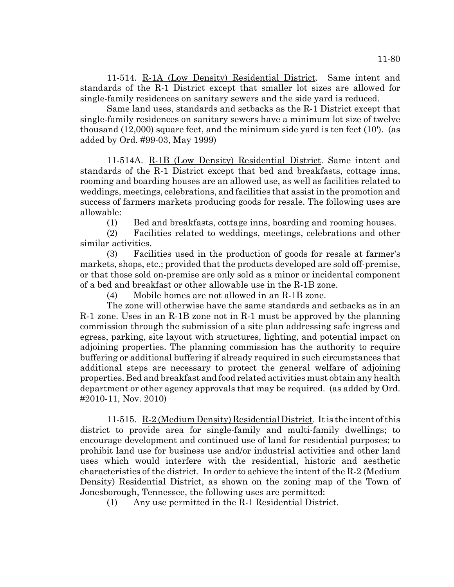11-514. R-1A (Low Density) Residential District. Same intent and standards of the R-1 District except that smaller lot sizes are allowed for single-family residences on sanitary sewers and the side yard is reduced.

Same land uses, standards and setbacks as the R-1 District except that single-family residences on sanitary sewers have a minimum lot size of twelve thousand (12,000) square feet, and the minimum side yard is ten feet (10'). (as added by Ord. #99-03, May 1999)

11-514A. R-1B (Low Density) Residential District. Same intent and standards of the R-1 District except that bed and breakfasts, cottage inns, rooming and boarding houses are an allowed use, as well as facilities related to weddings, meetings, celebrations, and facilities that assist in the promotion and success of farmers markets producing goods for resale. The following uses are allowable:

(1) Bed and breakfasts, cottage inns, boarding and rooming houses.

(2) Facilities related to weddings, meetings, celebrations and other similar activities.

(3) Facilities used in the production of goods for resale at farmer's markets, shops, etc.; provided that the products developed are sold off-premise, or that those sold on-premise are only sold as a minor or incidental component of a bed and breakfast or other allowable use in the R-1B zone.

(4) Mobile homes are not allowed in an R-1B zone.

The zone will otherwise have the same standards and setbacks as in an R-1 zone. Uses in an R-1B zone not in R-1 must be approved by the planning commission through the submission of a site plan addressing safe ingress and egress, parking, site layout with structures, lighting, and potential impact on adjoining properties. The planning commission has the authority to require buffering or additional buffering if already required in such circumstances that additional steps are necessary to protect the general welfare of adjoining properties. Bed and breakfast and food related activities must obtain any health department or other agency approvals that may be required. (as added by Ord. #2010-11, Nov. 2010)

11-515. R-2 (Medium Density) Residential District. It is the intent of this district to provide area for single-family and multi-family dwellings; to encourage development and continued use of land for residential purposes; to prohibit land use for business use and/or industrial activities and other land uses which would interfere with the residential, historic and aesthetic characteristics of the district. In order to achieve the intent of the R-2 (Medium Density) Residential District, as shown on the zoning map of the Town of Jonesborough, Tennessee, the following uses are permitted:

(1) Any use permitted in the R-1 Residential District.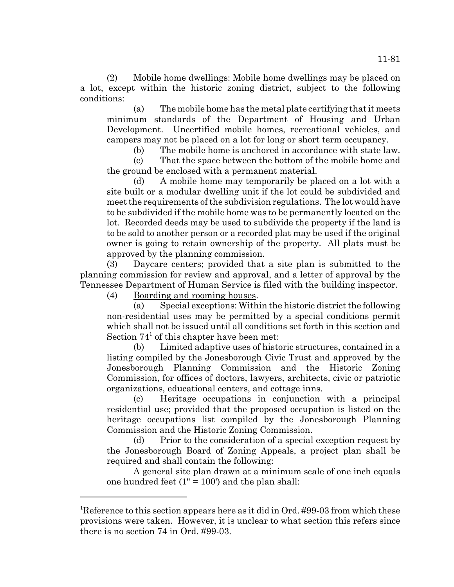(2) Mobile home dwellings: Mobile home dwellings may be placed on a lot, except within the historic zoning district, subject to the following conditions:

(a) The mobile home has the metal plate certifying that it meets minimum standards of the Department of Housing and Urban Development. Uncertified mobile homes, recreational vehicles, and campers may not be placed on a lot for long or short term occupancy.

(b) The mobile home is anchored in accordance with state law.

(c) That the space between the bottom of the mobile home and the ground be enclosed with a permanent material.

(d) A mobile home may temporarily be placed on a lot with a site built or a modular dwelling unit if the lot could be subdivided and meet the requirements of the subdivision regulations. The lot would have to be subdivided if the mobile home was to be permanently located on the lot. Recorded deeds may be used to subdivide the property if the land is to be sold to another person or a recorded plat may be used if the original owner is going to retain ownership of the property. All plats must be approved by the planning commission.

(3) Daycare centers; provided that a site plan is submitted to the planning commission for review and approval, and a letter of approval by the Tennessee Department of Human Service is filed with the building inspector.

(4) Boarding and rooming houses.

(a) Special exceptions: Within the historic district the following non-residential uses may be permitted by a special conditions permit which shall not be issued until all conditions set forth in this section and Section  $74<sup>1</sup>$  of this chapter have been met:

(b) Limited adaptive uses of historic structures, contained in a listing compiled by the Jonesborough Civic Trust and approved by the Jonesborough Planning Commission and the Historic Zoning Commission, for offices of doctors, lawyers, architects, civic or patriotic organizations, educational centers, and cottage inns.

(c) Heritage occupations in conjunction with a principal residential use; provided that the proposed occupation is listed on the heritage occupations list compiled by the Jonesborough Planning Commission and the Historic Zoning Commission.

(d) Prior to the consideration of a special exception request by the Jonesborough Board of Zoning Appeals, a project plan shall be required and shall contain the following:

A general site plan drawn at a minimum scale of one inch equals one hundred feet  $(1" = 100')$  and the plan shall:

<sup>&</sup>lt;sup>1</sup>Reference to this section appears here as it did in Ord. #99-03 from which these provisions were taken. However, it is unclear to what section this refers since there is no section 74 in Ord. #99-03.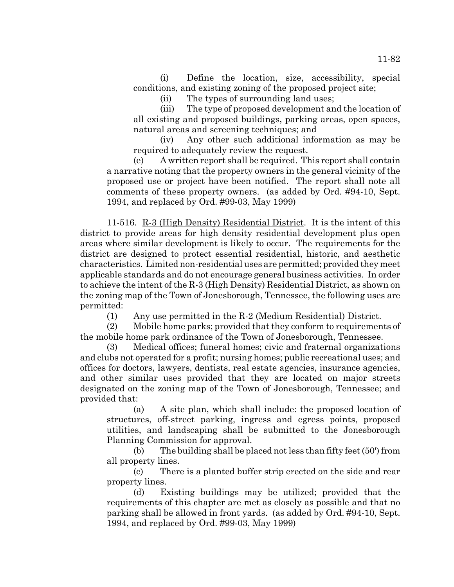(i) Define the location, size, accessibility, special conditions, and existing zoning of the proposed project site;

(ii) The types of surrounding land uses;

(iii) The type of proposed development and the location of all existing and proposed buildings, parking areas, open spaces, natural areas and screening techniques; and

(iv) Any other such additional information as may be required to adequately review the request.

(e) A written report shall be required. This report shall contain a narrative noting that the property owners in the general vicinity of the proposed use or project have been notified. The report shall note all comments of these property owners. (as added by Ord. #94-10, Sept. 1994, and replaced by Ord. #99-03, May 1999)

11-516. R-3 (High Density) Residential District. It is the intent of this district to provide areas for high density residential development plus open areas where similar development is likely to occur. The requirements for the district are designed to protect essential residential, historic, and aesthetic characteristics. Limited non-residential uses are permitted; provided they meet applicable standards and do not encourage general business activities. In order to achieve the intent of the R-3 (High Density) Residential District, as shown on the zoning map of the Town of Jonesborough, Tennessee, the following uses are permitted:

(1) Any use permitted in the R-2 (Medium Residential) District.

(2) Mobile home parks; provided that they conform to requirements of the mobile home park ordinance of the Town of Jonesborough, Tennessee.

(3) Medical offices; funeral homes; civic and fraternal organizations and clubs not operated for a profit; nursing homes; public recreational uses; and offices for doctors, lawyers, dentists, real estate agencies, insurance agencies, and other similar uses provided that they are located on major streets designated on the zoning map of the Town of Jonesborough, Tennessee; and provided that:

(a) A site plan, which shall include: the proposed location of structures, off-street parking, ingress and egress points, proposed utilities, and landscaping shall be submitted to the Jonesborough Planning Commission for approval.

(b) The building shall be placed not less than fifty feet (50') from all property lines.

(c) There is a planted buffer strip erected on the side and rear property lines.

(d) Existing buildings may be utilized; provided that the requirements of this chapter are met as closely as possible and that no parking shall be allowed in front yards. (as added by Ord. #94-10, Sept. 1994, and replaced by Ord. #99-03, May 1999)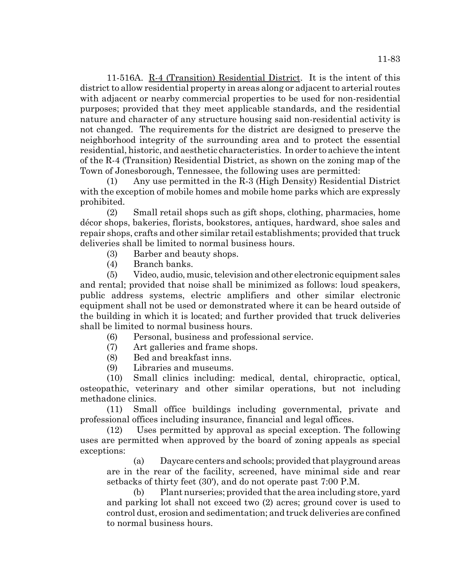11-516A. R-4 (Transition) Residential District. It is the intent of this district to allow residential property in areas along or adjacent to arterial routes with adjacent or nearby commercial properties to be used for non-residential purposes; provided that they meet applicable standards, and the residential nature and character of any structure housing said non-residential activity is not changed. The requirements for the district are designed to preserve the neighborhood integrity of the surrounding area and to protect the essential residential, historic, and aesthetic characteristics. In order to achieve the intent of the R-4 (Transition) Residential District, as shown on the zoning map of the Town of Jonesborough, Tennessee, the following uses are permitted:

(1) Any use permitted in the R-3 (High Density) Residential District with the exception of mobile homes and mobile home parks which are expressly prohibited.

(2) Small retail shops such as gift shops, clothing, pharmacies, home décor shops, bakeries, florists, bookstores, antiques, hardward, shoe sales and repair shops, crafts and other similar retail establishments; provided that truck deliveries shall be limited to normal business hours.

- (3) Barber and beauty shops.
- (4) Branch banks.

(5) Video, audio, music, television and other electronic equipment sales and rental; provided that noise shall be minimized as follows: loud speakers, public address systems, electric amplifiers and other similar electronic equipment shall not be used or demonstrated where it can be heard outside of the building in which it is located; and further provided that truck deliveries shall be limited to normal business hours.

- (6) Personal, business and professional service.
- (7) Art galleries and frame shops.
- (8) Bed and breakfast inns.
- (9) Libraries and museums.

(10) Small clinics including: medical, dental, chiropractic, optical, osteopathic, veterinary and other similar operations, but not including methadone clinics.

(11) Small office buildings including governmental, private and professional offices including insurance, financial and legal offices.

(12) Uses permitted by approval as special exception. The following uses are permitted when approved by the board of zoning appeals as special exceptions:

(a) Daycare centers and schools; provided that playground areas are in the rear of the facility, screened, have minimal side and rear setbacks of thirty feet (30'), and do not operate past 7:00 P.M.

(b) Plant nurseries; provided that the area including store, yard and parking lot shall not exceed two (2) acres; ground cover is used to control dust, erosion and sedimentation; and truck deliveries are confined to normal business hours.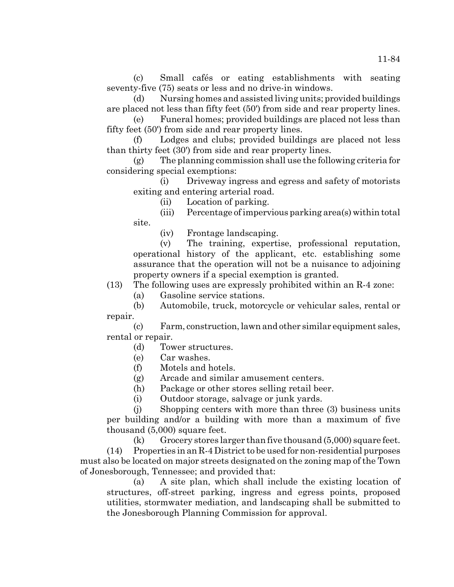(c) Small cafés or eating establishments with seating seventy-five (75) seats or less and no drive-in windows.

(d) Nursing homes and assisted living units; provided buildings are placed not less than fifty feet (50') from side and rear property lines.

(e) Funeral homes; provided buildings are placed not less than fifty feet (50') from side and rear property lines.

(f) Lodges and clubs; provided buildings are placed not less than thirty feet (30') from side and rear property lines.

(g) The planning commission shall use the following criteria for considering special exemptions:

(i) Driveway ingress and egress and safety of motorists exiting and entering arterial road.

(ii) Location of parking.

(iii) Percentage of impervious parking area(s) within total site.

(iv) Frontage landscaping.

(v) The training, expertise, professional reputation, operational history of the applicant, etc. establishing some assurance that the operation will not be a nuisance to adjoining property owners if a special exemption is granted.

(13) The following uses are expressly prohibited within an R-4 zone:

(a) Gasoline service stations.

(b) Automobile, truck, motorcycle or vehicular sales, rental or repair.

(c) Farm, construction, lawn and other similar equipment sales, rental or repair.

(d) Tower structures.

- (e) Car washes.
- (f) Motels and hotels.

(g) Arcade and similar amusement centers.

(h) Package or other stores selling retail beer.

(i) Outdoor storage, salvage or junk yards.

(j) Shopping centers with more than three (3) business units per building and/or a building with more than a maximum of five thousand (5,000) square feet.

 $(k)$  Grocery stores larger than five thousand  $(5,000)$  square feet. (14) Properties in an R-4 District to be used for non-residential purposes must also be located on major streets designated on the zoning map of the Town of Jonesborough, Tennessee; and provided that:

(a) A site plan, which shall include the existing location of structures, off-street parking, ingress and egress points, proposed utilities, stormwater mediation, and landscaping shall be submitted to the Jonesborough Planning Commission for approval.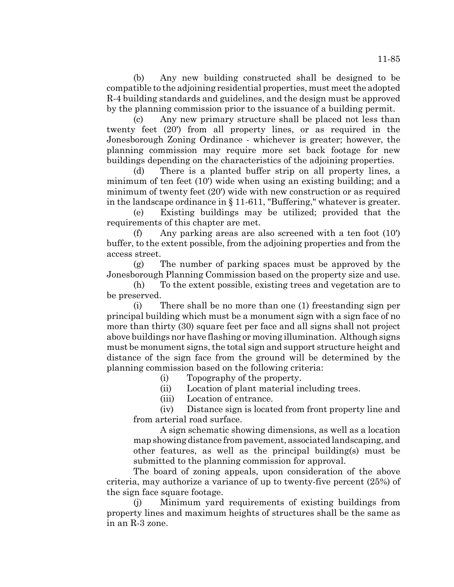(b) Any new building constructed shall be designed to be compatible to the adjoining residential properties, must meet the adopted R-4 building standards and guidelines, and the design must be approved by the planning commission prior to the issuance of a building permit.

(c) Any new primary structure shall be placed not less than twenty feet (20') from all property lines, or as required in the Jonesborough Zoning Ordinance - whichever is greater; however, the planning commission may require more set back footage for new buildings depending on the characteristics of the adjoining properties.

(d) There is a planted buffer strip on all property lines, a minimum of ten feet (10') wide when using an existing building; and a minimum of twenty feet (20') wide with new construction or as required in the landscape ordinance in § 11-611, "Buffering," whatever is greater.

(e) Existing buildings may be utilized; provided that the requirements of this chapter are met.

(f) Any parking areas are also screened with a ten foot (10') buffer, to the extent possible, from the adjoining properties and from the access street.

(g) The number of parking spaces must be approved by the Jonesborough Planning Commission based on the property size and use.

(h) To the extent possible, existing trees and vegetation are to be preserved.

(i) There shall be no more than one (1) freestanding sign per principal building which must be a monument sign with a sign face of no more than thirty (30) square feet per face and all signs shall not project above buildings nor have flashing or moving illumination. Although signs must be monument signs, the total sign and support structure height and distance of the sign face from the ground will be determined by the planning commission based on the following criteria:

(i) Topography of the property.

(ii) Location of plant material including trees.

(iii) Location of entrance.

(iv) Distance sign is located from front property line and from arterial road surface.

A sign schematic showing dimensions, as well as a location map showing distance from pavement, associated landscaping, and other features, as well as the principal building(s) must be submitted to the planning commission for approval.

The board of zoning appeals, upon consideration of the above criteria, may authorize a variance of up to twenty-five percent (25%) of the sign face square footage.

(j) Minimum yard requirements of existing buildings from property lines and maximum heights of structures shall be the same as in an R-3 zone.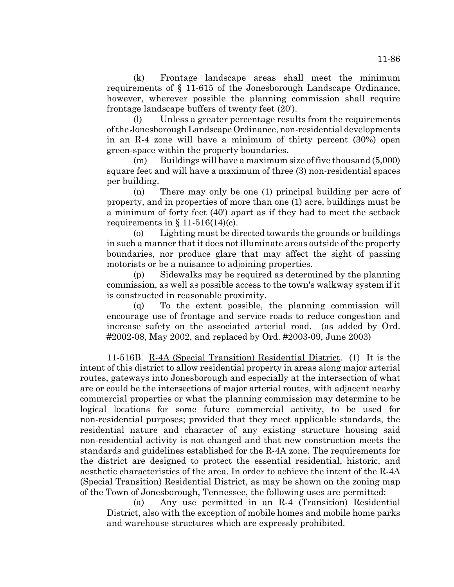(k) Frontage landscape areas shall meet the minimum requirements of § 11-615 of the Jonesborough Landscape Ordinance, however, wherever possible the planning commission shall require frontage landscape buffers of twenty feet (20').

(l) Unless a greater percentage results from the requirements of the Jonesborough Landscape Ordinance, non-residential developments in an R-4 zone will have a minimum of thirty percent (30%) open green-space within the property boundaries.

(m) Buildings will have a maximum size of five thousand (5,000) square feet and will have a maximum of three (3) non-residential spaces per building.

(n) There may only be one (1) principal building per acre of property, and in properties of more than one (1) acre, buildings must be a minimum of forty feet (40') apart as if they had to meet the setback requirements in  $\S 11-516(14)(c)$ .

(o) Lighting must be directed towards the grounds or buildings in such a manner that it does not illuminate areas outside of the property boundaries, nor produce glare that may affect the sight of passing motorists or be a nuisance to adjoining properties.

(p) Sidewalks may be required as determined by the planning commission, as well as possible access to the town's walkway system if it is constructed in reasonable proximity.

(q) To the extent possible, the planning commission will encourage use of frontage and service roads to reduce congestion and increase safety on the associated arterial road. (as added by Ord. #2002-08, May 2002, and replaced by Ord. #2003-09, June 2003)

11-516B. R-4A (Special Transition) Residential District. (1) It is the intent of this district to allow residential property in areas along major arterial routes, gateways into Jonesborough and especially at the intersection of what are or could be the intersections of major arterial routes, with adjacent nearby commercial properties or what the planning commission may determine to be logical locations for some future commercial activity, to be used for non-residential purposes; provided that they meet applicable standards, the residential nature and character of any existing structure housing said non-residential activity is not changed and that new construction meets the standards and guidelines established for the R-4A zone. The requirements for the district are designed to protect the essential residential, historic, and aesthetic characteristics of the area. In order to achieve the intent of the R-4A (Special Transition) Residential District, as may be shown on the zoning map of the Town of Jonesborough, Tennessee, the following uses are permitted:

(a) Any use permitted in an R-4 (Transition) Residential District, also with the exception of mobile homes and mobile home parks and warehouse structures which are expressly prohibited.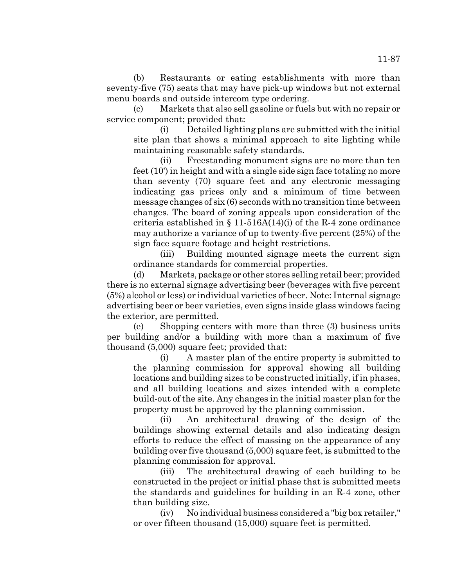(b) Restaurants or eating establishments with more than seventy-five (75) seats that may have pick-up windows but not external menu boards and outside intercom type ordering.

(c) Markets that also sell gasoline or fuels but with no repair or service component; provided that:

(i) Detailed lighting plans are submitted with the initial site plan that shows a minimal approach to site lighting while maintaining reasonable safety standards.

(ii) Freestanding monument signs are no more than ten feet (10') in height and with a single side sign face totaling no more than seventy (70) square feet and any electronic messaging indicating gas prices only and a minimum of time between message changes of six (6) seconds with no transition time between changes. The board of zoning appeals upon consideration of the criteria established in  $\S 11-516A(14)$  (i) of the R-4 zone ordinance may authorize a variance of up to twenty-five percent (25%) of the sign face square footage and height restrictions.

(iii) Building mounted signage meets the current sign ordinance standards for commercial properties.

(d) Markets, package or other stores selling retail beer; provided there is no external signage advertising beer (beverages with five percent (5%) alcohol or less) or individual varieties of beer. Note: Internal signage advertising beer or beer varieties, even signs inside glass windows facing the exterior, are permitted.

(e) Shopping centers with more than three (3) business units per building and/or a building with more than a maximum of five thousand (5,000) square feet; provided that:

(i) A master plan of the entire property is submitted to the planning commission for approval showing all building locations and building sizes to be constructed initially, if in phases, and all building locations and sizes intended with a complete build-out of the site. Any changes in the initial master plan for the property must be approved by the planning commission.

(ii) An architectural drawing of the design of the buildings showing external details and also indicating design efforts to reduce the effect of massing on the appearance of any building over five thousand (5,000) square feet, is submitted to the planning commission for approval.

(iii) The architectural drawing of each building to be constructed in the project or initial phase that is submitted meets the standards and guidelines for building in an R-4 zone, other than building size.

(iv) No individual business considered a "big box retailer," or over fifteen thousand (15,000) square feet is permitted.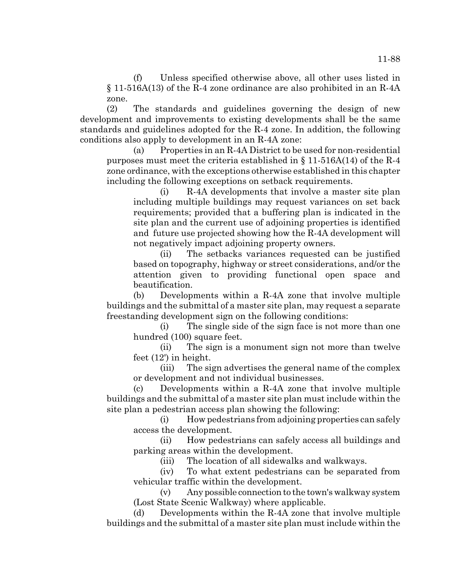(f) Unless specified otherwise above, all other uses listed in § 11-516A(13) of the R-4 zone ordinance are also prohibited in an R-4A zone.

(2) The standards and guidelines governing the design of new development and improvements to existing developments shall be the same standards and guidelines adopted for the R-4 zone. In addition, the following conditions also apply to development in an R-4A zone:

(a) Properties in an R-4A District to be used for non-residential purposes must meet the criteria established in  $\S 11-516A(14)$  of the R-4 zone ordinance, with the exceptions otherwise established in this chapter including the following exceptions on setback requirements.

(i) R-4A developments that involve a master site plan including multiple buildings may request variances on set back requirements; provided that a buffering plan is indicated in the site plan and the current use of adjoining properties is identified and future use projected showing how the R-4A development will not negatively impact adjoining property owners.

(ii) The setbacks variances requested can be justified based on topography, highway or street considerations, and/or the attention given to providing functional open space and beautification.

(b) Developments within a R-4A zone that involve multiple buildings and the submittal of a master site plan, may request a separate freestanding development sign on the following conditions:

(i) The single side of the sign face is not more than one hundred (100) square feet.

(ii) The sign is a monument sign not more than twelve feet (12') in height.

(iii) The sign advertises the general name of the complex or development and not individual businesses.

(c) Developments within a R-4A zone that involve multiple buildings and the submittal of a master site plan must include within the site plan a pedestrian access plan showing the following:

(i) How pedestrians from adjoining properties can safely access the development.

(ii) How pedestrians can safely access all buildings and parking areas within the development.

(iii) The location of all sidewalks and walkways.

(iv) To what extent pedestrians can be separated from vehicular traffic within the development.

(v) Any possible connection to the town's walkway system (Lost State Scenic Walkway) where applicable.

(d) Developments within the R-4A zone that involve multiple buildings and the submittal of a master site plan must include within the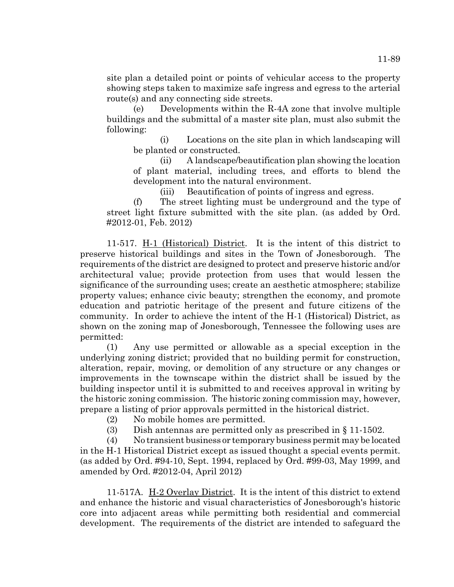site plan a detailed point or points of vehicular access to the property showing steps taken to maximize safe ingress and egress to the arterial route(s) and any connecting side streets.

(e) Developments within the R-4A zone that involve multiple buildings and the submittal of a master site plan, must also submit the following:

(i) Locations on the site plan in which landscaping will be planted or constructed.

(ii) A landscape/beautification plan showing the location of plant material, including trees, and efforts to blend the development into the natural environment.

(iii) Beautification of points of ingress and egress.

(f) The street lighting must be underground and the type of street light fixture submitted with the site plan. (as added by Ord. #2012-01, Feb. 2012)

11-517. H-1 (Historical) District. It is the intent of this district to preserve historical buildings and sites in the Town of Jonesborough. The requirements of the district are designed to protect and preserve historic and/or architectural value; provide protection from uses that would lessen the significance of the surrounding uses; create an aesthetic atmosphere; stabilize property values; enhance civic beauty; strengthen the economy, and promote education and patriotic heritage of the present and future citizens of the community. In order to achieve the intent of the H-1 (Historical) District, as shown on the zoning map of Jonesborough, Tennessee the following uses are permitted:

(1) Any use permitted or allowable as a special exception in the underlying zoning district; provided that no building permit for construction, alteration, repair, moving, or demolition of any structure or any changes or improvements in the townscape within the district shall be issued by the building inspector until it is submitted to and receives approval in writing by the historic zoning commission. The historic zoning commission may, however, prepare a listing of prior approvals permitted in the historical district.

- (2) No mobile homes are permitted.
- (3) Dish antennas are permitted only as prescribed in § 11-1502.

(4) No transient business or temporary business permit may be located in the H-1 Historical District except as issued thought a special events permit. (as added by Ord. #94-10, Sept. 1994, replaced by Ord. #99-03, May 1999, and amended by Ord. #2012-04, April 2012)

11-517A. H-2 Overlay District. It is the intent of this district to extend and enhance the historic and visual characteristics of Jonesborough's historic core into adjacent areas while permitting both residential and commercial development. The requirements of the district are intended to safeguard the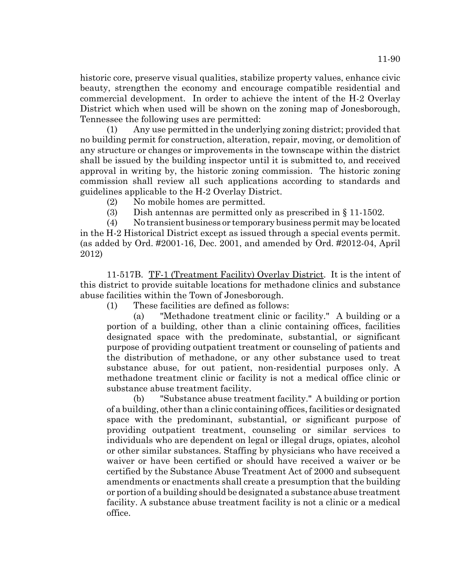historic core, preserve visual qualities, stabilize property values, enhance civic beauty, strengthen the economy and encourage compatible residential and commercial development. In order to achieve the intent of the H-2 Overlay District which when used will be shown on the zoning map of Jonesborough, Tennessee the following uses are permitted:

(1) Any use permitted in the underlying zoning district; provided that no building permit for construction, alteration, repair, moving, or demolition of any structure or changes or improvements in the townscape within the district shall be issued by the building inspector until it is submitted to, and received approval in writing by, the historic zoning commission. The historic zoning commission shall review all such applications according to standards and guidelines applicable to the H-2 Overlay District.

(2) No mobile homes are permitted.

(3) Dish antennas are permitted only as prescribed in § 11-1502.

(4) No transient business or temporary business permit may be located in the H-2 Historical District except as issued through a special events permit. (as added by Ord. #2001-16, Dec. 2001, and amended by Ord. #2012-04, April 2012)

11-517B. TF-1 (Treatment Facility) Overlay District. It is the intent of this district to provide suitable locations for methadone clinics and substance abuse facilities within the Town of Jonesborough.

(1) These facilities are defined as follows:

(a) "Methadone treatment clinic or facility." A building or a portion of a building, other than a clinic containing offices, facilities designated space with the predominate, substantial, or significant purpose of providing outpatient treatment or counseling of patients and the distribution of methadone, or any other substance used to treat substance abuse, for out patient, non-residential purposes only. A methadone treatment clinic or facility is not a medical office clinic or substance abuse treatment facility.

(b) "Substance abuse treatment facility." A building or portion of a building, other than a clinic containing offices, facilities or designated space with the predominant, substantial, or significant purpose of providing outpatient treatment, counseling or similar services to individuals who are dependent on legal or illegal drugs, opiates, alcohol or other similar substances. Staffing by physicians who have received a waiver or have been certified or should have received a waiver or be certified by the Substance Abuse Treatment Act of 2000 and subsequent amendments or enactments shall create a presumption that the building or portion of a building should be designated a substance abuse treatment facility. A substance abuse treatment facility is not a clinic or a medical office.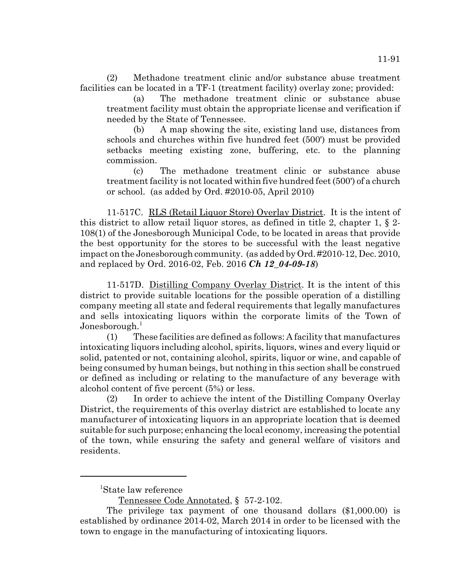(2) Methadone treatment clinic and/or substance abuse treatment facilities can be located in a TF-1 (treatment facility) overlay zone; provided:

(a) The methadone treatment clinic or substance abuse treatment facility must obtain the appropriate license and verification if needed by the State of Tennessee.

(b) A map showing the site, existing land use, distances from schools and churches within five hundred feet (500') must be provided setbacks meeting existing zone, buffering, etc. to the planning commission.

(c) The methadone treatment clinic or substance abuse treatment facility is not located within five hundred feet (500') of a church or school. (as added by Ord. #2010-05, April 2010)

11-517C. RLS (Retail Liquor Store) Overlay District. It is the intent of this district to allow retail liquor stores, as defined in title 2, chapter 1, § 2- 108(1) of the Jonesborough Municipal Code, to be located in areas that provide the best opportunity for the stores to be successful with the least negative impact on the Jonesborough community. (as added by Ord. #2010-12, Dec. 2010, and replaced by Ord. 2016-02, Feb. 2016 *Ch 12\_04-09-18*)

11-517D. Distilling Company Overlay District. It is the intent of this district to provide suitable locations for the possible operation of a distilling company meeting all state and federal requirements that legally manufactures and sells intoxicating liquors within the corporate limits of the Town of Jonesborough. $^1$ 

(1) These facilities are defined as follows: A facility that manufactures intoxicating liquors including alcohol, spirits, liquors, wines and every liquid or solid, patented or not, containing alcohol, spirits, liquor or wine, and capable of being consumed by human beings, but nothing in this section shall be construed or defined as including or relating to the manufacture of any beverage with alcohol content of five percent (5%) or less.

(2) In order to achieve the intent of the Distilling Company Overlay District, the requirements of this overlay district are established to locate any manufacturer of intoxicating liquors in an appropriate location that is deemed suitable for such purpose; enhancing the local economy, increasing the potential of the town, while ensuring the safety and general welfare of visitors and residents.

<sup>1</sup> State law reference

Tennessee Code Annotated, § 57-2-102.

The privilege tax payment of one thousand dollars (\$1,000.00) is established by ordinance 2014-02, March 2014 in order to be licensed with the town to engage in the manufacturing of intoxicating liquors.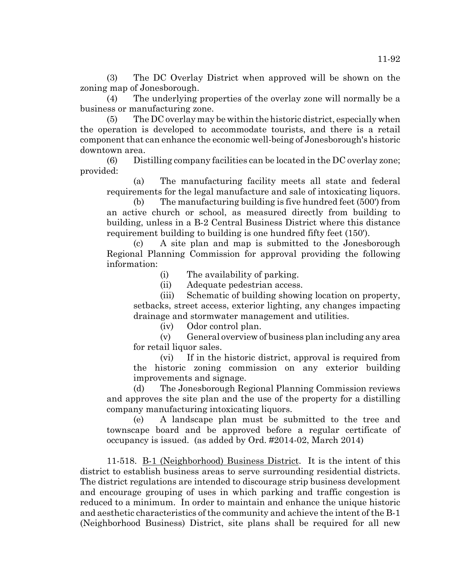(3) The DC Overlay District when approved will be shown on the zoning map of Jonesborough.

(4) The underlying properties of the overlay zone will normally be a business or manufacturing zone.

(5) The DC overlay may be within the historic district, especially when the operation is developed to accommodate tourists, and there is a retail component that can enhance the economic well-being of Jonesborough's historic downtown area.

(6) Distilling company facilities can be located in the DC overlay zone; provided:

(a) The manufacturing facility meets all state and federal requirements for the legal manufacture and sale of intoxicating liquors.

(b) The manufacturing building is five hundred feet (500') from an active church or school, as measured directly from building to building, unless in a B-2 Central Business District where this distance requirement building to building is one hundred fifty feet (150').

(c) A site plan and map is submitted to the Jonesborough Regional Planning Commission for approval providing the following information:

(i) The availability of parking.

(ii) Adequate pedestrian access.

(iii) Schematic of building showing location on property, setbacks, street access, exterior lighting, any changes impacting drainage and stormwater management and utilities.

(iv) Odor control plan.

(v) General overview of business plan including any area for retail liquor sales.

(vi) If in the historic district, approval is required from the historic zoning commission on any exterior building improvements and signage.

(d) The Jonesborough Regional Planning Commission reviews and approves the site plan and the use of the property for a distilling company manufacturing intoxicating liquors.

(e) A landscape plan must be submitted to the tree and townscape board and be approved before a regular certificate of occupancy is issued. (as added by Ord. #2014-02, March 2014)

11-518. B-1 (Neighborhood) Business District. It is the intent of this district to establish business areas to serve surrounding residential districts. The district regulations are intended to discourage strip business development and encourage grouping of uses in which parking and traffic congestion is reduced to a minimum. In order to maintain and enhance the unique historic and aesthetic characteristics of the community and achieve the intent of the B-1 (Neighborhood Business) District, site plans shall be required for all new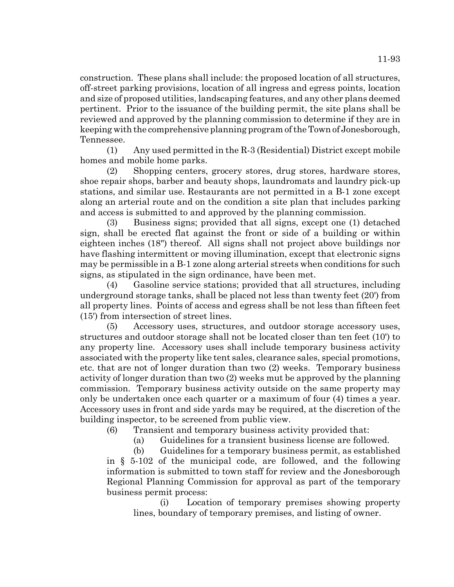construction. These plans shall include: the proposed location of all structures, off-street parking provisions, location of all ingress and egress points, location and size of proposed utilities, landscaping features, and any other plans deemed pertinent. Prior to the issuance of the building permit, the site plans shall be reviewed and approved by the planning commission to determine if they are in keeping with the comprehensive planning program of the Town of Jonesborough, Tennessee.

(1) Any used permitted in the R-3 (Residential) District except mobile homes and mobile home parks.

(2) Shopping centers, grocery stores, drug stores, hardware stores, shoe repair shops, barber and beauty shops, laundromats and laundry pick-up stations, and similar use. Restaurants are not permitted in a B-1 zone except along an arterial route and on the condition a site plan that includes parking and access is submitted to and approved by the planning commission.

(3) Business signs; provided that all signs, except one (1) detached sign, shall be erected flat against the front or side of a building or within eighteen inches (18") thereof. All signs shall not project above buildings nor have flashing intermittent or moving illumination, except that electronic signs may be permissible in a B-1 zone along arterial streets when conditions for such signs, as stipulated in the sign ordinance, have been met.

(4) Gasoline service stations; provided that all structures, including underground storage tanks, shall be placed not less than twenty feet (20') from all property lines. Points of access and egress shall be not less than fifteen feet (15') from intersection of street lines.

(5) Accessory uses, structures, and outdoor storage accessory uses, structures and outdoor storage shall not be located closer than ten feet (10') to any property line. Accessory uses shall include temporary business activity associated with the property like tent sales, clearance sales, special promotions, etc. that are not of longer duration than two (2) weeks. Temporary business activity of longer duration than two (2) weeks mut be approved by the planning commission. Temporary business activity outside on the same property may only be undertaken once each quarter or a maximum of four (4) times a year. Accessory uses in front and side yards may be required, at the discretion of the building inspector, to be screened from public view.

(6) Transient and temporary business activity provided that:

(a) Guidelines for a transient business license are followed.

(b) Guidelines for a temporary business permit, as established in § 5-102 of the municipal code, are followed, and the following information is submitted to town staff for review and the Jonesborough Regional Planning Commission for approval as part of the temporary business permit process:

(i) Location of temporary premises showing property lines, boundary of temporary premises, and listing of owner.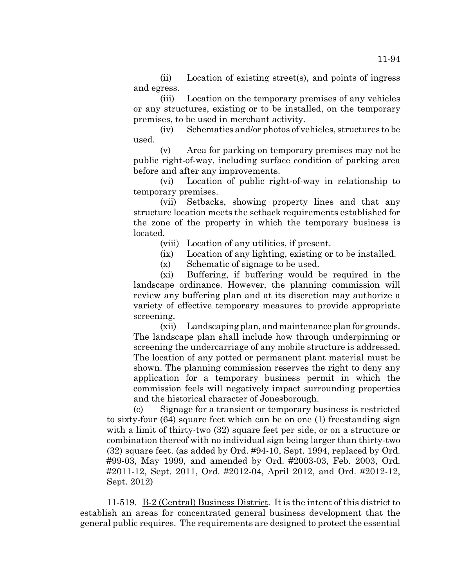(ii) Location of existing street(s), and points of ingress and egress.

(iii) Location on the temporary premises of any vehicles or any structures, existing or to be installed, on the temporary premises, to be used in merchant activity.

(iv) Schematics and/or photos of vehicles, structures to be used.

(v) Area for parking on temporary premises may not be public right-of-way, including surface condition of parking area before and after any improvements.

(vi) Location of public right-of-way in relationship to temporary premises.

(vii) Setbacks, showing property lines and that any structure location meets the setback requirements established for the zone of the property in which the temporary business is located.

(viii) Location of any utilities, if present.

(ix) Location of any lighting, existing or to be installed.

(x) Schematic of signage to be used.

(xi) Buffering, if buffering would be required in the landscape ordinance. However, the planning commission will review any buffering plan and at its discretion may authorize a variety of effective temporary measures to provide appropriate screening.

(xii) Landscaping plan, and maintenance plan for grounds. The landscape plan shall include how through underpinning or screening the undercarriage of any mobile structure is addressed. The location of any potted or permanent plant material must be shown. The planning commission reserves the right to deny any application for a temporary business permit in which the commission feels will negatively impact surrounding properties and the historical character of Jonesborough.

(c) Signage for a transient or temporary business is restricted to sixty-four (64) square feet which can be on one (1) freestanding sign with a limit of thirty-two (32) square feet per side, or on a structure or combination thereof with no individual sign being larger than thirty-two (32) square feet. (as added by Ord. #94-10, Sept. 1994, replaced by Ord. #99-03, May 1999, and amended by Ord. #2003-03, Feb. 2003, Ord. #2011-12, Sept. 2011, Ord. #2012-04, April 2012, and Ord. #2012-12, Sept. 2012)

11-519. B-2 (Central) Business District. It is the intent of this district to establish an areas for concentrated general business development that the general public requires. The requirements are designed to protect the essential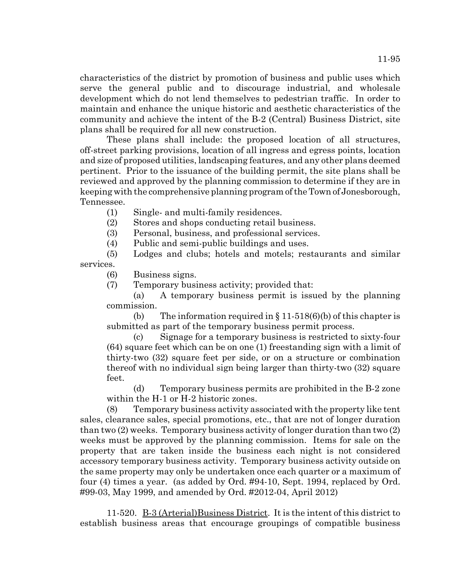characteristics of the district by promotion of business and public uses which serve the general public and to discourage industrial, and wholesale development which do not lend themselves to pedestrian traffic. In order to maintain and enhance the unique historic and aesthetic characteristics of the community and achieve the intent of the B-2 (Central) Business District, site plans shall be required for all new construction.

These plans shall include: the proposed location of all structures, off-street parking provisions, location of all ingress and egress points, location and size of proposed utilities, landscaping features, and any other plans deemed pertinent. Prior to the issuance of the building permit, the site plans shall be reviewed and approved by the planning commission to determine if they are in keeping with the comprehensive planning program of the Town of Jonesborough, Tennessee.

(1) Single- and multi-family residences.

(2) Stores and shops conducting retail business.

(3) Personal, business, and professional services.

(4) Public and semi-public buildings and uses.

(5) Lodges and clubs; hotels and motels; restaurants and similar services.

(6) Business signs.

(7) Temporary business activity; provided that:

(a) A temporary business permit is issued by the planning commission.

(b) The information required in  $\S 11-518(6)$  (b) of this chapter is submitted as part of the temporary business permit process.

(c) Signage for a temporary business is restricted to sixty-four (64) square feet which can be on one (1) freestanding sign with a limit of thirty-two (32) square feet per side, or on a structure or combination thereof with no individual sign being larger than thirty-two (32) square feet.

(d) Temporary business permits are prohibited in the B-2 zone within the H-1 or H-2 historic zones.

(8) Temporary business activity associated with the property like tent sales, clearance sales, special promotions, etc., that are not of longer duration than two (2) weeks. Temporary business activity of longer duration than two (2) weeks must be approved by the planning commission. Items for sale on the property that are taken inside the business each night is not considered accessory temporary business activity. Temporary business activity outside on the same property may only be undertaken once each quarter or a maximum of four (4) times a year. (as added by Ord. #94-10, Sept. 1994, replaced by Ord. #99-03, May 1999, and amended by Ord. #2012-04, April 2012)

11-520. B-3 (Arterial)Business District. It is the intent of this district to establish business areas that encourage groupings of compatible business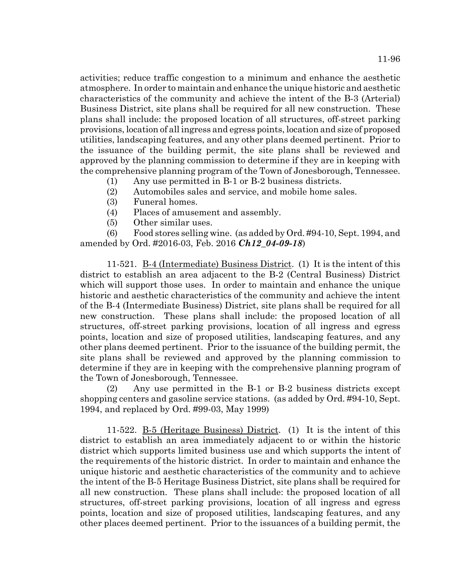activities; reduce traffic congestion to a minimum and enhance the aesthetic atmosphere. In order to maintain and enhance the unique historic and aesthetic characteristics of the community and achieve the intent of the B-3 (Arterial) Business District, site plans shall be required for all new construction. These plans shall include: the proposed location of all structures, off-street parking provisions, location of all ingress and egress points, location and size of proposed utilities, landscaping features, and any other plans deemed pertinent. Prior to the issuance of the building permit, the site plans shall be reviewed and approved by the planning commission to determine if they are in keeping with the comprehensive planning program of the Town of Jonesborough, Tennessee.

- (1) Any use permitted in B-1 or B-2 business districts.
- (2) Automobiles sales and service, and mobile home sales.
- (3) Funeral homes.
- (4) Places of amusement and assembly.
- (5) Other similar uses.

(6) Food stores selling wine. (as added by Ord. #94-10, Sept. 1994, and amended by Ord. #2016-03, Feb. 2016 *Ch12\_04-09-18*)

11-521. <u>B-4 (Intermediate) Business District</u>. (1) It is the intent of this district to establish an area adjacent to the B-2 (Central Business) District which will support those uses. In order to maintain and enhance the unique historic and aesthetic characteristics of the community and achieve the intent of the B-4 (Intermediate Business) District, site plans shall be required for all new construction. These plans shall include: the proposed location of all structures, off-street parking provisions, location of all ingress and egress points, location and size of proposed utilities, landscaping features, and any other plans deemed pertinent. Prior to the issuance of the building permit, the site plans shall be reviewed and approved by the planning commission to determine if they are in keeping with the comprehensive planning program of the Town of Jonesborough, Tennessee.

(2) Any use permitted in the B-1 or B-2 business districts except shopping centers and gasoline service stations. (as added by Ord. #94-10, Sept. 1994, and replaced by Ord. #99-03, May 1999)

11-522. B-5 (Heritage Business) District. (1) It is the intent of this district to establish an area immediately adjacent to or within the historic district which supports limited business use and which supports the intent of the requirements of the historic district. In order to maintain and enhance the unique historic and aesthetic characteristics of the community and to achieve the intent of the B-5 Heritage Business District, site plans shall be required for all new construction. These plans shall include: the proposed location of all structures, off-street parking provisions, location of all ingress and egress points, location and size of proposed utilities, landscaping features, and any other places deemed pertinent. Prior to the issuances of a building permit, the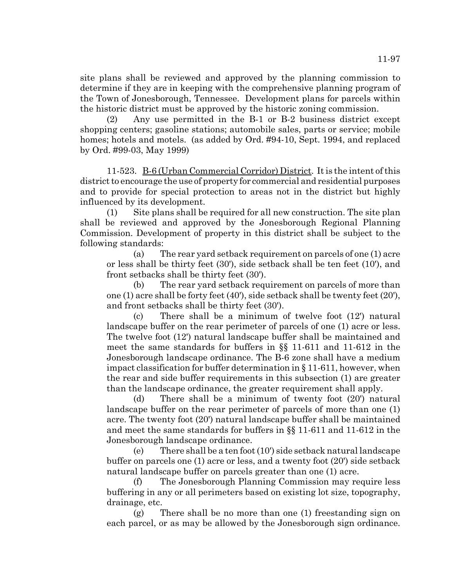site plans shall be reviewed and approved by the planning commission to determine if they are in keeping with the comprehensive planning program of the Town of Jonesborough, Tennessee. Development plans for parcels within the historic district must be approved by the historic zoning commission.

(2) Any use permitted in the B-1 or B-2 business district except shopping centers; gasoline stations; automobile sales, parts or service; mobile homes; hotels and motels. (as added by Ord. #94-10, Sept. 1994, and replaced by Ord. #99-03, May 1999)

11-523. B-6 (Urban Commercial Corridor) District. It is the intent of this district to encourage the use of property for commercial and residential purposes and to provide for special protection to areas not in the district but highly influenced by its development.

(1) Site plans shall be required for all new construction. The site plan shall be reviewed and approved by the Jonesborough Regional Planning Commission. Development of property in this district shall be subject to the following standards:

(a) The rear yard setback requirement on parcels of one (1) acre or less shall be thirty feet (30'), side setback shall be ten feet (10'), and front setbacks shall be thirty feet (30').

(b) The rear yard setback requirement on parcels of more than one (1) acre shall be forty feet (40'), side setback shall be twenty feet (20'), and front setbacks shall be thirty feet (30').

(c) There shall be a minimum of twelve foot (12') natural landscape buffer on the rear perimeter of parcels of one (1) acre or less. The twelve foot (12') natural landscape buffer shall be maintained and meet the same standards for buffers in §§ 11-611 and 11-612 in the Jonesborough landscape ordinance. The B-6 zone shall have a medium impact classification for buffer determination in § 11-611, however, when the rear and side buffer requirements in this subsection (1) are greater than the landscape ordinance, the greater requirement shall apply.

(d) There shall be a minimum of twenty foot (20') natural landscape buffer on the rear perimeter of parcels of more than one (1) acre. The twenty foot (20') natural landscape buffer shall be maintained and meet the same standards for buffers in §§ 11-611 and 11-612 in the Jonesborough landscape ordinance.

(e) There shall be a ten foot (10') side setback natural landscape buffer on parcels one (1) acre or less, and a twenty foot (20') side setback natural landscape buffer on parcels greater than one (1) acre.

(f) The Jonesborough Planning Commission may require less buffering in any or all perimeters based on existing lot size, topography, drainage, etc.

(g) There shall be no more than one (1) freestanding sign on each parcel, or as may be allowed by the Jonesborough sign ordinance.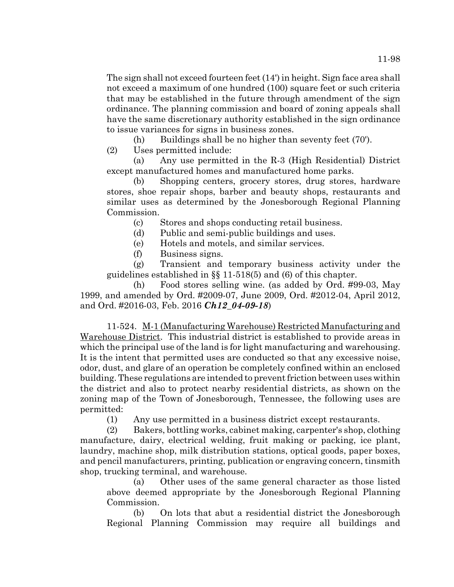The sign shall not exceed fourteen feet (14') in height. Sign face area shall not exceed a maximum of one hundred (100) square feet or such criteria that may be established in the future through amendment of the sign ordinance. The planning commission and board of zoning appeals shall have the same discretionary authority established in the sign ordinance to issue variances for signs in business zones.

(h) Buildings shall be no higher than seventy feet (70').

(2) Uses permitted include:

(a) Any use permitted in the R-3 (High Residential) District except manufactured homes and manufactured home parks.

(b) Shopping centers, grocery stores, drug stores, hardware stores, shoe repair shops, barber and beauty shops, restaurants and similar uses as determined by the Jonesborough Regional Planning Commission.

(c) Stores and shops conducting retail business.

(d) Public and semi-public buildings and uses.

(e) Hotels and motels, and similar services.

(f) Business signs.

(g) Transient and temporary business activity under the guidelines established in §§ 11-518(5) and (6) of this chapter.

(h) Food stores selling wine. (as added by Ord. #99-03, May 1999, and amended by Ord. #2009-07, June 2009, Ord. #2012-04, April 2012, and Ord. #2016-03, Feb. 2016 *Ch12\_04-09-18*)

11-524. M-1 (Manufacturing Warehouse) Restricted Manufacturing and Warehouse District. This industrial district is established to provide areas in which the principal use of the land is for light manufacturing and warehousing. It is the intent that permitted uses are conducted so that any excessive noise, odor, dust, and glare of an operation be completely confined within an enclosed building. These regulations are intended to prevent friction between uses within the district and also to protect nearby residential districts, as shown on the zoning map of the Town of Jonesborough, Tennessee, the following uses are permitted:

(1) Any use permitted in a business district except restaurants.

(2) Bakers, bottling works, cabinet making, carpenter's shop, clothing manufacture, dairy, electrical welding, fruit making or packing, ice plant, laundry, machine shop, milk distribution stations, optical goods, paper boxes, and pencil manufacturers, printing, publication or engraving concern, tinsmith shop, trucking terminal, and warehouse.

(a) Other uses of the same general character as those listed above deemed appropriate by the Jonesborough Regional Planning Commission.

(b) On lots that abut a residential district the Jonesborough Regional Planning Commission may require all buildings and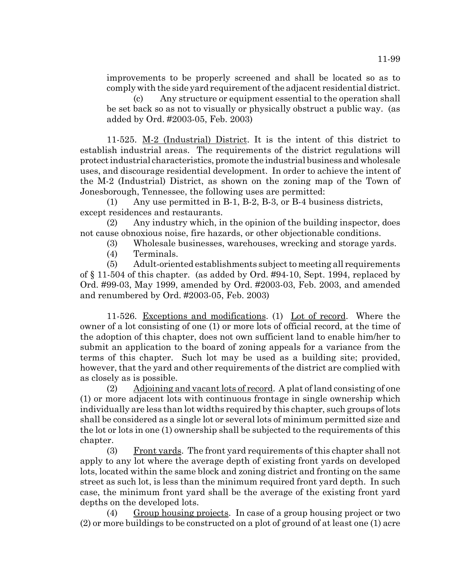improvements to be properly screened and shall be located so as to comply with the side yard requirement of the adjacent residential district.

(c) Any structure or equipment essential to the operation shall be set back so as not to visually or physically obstruct a public way. (as added by Ord. #2003-05, Feb. 2003)

11-525. M-2 (Industrial) District. It is the intent of this district to establish industrial areas. The requirements of the district regulations will protect industrial characteristics, promote the industrial business and wholesale uses, and discourage residential development. In order to achieve the intent of the M-2 (Industrial) District, as shown on the zoning map of the Town of Jonesborough, Tennessee, the following uses are permitted:

(1) Any use permitted in B-1, B-2, B-3, or B-4 business districts, except residences and restaurants.

(2) Any industry which, in the opinion of the building inspector, does not cause obnoxious noise, fire hazards, or other objectionable conditions.

- (3) Wholesale businesses, warehouses, wrecking and storage yards.
- (4) Terminals.

(5) Adult-oriented establishments subject to meeting all requirements of § 11-504 of this chapter. (as added by Ord. #94-10, Sept. 1994, replaced by Ord. #99-03, May 1999, amended by Ord. #2003-03, Feb. 2003, and amended and renumbered by Ord. #2003-05, Feb. 2003)

11-526. Exceptions and modifications. (1) Lot of record. Where the owner of a lot consisting of one (1) or more lots of official record, at the time of the adoption of this chapter, does not own sufficient land to enable him/her to submit an application to the board of zoning appeals for a variance from the terms of this chapter. Such lot may be used as a building site; provided, however, that the yard and other requirements of the district are complied with as closely as is possible.

(2) Adjoining and vacant lots of record. A plat of land consisting of one (1) or more adjacent lots with continuous frontage in single ownership which individually are less than lot widths required by this chapter, such groups of lots shall be considered as a single lot or several lots of minimum permitted size and the lot or lots in one (1) ownership shall be subjected to the requirements of this chapter.

(3) Front yards. The front yard requirements of this chapter shall not apply to any lot where the average depth of existing front yards on developed lots, located within the same block and zoning district and fronting on the same street as such lot, is less than the minimum required front yard depth. In such case, the minimum front yard shall be the average of the existing front yard depths on the developed lots.

(4) Group housing projects. In case of a group housing project or two (2) or more buildings to be constructed on a plot of ground of at least one (1) acre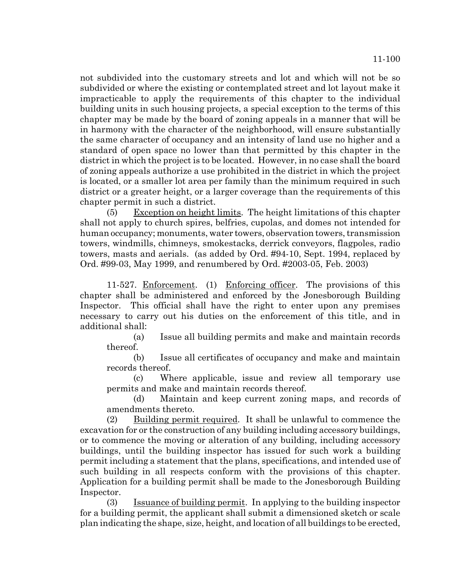not subdivided into the customary streets and lot and which will not be so subdivided or where the existing or contemplated street and lot layout make it impracticable to apply the requirements of this chapter to the individual building units in such housing projects, a special exception to the terms of this chapter may be made by the board of zoning appeals in a manner that will be in harmony with the character of the neighborhood, will ensure substantially the same character of occupancy and an intensity of land use no higher and a standard of open space no lower than that permitted by this chapter in the district in which the project is to be located. However, in no case shall the board of zoning appeals authorize a use prohibited in the district in which the project is located, or a smaller lot area per family than the minimum required in such district or a greater height, or a larger coverage than the requirements of this chapter permit in such a district.

(5) Exception on height limits. The height limitations of this chapter shall not apply to church spires, belfries, cupolas, and domes not intended for human occupancy; monuments, water towers, observation towers, transmission towers, windmills, chimneys, smokestacks, derrick conveyors, flagpoles, radio towers, masts and aerials. (as added by Ord. #94-10, Sept. 1994, replaced by Ord. #99-03, May 1999, and renumbered by Ord. #2003-05, Feb. 2003)

11-527. Enforcement. (1) Enforcing officer. The provisions of this chapter shall be administered and enforced by the Jonesborough Building Inspector. This official shall have the right to enter upon any premises necessary to carry out his duties on the enforcement of this title, and in additional shall:

(a) Issue all building permits and make and maintain records thereof.

(b) Issue all certificates of occupancy and make and maintain records thereof.

(c) Where applicable, issue and review all temporary use permits and make and maintain records thereof.

(d) Maintain and keep current zoning maps, and records of amendments thereto.

(2) Building permit required. It shall be unlawful to commence the excavation for or the construction of any building including accessory buildings, or to commence the moving or alteration of any building, including accessory buildings, until the building inspector has issued for such work a building permit including a statement that the plans, specifications, and intended use of such building in all respects conform with the provisions of this chapter. Application for a building permit shall be made to the Jonesborough Building Inspector.

(3) Issuance of building permit. In applying to the building inspector for a building permit, the applicant shall submit a dimensioned sketch or scale plan indicating the shape, size, height, and location of all buildings to be erected,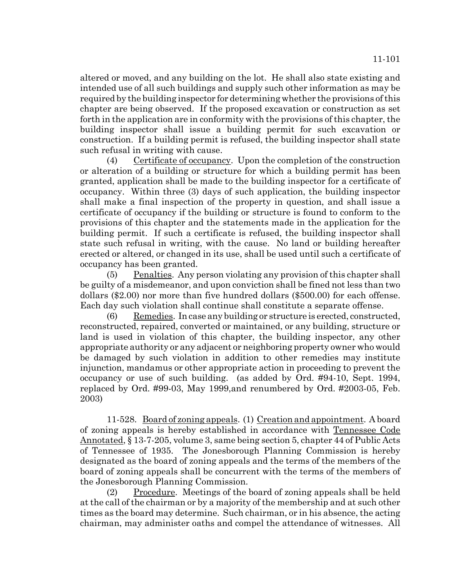altered or moved, and any building on the lot. He shall also state existing and intended use of all such buildings and supply such other information as may be required by the building inspector for determining whether the provisions of this chapter are being observed. If the proposed excavation or construction as set forth in the application are in conformity with the provisions of this chapter, the building inspector shall issue a building permit for such excavation or construction. If a building permit is refused, the building inspector shall state such refusal in writing with cause.

(4) Certificate of occupancy. Upon the completion of the construction or alteration of a building or structure for which a building permit has been granted, application shall be made to the building inspector for a certificate of occupancy. Within three (3) days of such application, the building inspector shall make a final inspection of the property in question, and shall issue a certificate of occupancy if the building or structure is found to conform to the provisions of this chapter and the statements made in the application for the building permit. If such a certificate is refused, the building inspector shall state such refusal in writing, with the cause. No land or building hereafter erected or altered, or changed in its use, shall be used until such a certificate of occupancy has been granted.

(5) Penalties. Any person violating any provision of this chapter shall be guilty of a misdemeanor, and upon conviction shall be fined not less than two dollars (\$2.00) nor more than five hundred dollars (\$500.00) for each offense. Each day such violation shall continue shall constitute a separate offense.

 $(6)$  Remedies. In case any building or structure is erected, constructed, reconstructed, repaired, converted or maintained, or any building, structure or land is used in violation of this chapter, the building inspector, any other appropriate authority or any adjacent or neighboring property owner who would be damaged by such violation in addition to other remedies may institute injunction, mandamus or other appropriate action in proceeding to prevent the occupancy or use of such building. (as added by Ord. #94-10, Sept. 1994, replaced by Ord. #99-03, May 1999,and renumbered by Ord. #2003-05, Feb. 2003)

11-528. Board of zoning appeals. (1) Creation and appointment. A board of zoning appeals is hereby established in accordance with Tennessee Code Annotated, § 13-7-205, volume 3, same being section 5, chapter 44 of Public Acts of Tennessee of 1935. The Jonesborough Planning Commission is hereby designated as the board of zoning appeals and the terms of the members of the board of zoning appeals shall be concurrent with the terms of the members of the Jonesborough Planning Commission.

(2) Procedure. Meetings of the board of zoning appeals shall be held at the call of the chairman or by a majority of the membership and at such other times as the board may determine. Such chairman, or in his absence, the acting chairman, may administer oaths and compel the attendance of witnesses. All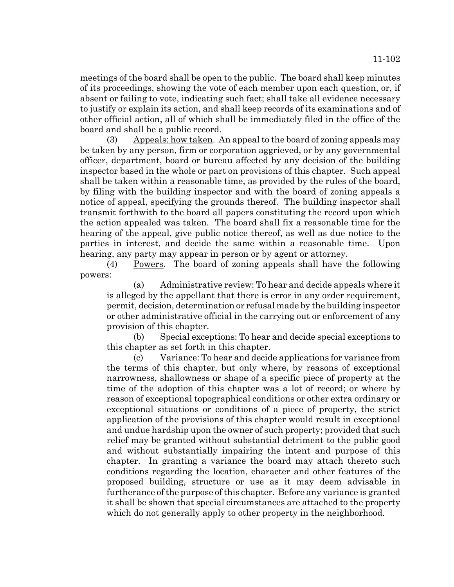meetings of the board shall be open to the public. The board shall keep minutes of its proceedings, showing the vote of each member upon each question, or, if absent or failing to vote, indicating such fact; shall take all evidence necessary to justify or explain its action, and shall keep records of its examinations and of other official action, all of which shall be immediately filed in the office of the board and shall be a public record.

(3) Appeals: how taken. An appeal to the board of zoning appeals may be taken by any person, firm or corporation aggrieved, or by any governmental officer, department, board or bureau affected by any decision of the building inspector based in the whole or part on provisions of this chapter. Such appeal shall be taken within a reasonable time, as provided by the rules of the board, by filing with the building inspector and with the board of zoning appeals a notice of appeal, specifying the grounds thereof. The building inspector shall transmit forthwith to the board all papers constituting the record upon which the action appealed was taken. The board shall fix a reasonable time for the hearing of the appeal, give public notice thereof, as well as due notice to the parties in interest, and decide the same within a reasonable time. Upon hearing, any party may appear in person or by agent or attorney.

(4) Powers. The board of zoning appeals shall have the following powers:

(a) Administrative review: To hear and decide appeals where it is alleged by the appellant that there is error in any order requirement, permit, decision, determination or refusal made by the building inspector or other administrative official in the carrying out or enforcement of any provision of this chapter.

(b) Special exceptions: To hear and decide special exceptions to this chapter as set forth in this chapter.

(c) Variance: To hear and decide applications for variance from the terms of this chapter, but only where, by reasons of exceptional narrowness, shallowness or shape of a specific piece of property at the time of the adoption of this chapter was a lot of record; or where by reason of exceptional topographical conditions or other extra ordinary or exceptional situations or conditions of a piece of property, the strict application of the provisions of this chapter would result in exceptional and undue hardship upon the owner of such property; provided that such relief may be granted without substantial detriment to the public good and without substantially impairing the intent and purpose of this chapter. In granting a variance the board may attach thereto such conditions regarding the location, character and other features of the proposed building, structure or use as it may deem advisable in furtherance of the purpose of this chapter. Before any variance is granted it shall be shown that special circumstances are attached to the property which do not generally apply to other property in the neighborhood.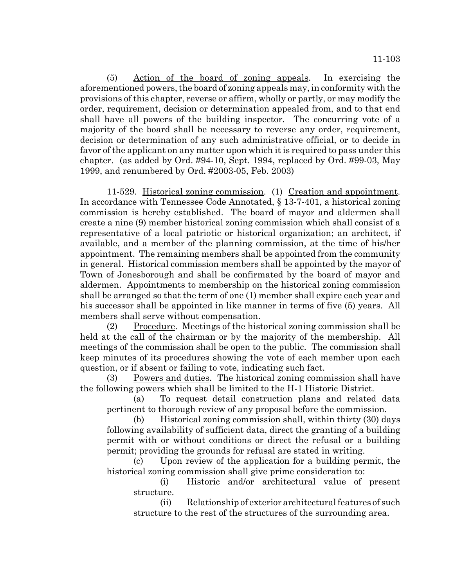11-103

(5) Action of the board of zoning appeals. In exercising the aforementioned powers, the board of zoning appeals may, in conformity with the provisions of this chapter, reverse or affirm, wholly or partly, or may modify the order, requirement, decision or determination appealed from, and to that end shall have all powers of the building inspector. The concurring vote of a majority of the board shall be necessary to reverse any order, requirement, decision or determination of any such administrative official, or to decide in favor of the applicant on any matter upon which it is required to pass under this chapter. (as added by Ord. #94-10, Sept. 1994, replaced by Ord. #99-03, May 1999, and renumbered by Ord. #2003-05, Feb. 2003)

11-529. Historical zoning commission. (1) Creation and appointment. In accordance with Tennessee Code Annotated, § 13-7-401, a historical zoning commission is hereby established. The board of mayor and aldermen shall create a nine (9) member historical zoning commission which shall consist of a representative of a local patriotic or historical organization; an architect, if available, and a member of the planning commission, at the time of his/her appointment. The remaining members shall be appointed from the community in general. Historical commission members shall be appointed by the mayor of Town of Jonesborough and shall be confirmated by the board of mayor and aldermen. Appointments to membership on the historical zoning commission shall be arranged so that the term of one (1) member shall expire each year and his successor shall be appointed in like manner in terms of five (5) years. All members shall serve without compensation.

(2) Procedure. Meetings of the historical zoning commission shall be held at the call of the chairman or by the majority of the membership. All meetings of the commission shall be open to the public. The commission shall keep minutes of its procedures showing the vote of each member upon each question, or if absent or failing to vote, indicating such fact.

(3) Powers and duties. The historical zoning commission shall have the following powers which shall be limited to the H-1 Historic District.

(a) To request detail construction plans and related data pertinent to thorough review of any proposal before the commission.

(b) Historical zoning commission shall, within thirty (30) days following availability of sufficient data, direct the granting of a building permit with or without conditions or direct the refusal or a building permit; providing the grounds for refusal are stated in writing.

(c) Upon review of the application for a building permit, the historical zoning commission shall give prime consideration to:

(i) Historic and/or architectural value of present structure.

(ii) Relationship of exterior architectural features of such structure to the rest of the structures of the surrounding area.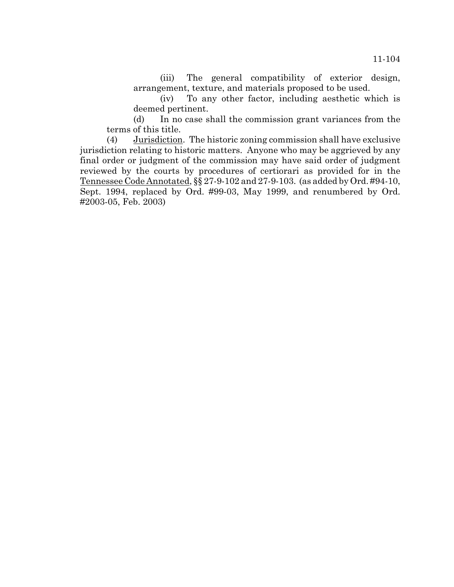(iii) The general compatibility of exterior design, arrangement, texture, and materials proposed to be used.

(iv) To any other factor, including aesthetic which is deemed pertinent.

(d) In no case shall the commission grant variances from the terms of this title.

(4) Jurisdiction. The historic zoning commission shall have exclusive jurisdiction relating to historic matters. Anyone who may be aggrieved by any final order or judgment of the commission may have said order of judgment reviewed by the courts by procedures of certiorari as provided for in the Tennessee Code Annotated, §§ 27-9-102 and 27-9-103. (as added by Ord. #94-10, Sept. 1994, replaced by Ord. #99-03, May 1999, and renumbered by Ord. #2003-05, Feb. 2003)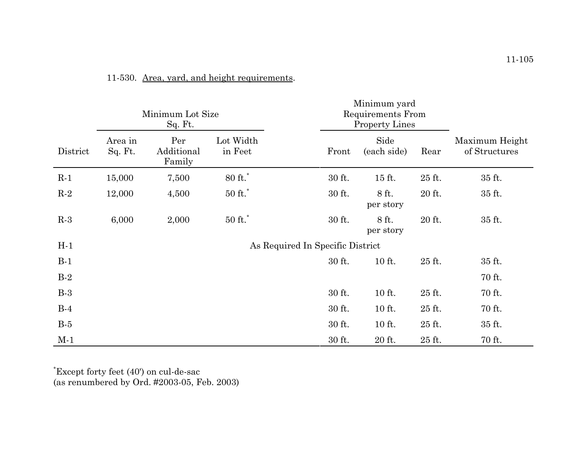|          | Minimum Lot Size<br>Sq. Ft.      |                             |                      |  | Minimum yard<br>Requirements From<br><b>Property Lines</b> |                     |        |                                 |
|----------|----------------------------------|-----------------------------|----------------------|--|------------------------------------------------------------|---------------------|--------|---------------------------------|
| District | Area in<br>Sq. Ft.               | Per<br>Additional<br>Family | Lot Width<br>in Feet |  | Front                                                      | Side<br>(each side) | Rear   | Maximum Height<br>of Structures |
| $R-1$    | 15,000                           | 7,500                       | $80$ ft. $\!$        |  | 30 ft.                                                     | 15 ft.              | 25 ft. | 35 ft.                          |
| $R-2$    | 12,000                           | 4,500                       | $50$ ft. $\,$        |  | 30 ft.                                                     | 8 ft.<br>per story  | 20 ft. | 35 ft.                          |
| $R-3$    | 6,000                            | 2,000                       | $50$ ft. $\!$        |  | 30 ft.                                                     | 8 ft.<br>per story  | 20 ft. | 35 ft.                          |
| $H-1$    | As Required In Specific District |                             |                      |  |                                                            |                     |        |                                 |
| $B-1$    |                                  |                             |                      |  | 30 ft.                                                     | 10 ft.              | 25 ft. | 35 ft.                          |
| $B-2$    |                                  |                             |                      |  |                                                            |                     |        | 70 ft.                          |
| $B-3$    |                                  |                             |                      |  | 30 ft.                                                     | 10 ft.              | 25 ft. | 70 ft.                          |
| $B-4$    |                                  |                             |                      |  | 30 ft.                                                     | 10 ft.              | 25 ft. | 70 ft.                          |
| $B-5$    |                                  |                             |                      |  | 30 ft.                                                     | 10 ft.              | 25 ft. | 35 ft.                          |
| $M-1$    |                                  |                             |                      |  | 30 ft.                                                     | 20 ft.              | 25 ft. | 70 ft.                          |

## 11-530. Area, yard, and height requirements.

\*Except forty feet (40') on cul-de-sac (as renumbered by Ord. #2003-05, Feb. 2003)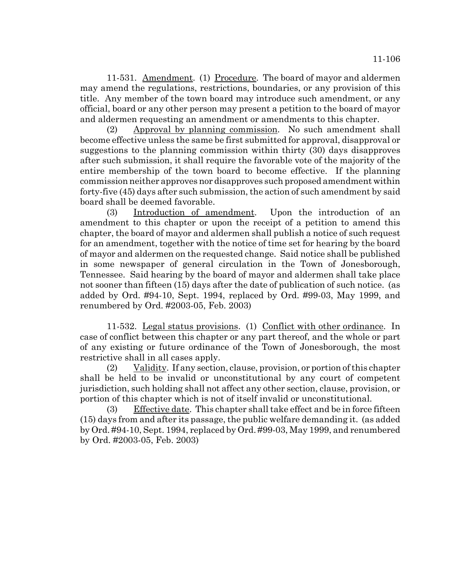11-531. Amendment. (1) Procedure. The board of mayor and aldermen may amend the regulations, restrictions, boundaries, or any provision of this title. Any member of the town board may introduce such amendment, or any official, board or any other person may present a petition to the board of mayor and aldermen requesting an amendment or amendments to this chapter.

(2) Approval by planning commission. No such amendment shall become effective unless the same be first submitted for approval, disapproval or suggestions to the planning commission within thirty (30) days disapproves after such submission, it shall require the favorable vote of the majority of the entire membership of the town board to become effective. If the planning commission neither approves nor disapproves such proposed amendment within forty-five (45) days after such submission, the action of such amendment by said board shall be deemed favorable.

(3) Introduction of amendment. Upon the introduction of an amendment to this chapter or upon the receipt of a petition to amend this chapter, the board of mayor and aldermen shall publish a notice of such request for an amendment, together with the notice of time set for hearing by the board of mayor and aldermen on the requested change. Said notice shall be published in some newspaper of general circulation in the Town of Jonesborough, Tennessee. Said hearing by the board of mayor and aldermen shall take place not sooner than fifteen (15) days after the date of publication of such notice. (as added by Ord. #94-10, Sept. 1994, replaced by Ord. #99-03, May 1999, and renumbered by Ord. #2003-05, Feb. 2003)

11-532. Legal status provisions. (1) Conflict with other ordinance. In case of conflict between this chapter or any part thereof, and the whole or part of any existing or future ordinance of the Town of Jonesborough, the most restrictive shall in all cases apply.

(2) Validity. If any section, clause, provision, or portion of this chapter shall be held to be invalid or unconstitutional by any court of competent jurisdiction, such holding shall not affect any other section, clause, provision, or portion of this chapter which is not of itself invalid or unconstitutional.

(3) Effective date. This chapter shall take effect and be in force fifteen (15) days from and after its passage, the public welfare demanding it. (as added by Ord. #94-10, Sept. 1994, replaced by Ord. #99-03, May 1999, and renumbered by Ord. #2003-05, Feb. 2003)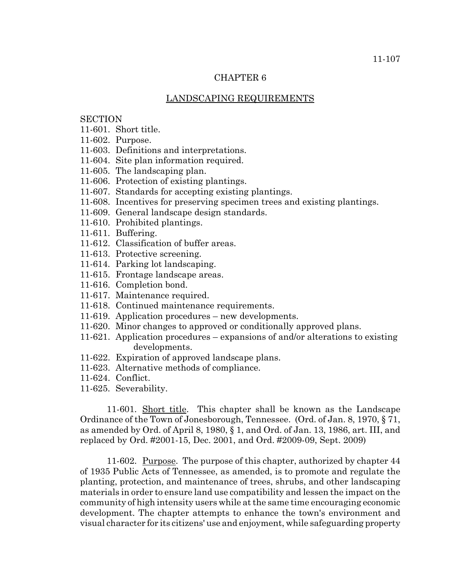## CHAPTER 6

## LANDSCAPING REQUIREMENTS

## **SECTION**

- 11-601. Short title.
- 11-602. Purpose.
- 11-603. Definitions and interpretations.
- 11-604. Site plan information required.
- 11-605. The landscaping plan.
- 11-606. Protection of existing plantings.
- 11-607. Standards for accepting existing plantings.
- 11-608. Incentives for preserving specimen trees and existing plantings.
- 11-609. General landscape design standards.
- 11-610. Prohibited plantings.
- 11-611. Buffering.
- 11-612. Classification of buffer areas.
- 11-613. Protective screening.
- 11-614. Parking lot landscaping.
- 11-615. Frontage landscape areas.
- 11-616. Completion bond.
- 11-617. Maintenance required.
- 11-618. Continued maintenance requirements.
- 11-619. Application procedures new developments.
- 11-620. Minor changes to approved or conditionally approved plans.
- 11-621. Application procedures expansions of and/or alterations to existing developments.
- 11-622. Expiration of approved landscape plans.
- 11-623. Alternative methods of compliance.
- 11-624. Conflict.
- 11-625. Severability.

11-601. Short title. This chapter shall be known as the Landscape Ordinance of the Town of Jonesborough, Tennessee. (Ord. of Jan. 8, 1970, § 71, as amended by Ord. of April 8, 1980, § 1, and Ord. of Jan. 13, 1986, art. III, and replaced by Ord. #2001-15, Dec. 2001, and Ord. #2009-09, Sept. 2009)

11-602. Purpose. The purpose of this chapter, authorized by chapter 44 of 1935 Public Acts of Tennessee, as amended, is to promote and regulate the planting, protection, and maintenance of trees, shrubs, and other landscaping materials in order to ensure land use compatibility and lessen the impact on the community of high intensity users while at the same time encouraging economic development. The chapter attempts to enhance the town's environment and visual character for its citizens' use and enjoyment, while safeguarding property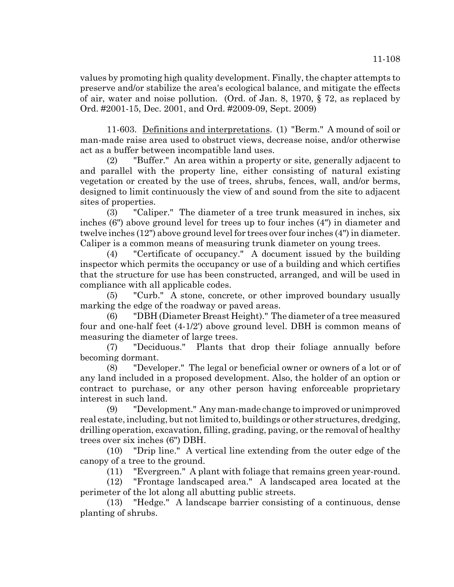values by promoting high quality development. Finally, the chapter attempts to preserve and/or stabilize the area's ecological balance, and mitigate the effects of air, water and noise pollution. (Ord. of Jan. 8, 1970, § 72, as replaced by Ord. #2001-15, Dec. 2001, and Ord. #2009-09, Sept. 2009)

11-603. Definitions and interpretations. (1) "Berm." A mound of soil or man-made raise area used to obstruct views, decrease noise, and/or otherwise act as a buffer between incompatible land uses.

(2) "Buffer." An area within a property or site, generally adjacent to and parallel with the property line, either consisting of natural existing vegetation or created by the use of trees, shrubs, fences, wall, and/or berms, designed to limit continuously the view of and sound from the site to adjacent sites of properties.

(3) "Caliper." The diameter of a tree trunk measured in inches, six inches (6") above ground level for trees up to four inches (4") in diameter and twelve inches (12") above ground level for trees over four inches (4") in diameter. Caliper is a common means of measuring trunk diameter on young trees.

(4) "Certificate of occupancy." A document issued by the building inspector which permits the occupancy or use of a building and which certifies that the structure for use has been constructed, arranged, and will be used in compliance with all applicable codes.

(5) "Curb." A stone, concrete, or other improved boundary usually marking the edge of the roadway or paved areas.

(6) "DBH (Diameter Breast Height)." The diameter of a tree measured four and one-half feet (4-1/2') above ground level. DBH is common means of measuring the diameter of large trees.

(7) "Deciduous." Plants that drop their foliage annually before becoming dormant.

(8) "Developer." The legal or beneficial owner or owners of a lot or of any land included in a proposed development. Also, the holder of an option or contract to purchase, or any other person having enforceable proprietary interest in such land.

(9) "Development." Any man-made change to improved or unimproved real estate, including, but not limited to, buildings or other structures, dredging, drilling operation, excavation, filling, grading, paving, or the removal of healthy trees over six inches (6") DBH.

(10) "Drip line." A vertical line extending from the outer edge of the canopy of a tree to the ground.

(11) "Evergreen." A plant with foliage that remains green year-round.

(12) "Frontage landscaped area." A landscaped area located at the perimeter of the lot along all abutting public streets.

(13) "Hedge." A landscape barrier consisting of a continuous, dense planting of shrubs.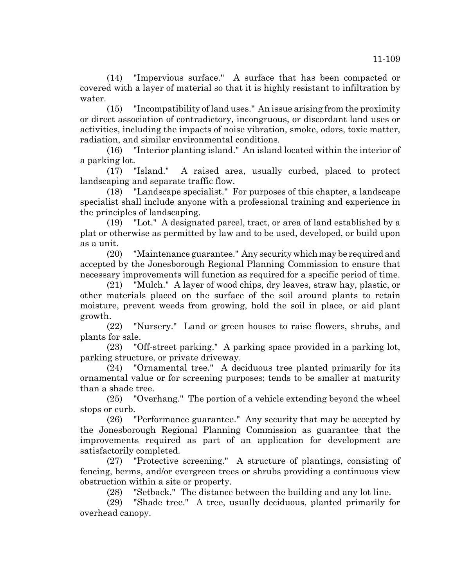(14) "Impervious surface." A surface that has been compacted or covered with a layer of material so that it is highly resistant to infiltration by water.

(15) "Incompatibility of land uses." An issue arising from the proximity or direct association of contradictory, incongruous, or discordant land uses or activities, including the impacts of noise vibration, smoke, odors, toxic matter, radiation, and similar environmental conditions.

(16) "Interior planting island." An island located within the interior of a parking lot.

(17) "Island." A raised area, usually curbed, placed to protect landscaping and separate traffic flow.

(18) "Landscape specialist." For purposes of this chapter, a landscape specialist shall include anyone with a professional training and experience in the principles of landscaping.

(19) "Lot." A designated parcel, tract, or area of land established by a plat or otherwise as permitted by law and to be used, developed, or build upon as a unit.

(20) "Maintenance guarantee." Any security which may be required and accepted by the Jonesborough Regional Planning Commission to ensure that necessary improvements will function as required for a specific period of time.

(21) "Mulch." A layer of wood chips, dry leaves, straw hay, plastic, or other materials placed on the surface of the soil around plants to retain moisture, prevent weeds from growing, hold the soil in place, or aid plant growth.

(22) "Nursery." Land or green houses to raise flowers, shrubs, and plants for sale.

(23) "Off-street parking." A parking space provided in a parking lot, parking structure, or private driveway.

(24) "Ornamental tree." A deciduous tree planted primarily for its ornamental value or for screening purposes; tends to be smaller at maturity than a shade tree.

(25) "Overhang." The portion of a vehicle extending beyond the wheel stops or curb.

(26) "Performance guarantee." Any security that may be accepted by the Jonesborough Regional Planning Commission as guarantee that the improvements required as part of an application for development are satisfactorily completed.

(27) "Protective screening." A structure of plantings, consisting of fencing, berms, and/or evergreen trees or shrubs providing a continuous view obstruction within a site or property.

(28) "Setback." The distance between the building and any lot line.

(29) "Shade tree." A tree, usually deciduous, planted primarily for overhead canopy.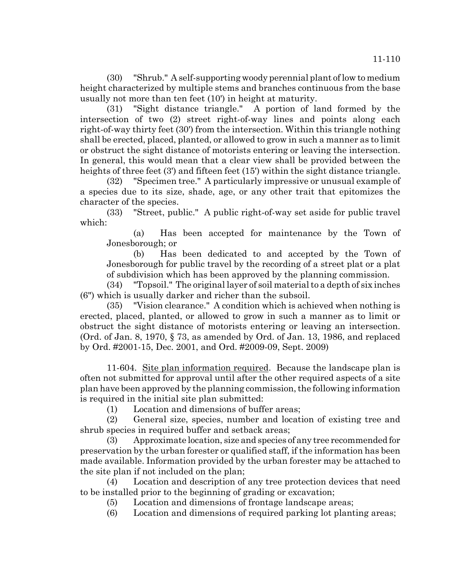(30) "Shrub." A self-supporting woody perennial plant of low to medium height characterized by multiple stems and branches continuous from the base usually not more than ten feet (10') in height at maturity.

(31) "Sight distance triangle." A portion of land formed by the intersection of two (2) street right-of-way lines and points along each right-of-way thirty feet (30') from the intersection. Within this triangle nothing shall be erected, placed, planted, or allowed to grow in such a manner as to limit or obstruct the sight distance of motorists entering or leaving the intersection. In general, this would mean that a clear view shall be provided between the heights of three feet (3') and fifteen feet (15') within the sight distance triangle.

(32) "Specimen tree." A particularly impressive or unusual example of a species due to its size, shade, age, or any other trait that epitomizes the character of the species.

(33) "Street, public." A public right-of-way set aside for public travel which:

(a) Has been accepted for maintenance by the Town of Jonesborough; or

(b) Has been dedicated to and accepted by the Town of Jonesborough for public travel by the recording of a street plat or a plat of subdivision which has been approved by the planning commission.

(34) "Topsoil." The original layer of soil material to a depth of six inches (6") which is usually darker and richer than the subsoil.

(35) "Vision clearance." A condition which is achieved when nothing is erected, placed, planted, or allowed to grow in such a manner as to limit or obstruct the sight distance of motorists entering or leaving an intersection. (Ord. of Jan. 8, 1970, § 73, as amended by Ord. of Jan. 13, 1986, and replaced by Ord. #2001-15, Dec. 2001, and Ord. #2009-09, Sept. 2009)

11-604. Site plan information required. Because the landscape plan is often not submitted for approval until after the other required aspects of a site plan have been approved by the planning commission, the following information is required in the initial site plan submitted:

(1) Location and dimensions of buffer areas;

(2) General size, species, number and location of existing tree and shrub species in required buffer and setback areas;

(3) Approximate location, size and species of any tree recommended for preservation by the urban forester or qualified staff, if the information has been made available. Information provided by the urban forester may be attached to the site plan if not included on the plan;

(4) Location and description of any tree protection devices that need to be installed prior to the beginning of grading or excavation;

(5) Location and dimensions of frontage landscape areas;

(6) Location and dimensions of required parking lot planting areas;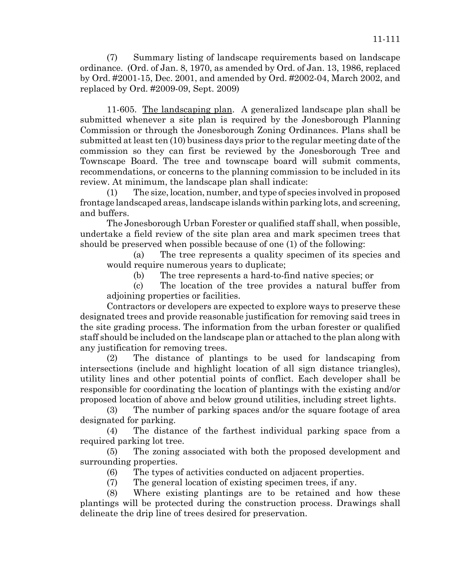11-605. The landscaping plan. A generalized landscape plan shall be submitted whenever a site plan is required by the Jonesborough Planning Commission or through the Jonesborough Zoning Ordinances. Plans shall be submitted at least ten (10) business days prior to the regular meeting date of the commission so they can first be reviewed by the Jonesborough Tree and Townscape Board. The tree and townscape board will submit comments, recommendations, or concerns to the planning commission to be included in its review. At minimum, the landscape plan shall indicate:

(1) The size, location, number, and type of species involved in proposed frontage landscaped areas, landscape islands within parking lots, and screening, and buffers.

The Jonesborough Urban Forester or qualified staff shall, when possible, undertake a field review of the site plan area and mark specimen trees that should be preserved when possible because of one (1) of the following:

(a) The tree represents a quality specimen of its species and would require numerous years to duplicate;

(b) The tree represents a hard-to-find native species; or

(c) The location of the tree provides a natural buffer from adjoining properties or facilities.

Contractors or developers are expected to explore ways to preserve these designated trees and provide reasonable justification for removing said trees in the site grading process. The information from the urban forester or qualified staff should be included on the landscape plan or attached to the plan along with any justification for removing trees.

(2) The distance of plantings to be used for landscaping from intersections (include and highlight location of all sign distance triangles), utility lines and other potential points of conflict. Each developer shall be responsible for coordinating the location of plantings with the existing and/or proposed location of above and below ground utilities, including street lights.

(3) The number of parking spaces and/or the square footage of area designated for parking.

(4) The distance of the farthest individual parking space from a required parking lot tree.

(5) The zoning associated with both the proposed development and surrounding properties.

(6) The types of activities conducted on adjacent properties.

(7) The general location of existing specimen trees, if any.

(8) Where existing plantings are to be retained and how these plantings will be protected during the construction process. Drawings shall delineate the drip line of trees desired for preservation.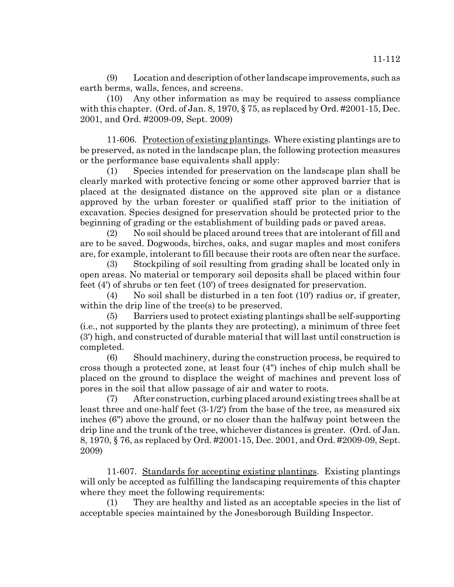(9) Location and description of other landscape improvements, such as earth berms, walls, fences, and screens.

(10) Any other information as may be required to assess compliance with this chapter. (Ord. of Jan. 8, 1970, § 75, as replaced by Ord. #2001-15, Dec. 2001, and Ord. #2009-09, Sept. 2009)

11-606. Protection of existing plantings. Where existing plantings are to be preserved, as noted in the landscape plan, the following protection measures or the performance base equivalents shall apply:

(1) Species intended for preservation on the landscape plan shall be clearly marked with protective fencing or some other approved barrier that is placed at the designated distance on the approved site plan or a distance approved by the urban forester or qualified staff prior to the initiation of excavation. Species designed for preservation should be protected prior to the beginning of grading or the establishment of building pads or paved areas.

(2) No soil should be placed around trees that are intolerant of fill and are to be saved. Dogwoods, birches, oaks, and sugar maples and most conifers are, for example, intolerant to fill because their roots are often near the surface.

(3) Stockpiling of soil resulting from grading shall be located only in open areas. No material or temporary soil deposits shall be placed within four feet (4') of shrubs or ten feet (10') of trees designated for preservation.

(4) No soil shall be disturbed in a ten foot  $(10)$  radius or, if greater, within the drip line of the tree(s) to be preserved.

(5) Barriers used to protect existing plantings shall be self-supporting (i.e., not supported by the plants they are protecting), a minimum of three feet (3') high, and constructed of durable material that will last until construction is completed.

(6) Should machinery, during the construction process, be required to cross though a protected zone, at least four (4") inches of chip mulch shall be placed on the ground to displace the weight of machines and prevent loss of pores in the soil that allow passage of air and water to roots.

(7) After construction, curbing placed around existing trees shall be at least three and one-half feet (3-1/2') from the base of the tree, as measured six inches (6") above the ground, or no closer than the halfway point between the drip line and the trunk of the tree, whichever distances is greater. (Ord. of Jan. 8, 1970, § 76, as replaced by Ord. #2001-15, Dec. 2001, and Ord. #2009-09, Sept. 2009)

11-607. Standards for accepting existing plantings. Existing plantings will only be accepted as fulfilling the landscaping requirements of this chapter where they meet the following requirements:

(1) They are healthy and listed as an acceptable species in the list of acceptable species maintained by the Jonesborough Building Inspector.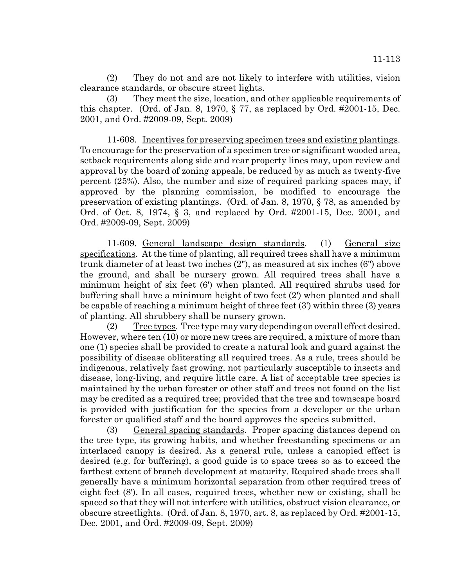(2) They do not and are not likely to interfere with utilities, vision clearance standards, or obscure street lights.

(3) They meet the size, location, and other applicable requirements of this chapter. (Ord. of Jan. 8, 1970,  $\S$  77, as replaced by Ord. #2001-15, Dec. 2001, and Ord. #2009-09, Sept. 2009)

11-608. Incentives for preserving specimen trees and existing plantings. To encourage for the preservation of a specimen tree or significant wooded area, setback requirements along side and rear property lines may, upon review and approval by the board of zoning appeals, be reduced by as much as twenty-five percent (25%). Also, the number and size of required parking spaces may, if approved by the planning commission, be modified to encourage the preservation of existing plantings. (Ord. of Jan. 8, 1970, § 78, as amended by Ord. of Oct. 8, 1974, § 3, and replaced by Ord. #2001-15, Dec. 2001, and Ord. #2009-09, Sept. 2009)

11-609. General landscape design standards. (1) General size specifications. At the time of planting, all required trees shall have a minimum trunk diameter of at least two inches (2"), as measured at six inches (6") above the ground, and shall be nursery grown. All required trees shall have a minimum height of six feet (6') when planted. All required shrubs used for buffering shall have a minimum height of two feet (2') when planted and shall be capable of reaching a minimum height of three feet (3') within three (3) years of planting. All shrubbery shall be nursery grown.

(2) Tree types. Tree type may vary depending on overall effect desired. However, where ten (10) or more new trees are required, a mixture of more than one (1) species shall be provided to create a natural look and guard against the possibility of disease obliterating all required trees. As a rule, trees should be indigenous, relatively fast growing, not particularly susceptible to insects and disease, long-living, and require little care. A list of acceptable tree species is maintained by the urban forester or other staff and trees not found on the list may be credited as a required tree; provided that the tree and townscape board is provided with justification for the species from a developer or the urban forester or qualified staff and the board approves the species submitted.

(3) General spacing standards. Proper spacing distances depend on the tree type, its growing habits, and whether freestanding specimens or an interlaced canopy is desired. As a general rule, unless a canopied effect is desired (e.g. for buffering), a good guide is to space trees so as to exceed the farthest extent of branch development at maturity. Required shade trees shall generally have a minimum horizontal separation from other required trees of eight feet (8'). In all cases, required trees, whether new or existing, shall be spaced so that they will not interfere with utilities, obstruct vision clearance, or obscure streetlights. (Ord. of Jan. 8, 1970, art. 8, as replaced by Ord. #2001-15, Dec. 2001, and Ord. #2009-09, Sept. 2009)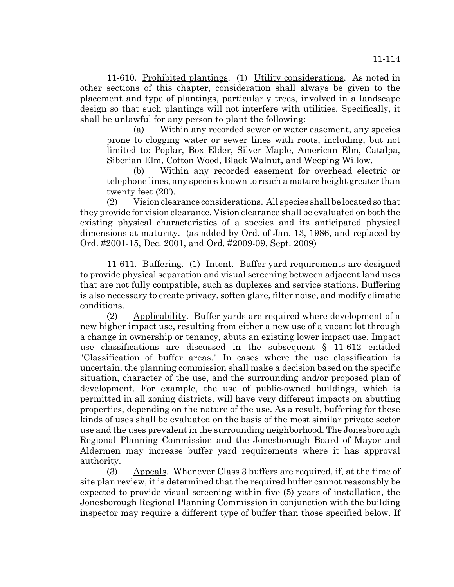11-610. Prohibited plantings. (1) Utility considerations. As noted in other sections of this chapter, consideration shall always be given to the placement and type of plantings, particularly trees, involved in a landscape design so that such plantings will not interfere with utilities. Specifically, it shall be unlawful for any person to plant the following:

(a) Within any recorded sewer or water easement, any species prone to clogging water or sewer lines with roots, including, but not limited to: Poplar, Box Elder, Silver Maple, American Elm, Catalpa, Siberian Elm, Cotton Wood, Black Walnut, and Weeping Willow.

(b) Within any recorded easement for overhead electric or telephone lines, any species known to reach a mature height greater than twenty feet (20').

(2) Vision clearance considerations. All species shall be located so that they provide for vision clearance. Vision clearance shall be evaluated on both the existing physical characteristics of a species and its anticipated physical dimensions at maturity. (as added by Ord. of Jan. 13, 1986, and replaced by Ord. #2001-15, Dec. 2001, and Ord. #2009-09, Sept. 2009)

11-611. Buffering. (1) Intent. Buffer yard requirements are designed to provide physical separation and visual screening between adjacent land uses that are not fully compatible, such as duplexes and service stations. Buffering is also necessary to create privacy, soften glare, filter noise, and modify climatic conditions.

(2) Applicability. Buffer yards are required where development of a new higher impact use, resulting from either a new use of a vacant lot through a change in ownership or tenancy, abuts an existing lower impact use. Impact use classifications are discussed in the subsequent  $\S$  11-612 entitled "Classification of buffer areas." In cases where the use classification is uncertain, the planning commission shall make a decision based on the specific situation, character of the use, and the surrounding and/or proposed plan of development. For example, the use of public-owned buildings, which is permitted in all zoning districts, will have very different impacts on abutting properties, depending on the nature of the use. As a result, buffering for these kinds of uses shall be evaluated on the basis of the most similar private sector use and the uses prevalent in the surrounding neighborhood. The Jonesborough Regional Planning Commission and the Jonesborough Board of Mayor and Aldermen may increase buffer yard requirements where it has approval authority.

(3) Appeals. Whenever Class 3 buffers are required, if, at the time of site plan review, it is determined that the required buffer cannot reasonably be expected to provide visual screening within five (5) years of installation, the Jonesborough Regional Planning Commission in conjunction with the building inspector may require a different type of buffer than those specified below. If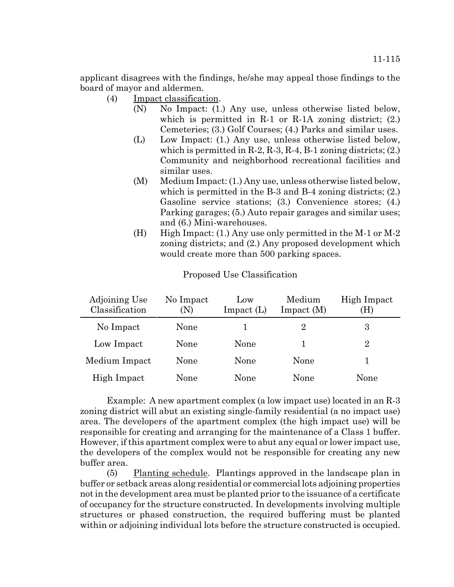applicant disagrees with the findings, he/she may appeal those findings to the board of mayor and aldermen.

- (4) Impact classification.
	- (N) No Impact: (1.) Any use, unless otherwise listed below, which is permitted in  $R-1$  or  $R-1A$  zoning district; (2.) Cemeteries; (3.) Golf Courses; (4.) Parks and similar uses.
	- (L) Low Impact: (1.) Any use, unless otherwise listed below, which is permitted in  $R-2$ ,  $R-3$ ,  $R-4$ ,  $B-1$  zoning districts;  $(2)$ . Community and neighborhood recreational facilities and similar uses.
	- (M) Medium Impact: (1.) Any use, unless otherwise listed below, which is permitted in the B-3 and B-4 zoning districts; (2.) Gasoline service stations; (3.) Convenience stores; (4.) Parking garages; (5.) Auto repair garages and similar uses; and (6.) Mini-warehouses.
	- (H) High Impact: (1.) Any use only permitted in the M-1 or M-2 zoning districts; and (2.) Any proposed development which would create more than 500 parking spaces.

| Adjoining Use<br>Classification | No Impact<br>(N) | $_{\text{LOW}}$<br>$Im$ pact $(L)$ | Medium<br>$Im$ pact $(M)$ | High Impact<br>(H) |
|---------------------------------|------------------|------------------------------------|---------------------------|--------------------|
| No Impact                       | None             |                                    | $\mathbf{2}$              | 3                  |
| Low Impact                      | None             | None                               |                           | 2                  |
| Medium Impact                   | None             | None                               | None                      |                    |
| High Impact                     | None             | None                               | None                      | None               |

#### Proposed Use Classification

Example: A new apartment complex (a low impact use) located in an R-3 zoning district will abut an existing single-family residential (a no impact use) area. The developers of the apartment complex (the high impact use) will be responsible for creating and arranging for the maintenance of a Class 1 buffer. However, if this apartment complex were to abut any equal or lower impact use, the developers of the complex would not be responsible for creating any new buffer area.

(5) Planting schedule. Plantings approved in the landscape plan in buffer or setback areas along residential or commercial lots adjoining properties not in the development area must be planted prior to the issuance of a certificate of occupancy for the structure constructed. In developments involving multiple structures or phased construction, the required buffering must be planted within or adjoining individual lots before the structure constructed is occupied.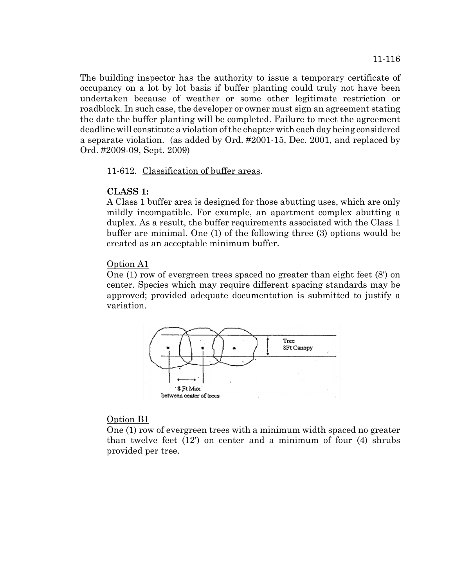The building inspector has the authority to issue a temporary certificate of occupancy on a lot by lot basis if buffer planting could truly not have been undertaken because of weather or some other legitimate restriction or roadblock. In such case, the developer or owner must sign an agreement stating the date the buffer planting will be completed. Failure to meet the agreement deadline will constitute a violation of the chapter with each day being considered a separate violation. (as added by Ord. #2001-15, Dec. 2001, and replaced by Ord. #2009-09, Sept. 2009)

### 11-612. Classification of buffer areas.

### **CLASS 1:**

A Class 1 buffer area is designed for those abutting uses, which are only mildly incompatible. For example, an apartment complex abutting a duplex. As a result, the buffer requirements associated with the Class 1 buffer are minimal. One (1) of the following three (3) options would be created as an acceptable minimum buffer.

### Option A1

One (1) row of evergreen trees spaced no greater than eight feet (8') on center. Species which may require different spacing standards may be approved; provided adequate documentation is submitted to justify a variation.



### Option B1

One (1) row of evergreen trees with a minimum width spaced no greater than twelve feet (12') on center and a minimum of four (4) shrubs provided per tree.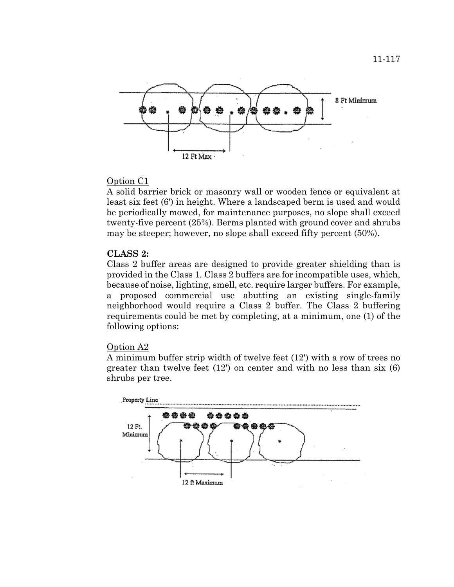

# Option C1

A solid barrier brick or masonry wall or wooden fence or equivalent at least six feet (6') in height. Where a landscaped berm is used and would be periodically mowed, for maintenance purposes, no slope shall exceed twenty-five percent (25%). Berms planted with ground cover and shrubs may be steeper; however, no slope shall exceed fifty percent (50%).

# **CLASS 2:**

Class 2 buffer areas are designed to provide greater shielding than is provided in the Class 1. Class 2 buffers are for incompatible uses, which, because of noise, lighting, smell, etc. require larger buffers. For example, a proposed commercial use abutting an existing single-family neighborhood would require a Class 2 buffer. The Class 2 buffering requirements could be met by completing, at a minimum, one (1) of the following options:

### Option A2

A minimum buffer strip width of twelve feet (12') with a row of trees no greater than twelve feet (12') on center and with no less than six (6) shrubs per tree.

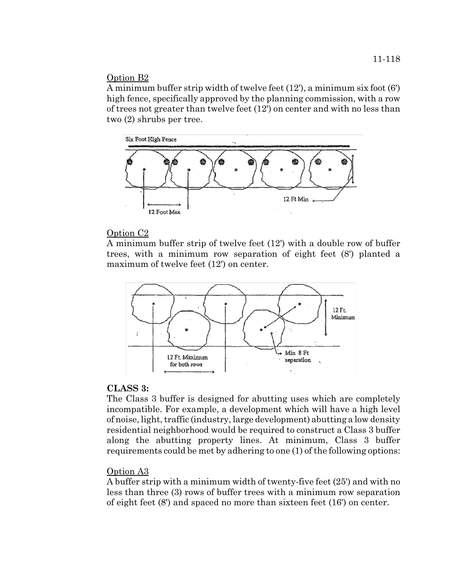# Option B2

A minimum buffer strip width of twelve feet (12'), a minimum six foot (6') high fence, specifically approved by the planning commission, with a row of trees not greater than twelve feet (12') on center and with no less than two (2) shrubs per tree.



# Option C2

A minimum buffer strip of twelve feet (12') with a double row of buffer trees, with a minimum row separation of eight feet (8') planted a maximum of twelve feet (12') on center.



# **CLASS 3:**

The Class 3 buffer is designed for abutting uses which are completely incompatible. For example, a development which will have a high level of noise, light, traffic (industry, large development) abutting a low density residential neighborhood would be required to construct a Class 3 buffer along the abutting property lines. At minimum, Class 3 buffer requirements could be met by adhering to one (1) of the following options:

# Option A3

A buffer strip with a minimum width of twenty-five feet (25') and with no less than three (3) rows of buffer trees with a minimum row separation of eight feet (8') and spaced no more than sixteen feet (16') on center.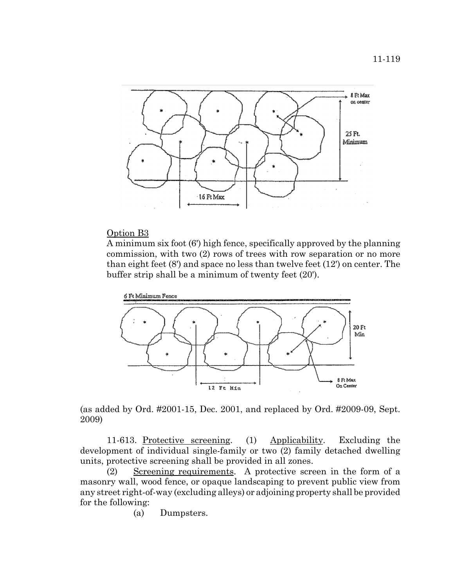

### Option B3

A minimum six foot (6') high fence, specifically approved by the planning commission, with two (2) rows of trees with row separation or no more than eight feet (8') and space no less than twelve feet (12') on center. The buffer strip shall be a minimum of twenty feet (20').



(as added by Ord. #2001-15, Dec. 2001, and replaced by Ord. #2009-09, Sept. 2009)

11-613. Protective screening. (1) Applicability. Excluding the development of individual single-family or two (2) family detached dwelling units, protective screening shall be provided in all zones.

(2) Screening requirements. A protective screen in the form of a masonry wall, wood fence, or opaque landscaping to prevent public view from any street right-of-way (excluding alleys) or adjoining property shall be provided for the following:

(a) Dumpsters.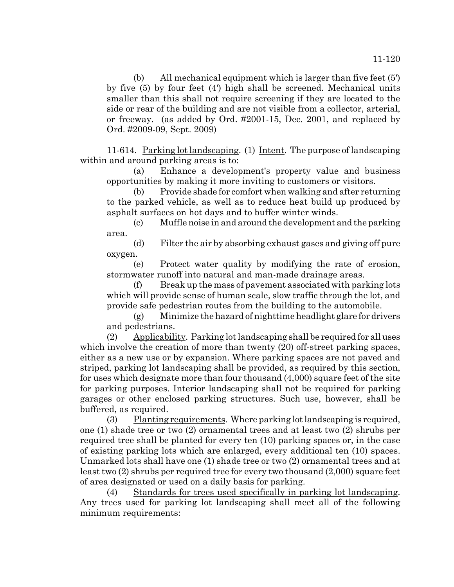(b) All mechanical equipment which is larger than five feet (5') by five (5) by four feet (4') high shall be screened. Mechanical units smaller than this shall not require screening if they are located to the side or rear of the building and are not visible from a collector, arterial, or freeway. (as added by Ord. #2001-15, Dec. 2001, and replaced by Ord. #2009-09, Sept. 2009)

11-614. Parking lot landscaping. (1) Intent. The purpose of landscaping within and around parking areas is to:

(a) Enhance a development's property value and business opportunities by making it more inviting to customers or visitors.

(b) Provide shade for comfort when walking and after returning to the parked vehicle, as well as to reduce heat build up produced by asphalt surfaces on hot days and to buffer winter winds.

(c) Muffle noise in and around the development and the parking area.

(d) Filter the air by absorbing exhaust gases and giving off pure oxygen.

(e) Protect water quality by modifying the rate of erosion, stormwater runoff into natural and man-made drainage areas.

(f) Break up the mass of pavement associated with parking lots which will provide sense of human scale, slow traffic through the lot, and provide safe pedestrian routes from the building to the automobile.

(g) Minimize the hazard of nighttime headlight glare for drivers and pedestrians.

 $(2)$  Applicability. Parking lot landscaping shall be required for all uses which involve the creation of more than twenty (20) off-street parking spaces, either as a new use or by expansion. Where parking spaces are not paved and striped, parking lot landscaping shall be provided, as required by this section, for uses which designate more than four thousand (4,000) square feet of the site for parking purposes. Interior landscaping shall not be required for parking garages or other enclosed parking structures. Such use, however, shall be buffered, as required.

 $(3)$  Planting requirements. Where parking lot landscaping is required, one (1) shade tree or two (2) ornamental trees and at least two (2) shrubs per required tree shall be planted for every ten (10) parking spaces or, in the case of existing parking lots which are enlarged, every additional ten (10) spaces. Unmarked lots shall have one (1) shade tree or two (2) ornamental trees and at least two (2) shrubs per required tree for every two thousand (2,000) square feet of area designated or used on a daily basis for parking.

(4) Standards for trees used specifically in parking lot landscaping. Any trees used for parking lot landscaping shall meet all of the following minimum requirements: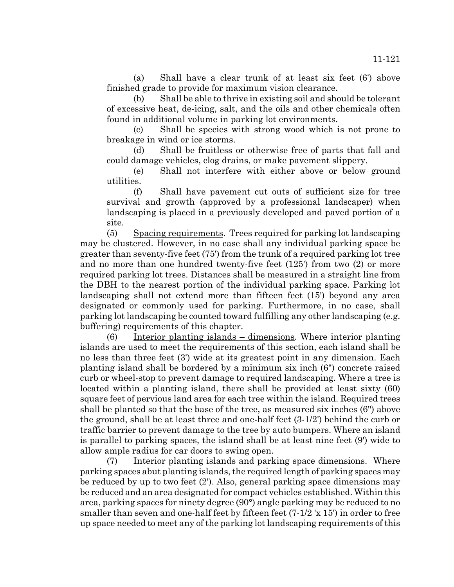(a) Shall have a clear trunk of at least six feet (6') above finished grade to provide for maximum vision clearance.

(b) Shall be able to thrive in existing soil and should be tolerant of excessive heat, de-icing, salt, and the oils and other chemicals often found in additional volume in parking lot environments.

(c) Shall be species with strong wood which is not prone to breakage in wind or ice storms.

(d) Shall be fruitless or otherwise free of parts that fall and could damage vehicles, clog drains, or make pavement slippery.

(e) Shall not interfere with either above or below ground utilities.

(f) Shall have pavement cut outs of sufficient size for tree survival and growth (approved by a professional landscaper) when landscaping is placed in a previously developed and paved portion of a site.

(5) Spacing requirements. Trees required for parking lot landscaping may be clustered. However, in no case shall any individual parking space be greater than seventy-five feet (75') from the trunk of a required parking lot tree and no more than one hundred twenty-five feet (125') from two (2) or more required parking lot trees. Distances shall be measured in a straight line from the DBH to the nearest portion of the individual parking space. Parking lot landscaping shall not extend more than fifteen feet (15') beyond any area designated or commonly used for parking. Furthermore, in no case, shall parking lot landscaping be counted toward fulfilling any other landscaping (e.g. buffering) requirements of this chapter.

(6) Interior planting islands – dimensions. Where interior planting islands are used to meet the requirements of this section, each island shall be no less than three feet (3') wide at its greatest point in any dimension. Each planting island shall be bordered by a minimum six inch (6") concrete raised curb or wheel-stop to prevent damage to required landscaping. Where a tree is located within a planting island, there shall be provided at least sixty (60) square feet of pervious land area for each tree within the island. Required trees shall be planted so that the base of the tree, as measured six inches (6") above the ground, shall be at least three and one-half feet (3-1/2') behind the curb or traffic barrier to prevent damage to the tree by auto bumpers. Where an island is parallel to parking spaces, the island shall be at least nine feet (9') wide to allow ample radius for car doors to swing open.

(7) Interior planting islands and parking space dimensions. Where parking spaces abut planting islands, the required length of parking spaces may be reduced by up to two feet (2'). Also, general parking space dimensions may be reduced and an area designated for compact vehicles established. Within this area, parking spaces for ninety degree (90°) angle parking may be reduced to no smaller than seven and one-half feet by fifteen feet (7-1/2 'x 15') in order to free up space needed to meet any of the parking lot landscaping requirements of this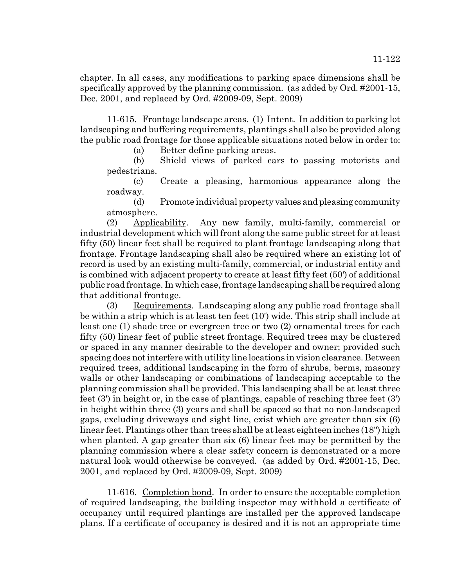chapter. In all cases, any modifications to parking space dimensions shall be specifically approved by the planning commission. (as added by Ord. #2001-15, Dec. 2001, and replaced by Ord. #2009-09, Sept. 2009)

11-615. Frontage landscape areas. (1) Intent. In addition to parking lot landscaping and buffering requirements, plantings shall also be provided along the public road frontage for those applicable situations noted below in order to:

(a) Better define parking areas.

(b) Shield views of parked cars to passing motorists and pedestrians.

(c) Create a pleasing, harmonious appearance along the roadway.

(d) Promote individual property values and pleasing community atmosphere.

(2) Applicability. Any new family, multi-family, commercial or industrial development which will front along the same public street for at least fifty (50) linear feet shall be required to plant frontage landscaping along that frontage. Frontage landscaping shall also be required where an existing lot of record is used by an existing multi-family, commercial, or industrial entity and is combined with adjacent property to create at least fifty feet (50') of additional public road frontage. In which case, frontage landscaping shall be required along that additional frontage.

(3) Requirements. Landscaping along any public road frontage shall be within a strip which is at least ten feet (10') wide. This strip shall include at least one (1) shade tree or evergreen tree or two (2) ornamental trees for each fifty (50) linear feet of public street frontage. Required trees may be clustered or spaced in any manner desirable to the developer and owner; provided such spacing does not interfere with utility line locations in vision clearance. Between required trees, additional landscaping in the form of shrubs, berms, masonry walls or other landscaping or combinations of landscaping acceptable to the planning commission shall be provided. This landscaping shall be at least three feet (3') in height or, in the case of plantings, capable of reaching three feet (3') in height within three (3) years and shall be spaced so that no non-landscaped gaps, excluding driveways and sight line, exist which are greater than six (6) linear feet. Plantings other than trees shall be at least eighteen inches (18") high when planted. A gap greater than six (6) linear feet may be permitted by the planning commission where a clear safety concern is demonstrated or a more natural look would otherwise be conveyed. (as added by Ord. #2001-15, Dec. 2001, and replaced by Ord. #2009-09, Sept. 2009)

11-616. Completion bond. In order to ensure the acceptable completion of required landscaping, the building inspector may withhold a certificate of occupancy until required plantings are installed per the approved landscape plans. If a certificate of occupancy is desired and it is not an appropriate time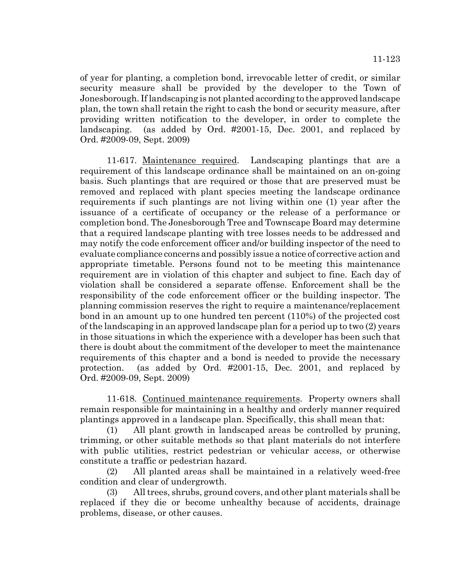of year for planting, a completion bond, irrevocable letter of credit, or similar security measure shall be provided by the developer to the Town of Jonesborough. If landscaping is not planted according to the approved landscape plan, the town shall retain the right to cash the bond or security measure, after providing written notification to the developer, in order to complete the landscaping. (as added by Ord. #2001-15, Dec. 2001, and replaced by Ord. #2009-09, Sept. 2009)

11-617. Maintenance required. Landscaping plantings that are a requirement of this landscape ordinance shall be maintained on an on-going basis. Such plantings that are required or those that are preserved must be removed and replaced with plant species meeting the landscape ordinance requirements if such plantings are not living within one (1) year after the issuance of a certificate of occupancy or the release of a performance or completion bond. The Jonesborough Tree and Townscape Board may determine that a required landscape planting with tree losses needs to be addressed and may notify the code enforcement officer and/or building inspector of the need to evaluate compliance concerns and possibly issue a notice of corrective action and appropriate timetable. Persons found not to be meeting this maintenance requirement are in violation of this chapter and subject to fine. Each day of violation shall be considered a separate offense. Enforcement shall be the responsibility of the code enforcement officer or the building inspector. The planning commission reserves the right to require a maintenance/replacement bond in an amount up to one hundred ten percent (110%) of the projected cost of the landscaping in an approved landscape plan for a period up to two (2) years in those situations in which the experience with a developer has been such that there is doubt about the commitment of the developer to meet the maintenance requirements of this chapter and a bond is needed to provide the necessary protection. (as added by Ord. #2001-15, Dec. 2001, and replaced by Ord. #2009-09, Sept. 2009)

11-618. Continued maintenance requirements. Property owners shall remain responsible for maintaining in a healthy and orderly manner required plantings approved in a landscape plan. Specifically, this shall mean that:

(1) All plant growth in landscaped areas be controlled by pruning, trimming, or other suitable methods so that plant materials do not interfere with public utilities, restrict pedestrian or vehicular access, or otherwise constitute a traffic or pedestrian hazard.

(2) All planted areas shall be maintained in a relatively weed-free condition and clear of undergrowth.

(3) All trees, shrubs, ground covers, and other plant materials shall be replaced if they die or become unhealthy because of accidents, drainage problems, disease, or other causes.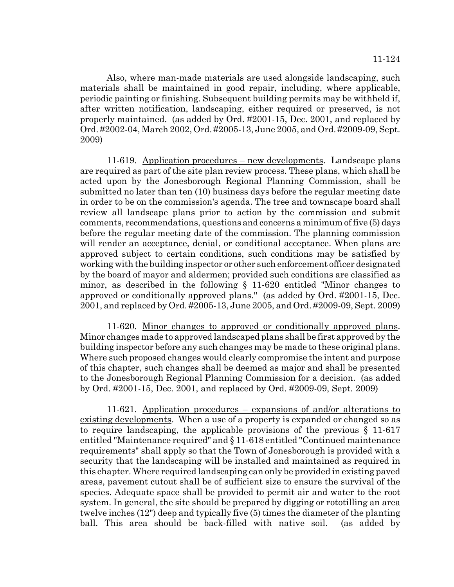Also, where man-made materials are used alongside landscaping, such materials shall be maintained in good repair, including, where applicable, periodic painting or finishing. Subsequent building permits may be withheld if, after written notification, landscaping, either required or preserved, is not properly maintained. (as added by Ord. #2001-15, Dec. 2001, and replaced by Ord. #2002-04, March 2002, Ord. #2005-13, June 2005, and Ord. #2009-09, Sept. 2009)

11-619. Application procedures – new developments. Landscape plans are required as part of the site plan review process. These plans, which shall be acted upon by the Jonesborough Regional Planning Commission, shall be submitted no later than ten (10) business days before the regular meeting date in order to be on the commission's agenda. The tree and townscape board shall review all landscape plans prior to action by the commission and submit comments, recommendations, questions and concerns a minimum of five (5) days before the regular meeting date of the commission. The planning commission will render an acceptance, denial, or conditional acceptance. When plans are approved subject to certain conditions, such conditions may be satisfied by working with the building inspector or other such enforcement officer designated by the board of mayor and aldermen; provided such conditions are classified as minor, as described in the following § 11-620 entitled "Minor changes to approved or conditionally approved plans." (as added by Ord. #2001-15, Dec. 2001, and replaced by Ord. #2005-13, June 2005, and Ord. #2009-09, Sept. 2009)

11-620. Minor changes to approved or conditionally approved plans. Minor changes made to approved landscaped plans shall be first approved by the building inspector before any such changes may be made to these original plans. Where such proposed changes would clearly compromise the intent and purpose of this chapter, such changes shall be deemed as major and shall be presented to the Jonesborough Regional Planning Commission for a decision. (as added by Ord. #2001-15, Dec. 2001, and replaced by Ord. #2009-09, Sept. 2009)

11-621. Application procedures – expansions of and/or alterations to existing developments. When a use of a property is expanded or changed so as to require landscaping, the applicable provisions of the previous  $\S$  11-617 entitled "Maintenance required" and § 11-618 entitled "Continued maintenance requirements" shall apply so that the Town of Jonesborough is provided with a security that the landscaping will be installed and maintained as required in this chapter. Where required landscaping can only be provided in existing paved areas, pavement cutout shall be of sufficient size to ensure the survival of the species. Adequate space shall be provided to permit air and water to the root system. In general, the site should be prepared by digging or rototilling an area twelve inches (12") deep and typically five (5) times the diameter of the planting ball. This area should be back-filled with native soil. (as added by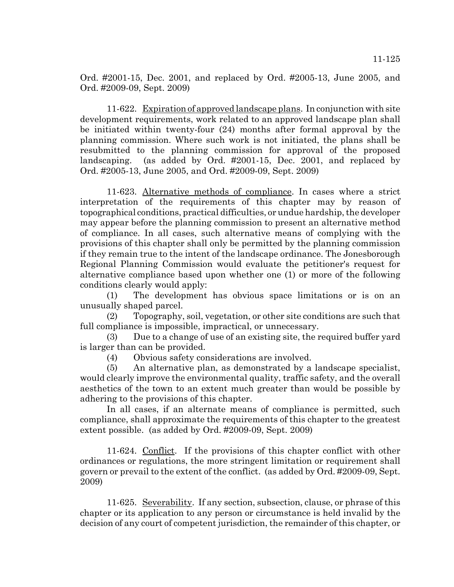Ord. #2001-15, Dec. 2001, and replaced by Ord. #2005-13, June 2005, and Ord. #2009-09, Sept. 2009)

11-622. Expiration of approved landscape plans. In conjunction with site development requirements, work related to an approved landscape plan shall be initiated within twenty-four (24) months after formal approval by the planning commission. Where such work is not initiated, the plans shall be resubmitted to the planning commission for approval of the proposed landscaping. (as added by Ord. #2001-15, Dec. 2001, and replaced by Ord. #2005-13, June 2005, and Ord. #2009-09, Sept. 2009)

11-623. Alternative methods of compliance. In cases where a strict interpretation of the requirements of this chapter may by reason of topographical conditions, practical difficulties, or undue hardship, the developer may appear before the planning commission to present an alternative method of compliance. In all cases, such alternative means of complying with the provisions of this chapter shall only be permitted by the planning commission if they remain true to the intent of the landscape ordinance. The Jonesborough Regional Planning Commission would evaluate the petitioner's request for alternative compliance based upon whether one (1) or more of the following conditions clearly would apply:

(1) The development has obvious space limitations or is on an unusually shaped parcel.

(2) Topography, soil, vegetation, or other site conditions are such that full compliance is impossible, impractical, or unnecessary.

(3) Due to a change of use of an existing site, the required buffer yard is larger than can be provided.

(4) Obvious safety considerations are involved.

(5) An alternative plan, as demonstrated by a landscape specialist, would clearly improve the environmental quality, traffic safety, and the overall aesthetics of the town to an extent much greater than would be possible by adhering to the provisions of this chapter.

In all cases, if an alternate means of compliance is permitted, such compliance, shall approximate the requirements of this chapter to the greatest extent possible. (as added by Ord. #2009-09, Sept. 2009)

11-624. Conflict. If the provisions of this chapter conflict with other ordinances or regulations, the more stringent limitation or requirement shall govern or prevail to the extent of the conflict. (as added by Ord. #2009-09, Sept. 2009)

11-625. Severability. If any section, subsection, clause, or phrase of this chapter or its application to any person or circumstance is held invalid by the decision of any court of competent jurisdiction, the remainder of this chapter, or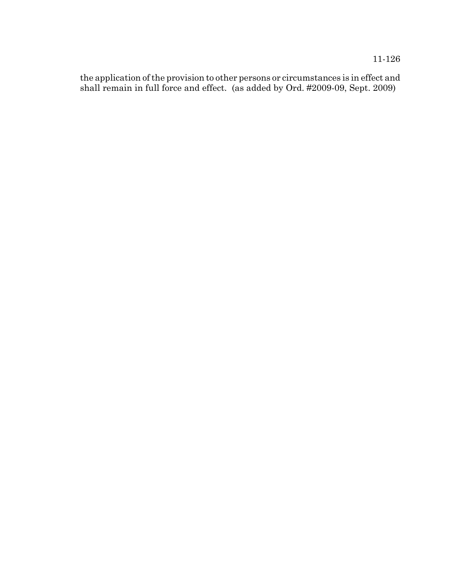11-126

the application of the provision to other persons or circumstances is in effect and shall remain in full force and effect. (as added by Ord. #2009-09, Sept. 2009)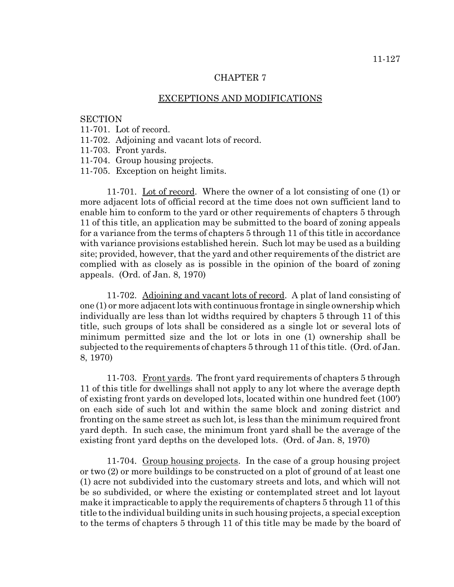#### CHAPTER 7

#### EXCEPTIONS AND MODIFICATIONS

### **SECTION**

- 11-701. Lot of record.
- 11-702. Adjoining and vacant lots of record.
- 11-703. Front yards.
- 11-704. Group housing projects.
- 11-705. Exception on height limits.

11-701. Lot of record. Where the owner of a lot consisting of one (1) or more adjacent lots of official record at the time does not own sufficient land to enable him to conform to the yard or other requirements of chapters 5 through 11 of this title, an application may be submitted to the board of zoning appeals for a variance from the terms of chapters 5 through 11 of this title in accordance with variance provisions established herein. Such lot may be used as a building site; provided, however, that the yard and other requirements of the district are complied with as closely as is possible in the opinion of the board of zoning appeals. (Ord. of Jan. 8, 1970)

11-702. Adjoining and vacant lots of record. A plat of land consisting of one (1) or more adjacent lots with continuous frontage in single ownership which individually are less than lot widths required by chapters 5 through 11 of this title, such groups of lots shall be considered as a single lot or several lots of minimum permitted size and the lot or lots in one (1) ownership shall be subjected to the requirements of chapters 5 through 11 of this title. (Ord. of Jan. 8, 1970)

11-703. Front yards. The front yard requirements of chapters 5 through 11 of this title for dwellings shall not apply to any lot where the average depth of existing front yards on developed lots, located within one hundred feet (100') on each side of such lot and within the same block and zoning district and fronting on the same street as such lot, is less than the minimum required front yard depth. In such case, the minimum front yard shall be the average of the existing front yard depths on the developed lots. (Ord. of Jan. 8, 1970)

11-704. Group housing projects. In the case of a group housing project or two (2) or more buildings to be constructed on a plot of ground of at least one (1) acre not subdivided into the customary streets and lots, and which will not be so subdivided, or where the existing or contemplated street and lot layout make it impracticable to apply the requirements of chapters 5 through 11 of this title to the individual building units in such housing projects, a special exception to the terms of chapters 5 through 11 of this title may be made by the board of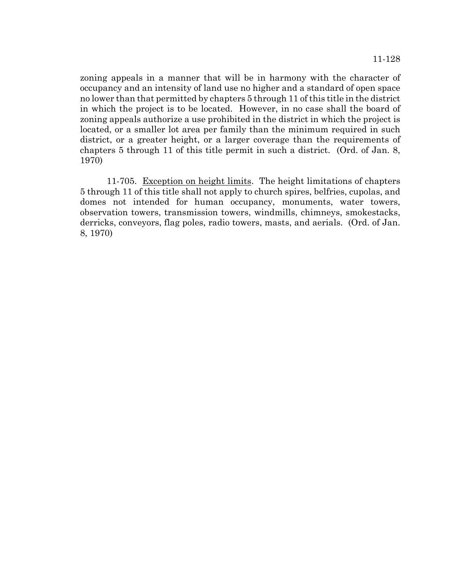zoning appeals in a manner that will be in harmony with the character of occupancy and an intensity of land use no higher and a standard of open space no lower than that permitted by chapters 5 through 11 of this title in the district in which the project is to be located. However, in no case shall the board of zoning appeals authorize a use prohibited in the district in which the project is located, or a smaller lot area per family than the minimum required in such district, or a greater height, or a larger coverage than the requirements of chapters 5 through 11 of this title permit in such a district. (Ord. of Jan. 8, 1970)

11-705. Exception on height limits. The height limitations of chapters 5 through 11 of this title shall not apply to church spires, belfries, cupolas, and domes not intended for human occupancy, monuments, water towers, observation towers, transmission towers, windmills, chimneys, smokestacks, derricks, conveyors, flag poles, radio towers, masts, and aerials. (Ord. of Jan. 8, 1970)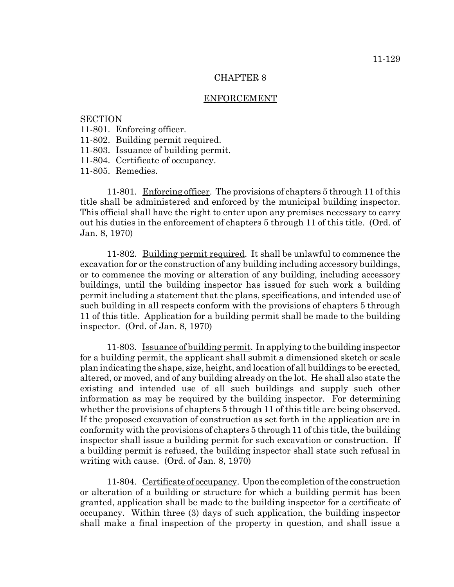#### CHAPTER 8

#### ENFORCEMENT

## **SECTION**

- 11-801. Enforcing officer.
- 11-802. Building permit required.
- 11-803. Issuance of building permit.
- 11-804. Certificate of occupancy.

11-805. Remedies.

11-801. Enforcing officer. The provisions of chapters 5 through 11 of this title shall be administered and enforced by the municipal building inspector. This official shall have the right to enter upon any premises necessary to carry out his duties in the enforcement of chapters 5 through 11 of this title. (Ord. of Jan. 8, 1970)

11-802. Building permit required. It shall be unlawful to commence the excavation for or the construction of any building including accessory buildings, or to commence the moving or alteration of any building, including accessory buildings, until the building inspector has issued for such work a building permit including a statement that the plans, specifications, and intended use of such building in all respects conform with the provisions of chapters 5 through 11 of this title. Application for a building permit shall be made to the building inspector. (Ord. of Jan. 8, 1970)

11-803. Issuance of building permit. In applying to the building inspector for a building permit, the applicant shall submit a dimensioned sketch or scale plan indicating the shape, size, height, and location of all buildings to be erected, altered, or moved, and of any building already on the lot. He shall also state the existing and intended use of all such buildings and supply such other information as may be required by the building inspector. For determining whether the provisions of chapters 5 through 11 of this title are being observed. If the proposed excavation of construction as set forth in the application are in conformity with the provisions of chapters 5 through 11 of this title, the building inspector shall issue a building permit for such excavation or construction. If a building permit is refused, the building inspector shall state such refusal in writing with cause. (Ord. of Jan. 8, 1970)

11-804. Certificate of occupancy. Upon the completion of the construction or alteration of a building or structure for which a building permit has been granted, application shall be made to the building inspector for a certificate of occupancy. Within three (3) days of such application, the building inspector shall make a final inspection of the property in question, and shall issue a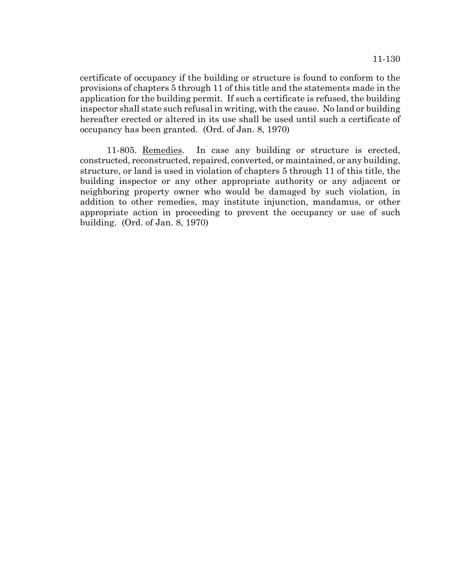certificate of occupancy if the building or structure is found to conform to the provisions of chapters 5 through 11 of this title and the statements made in the application for the building permit. If such a certificate is refused, the building inspector shall state such refusal in writing, with the cause. No land or building hereafter erected or altered in its use shall be used until such a certificate of occupancy has been granted. (Ord. of Jan. 8, 1970)

11-805. Remedies. In case any building or structure is erected, constructed, reconstructed, repaired, converted, or maintained, or any building, structure, or land is used in violation of chapters 5 through 11 of this title, the building inspector or any other appropriate authority or any adjacent or neighboring property owner who would be damaged by such violation, in addition to other remedies, may institute injunction, mandamus, or other appropriate action in proceeding to prevent the occupancy or use of such building. (Ord. of Jan. 8, 1970)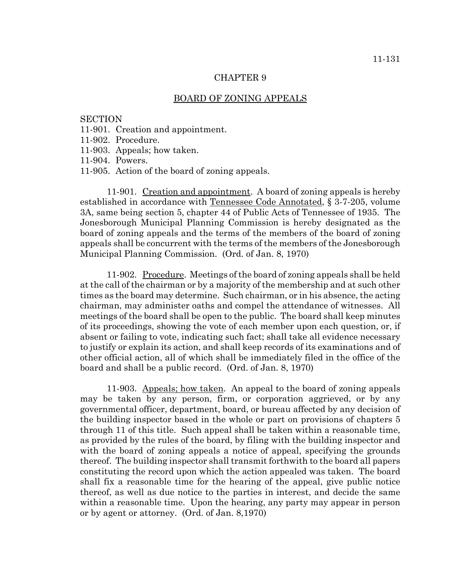#### BOARD OF ZONING APPEALS

#### **SECTION**

- 11-901. Creation and appointment.
- 11-902. Procedure.
- 11-903. Appeals; how taken.
- 11-904. Powers.
- 11-905. Action of the board of zoning appeals.

11-901. Creation and appointment. A board of zoning appeals is hereby established in accordance with Tennessee Code Annotated, § 3-7-205, volume 3A, same being section 5, chapter 44 of Public Acts of Tennessee of 1935. The Jonesborough Municipal Planning Commission is hereby designated as the board of zoning appeals and the terms of the members of the board of zoning appeals shall be concurrent with the terms of the members of the Jonesborough Municipal Planning Commission. (Ord. of Jan. 8, 1970)

11-902. Procedure. Meetings of the board of zoning appeals shall be held at the call of the chairman or by a majority of the membership and at such other times as the board may determine. Such chairman, or in his absence, the acting chairman, may administer oaths and compel the attendance of witnesses. All meetings of the board shall be open to the public. The board shall keep minutes of its proceedings, showing the vote of each member upon each question, or, if absent or failing to vote, indicating such fact; shall take all evidence necessary to justify or explain its action, and shall keep records of its examinations and of other official action, all of which shall be immediately filed in the office of the board and shall be a public record. (Ord. of Jan. 8, 1970)

11-903. Appeals; how taken. An appeal to the board of zoning appeals may be taken by any person, firm, or corporation aggrieved, or by any governmental officer, department, board, or bureau affected by any decision of the building inspector based in the whole or part on provisions of chapters 5 through 11 of this title. Such appeal shall be taken within a reasonable time, as provided by the rules of the board, by filing with the building inspector and with the board of zoning appeals a notice of appeal, specifying the grounds thereof. The building inspector shall transmit forthwith to the board all papers constituting the record upon which the action appealed was taken. The board shall fix a reasonable time for the hearing of the appeal, give public notice thereof, as well as due notice to the parties in interest, and decide the same within a reasonable time. Upon the hearing, any party may appear in person or by agent or attorney. (Ord. of Jan. 8,1970)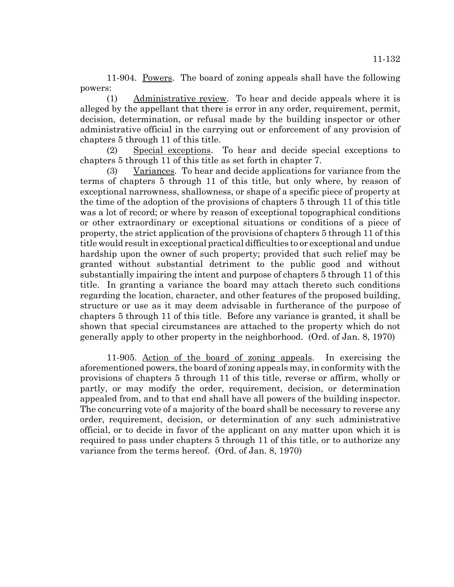11-904. Powers. The board of zoning appeals shall have the following powers:

(1) Administrative review. To hear and decide appeals where it is alleged by the appellant that there is error in any order, requirement, permit, decision, determination, or refusal made by the building inspector or other administrative official in the carrying out or enforcement of any provision of chapters 5 through 11 of this title.

(2) Special exceptions. To hear and decide special exceptions to chapters 5 through 11 of this title as set forth in chapter 7.

(3) Variances. To hear and decide applications for variance from the terms of chapters 5 through 11 of this title, but only where, by reason of exceptional narrowness, shallowness, or shape of a specific piece of property at the time of the adoption of the provisions of chapters 5 through 11 of this title was a lot of record; or where by reason of exceptional topographical conditions or other extraordinary or exceptional situations or conditions of a piece of property, the strict application of the provisions of chapters 5 through 11 of this title would result in exceptional practical difficulties to or exceptional and undue hardship upon the owner of such property; provided that such relief may be granted without substantial detriment to the public good and without substantially impairing the intent and purpose of chapters 5 through 11 of this title. In granting a variance the board may attach thereto such conditions regarding the location, character, and other features of the proposed building, structure or use as it may deem advisable in furtherance of the purpose of chapters 5 through 11 of this title. Before any variance is granted, it shall be shown that special circumstances are attached to the property which do not generally apply to other property in the neighborhood. (Ord. of Jan. 8, 1970)

11-905. Action of the board of zoning appeals. In exercising the aforementioned powers, the board of zoning appeals may, in conformity with the provisions of chapters 5 through 11 of this title, reverse or affirm, wholly or partly, or may modify the order, requirement, decision, or determination appealed from, and to that end shall have all powers of the building inspector. The concurring vote of a majority of the board shall be necessary to reverse any order, requirement, decision, or determination of any such administrative official, or to decide in favor of the applicant on any matter upon which it is required to pass under chapters 5 through 11 of this title, or to authorize any variance from the terms hereof. (Ord. of Jan. 8, 1970)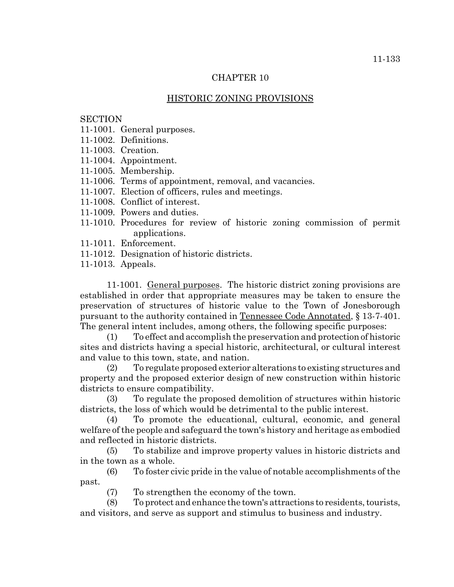# CHAPTER 10

# HISTORIC ZONING PROVISIONS

## **SECTION**

- 11-1001. General purposes.
- 11-1002. Definitions.
- 11-1003. Creation.
- 11-1004. Appointment.
- 11-1005. Membership.
- 11-1006. Terms of appointment, removal, and vacancies.
- 11-1007. Election of officers, rules and meetings.
- 11-1008. Conflict of interest.
- 11-1009. Powers and duties.
- 11-1010. Procedures for review of historic zoning commission of permit applications.
- 11-1011. Enforcement.
- 11-1012. Designation of historic districts.
- 11-1013. Appeals.

11-1001. General purposes. The historic district zoning provisions are established in order that appropriate measures may be taken to ensure the preservation of structures of historic value to the Town of Jonesborough pursuant to the authority contained in Tennessee Code Annotated, § 13-7-401. The general intent includes, among others, the following specific purposes:

(1) To effect and accomplish the preservation and protection of historic sites and districts having a special historic, architectural, or cultural interest and value to this town, state, and nation.

(2) To regulate proposed exterior alterations to existing structures and property and the proposed exterior design of new construction within historic districts to ensure compatibility.

(3) To regulate the proposed demolition of structures within historic districts, the loss of which would be detrimental to the public interest.

(4) To promote the educational, cultural, economic, and general welfare of the people and safeguard the town's history and heritage as embodied and reflected in historic districts.

(5) To stabilize and improve property values in historic districts and in the town as a whole.

(6) To foster civic pride in the value of notable accomplishments of the past.

(7) To strengthen the economy of the town.

(8) To protect and enhance the town's attractions to residents, tourists, and visitors, and serve as support and stimulus to business and industry.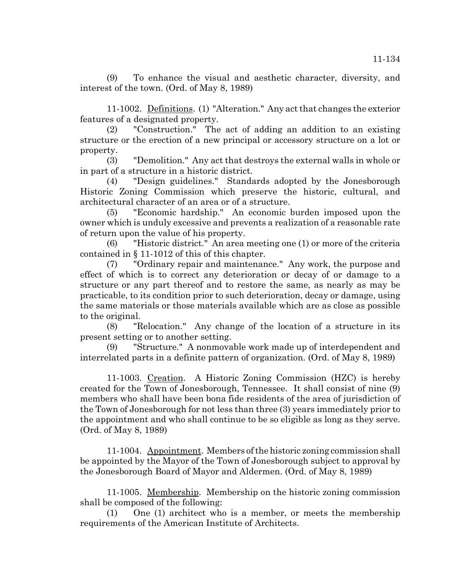(9) To enhance the visual and aesthetic character, diversity, and interest of the town. (Ord. of May 8, 1989)

11-1002. Definitions. (1) "Alteration." Any act that changes the exterior features of a designated property.

(2) "Construction." The act of adding an addition to an existing structure or the erection of a new principal or accessory structure on a lot or property.

(3) "Demolition." Any act that destroys the external walls in whole or in part of a structure in a historic district.

(4) "Design guidelines." Standards adopted by the Jonesborough Historic Zoning Commission which preserve the historic, cultural, and architectural character of an area or of a structure.

(5) "Economic hardship." An economic burden imposed upon the owner which is unduly excessive and prevents a realization of a reasonable rate of return upon the value of his property.

(6) "Historic district." An area meeting one (1) or more of the criteria contained in § 11-1012 of this of this chapter.

(7) "Ordinary repair and maintenance." Any work, the purpose and effect of which is to correct any deterioration or decay of or damage to a structure or any part thereof and to restore the same, as nearly as may be practicable, to its condition prior to such deterioration, decay or damage, using the same materials or those materials available which are as close as possible to the original.

(8) "Relocation." Any change of the location of a structure in its present setting or to another setting.

(9) "Structure." A nonmovable work made up of interdependent and interrelated parts in a definite pattern of organization. (Ord. of May 8, 1989)

11-1003. Creation. A Historic Zoning Commission (HZC) is hereby created for the Town of Jonesborough, Tennessee. It shall consist of nine (9) members who shall have been bona fide residents of the area of jurisdiction of the Town of Jonesborough for not less than three (3) years immediately prior to the appointment and who shall continue to be so eligible as long as they serve. (Ord. of May 8, 1989)

11-1004. Appointment. Members of the historic zoning commission shall be appointed by the Mayor of the Town of Jonesborough subject to approval by the Jonesborough Board of Mayor and Aldermen. (Ord. of May 8, 1989)

11-1005. Membership. Membership on the historic zoning commission shall be composed of the following:

(1) One (1) architect who is a member, or meets the membership requirements of the American Institute of Architects.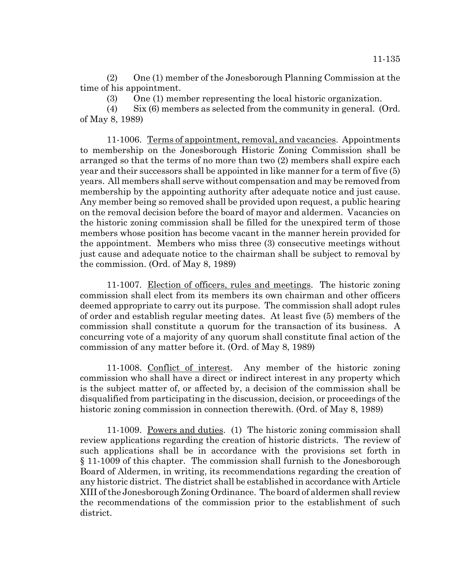(2) One (1) member of the Jonesborough Planning Commission at the time of his appointment.

(3) One (1) member representing the local historic organization.

(4) Six (6) members as selected from the community in general. (Ord. of May 8, 1989)

11-1006. Terms of appointment, removal, and vacancies. Appointments to membership on the Jonesborough Historic Zoning Commission shall be arranged so that the terms of no more than two (2) members shall expire each year and their successors shall be appointed in like manner for a term of five (5) years. All members shall serve without compensation and may be removed from membership by the appointing authority after adequate notice and just cause. Any member being so removed shall be provided upon request, a public hearing on the removal decision before the board of mayor and aldermen. Vacancies on the historic zoning commission shall be filled for the unexpired term of those members whose position has become vacant in the manner herein provided for the appointment. Members who miss three (3) consecutive meetings without just cause and adequate notice to the chairman shall be subject to removal by the commission. (Ord. of May 8, 1989)

11-1007. Election of officers, rules and meetings. The historic zoning commission shall elect from its members its own chairman and other officers deemed appropriate to carry out its purpose. The commission shall adopt rules of order and establish regular meeting dates. At least five (5) members of the commission shall constitute a quorum for the transaction of its business. A concurring vote of a majority of any quorum shall constitute final action of the commission of any matter before it. (Ord. of May 8, 1989)

11-1008. Conflict of interest. Any member of the historic zoning commission who shall have a direct or indirect interest in any property which is the subject matter of, or affected by, a decision of the commission shall be disqualified from participating in the discussion, decision, or proceedings of the historic zoning commission in connection therewith. (Ord. of May 8, 1989)

11-1009. Powers and duties. (1) The historic zoning commission shall review applications regarding the creation of historic districts. The review of such applications shall be in accordance with the provisions set forth in § 11-1009 of this chapter. The commission shall furnish to the Jonesborough Board of Aldermen, in writing, its recommendations regarding the creation of any historic district. The district shall be established in accordance with Article XIII of the Jonesborough Zoning Ordinance. The board of aldermen shall review the recommendations of the commission prior to the establishment of such district.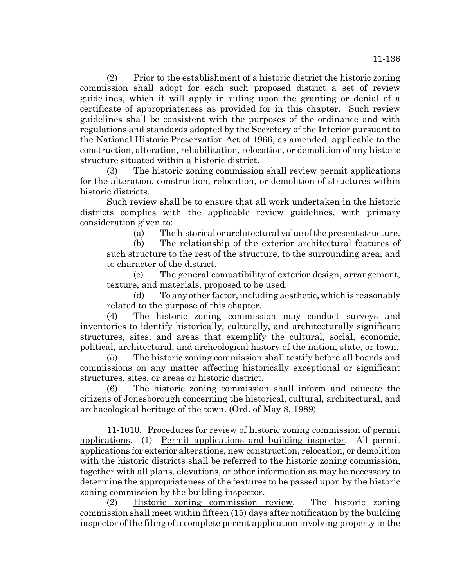(2) Prior to the establishment of a historic district the historic zoning commission shall adopt for each such proposed district a set of review guidelines, which it will apply in ruling upon the granting or denial of a certificate of appropriateness as provided for in this chapter. Such review guidelines shall be consistent with the purposes of the ordinance and with regulations and standards adopted by the Secretary of the Interior pursuant to the National Historic Preservation Act of 1966, as amended, applicable to the construction, alteration, rehabilitation, relocation, or demolition of any historic structure situated within a historic district.

(3) The historic zoning commission shall review permit applications for the alteration, construction, relocation, or demolition of structures within historic districts.

Such review shall be to ensure that all work undertaken in the historic districts complies with the applicable review guidelines, with primary consideration given to:

(a) The historical or architectural value of the present structure.

(b) The relationship of the exterior architectural features of such structure to the rest of the structure, to the surrounding area, and to character of the district.

(c) The general compatibility of exterior design, arrangement, texture, and materials, proposed to be used.

(d) To any other factor, including aesthetic, which is reasonably related to the purpose of this chapter.

(4) The historic zoning commission may conduct surveys and inventories to identify historically, culturally, and architecturally significant structures, sites, and areas that exemplify the cultural, social, economic, political, architectural, and archeological history of the nation, state, or town.

(5) The historic zoning commission shall testify before all boards and commissions on any matter affecting historically exceptional or significant structures, sites, or areas or historic district.

(6) The historic zoning commission shall inform and educate the citizens of Jonesborough concerning the historical, cultural, architectural, and archaeological heritage of the town. (Ord. of May 8, 1989)

11-1010. Procedures for review of historic zoning commission of permit applications. (1) Permit applications and building inspector. All permit applications for exterior alterations, new construction, relocation, or demolition with the historic districts shall be referred to the historic zoning commission, together with all plans, elevations, or other information as may be necessary to determine the appropriateness of the features to be passed upon by the historic zoning commission by the building inspector.

(2) Historic zoning commission review. The historic zoning commission shall meet within fifteen (15) days after notification by the building inspector of the filing of a complete permit application involving property in the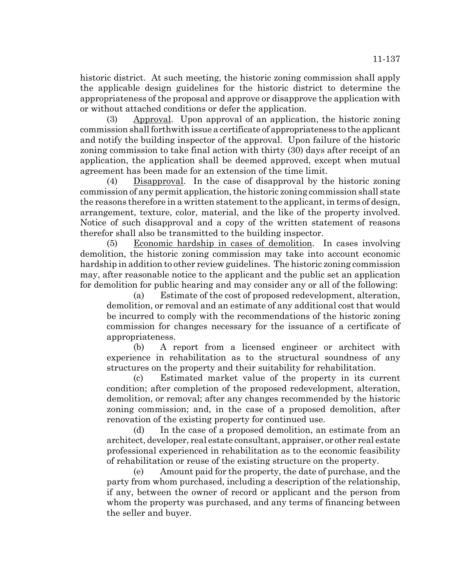historic district. At such meeting, the historic zoning commission shall apply the applicable design guidelines for the historic district to determine the appropriateness of the proposal and approve or disapprove the application with or without attached conditions or defer the application.

(3) Approval. Upon approval of an application, the historic zoning commission shall forthwith issue a certificate of appropriateness to the applicant and notify the building inspector of the approval. Upon failure of the historic zoning commission to take final action with thirty (30) days after receipt of an application, the application shall be deemed approved, except when mutual agreement has been made for an extension of the time limit.

(4) Disapproval. In the case of disapproval by the historic zoning commission of any permit application, the historic zoning commission shall state the reasons therefore in a written statement to the applicant, in terms of design, arrangement, texture, color, material, and the like of the property involved. Notice of such disapproval and a copy of the written statement of reasons therefor shall also be transmitted to the building inspector.

(5) Economic hardship in cases of demolition. In cases involving demolition, the historic zoning commission may take into account economic hardship in addition to other review guidelines. The historic zoning commission may, after reasonable notice to the applicant and the public set an application for demolition for public hearing and may consider any or all of the following:

(a) Estimate of the cost of proposed redevelopment, alteration, demolition, or removal and an estimate of any additional cost that would be incurred to comply with the recommendations of the historic zoning commission for changes necessary for the issuance of a certificate of appropriateness.

(b) A report from a licensed engineer or architect with experience in rehabilitation as to the structural soundness of any structures on the property and their suitability for rehabilitation.

(c) Estimated market value of the property in its current condition; after completion of the proposed redevelopment, alteration, demolition, or removal; after any changes recommended by the historic zoning commission; and, in the case of a proposed demolition, after renovation of the existing property for continued use.

(d) In the case of a proposed demolition, an estimate from an architect, developer, real estate consultant, appraiser, or other real estate professional experienced in rehabilitation as to the economic feasibility of rehabilitation or reuse of the existing structure on the property.

(e) Amount paid for the property, the date of purchase, and the party from whom purchased, including a description of the relationship, if any, between the owner of record or applicant and the person from whom the property was purchased, and any terms of financing between the seller and buyer.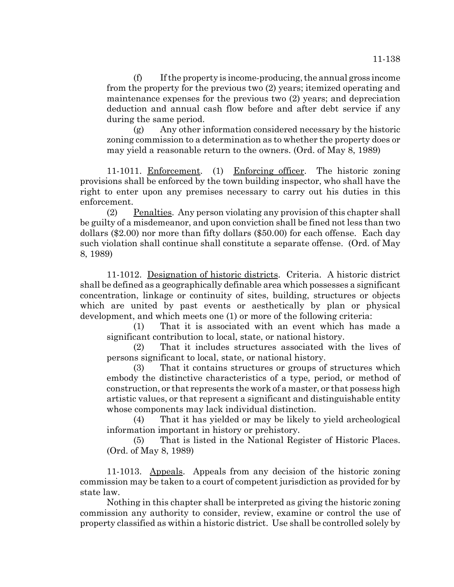(f) If the property is income-producing, the annual gross income from the property for the previous two (2) years; itemized operating and maintenance expenses for the previous two (2) years; and depreciation deduction and annual cash flow before and after debt service if any during the same period.

(g) Any other information considered necessary by the historic zoning commission to a determination as to whether the property does or may yield a reasonable return to the owners. (Ord. of May 8, 1989)

11-1011. Enforcement. (1) Enforcing officer. The historic zoning provisions shall be enforced by the town building inspector, who shall have the right to enter upon any premises necessary to carry out his duties in this enforcement.

(2) Penalties. Any person violating any provision of this chapter shall be guilty of a misdemeanor, and upon conviction shall be fined not less than two dollars (\$2.00) nor more than fifty dollars (\$50.00) for each offense. Each day such violation shall continue shall constitute a separate offense. (Ord. of May 8, 1989)

11-1012. Designation of historic districts. Criteria. A historic district shall be defined as a geographically definable area which possesses a significant concentration, linkage or continuity of sites, building, structures or objects which are united by past events or aesthetically by plan or physical development, and which meets one (1) or more of the following criteria:

(1) That it is associated with an event which has made a significant contribution to local, state, or national history.

(2) That it includes structures associated with the lives of persons significant to local, state, or national history.

(3) That it contains structures or groups of structures which embody the distinctive characteristics of a type, period, or method of construction, or that represents the work of a master, or that possess high artistic values, or that represent a significant and distinguishable entity whose components may lack individual distinction.

(4) That it has yielded or may be likely to yield archeological information important in history or prehistory.

(5) That is listed in the National Register of Historic Places. (Ord. of May 8, 1989)

11-1013. Appeals. Appeals from any decision of the historic zoning commission may be taken to a court of competent jurisdiction as provided for by state law.

Nothing in this chapter shall be interpreted as giving the historic zoning commission any authority to consider, review, examine or control the use of property classified as within a historic district. Use shall be controlled solely by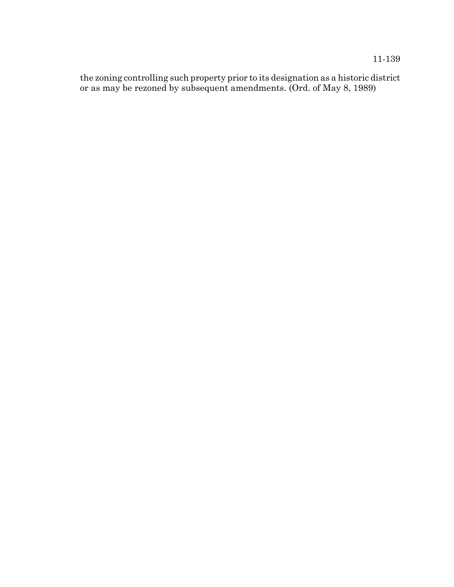the zoning controlling such property prior to its designation as a historic district or as may be rezoned by subsequent amendments. (Ord. of May 8, 1989)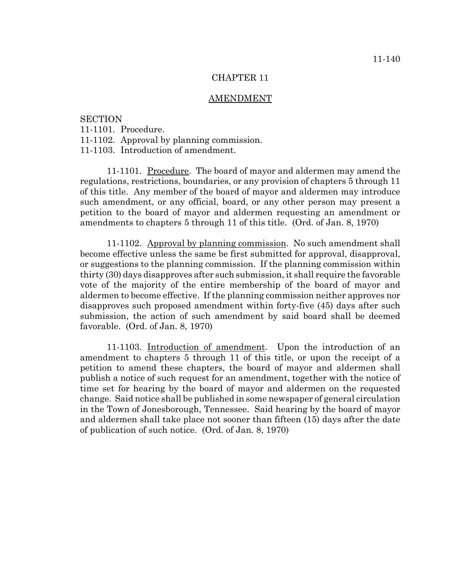#### CHAPTER 11

#### AMENDMENT

## **SECTION**

- 11-1101. Procedure.
- 11-1102. Approval by planning commission.
- 11-1103. Introduction of amendment.

11-1101. Procedure. The board of mayor and aldermen may amend the regulations, restrictions, boundaries, or any provision of chapters 5 through 11 of this title. Any member of the board of mayor and aldermen may introduce such amendment, or any official, board, or any other person may present a petition to the board of mayor and aldermen requesting an amendment or amendments to chapters 5 through 11 of this title. (Ord. of Jan. 8, 1970)

11-1102. Approval by planning commission. No such amendment shall become effective unless the same be first submitted for approval, disapproval, or suggestions to the planning commission. If the planning commission within thirty (30) days disapproves after such submission, it shall require the favorable vote of the majority of the entire membership of the board of mayor and aldermen to become effective. If the planning commission neither approves nor disapproves such proposed amendment within forty-five (45) days after such submission, the action of such amendment by said board shall be deemed favorable. (Ord. of Jan. 8, 1970)

11-1103. Introduction of amendment. Upon the introduction of an amendment to chapters 5 through 11 of this title, or upon the receipt of a petition to amend these chapters, the board of mayor and aldermen shall publish a notice of such request for an amendment, together with the notice of time set for hearing by the board of mayor and aldermen on the requested change. Said notice shall be published in some newspaper of general circulation in the Town of Jonesborough, Tennessee. Said hearing by the board of mayor and aldermen shall take place not sooner than fifteen (15) days after the date of publication of such notice. (Ord. of Jan. 8, 1970)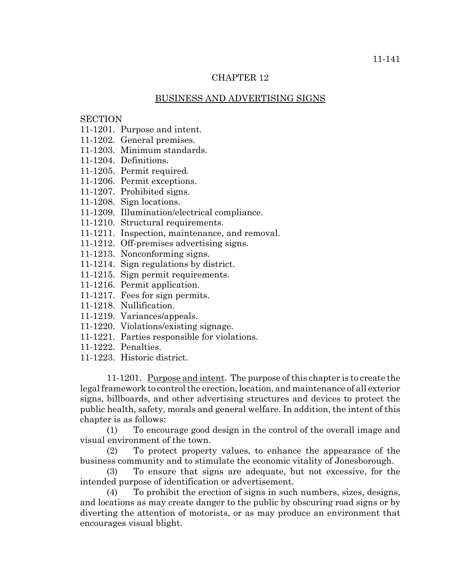### CHAPTER 12

### BUSINESS AND ADVERTISING SIGNS

# **SECTION**

- 11-1201. Purpose and intent.
- 11-1202. General premises.
- 11-1203. Minimum standards.
- 11-1204. Definitions.
- 11-1205. Permit required.
- 11-1206. Permit exceptions.
- 11-1207. Prohibited signs.
- 11-1208. Sign locations.
- 11-1209. Illumination/electrical compliance.
- 11-1210. Structural requirements.
- 11-1211. Inspection, maintenance, and removal.
- 11-1212. Off-premises advertising signs.
- 11-1213. Nonconforming signs.
- 11-1214. Sign regulations by district.
- 11-1215. Sign permit requirements.
- 11-1216. Permit application.
- 11-1217. Fees for sign permits.
- 11-1218. Nullification.
- 11-1219. Variances/appeals.
- 11-1220. Violations/existing signage.
- 11-1221. Parties responsible for violations.
- 11-1222. Penalties.
- 11-1223. Historic district.

11-1201. Purpose and intent. The purpose of this chapter is to create the legal framework to control the erection, location, and maintenance of all exterior signs, billboards, and other advertising structures and devices to protect the public health, safety, morals and general welfare. In addition, the intent of this chapter is as follows:

(1) To encourage good design in the control of the overall image and visual environment of the town.

(2) To protect property values, to enhance the appearance of the business community and to stimulate the economic vitality of Jonesborough.

(3) To ensure that signs are adequate, but not excessive, for the intended purpose of identification or advertisement.

(4) To prohibit the erection of signs in such numbers, sizes, designs, and locations as may create danger to the public by obscuring road signs or by diverting the attention of motorists, or as may produce an environment that encourages visual blight.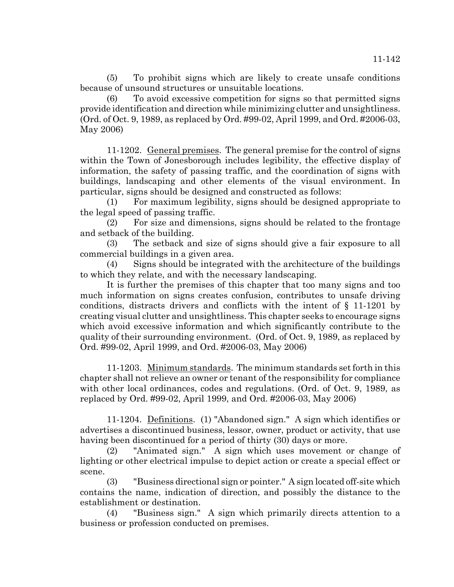(5) To prohibit signs which are likely to create unsafe conditions because of unsound structures or unsuitable locations.

(6) To avoid excessive competition for signs so that permitted signs provide identification and direction while minimizing clutter and unsightliness. (Ord. of Oct. 9, 1989, as replaced by Ord. #99-02, April 1999, and Ord. #2006-03, May 2006)

11-1202. General premises. The general premise for the control of signs within the Town of Jonesborough includes legibility, the effective display of information, the safety of passing traffic, and the coordination of signs with buildings, landscaping and other elements of the visual environment. In particular, signs should be designed and constructed as follows:

(1) For maximum legibility, signs should be designed appropriate to the legal speed of passing traffic.

(2) For size and dimensions, signs should be related to the frontage and setback of the building.

(3) The setback and size of signs should give a fair exposure to all commercial buildings in a given area.

(4) Signs should be integrated with the architecture of the buildings to which they relate, and with the necessary landscaping.

It is further the premises of this chapter that too many signs and too much information on signs creates confusion, contributes to unsafe driving conditions, distracts drivers and conflicts with the intent of § 11-1201 by creating visual clutter and unsightliness. This chapter seeks to encourage signs which avoid excessive information and which significantly contribute to the quality of their surrounding environment. (Ord. of Oct. 9, 1989, as replaced by Ord. #99-02, April 1999, and Ord. #2006-03, May 2006)

11-1203. Minimum standards. The minimum standards set forth in this chapter shall not relieve an owner or tenant of the responsibility for compliance with other local ordinances, codes and regulations. (Ord. of Oct. 9, 1989, as replaced by Ord. #99-02, April 1999, and Ord. #2006-03, May 2006)

11-1204. Definitions. (1) "Abandoned sign." A sign which identifies or advertises a discontinued business, lessor, owner, product or activity, that use having been discontinued for a period of thirty (30) days or more.

(2) "Animated sign." A sign which uses movement or change of lighting or other electrical impulse to depict action or create a special effect or scene.

(3) "Business directional sign or pointer." A sign located off-site which contains the name, indication of direction, and possibly the distance to the establishment or destination.

(4) "Business sign." A sign which primarily directs attention to a business or profession conducted on premises.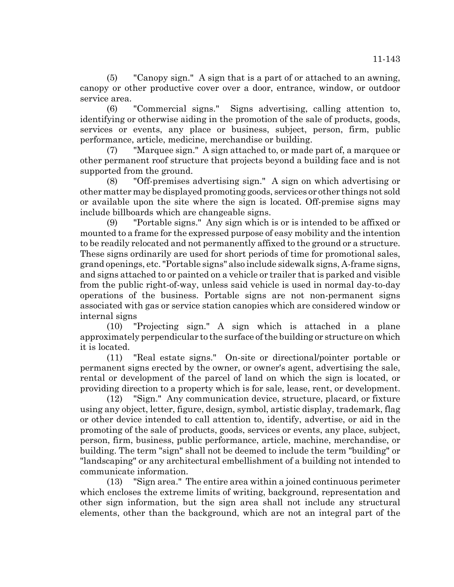(5) "Canopy sign." A sign that is a part of or attached to an awning, canopy or other productive cover over a door, entrance, window, or outdoor service area.

(6) "Commercial signs." Signs advertising, calling attention to, identifying or otherwise aiding in the promotion of the sale of products, goods, services or events, any place or business, subject, person, firm, public performance, article, medicine, merchandise or building.

(7) "Marquee sign." A sign attached to, or made part of, a marquee or other permanent roof structure that projects beyond a building face and is not supported from the ground.

(8) "Off-premises advertising sign." A sign on which advertising or other matter may be displayed promoting goods, services or other things not sold or available upon the site where the sign is located. Off-premise signs may include billboards which are changeable signs.

(9) "Portable signs." Any sign which is or is intended to be affixed or mounted to a frame for the expressed purpose of easy mobility and the intention to be readily relocated and not permanently affixed to the ground or a structure. These signs ordinarily are used for short periods of time for promotional sales, grand openings, etc. "Portable signs" also include sidewalk signs, A-frame signs, and signs attached to or painted on a vehicle or trailer that is parked and visible from the public right-of-way, unless said vehicle is used in normal day-to-day operations of the business. Portable signs are not non-permanent signs associated with gas or service station canopies which are considered window or internal signs

(10) "Projecting sign." A sign which is attached in a plane approximately perpendicular to the surface of the building or structure on which it is located.

(11) "Real estate signs." On-site or directional/pointer portable or permanent signs erected by the owner, or owner's agent, advertising the sale, rental or development of the parcel of land on which the sign is located, or providing direction to a property which is for sale, lease, rent, or development.

(12) "Sign." Any communication device, structure, placard, or fixture using any object, letter, figure, design, symbol, artistic display, trademark, flag or other device intended to call attention to, identify, advertise, or aid in the promoting of the sale of products, goods, services or events, any place, subject, person, firm, business, public performance, article, machine, merchandise, or building. The term "sign" shall not be deemed to include the term "building" or "landscaping" or any architectural embellishment of a building not intended to communicate information.

(13) "Sign area." The entire area within a joined continuous perimeter which encloses the extreme limits of writing, background, representation and other sign information, but the sign area shall not include any structural elements, other than the background, which are not an integral part of the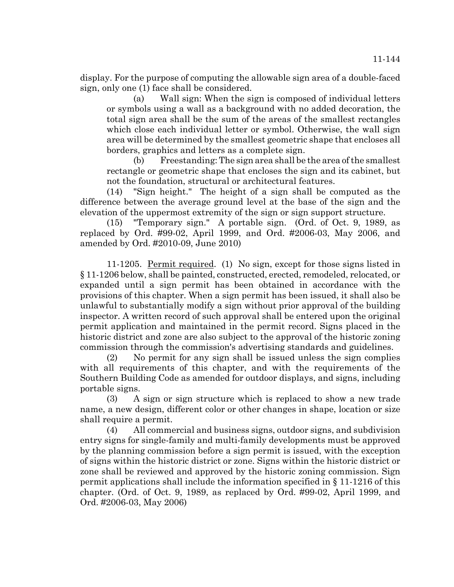display. For the purpose of computing the allowable sign area of a double-faced sign, only one (1) face shall be considered.

(a) Wall sign: When the sign is composed of individual letters or symbols using a wall as a background with no added decoration, the total sign area shall be the sum of the areas of the smallest rectangles which close each individual letter or symbol. Otherwise, the wall sign area will be determined by the smallest geometric shape that encloses all borders, graphics and letters as a complete sign.

(b) Freestanding: The sign area shall be the area of the smallest rectangle or geometric shape that encloses the sign and its cabinet, but not the foundation, structural or architectural features.

(14) "Sign height." The height of a sign shall be computed as the difference between the average ground level at the base of the sign and the elevation of the uppermost extremity of the sign or sign support structure.

(15) "Temporary sign." A portable sign. (Ord. of Oct. 9, 1989, as replaced by Ord. #99-02, April 1999, and Ord. #2006-03, May 2006, and amended by Ord. #2010-09, June 2010)

11-1205. Permit required. (1) No sign, except for those signs listed in § 11-1206 below, shall be painted, constructed, erected, remodeled, relocated, or expanded until a sign permit has been obtained in accordance with the provisions of this chapter. When a sign permit has been issued, it shall also be unlawful to substantially modify a sign without prior approval of the building inspector. A written record of such approval shall be entered upon the original permit application and maintained in the permit record. Signs placed in the historic district and zone are also subject to the approval of the historic zoning commission through the commission's advertising standards and guidelines.

(2) No permit for any sign shall be issued unless the sign complies with all requirements of this chapter, and with the requirements of the Southern Building Code as amended for outdoor displays, and signs, including portable signs.

(3) A sign or sign structure which is replaced to show a new trade name, a new design, different color or other changes in shape, location or size shall require a permit.

(4) All commercial and business signs, outdoor signs, and subdivision entry signs for single-family and multi-family developments must be approved by the planning commission before a sign permit is issued, with the exception of signs within the historic district or zone. Signs within the historic district or zone shall be reviewed and approved by the historic zoning commission. Sign permit applications shall include the information specified in § 11-1216 of this chapter. (Ord. of Oct. 9, 1989, as replaced by Ord. #99-02, April 1999, and Ord. #2006-03, May 2006)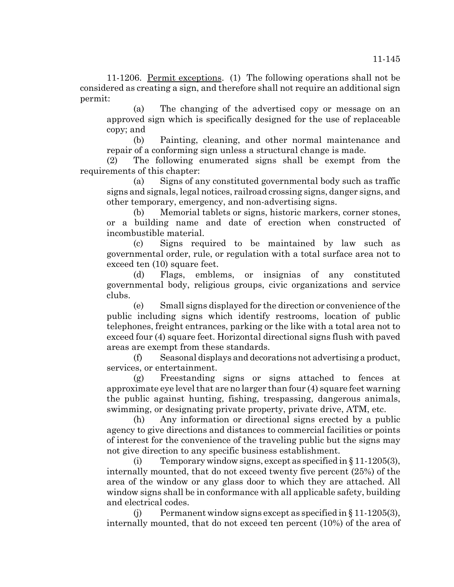11-1206. Permit exceptions. (1) The following operations shall not be considered as creating a sign, and therefore shall not require an additional sign permit:

(a) The changing of the advertised copy or message on an approved sign which is specifically designed for the use of replaceable copy; and

(b) Painting, cleaning, and other normal maintenance and repair of a conforming sign unless a structural change is made.

(2) The following enumerated signs shall be exempt from the requirements of this chapter:

(a) Signs of any constituted governmental body such as traffic signs and signals, legal notices, railroad crossing signs, danger signs, and other temporary, emergency, and non-advertising signs.

(b) Memorial tablets or signs, historic markers, corner stones, or a building name and date of erection when constructed of incombustible material.

(c) Signs required to be maintained by law such as governmental order, rule, or regulation with a total surface area not to exceed ten (10) square feet.

(d) Flags, emblems, or insignias of any constituted governmental body, religious groups, civic organizations and service clubs.

(e) Small signs displayed for the direction or convenience of the public including signs which identify restrooms, location of public telephones, freight entrances, parking or the like with a total area not to exceed four (4) square feet. Horizontal directional signs flush with paved areas are exempt from these standards.

(f) Seasonal displays and decorations not advertising a product, services, or entertainment.

(g) Freestanding signs or signs attached to fences at approximate eye level that are no larger than four (4) square feet warning the public against hunting, fishing, trespassing, dangerous animals, swimming, or designating private property, private drive, ATM, etc.

(h) Any information or directional signs erected by a public agency to give directions and distances to commercial facilities or points of interest for the convenience of the traveling public but the signs may not give direction to any specific business establishment.

(i) Temporary window signs, except as specified in § 11-1205(3), internally mounted, that do not exceed twenty five percent (25%) of the area of the window or any glass door to which they are attached. All window signs shall be in conformance with all applicable safety, building and electrical codes.

(j) Permanent window signs except as specified in  $\S 11-1205(3)$ , internally mounted, that do not exceed ten percent (10%) of the area of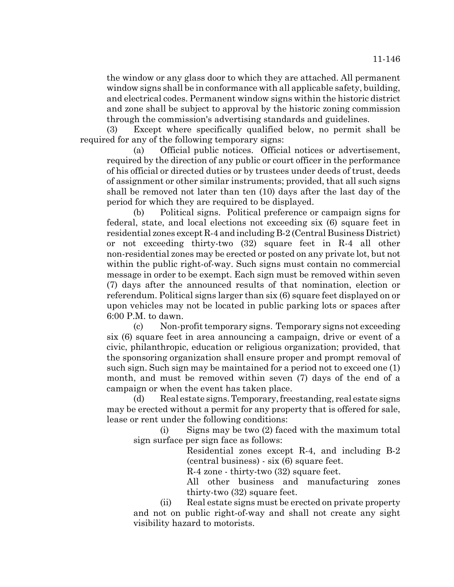the window or any glass door to which they are attached. All permanent window signs shall be in conformance with all applicable safety, building, and electrical codes. Permanent window signs within the historic district and zone shall be subject to approval by the historic zoning commission through the commission's advertising standards and guidelines.

(3) Except where specifically qualified below, no permit shall be required for any of the following temporary signs:

(a) Official public notices. Official notices or advertisement, required by the direction of any public or court officer in the performance of his official or directed duties or by trustees under deeds of trust, deeds of assignment or other similar instruments; provided, that all such signs shall be removed not later than ten (10) days after the last day of the period for which they are required to be displayed.

(b) Political signs. Political preference or campaign signs for federal, state, and local elections not exceeding six (6) square feet in residential zones except R-4 and including B-2 (Central Business District) or not exceeding thirty-two (32) square feet in R-4 all other non-residential zones may be erected or posted on any private lot, but not within the public right-of-way. Such signs must contain no commercial message in order to be exempt. Each sign must be removed within seven (7) days after the announced results of that nomination, election or referendum. Political signs larger than six (6) square feet displayed on or upon vehicles may not be located in public parking lots or spaces after 6:00 P.M. to dawn.

(c) Non-profit temporary signs. Temporary signs not exceeding six (6) square feet in area announcing a campaign, drive or event of a civic, philanthropic, education or religious organization; provided, that the sponsoring organization shall ensure proper and prompt removal of such sign. Such sign may be maintained for a period not to exceed one (1) month, and must be removed within seven (7) days of the end of a campaign or when the event has taken place.

(d) Real estate signs. Temporary, freestanding, real estate signs may be erected without a permit for any property that is offered for sale, lease or rent under the following conditions:

(i) Signs may be two (2) faced with the maximum total sign surface per sign face as follows:

> Residential zones except R-4, and including B-2 (central business) - six (6) square feet.

R-4 zone - thirty-two (32) square feet.

All other business and manufacturing zones thirty-two (32) square feet.

(ii) Real estate signs must be erected on private property and not on public right-of-way and shall not create any sight visibility hazard to motorists.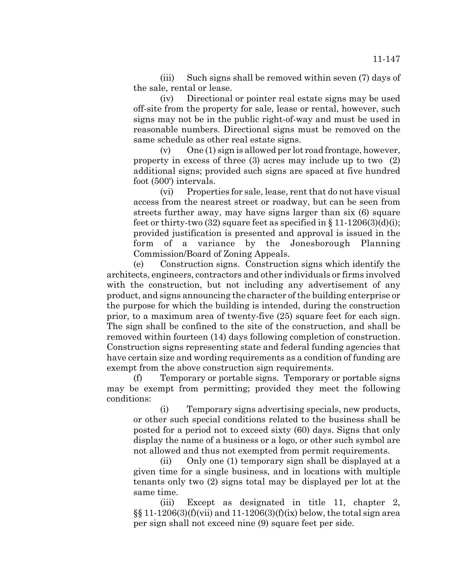(iii) Such signs shall be removed within seven (7) days of the sale, rental or lease.

(iv) Directional or pointer real estate signs may be used off-site from the property for sale, lease or rental, however, such signs may not be in the public right-of-way and must be used in reasonable numbers. Directional signs must be removed on the same schedule as other real estate signs.

 $(v)$  One  $(1)$  sign is allowed per lot road frontage, however, property in excess of three (3) acres may include up to two (2) additional signs; provided such signs are spaced at five hundred foot (500') intervals.

(vi) Properties for sale, lease, rent that do not have visual access from the nearest street or roadway, but can be seen from streets further away, may have signs larger than six (6) square feet or thirty-two  $(32)$  square feet as specified in § 11-1206 $(3)(d)(i)$ ; provided justification is presented and approval is issued in the form of a variance by the Jonesborough Planning Commission/Board of Zoning Appeals.

(e) Construction signs. Construction signs which identify the architects, engineers, contractors and other individuals or firms involved with the construction, but not including any advertisement of any product, and signs announcing the character of the building enterprise or the purpose for which the building is intended, during the construction prior, to a maximum area of twenty-five (25) square feet for each sign. The sign shall be confined to the site of the construction, and shall be removed within fourteen (14) days following completion of construction. Construction signs representing state and federal funding agencies that have certain size and wording requirements as a condition of funding are exempt from the above construction sign requirements.

(f) Temporary or portable signs. Temporary or portable signs may be exempt from permitting; provided they meet the following conditions:

(i) Temporary signs advertising specials, new products, or other such special conditions related to the business shall be posted for a period not to exceed sixty (60) days. Signs that only display the name of a business or a logo, or other such symbol are not allowed and thus not exempted from permit requirements.

(ii) Only one (1) temporary sign shall be displayed at a given time for a single business, and in locations with multiple tenants only two (2) signs total may be displayed per lot at the same time.

(iii) Except as designated in title 11, chapter 2,  $\S$ [08] 11-1206(3)(f)(vii) and 11-1206(3)(f)(ix) below, the total sign area per sign shall not exceed nine (9) square feet per side.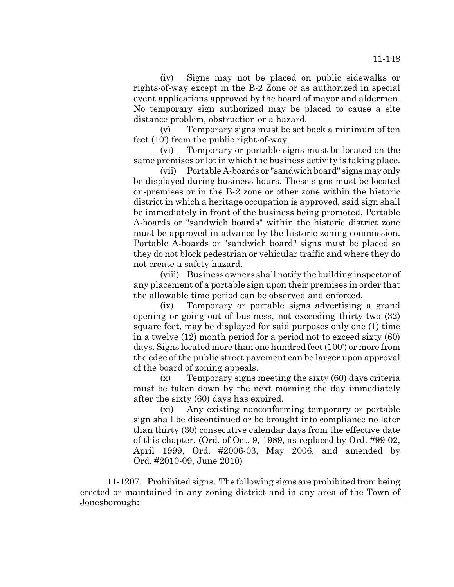(iv) Signs may not be placed on public sidewalks or rights-of-way except in the B-2 Zone or as authorized in special event applications approved by the board of mayor and aldermen. No temporary sign authorized may be placed to cause a site distance problem, obstruction or a hazard.

(v) Temporary signs must be set back a minimum of ten feet (10') from the public right-of-way.

(vi) Temporary or portable signs must be located on the same premises or lot in which the business activity is taking place.

(vii) Portable A-boards or "sandwich board" signs may only be displayed during business hours. These signs must be located on-premises or in the B-2 zone or other zone within the historic district in which a heritage occupation is approved, said sign shall be immediately in front of the business being promoted, Portable A-boards or "sandwich boards" within the historic district zone must be approved in advance by the historic zoning commission. Portable A-boards or "sandwich board" signs must be placed so they do not block pedestrian or vehicular traffic and where they do not create a safety hazard.

(viii) Business owners shall notify the building inspector of any placement of a portable sign upon their premises in order that the allowable time period can be observed and enforced.

(ix) Temporary or portable signs advertising a grand opening or going out of business, not exceeding thirty-two (32) square feet, may be displayed for said purposes only one (1) time in a twelve (12) month period for a period not to exceed sixty (60) days. Signs located more than one hundred feet (100') or more from the edge of the public street pavement can be larger upon approval of the board of zoning appeals.

(x) Temporary signs meeting the sixty (60) days criteria must be taken down by the next morning the day immediately after the sixty (60) days has expired.

(xi) Any existing nonconforming temporary or portable sign shall be discontinued or be brought into compliance no later than thirty (30) consecutive calendar days from the effective date of this chapter. (Ord. of Oct. 9, 1989, as replaced by Ord. #99-02, April 1999, Ord. #2006-03, May 2006, and amended by Ord. #2010-09, June 2010)

11-1207. Prohibited signs. The following signs are prohibited from being erected or maintained in any zoning district and in any area of the Town of Jonesborough: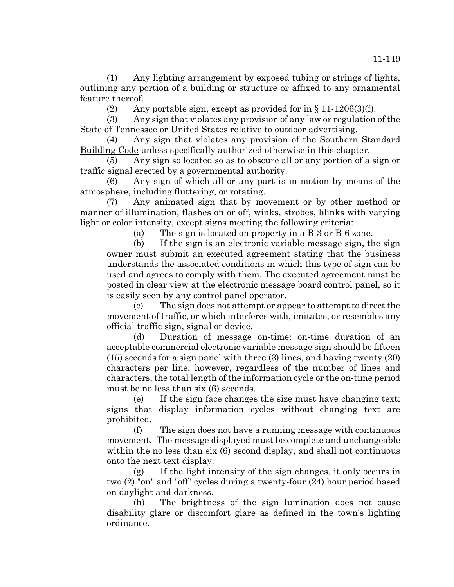(2) Any portable sign, except as provided for in  $\S 11-1206(3)(f)$ .

(3) Any sign that violates any provision of any law or regulation of the State of Tennessee or United States relative to outdoor advertising.

(4) Any sign that violates any provision of the Southern Standard Building Code unless specifically authorized otherwise in this chapter.

(5) Any sign so located so as to obscure all or any portion of a sign or traffic signal erected by a governmental authority.

(6) Any sign of which all or any part is in motion by means of the atmosphere, including fluttering, or rotating.

(7) Any animated sign that by movement or by other method or manner of illumination, flashes on or off, winks, strobes, blinks with varying light or color intensity, except signs meeting the following criteria:

(a) The sign is located on property in a B-3 or B-6 zone.

(b) If the sign is an electronic variable message sign, the sign owner must submit an executed agreement stating that the business understands the associated conditions in which this type of sign can be used and agrees to comply with them. The executed agreement must be posted in clear view at the electronic message board control panel, so it is easily seen by any control panel operator.

(c) The sign does not attempt or appear to attempt to direct the movement of traffic, or which interferes with, imitates, or resembles any official traffic sign, signal or device.

(d) Duration of message on-time: on-time duration of an acceptable commercial electronic variable message sign should be fifteen (15) seconds for a sign panel with three (3) lines, and having twenty (20) characters per line; however, regardless of the number of lines and characters, the total length of the information cycle or the on-time period must be no less than six (6) seconds.

(e) If the sign face changes the size must have changing text; signs that display information cycles without changing text are prohibited.

(f) The sign does not have a running message with continuous movement. The message displayed must be complete and unchangeable within the no less than six (6) second display, and shall not continuous onto the next text display.

(g) If the light intensity of the sign changes, it only occurs in two (2) "on" and "off" cycles during a twenty-four (24) hour period based on daylight and darkness.

(h) The brightness of the sign lumination does not cause disability glare or discomfort glare as defined in the town's lighting ordinance.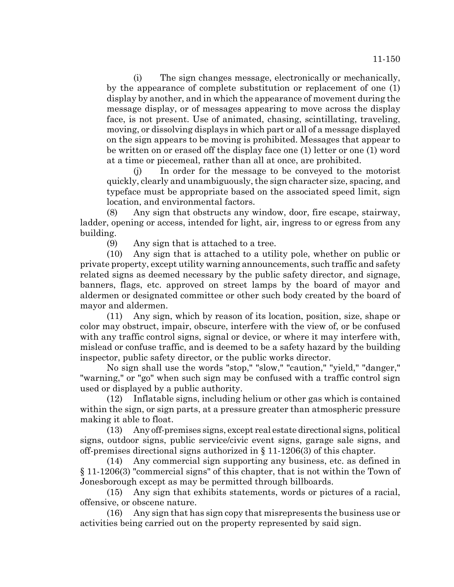(i) The sign changes message, electronically or mechanically, by the appearance of complete substitution or replacement of one (1) display by another, and in which the appearance of movement during the message display, or of messages appearing to move across the display face, is not present. Use of animated, chasing, scintillating, traveling, moving, or dissolving displays in which part or all of a message displayed on the sign appears to be moving is prohibited. Messages that appear to be written on or erased off the display face one (1) letter or one (1) word at a time or piecemeal, rather than all at once, are prohibited.

(j) In order for the message to be conveyed to the motorist quickly, clearly and unambiguously, the sign character size, spacing, and typeface must be appropriate based on the associated speed limit, sign location, and environmental factors.

(8) Any sign that obstructs any window, door, fire escape, stairway, ladder, opening or access, intended for light, air, ingress to or egress from any building.

(9) Any sign that is attached to a tree.

(10) Any sign that is attached to a utility pole, whether on public or private property, except utility warning announcements, such traffic and safety related signs as deemed necessary by the public safety director, and signage, banners, flags, etc. approved on street lamps by the board of mayor and aldermen or designated committee or other such body created by the board of mayor and aldermen.

(11) Any sign, which by reason of its location, position, size, shape or color may obstruct, impair, obscure, interfere with the view of, or be confused with any traffic control signs, signal or device, or where it may interfere with, mislead or confuse traffic, and is deemed to be a safety hazard by the building inspector, public safety director, or the public works director.

No sign shall use the words "stop," "slow," "caution," "yield," "danger," "warning," or "go" when such sign may be confused with a traffic control sign used or displayed by a public authority.

(12) Inflatable signs, including helium or other gas which is contained within the sign, or sign parts, at a pressure greater than atmospheric pressure making it able to float.

(13) Any off-premises signs, except real estate directional signs, political signs, outdoor signs, public service/civic event signs, garage sale signs, and off-premises directional signs authorized in § 11-1206(3) of this chapter.

(14) Any commercial sign supporting any business, etc. as defined in § 11-1206(3) "commercial signs" of this chapter, that is not within the Town of Jonesborough except as may be permitted through billboards.

(15) Any sign that exhibits statements, words or pictures of a racial, offensive, or obscene nature.

(16) Any sign that has sign copy that misrepresents the business use or activities being carried out on the property represented by said sign.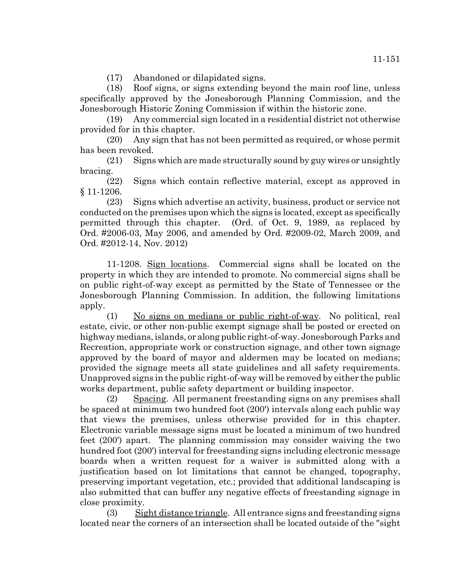(17) Abandoned or dilapidated signs.

(18) Roof signs, or signs extending beyond the main roof line, unless specifically approved by the Jonesborough Planning Commission, and the Jonesborough Historic Zoning Commission if within the historic zone.

(19) Any commercial sign located in a residential district not otherwise provided for in this chapter.

(20) Any sign that has not been permitted as required, or whose permit has been revoked.

(21) Signs which are made structurally sound by guy wires or unsightly bracing.

(22) Signs which contain reflective material, except as approved in § 11-1206.

(23) Signs which advertise an activity, business, product or service not conducted on the premises upon which the signs is located, except as specifically permitted through this chapter. (Ord. of Oct. 9, 1989, as replaced by Ord. #2006-03, May 2006, and amended by Ord. #2009-02, March 2009, and Ord. #2012-14, Nov. 2012)

11-1208. Sign locations. Commercial signs shall be located on the property in which they are intended to promote. No commercial signs shall be on public right-of-way except as permitted by the State of Tennessee or the Jonesborough Planning Commission. In addition, the following limitations apply.

(1) No signs on medians or public right-of-way. No political, real estate, civic, or other non-public exempt signage shall be posted or erected on highway medians, islands, or along public right-of-way. Jonesborough Parks and Recreation, appropriate work or construction signage, and other town signage approved by the board of mayor and aldermen may be located on medians; provided the signage meets all state guidelines and all safety requirements. Unapproved signs in the public right-of-way will be removed by either the public works department, public safety department or building inspector.

(2) Spacing. All permanent freestanding signs on any premises shall be spaced at minimum two hundred foot (200') intervals along each public way that views the premises, unless otherwise provided for in this chapter. Electronic variable message signs must be located a minimum of two hundred feet (200') apart. The planning commission may consider waiving the two hundred foot (200') interval for freestanding signs including electronic message boards when a written request for a waiver is submitted along with a justification based on lot limitations that cannot be changed, topography, preserving important vegetation, etc.; provided that additional landscaping is also submitted that can buffer any negative effects of freestanding signage in close proximity.

(3) Sight distance triangle. All entrance signs and freestanding signs located near the corners of an intersection shall be located outside of the "sight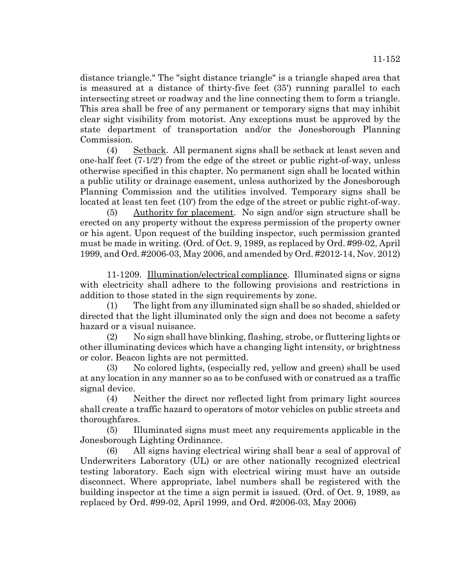distance triangle." The "sight distance triangle" is a triangle shaped area that is measured at a distance of thirty-five feet (35') running parallel to each intersecting street or roadway and the line connecting them to form a triangle. This area shall be free of any permanent or temporary signs that may inhibit clear sight visibility from motorist. Any exceptions must be approved by the state department of transportation and/or the Jonesborough Planning Commission.

(4) Setback. All permanent signs shall be setback at least seven and one-half feet (7-1/2') from the edge of the street or public right-of-way, unless otherwise specified in this chapter. No permanent sign shall be located within a public utility or drainage easement, unless authorized by the Jonesborough Planning Commission and the utilities involved. Temporary signs shall be located at least ten feet (10') from the edge of the street or public right-of-way.

(5) Authority for placement. No sign and/or sign structure shall be erected on any property without the express permission of the property owner or his agent. Upon request of the building inspector, such permission granted must be made in writing. (Ord. of Oct. 9, 1989, as replaced by Ord. #99-02, April 1999, and Ord. #2006-03, May 2006, and amended by Ord. #2012-14, Nov. 2012)

11-1209. Illumination/electrical compliance. Illuminated signs or signs with electricity shall adhere to the following provisions and restrictions in addition to those stated in the sign requirements by zone.

(1) The light from any illuminated sign shall be so shaded, shielded or directed that the light illuminated only the sign and does not become a safety hazard or a visual nuisance.

(2) No sign shall have blinking, flashing, strobe, or fluttering lights or other illuminating devices which have a changing light intensity, or brightness or color. Beacon lights are not permitted.

(3) No colored lights, (especially red, yellow and green) shall be used at any location in any manner so as to be confused with or construed as a traffic signal device.

(4) Neither the direct nor reflected light from primary light sources shall create a traffic hazard to operators of motor vehicles on public streets and thoroughfares.

(5) Illuminated signs must meet any requirements applicable in the Jonesborough Lighting Ordinance.

(6) All signs having electrical wiring shall bear a seal of approval of Underwriters Laboratory (UL) or are other nationally recognized electrical testing laboratory. Each sign with electrical wiring must have an outside disconnect. Where appropriate, label numbers shall be registered with the building inspector at the time a sign permit is issued. (Ord. of Oct. 9, 1989, as replaced by Ord. #99-02, April 1999, and Ord. #2006-03, May 2006)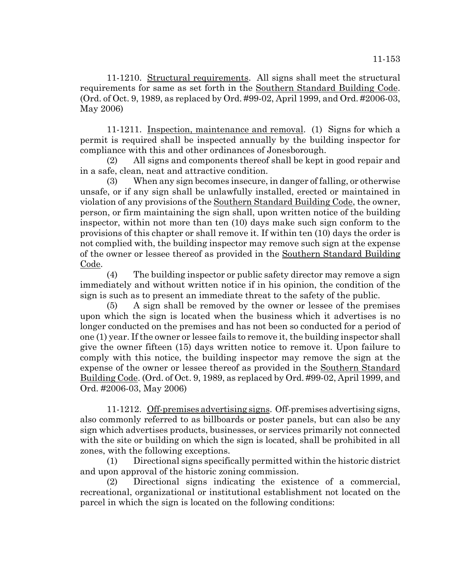11-1210. Structural requirements. All signs shall meet the structural requirements for same as set forth in the Southern Standard Building Code. (Ord. of Oct. 9, 1989, as replaced by Ord. #99-02, April 1999, and Ord. #2006-03, May 2006)

11-1211. Inspection, maintenance and removal. (1) Signs for which a permit is required shall be inspected annually by the building inspector for compliance with this and other ordinances of Jonesborough.

(2) All signs and components thereof shall be kept in good repair and in a safe, clean, neat and attractive condition.

(3) When any sign becomes insecure, in danger of falling, or otherwise unsafe, or if any sign shall be unlawfully installed, erected or maintained in violation of any provisions of the Southern Standard Building Code, the owner, person, or firm maintaining the sign shall, upon written notice of the building inspector, within not more than ten (10) days make such sign conform to the provisions of this chapter or shall remove it. If within ten (10) days the order is not complied with, the building inspector may remove such sign at the expense of the owner or lessee thereof as provided in the Southern Standard Building Code.

(4) The building inspector or public safety director may remove a sign immediately and without written notice if in his opinion, the condition of the sign is such as to present an immediate threat to the safety of the public.

(5) A sign shall be removed by the owner or lessee of the premises upon which the sign is located when the business which it advertises is no longer conducted on the premises and has not been so conducted for a period of one (1) year. If the owner or lessee fails to remove it, the building inspector shall give the owner fifteen (15) days written notice to remove it. Upon failure to comply with this notice, the building inspector may remove the sign at the expense of the owner or lessee thereof as provided in the Southern Standard Building Code. (Ord. of Oct. 9, 1989, as replaced by Ord. #99-02, April 1999, and Ord. #2006-03, May 2006)

11-1212. Off-premises advertising signs. Off-premises advertising signs, also commonly referred to as billboards or poster panels, but can also be any sign which advertises products, businesses, or services primarily not connected with the site or building on which the sign is located, shall be prohibited in all zones, with the following exceptions.

(1) Directional signs specifically permitted within the historic district and upon approval of the historic zoning commission.

(2) Directional signs indicating the existence of a commercial, recreational, organizational or institutional establishment not located on the parcel in which the sign is located on the following conditions: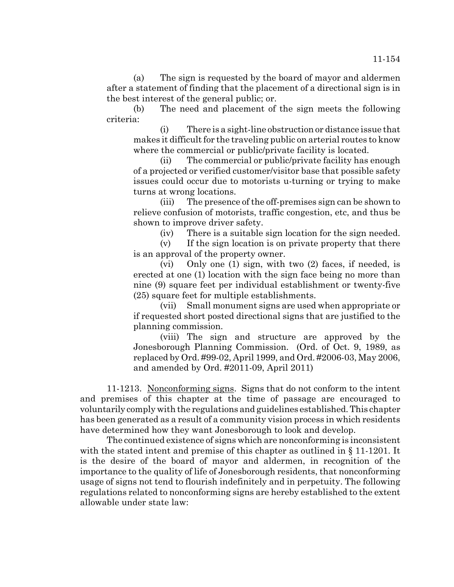(a) The sign is requested by the board of mayor and aldermen after a statement of finding that the placement of a directional sign is in the best interest of the general public; or.

(b) The need and placement of the sign meets the following criteria:

(i) There is a sight-line obstruction or distance issue that makes it difficult for the traveling public on arterial routes to know where the commercial or public/private facility is located.

(ii) The commercial or public/private facility has enough of a projected or verified customer/visitor base that possible safety issues could occur due to motorists u-turning or trying to make turns at wrong locations.

(iii) The presence of the off-premises sign can be shown to relieve confusion of motorists, traffic congestion, etc, and thus be shown to improve driver safety.

(iv) There is a suitable sign location for the sign needed.

(v) If the sign location is on private property that there is an approval of the property owner.

(vi) Only one (1) sign, with two (2) faces, if needed, is erected at one (1) location with the sign face being no more than nine (9) square feet per individual establishment or twenty-five (25) square feet for multiple establishments.

(vii) Small monument signs are used when appropriate or if requested short posted directional signs that are justified to the planning commission.

(viii) The sign and structure are approved by the Jonesborough Planning Commission. (Ord. of Oct. 9, 1989, as replaced by Ord. #99-02, April 1999, and Ord. #2006-03, May 2006, and amended by Ord. #2011-09, April 2011)

11-1213. Nonconforming signs. Signs that do not conform to the intent and premises of this chapter at the time of passage are encouraged to voluntarily comply with the regulations and guidelines established. This chapter has been generated as a result of a community vision process in which residents have determined how they want Jonesborough to look and develop.

The continued existence of signs which are nonconforming is inconsistent with the stated intent and premise of this chapter as outlined in § 11-1201. It is the desire of the board of mayor and aldermen, in recognition of the importance to the quality of life of Jonesborough residents, that nonconforming usage of signs not tend to flourish indefinitely and in perpetuity. The following regulations related to nonconforming signs are hereby established to the extent allowable under state law: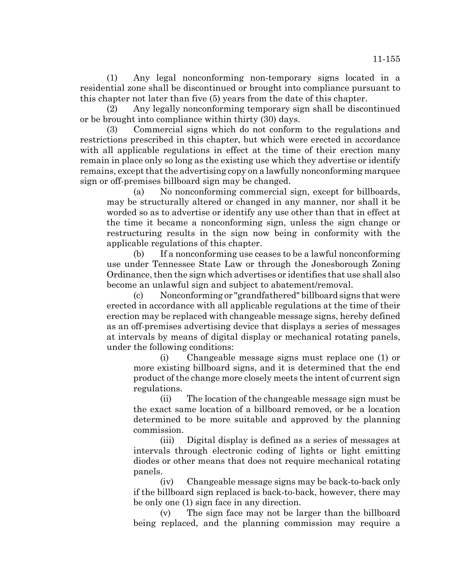(1) Any legal nonconforming non-temporary signs located in a residential zone shall be discontinued or brought into compliance pursuant to this chapter not later than five (5) years from the date of this chapter.

(2) Any legally nonconforming temporary sign shall be discontinued or be brought into compliance within thirty (30) days.

(3) Commercial signs which do not conform to the regulations and restrictions prescribed in this chapter, but which were erected in accordance with all applicable regulations in effect at the time of their erection many remain in place only so long as the existing use which they advertise or identify remains, except that the advertising copy on a lawfully nonconforming marquee sign or off-premises billboard sign may be changed.

(a) No nonconforming commercial sign, except for billboards, may be structurally altered or changed in any manner, nor shall it be worded so as to advertise or identify any use other than that in effect at the time it became a nonconforming sign, unless the sign change or restructuring results in the sign now being in conformity with the applicable regulations of this chapter.

(b) If a nonconforming use ceases to be a lawful nonconforming use under Tennessee State Law or through the Jonesborough Zoning Ordinance, then the sign which advertises or identifies that use shall also become an unlawful sign and subject to abatement/removal.

(c) Nonconforming or "grandfathered" billboard signs that were erected in accordance with all applicable regulations at the time of their erection may be replaced with changeable message signs, hereby defined as an off-premises advertising device that displays a series of messages at intervals by means of digital display or mechanical rotating panels, under the following conditions:

(i) Changeable message signs must replace one (1) or more existing billboard signs, and it is determined that the end product of the change more closely meets the intent of current sign regulations.

(ii) The location of the changeable message sign must be the exact same location of a billboard removed, or be a location determined to be more suitable and approved by the planning commission.

(iii) Digital display is defined as a series of messages at intervals through electronic coding of lights or light emitting diodes or other means that does not require mechanical rotating panels.

(iv) Changeable message signs may be back-to-back only if the billboard sign replaced is back-to-back, however, there may be only one (1) sign face in any direction.

(v) The sign face may not be larger than the billboard being replaced, and the planning commission may require a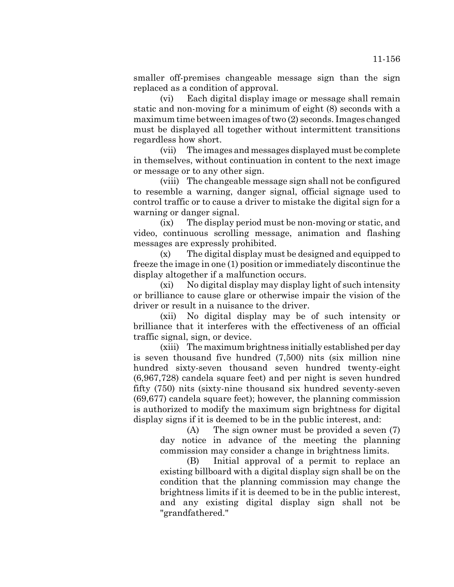smaller off-premises changeable message sign than the sign replaced as a condition of approval.

(vi) Each digital display image or message shall remain static and non-moving for a minimum of eight (8) seconds with a maximum time between images of two (2) seconds. Images changed must be displayed all together without intermittent transitions regardless how short.

(vii) The images and messages displayed must be complete in themselves, without continuation in content to the next image or message or to any other sign.

(viii) The changeable message sign shall not be configured to resemble a warning, danger signal, official signage used to control traffic or to cause a driver to mistake the digital sign for a warning or danger signal.

(ix) The display period must be non-moving or static, and video, continuous scrolling message, animation and flashing messages are expressly prohibited.

(x) The digital display must be designed and equipped to freeze the image in one (1) position or immediately discontinue the display altogether if a malfunction occurs.

(xi) No digital display may display light of such intensity or brilliance to cause glare or otherwise impair the vision of the driver or result in a nuisance to the driver.

(xii) No digital display may be of such intensity or brilliance that it interferes with the effectiveness of an official traffic signal, sign, or device.

(xiii) The maximum brightness initially established per day is seven thousand five hundred (7,500) nits (six million nine hundred sixty-seven thousand seven hundred twenty-eight (6,967,728) candela square feet) and per night is seven hundred fifty (750) nits (sixty-nine thousand six hundred seventy-seven (69,677) candela square feet); however, the planning commission is authorized to modify the maximum sign brightness for digital display signs if it is deemed to be in the public interest, and:

(A) The sign owner must be provided a seven (7) day notice in advance of the meeting the planning commission may consider a change in brightness limits.

(B) Initial approval of a permit to replace an existing billboard with a digital display sign shall be on the condition that the planning commission may change the brightness limits if it is deemed to be in the public interest, and any existing digital display sign shall not be "grandfathered."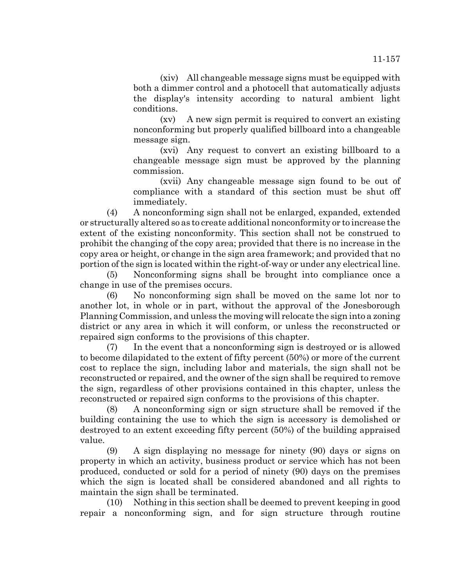(xiv) All changeable message signs must be equipped with both a dimmer control and a photocell that automatically adjusts the display's intensity according to natural ambient light conditions.

(xv) A new sign permit is required to convert an existing nonconforming but properly qualified billboard into a changeable message sign.

(xvi) Any request to convert an existing billboard to a changeable message sign must be approved by the planning commission.

(xvii) Any changeable message sign found to be out of compliance with a standard of this section must be shut off immediately.

(4) A nonconforming sign shall not be enlarged, expanded, extended or structurally altered so as to create additional nonconformity or to increase the extent of the existing nonconformity. This section shall not be construed to prohibit the changing of the copy area; provided that there is no increase in the copy area or height, or change in the sign area framework; and provided that no portion of the sign is located within the right-of-way or under any electrical line.

(5) Nonconforming signs shall be brought into compliance once a change in use of the premises occurs.

(6) No nonconforming sign shall be moved on the same lot nor to another lot, in whole or in part, without the approval of the Jonesborough Planning Commission, and unless the moving will relocate the sign into a zoning district or any area in which it will conform, or unless the reconstructed or repaired sign conforms to the provisions of this chapter.

(7) In the event that a nonconforming sign is destroyed or is allowed to become dilapidated to the extent of fifty percent (50%) or more of the current cost to replace the sign, including labor and materials, the sign shall not be reconstructed or repaired, and the owner of the sign shall be required to remove the sign, regardless of other provisions contained in this chapter, unless the reconstructed or repaired sign conforms to the provisions of this chapter.

(8) A nonconforming sign or sign structure shall be removed if the building containing the use to which the sign is accessory is demolished or destroyed to an extent exceeding fifty percent (50%) of the building appraised value.

(9) A sign displaying no message for ninety (90) days or signs on property in which an activity, business product or service which has not been produced, conducted or sold for a period of ninety (90) days on the premises which the sign is located shall be considered abandoned and all rights to maintain the sign shall be terminated.

(10) Nothing in this section shall be deemed to prevent keeping in good repair a nonconforming sign, and for sign structure through routine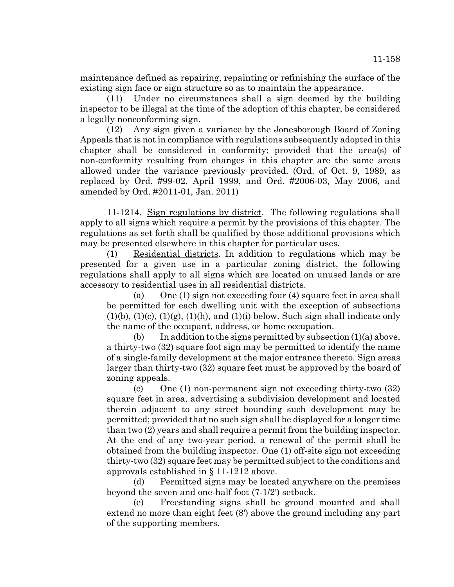maintenance defined as repairing, repainting or refinishing the surface of the existing sign face or sign structure so as to maintain the appearance.

(11) Under no circumstances shall a sign deemed by the building inspector to be illegal at the time of the adoption of this chapter, be considered a legally nonconforming sign.

(12) Any sign given a variance by the Jonesborough Board of Zoning Appeals that is not in compliance with regulations subsequently adopted in this chapter shall be considered in conformity; provided that the area(s) of non-conformity resulting from changes in this chapter are the same areas allowed under the variance previously provided. (Ord. of Oct. 9, 1989, as replaced by Ord. #99-02, April 1999, and Ord. #2006-03, May 2006, and amended by Ord. #2011-01, Jan. 2011)

11-1214. Sign regulations by district. The following regulations shall apply to all signs which require a permit by the provisions of this chapter. The regulations as set forth shall be qualified by those additional provisions which may be presented elsewhere in this chapter for particular uses.

(1) Residential districts. In addition to regulations which may be presented for a given use in a particular zoning district, the following regulations shall apply to all signs which are located on unused lands or are accessory to residential uses in all residential districts.

(a) One (1) sign not exceeding four (4) square feet in area shall be permitted for each dwelling unit with the exception of subsections  $(1)(b)$ ,  $(1)(c)$ ,  $(1)(g)$ ,  $(1)(h)$ , and  $(1)(i)$  below. Such sign shall indicate only the name of the occupant, address, or home occupation.

(b) In addition to the signs permitted by subsection  $(1)(a)$  above, a thirty-two (32) square foot sign may be permitted to identify the name of a single-family development at the major entrance thereto. Sign areas larger than thirty-two (32) square feet must be approved by the board of zoning appeals.

(c) One (1) non-permanent sign not exceeding thirty-two (32) square feet in area, advertising a subdivision development and located therein adjacent to any street bounding such development may be permitted; provided that no such sign shall be displayed for a longer time than two (2) years and shall require a permit from the building inspector. At the end of any two-year period, a renewal of the permit shall be obtained from the building inspector. One (1) off-site sign not exceeding thirty-two (32) square feet may be permitted subject to the conditions and approvals established in § 11-1212 above.

(d) Permitted signs may be located anywhere on the premises beyond the seven and one-half foot (7-1/2') setback.

(e) Freestanding signs shall be ground mounted and shall extend no more than eight feet (8') above the ground including any part of the supporting members.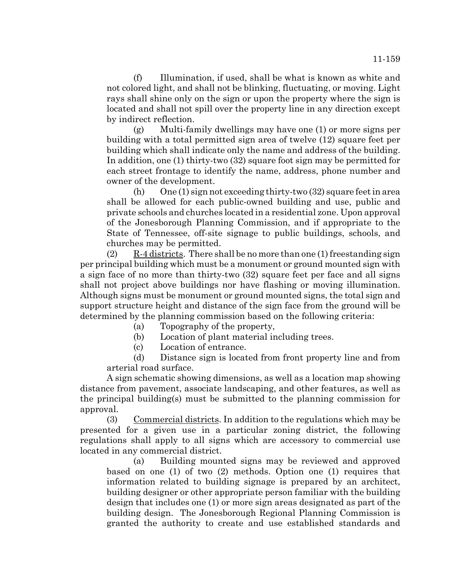(f) Illumination, if used, shall be what is known as white and not colored light, and shall not be blinking, fluctuating, or moving. Light rays shall shine only on the sign or upon the property where the sign is located and shall not spill over the property line in any direction except by indirect reflection.

(g) Multi-family dwellings may have one (1) or more signs per building with a total permitted sign area of twelve (12) square feet per building which shall indicate only the name and address of the building. In addition, one (1) thirty-two (32) square foot sign may be permitted for each street frontage to identify the name, address, phone number and owner of the development.

(h) One  $(1)$  sign not exceeding thirty-two  $(32)$  square feet in area shall be allowed for each public-owned building and use, public and private schools and churches located in a residential zone. Upon approval of the Jonesborough Planning Commission, and if appropriate to the State of Tennessee, off-site signage to public buildings, schools, and churches may be permitted.

 $(2)$  R-4 districts. There shall be no more than one (1) freestanding sign per principal building which must be a monument or ground mounted sign with a sign face of no more than thirty-two (32) square feet per face and all signs shall not project above buildings nor have flashing or moving illumination. Although signs must be monument or ground mounted signs, the total sign and support structure height and distance of the sign face from the ground will be determined by the planning commission based on the following criteria:

(a) Topography of the property,

(b) Location of plant material including trees.

(c) Location of entrance.

(d) Distance sign is located from front property line and from arterial road surface.

A sign schematic showing dimensions, as well as a location map showing distance from pavement, associate landscaping, and other features, as well as the principal building(s) must be submitted to the planning commission for approval.

(3) Commercial districts. In addition to the regulations which may be presented for a given use in a particular zoning district, the following regulations shall apply to all signs which are accessory to commercial use located in any commercial district.

(a) Building mounted signs may be reviewed and approved based on one (1) of two (2) methods. Option one (1) requires that information related to building signage is prepared by an architect, building designer or other appropriate person familiar with the building design that includes one (1) or more sign areas designated as part of the building design. The Jonesborough Regional Planning Commission is granted the authority to create and use established standards and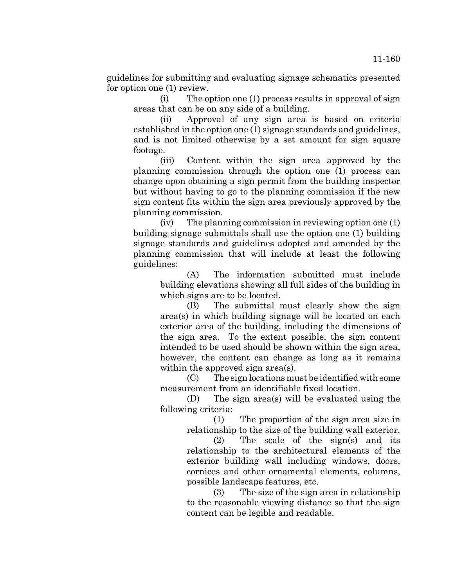guidelines for submitting and evaluating signage schematics presented for option one (1) review.

(i) The option one (1) process results in approval of sign areas that can be on any side of a building.

(ii) Approval of any sign area is based on criteria established in the option one (1) signage standards and guidelines, and is not limited otherwise by a set amount for sign square footage.

(iii) Content within the sign area approved by the planning commission through the option one (1) process can change upon obtaining a sign permit from the building inspector but without having to go to the planning commission if the new sign content fits within the sign area previously approved by the planning commission.

(iv) The planning commission in reviewing option one (1) building signage submittals shall use the option one (1) building signage standards and guidelines adopted and amended by the planning commission that will include at least the following guidelines:

(A) The information submitted must include building elevations showing all full sides of the building in which signs are to be located.

(B) The submittal must clearly show the sign area(s) in which building signage will be located on each exterior area of the building, including the dimensions of the sign area. To the extent possible, the sign content intended to be used should be shown within the sign area, however, the content can change as long as it remains within the approved sign area(s).

(C) The sign locations must be identified with some measurement from an identifiable fixed location.

(D) The sign area(s) will be evaluated using the following criteria:

> (1) The proportion of the sign area size in relationship to the size of the building wall exterior.

> (2) The scale of the sign(s) and its relationship to the architectural elements of the exterior building wall including windows, doors, cornices and other ornamental elements, columns, possible landscape features, etc.

> (3) The size of the sign area in relationship to the reasonable viewing distance so that the sign content can be legible and readable.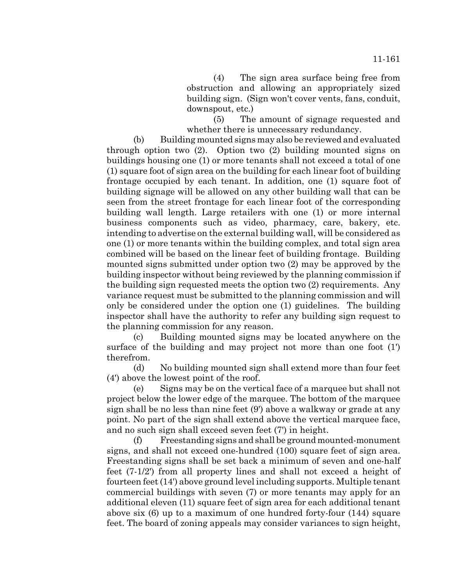(4) The sign area surface being free from obstruction and allowing an appropriately sized building sign. (Sign won't cover vents, fans, conduit, downspout, etc.)

(5) The amount of signage requested and whether there is unnecessary redundancy.

(b) Building mounted signs may also be reviewed and evaluated through option two (2). Option two (2) building mounted signs on buildings housing one (1) or more tenants shall not exceed a total of one (1) square foot of sign area on the building for each linear foot of building frontage occupied by each tenant. In addition, one (1) square foot of building signage will be allowed on any other building wall that can be seen from the street frontage for each linear foot of the corresponding building wall length. Large retailers with one (1) or more internal business components such as video, pharmacy, care, bakery, etc. intending to advertise on the external building wall, will be considered as one (1) or more tenants within the building complex, and total sign area combined will be based on the linear feet of building frontage. Building mounted signs submitted under option two (2) may be approved by the building inspector without being reviewed by the planning commission if the building sign requested meets the option two (2) requirements. Any variance request must be submitted to the planning commission and will only be considered under the option one (1) guidelines. The building inspector shall have the authority to refer any building sign request to the planning commission for any reason.

(c) Building mounted signs may be located anywhere on the surface of the building and may project not more than one foot (1') therefrom.

(d) No building mounted sign shall extend more than four feet (4') above the lowest point of the roof.

(e) Signs may be on the vertical face of a marquee but shall not project below the lower edge of the marquee. The bottom of the marquee sign shall be no less than nine feet (9') above a walkway or grade at any point. No part of the sign shall extend above the vertical marquee face, and no such sign shall exceed seven feet (7') in height.

(f) Freestanding signs and shall be ground mounted-monument signs, and shall not exceed one-hundred (100) square feet of sign area. Freestanding signs shall be set back a minimum of seven and one-half feet (7-1/2') from all property lines and shall not exceed a height of fourteen feet (14') above ground level including supports. Multiple tenant commercial buildings with seven (7) or more tenants may apply for an additional eleven (11) square feet of sign area for each additional tenant above six (6) up to a maximum of one hundred forty-four (144) square feet. The board of zoning appeals may consider variances to sign height,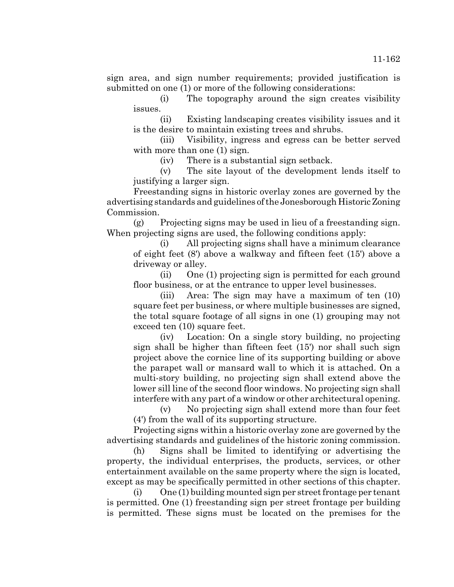sign area, and sign number requirements; provided justification is submitted on one (1) or more of the following considerations:

(i) The topography around the sign creates visibility issues.

(ii) Existing landscaping creates visibility issues and it is the desire to maintain existing trees and shrubs.

(iii) Visibility, ingress and egress can be better served with more than one (1) sign.

(iv) There is a substantial sign setback.

(v) The site layout of the development lends itself to justifying a larger sign.

Freestanding signs in historic overlay zones are governed by the advertising standards and guidelines of the Jonesborough Historic Zoning Commission.

(g) Projecting signs may be used in lieu of a freestanding sign. When projecting signs are used, the following conditions apply:

(i) All projecting signs shall have a minimum clearance of eight feet (8') above a walkway and fifteen feet (15') above a driveway or alley.

(ii) One (1) projecting sign is permitted for each ground floor business, or at the entrance to upper level businesses.

(iii) Area: The sign may have a maximum of ten (10) square feet per business, or where multiple businesses are signed, the total square footage of all signs in one (1) grouping may not exceed ten (10) square feet.

(iv) Location: On a single story building, no projecting sign shall be higher than fifteen feet (15') nor shall such sign project above the cornice line of its supporting building or above the parapet wall or mansard wall to which it is attached. On a multi-story building, no projecting sign shall extend above the lower sill line of the second floor windows. No projecting sign shall interfere with any part of a window or other architectural opening.

(v) No projecting sign shall extend more than four feet (4') from the wall of its supporting structure.

Projecting signs within a historic overlay zone are governed by the advertising standards and guidelines of the historic zoning commission.

(h) Signs shall be limited to identifying or advertising the property, the individual enterprises, the products, services, or other entertainment available on the same property where the sign is located, except as may be specifically permitted in other sections of this chapter.

(i) One (1) building mounted sign per street frontage per tenant is permitted. One (1) freestanding sign per street frontage per building is permitted. These signs must be located on the premises for the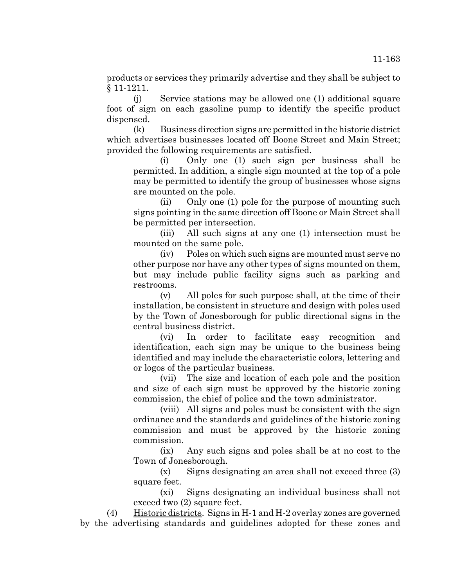products or services they primarily advertise and they shall be subject to § 11-1211.

(j) Service stations may be allowed one (1) additional square foot of sign on each gasoline pump to identify the specific product dispensed.

(k) Business direction signs are permitted in the historic district which advertises businesses located off Boone Street and Main Street; provided the following requirements are satisfied.

(i) Only one (1) such sign per business shall be permitted. In addition, a single sign mounted at the top of a pole may be permitted to identify the group of businesses whose signs are mounted on the pole.

(ii) Only one (1) pole for the purpose of mounting such signs pointing in the same direction off Boone or Main Street shall be permitted per intersection.

(iii) All such signs at any one (1) intersection must be mounted on the same pole.

(iv) Poles on which such signs are mounted must serve no other purpose nor have any other types of signs mounted on them, but may include public facility signs such as parking and restrooms.

(v) All poles for such purpose shall, at the time of their installation, be consistent in structure and design with poles used by the Town of Jonesborough for public directional signs in the central business district.

(vi) In order to facilitate easy recognition and identification, each sign may be unique to the business being identified and may include the characteristic colors, lettering and or logos of the particular business.

(vii) The size and location of each pole and the position and size of each sign must be approved by the historic zoning commission, the chief of police and the town administrator.

(viii) All signs and poles must be consistent with the sign ordinance and the standards and guidelines of the historic zoning commission and must be approved by the historic zoning commission.

(ix) Any such signs and poles shall be at no cost to the Town of Jonesborough.

(x) Signs designating an area shall not exceed three (3) square feet.

(xi) Signs designating an individual business shall not exceed two (2) square feet.

(4) Historic districts. Signs in H-1 and H-2 overlay zones are governed by the advertising standards and guidelines adopted for these zones and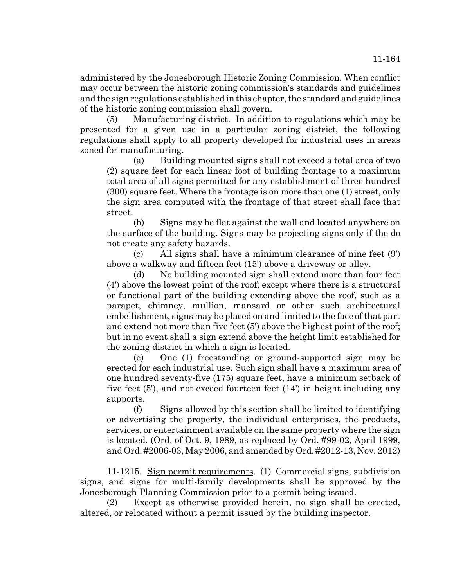administered by the Jonesborough Historic Zoning Commission. When conflict may occur between the historic zoning commission's standards and guidelines and the sign regulations established in this chapter, the standard and guidelines of the historic zoning commission shall govern.

(5) Manufacturing district. In addition to regulations which may be presented for a given use in a particular zoning district, the following regulations shall apply to all property developed for industrial uses in areas zoned for manufacturing.

(a) Building mounted signs shall not exceed a total area of two (2) square feet for each linear foot of building frontage to a maximum total area of all signs permitted for any establishment of three hundred (300) square feet. Where the frontage is on more than one (1) street, only the sign area computed with the frontage of that street shall face that street.

(b) Signs may be flat against the wall and located anywhere on the surface of the building. Signs may be projecting signs only if the do not create any safety hazards.

(c) All signs shall have a minimum clearance of nine feet (9') above a walkway and fifteen feet (15') above a driveway or alley.

(d) No building mounted sign shall extend more than four feet (4') above the lowest point of the roof; except where there is a structural or functional part of the building extending above the roof, such as a parapet, chimney, mullion, mansard or other such architectural embellishment, signs may be placed on and limited to the face of that part and extend not more than five feet (5') above the highest point of the roof; but in no event shall a sign extend above the height limit established for the zoning district in which a sign is located.

(e) One (1) freestanding or ground-supported sign may be erected for each industrial use. Such sign shall have a maximum area of one hundred seventy-five (175) square feet, have a minimum setback of five feet (5'), and not exceed fourteen feet (14') in height including any supports.

(f) Signs allowed by this section shall be limited to identifying or advertising the property, the individual enterprises, the products, services, or entertainment available on the same property where the sign is located. (Ord. of Oct. 9, 1989, as replaced by Ord. #99-02, April 1999, and Ord. #2006-03, May 2006, and amended by Ord. #2012-13, Nov. 2012)

11-1215. Sign permit requirements. (1) Commercial signs, subdivision signs, and signs for multi-family developments shall be approved by the Jonesborough Planning Commission prior to a permit being issued.

(2) Except as otherwise provided herein, no sign shall be erected, altered, or relocated without a permit issued by the building inspector.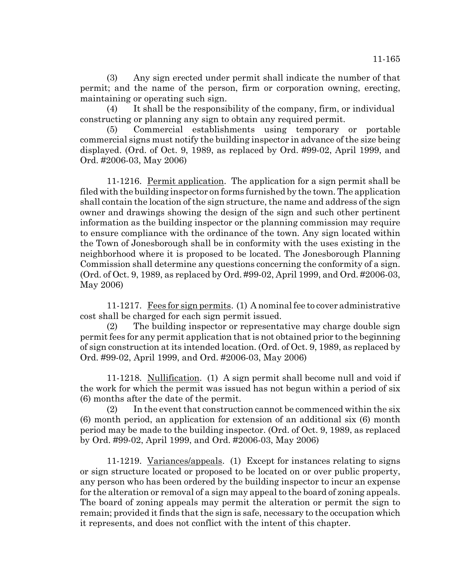(3) Any sign erected under permit shall indicate the number of that permit; and the name of the person, firm or corporation owning, erecting, maintaining or operating such sign.

(4) It shall be the responsibility of the company, firm, or individual constructing or planning any sign to obtain any required permit.

(5) Commercial establishments using temporary or portable commercial signs must notify the building inspector in advance of the size being displayed. (Ord. of Oct. 9, 1989, as replaced by Ord. #99-02, April 1999, and Ord. #2006-03, May 2006)

11-1216. Permit application. The application for a sign permit shall be filed with the building inspector on forms furnished by the town. The application shall contain the location of the sign structure, the name and address of the sign owner and drawings showing the design of the sign and such other pertinent information as the building inspector or the planning commission may require to ensure compliance with the ordinance of the town. Any sign located within the Town of Jonesborough shall be in conformity with the uses existing in the neighborhood where it is proposed to be located. The Jonesborough Planning Commission shall determine any questions concerning the conformity of a sign. (Ord. of Oct. 9, 1989, as replaced by Ord. #99-02, April 1999, and Ord. #2006-03, May 2006)

11-1217. Fees for sign permits. (1) A nominal fee to cover administrative cost shall be charged for each sign permit issued.

(2) The building inspector or representative may charge double sign permit fees for any permit application that is not obtained prior to the beginning of sign construction at its intended location. (Ord. of Oct. 9, 1989, as replaced by Ord. #99-02, April 1999, and Ord. #2006-03, May 2006)

11-1218. Nullification. (1) A sign permit shall become null and void if the work for which the permit was issued has not begun within a period of six (6) months after the date of the permit.

(2) In the event that construction cannot be commenced within the six (6) month period, an application for extension of an additional six (6) month period may be made to the building inspector. (Ord. of Oct. 9, 1989, as replaced by Ord. #99-02, April 1999, and Ord. #2006-03, May 2006)

11-1219. Variances/appeals. (1) Except for instances relating to signs or sign structure located or proposed to be located on or over public property, any person who has been ordered by the building inspector to incur an expense for the alteration or removal of a sign may appeal to the board of zoning appeals. The board of zoning appeals may permit the alteration or permit the sign to remain; provided it finds that the sign is safe, necessary to the occupation which it represents, and does not conflict with the intent of this chapter.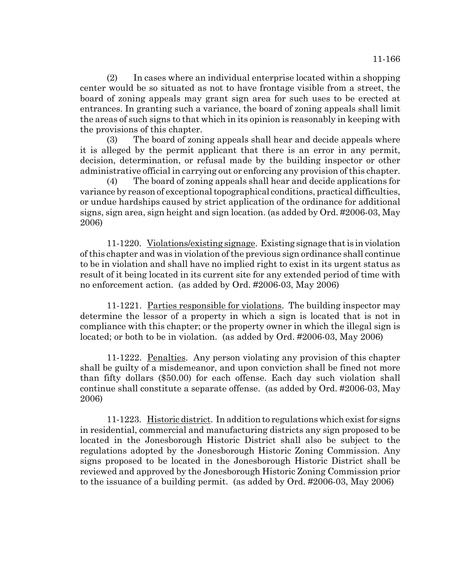(2) In cases where an individual enterprise located within a shopping center would be so situated as not to have frontage visible from a street, the board of zoning appeals may grant sign area for such uses to be erected at entrances. In granting such a variance, the board of zoning appeals shall limit the areas of such signs to that which in its opinion is reasonably in keeping with the provisions of this chapter.

(3) The board of zoning appeals shall hear and decide appeals where it is alleged by the permit applicant that there is an error in any permit, decision, determination, or refusal made by the building inspector or other administrative official in carrying out or enforcing any provision of this chapter.

(4) The board of zoning appeals shall hear and decide applications for variance by reason of exceptional topographical conditions, practical difficulties, or undue hardships caused by strict application of the ordinance for additional signs, sign area, sign height and sign location. (as added by Ord. #2006-03, May 2006)

11-1220. Violations/existing signage. Existing signage that is in violation of this chapter and was in violation of the previous sign ordinance shall continue to be in violation and shall have no implied right to exist in its urgent status as result of it being located in its current site for any extended period of time with no enforcement action. (as added by Ord. #2006-03, May 2006)

11-1221. Parties responsible for violations. The building inspector may determine the lessor of a property in which a sign is located that is not in compliance with this chapter; or the property owner in which the illegal sign is located; or both to be in violation. (as added by Ord. #2006-03, May 2006)

11-1222. Penalties. Any person violating any provision of this chapter shall be guilty of a misdemeanor, and upon conviction shall be fined not more than fifty dollars (\$50.00) for each offense. Each day such violation shall continue shall constitute a separate offense. (as added by Ord. #2006-03, May 2006)

11-1223. Historic district. In addition to regulations which exist for signs in residential, commercial and manufacturing districts any sign proposed to be located in the Jonesborough Historic District shall also be subject to the regulations adopted by the Jonesborough Historic Zoning Commission. Any signs proposed to be located in the Jonesborough Historic District shall be reviewed and approved by the Jonesborough Historic Zoning Commission prior to the issuance of a building permit. (as added by Ord. #2006-03, May 2006)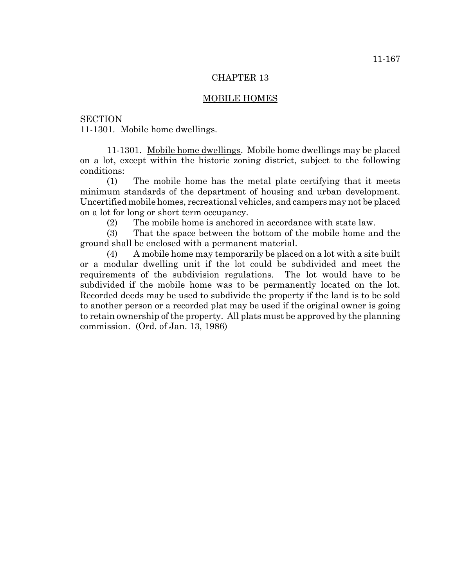#### MOBILE HOMES

**SECTION** 

11-1301. Mobile home dwellings.

11-1301. Mobile home dwellings. Mobile home dwellings may be placed on a lot, except within the historic zoning district, subject to the following conditions:

(1) The mobile home has the metal plate certifying that it meets minimum standards of the department of housing and urban development. Uncertified mobile homes, recreational vehicles, and campers may not be placed on a lot for long or short term occupancy.

(2) The mobile home is anchored in accordance with state law.

(3) That the space between the bottom of the mobile home and the ground shall be enclosed with a permanent material.

(4) A mobile home may temporarily be placed on a lot with a site built or a modular dwelling unit if the lot could be subdivided and meet the requirements of the subdivision regulations. The lot would have to be subdivided if the mobile home was to be permanently located on the lot. Recorded deeds may be used to subdivide the property if the land is to be sold to another person or a recorded plat may be used if the original owner is going to retain ownership of the property. All plats must be approved by the planning commission. (Ord. of Jan. 13, 1986)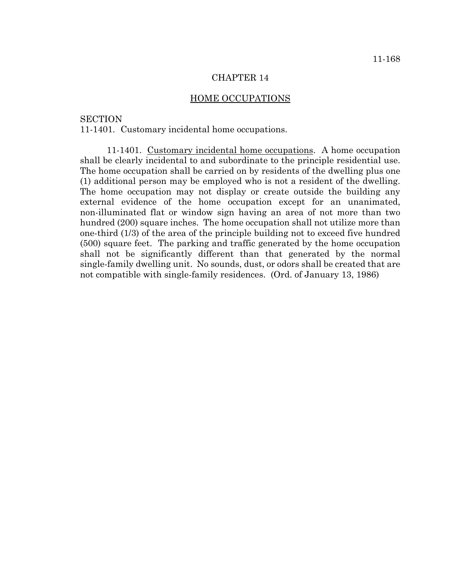## HOME OCCUPATIONS

## **SECTION**

11-1401. Customary incidental home occupations.

11-1401. Customary incidental home occupations. A home occupation shall be clearly incidental to and subordinate to the principle residential use. The home occupation shall be carried on by residents of the dwelling plus one (1) additional person may be employed who is not a resident of the dwelling. The home occupation may not display or create outside the building any external evidence of the home occupation except for an unanimated, non-illuminated flat or window sign having an area of not more than two hundred (200) square inches. The home occupation shall not utilize more than one-third (1/3) of the area of the principle building not to exceed five hundred (500) square feet. The parking and traffic generated by the home occupation shall not be significantly different than that generated by the normal single-family dwelling unit. No sounds, dust, or odors shall be created that are not compatible with single-family residences. (Ord. of January 13, 1986)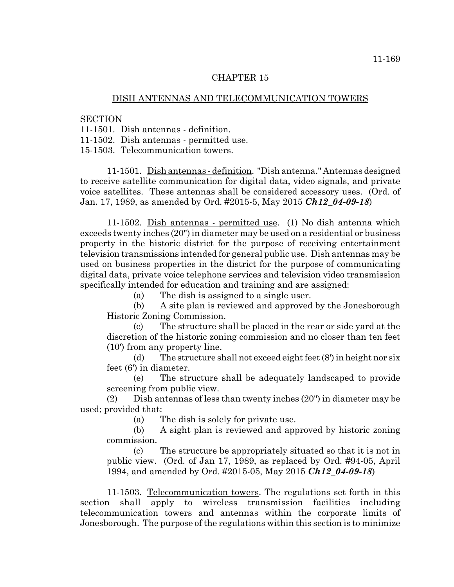# DISH ANTENNAS AND TELECOMMUNICATION TOWERS

**SECTION** 

11-1501. Dish antennas - definition.

11-1502. Dish antennas - permitted use.

15-1503. Telecommunication towers.

11-1501. Dish antennas - definition. "Dish antenna." Antennas designed to receive satellite communication for digital data, video signals, and private voice satellites. These antennas shall be considered accessory uses. (Ord. of Jan. 17, 1989, as amended by Ord. #2015-5, May 2015 *Ch12\_04-09-18*)

11-1502. Dish antennas - permitted use. (1) No dish antenna which exceeds twenty inches (20") in diameter may be used on a residential or business property in the historic district for the purpose of receiving entertainment television transmissions intended for general public use. Dish antennas may be used on business properties in the district for the purpose of communicating digital data, private voice telephone services and television video transmission specifically intended for education and training and are assigned:

(a) The dish is assigned to a single user.

(b) A site plan is reviewed and approved by the Jonesborough Historic Zoning Commission.

(c) The structure shall be placed in the rear or side yard at the discretion of the historic zoning commission and no closer than ten feet (10') from any property line.

(d) The structure shall not exceed eight feet (8') in height nor six feet (6') in diameter.

(e) The structure shall be adequately landscaped to provide screening from public view.

(2) Dish antennas of less than twenty inches (20") in diameter may be used; provided that:

(a) The dish is solely for private use.

(b) A sight plan is reviewed and approved by historic zoning commission.

(c) The structure be appropriately situated so that it is not in public view. (Ord. of Jan 17, 1989, as replaced by Ord. #94-05, April 1994, and amended by Ord. #2015-05, May 2015 *Ch12\_04-09-18*)

11-1503. Telecommunication towers. The regulations set forth in this section shall apply to wireless transmission facilities including telecommunication towers and antennas within the corporate limits of Jonesborough. The purpose of the regulations within this section is to minimize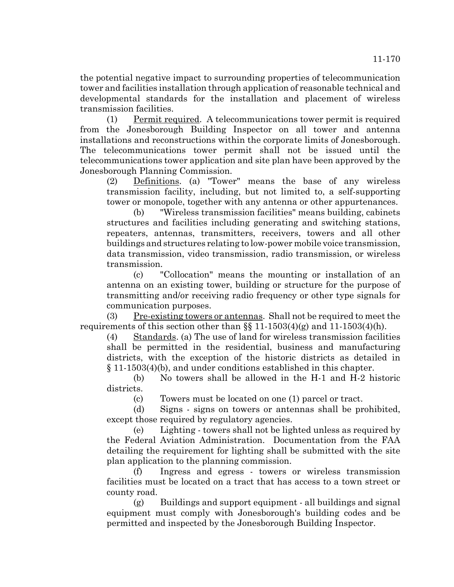the potential negative impact to surrounding properties of telecommunication tower and facilities installation through application of reasonable technical and developmental standards for the installation and placement of wireless transmission facilities.

(1) Permit required. A telecommunications tower permit is required from the Jonesborough Building Inspector on all tower and antenna installations and reconstructions within the corporate limits of Jonesborough. The telecommunications tower permit shall not be issued until the telecommunications tower application and site plan have been approved by the Jonesborough Planning Commission.

(2) Definitions. (a) "Tower" means the base of any wireless transmission facility, including, but not limited to, a self-supporting tower or monopole, together with any antenna or other appurtenances.

(b) "Wireless transmission facilities" means building, cabinets structures and facilities including generating and switching stations, repeaters, antennas, transmitters, receivers, towers and all other buildings and structures relating to low-power mobile voice transmission, data transmission, video transmission, radio transmission, or wireless transmission.

(c) "Collocation" means the mounting or installation of an antenna on an existing tower, building or structure for the purpose of transmitting and/or receiving radio frequency or other type signals for communication purposes.

(3) Pre-existing towers or antennas. Shall not be required to meet the requirements of this section other than  $\S$  11-1503(4)(g) and 11-1503(4)(h).

(4) Standards. (a) The use of land for wireless transmission facilities shall be permitted in the residential, business and manufacturing districts, with the exception of the historic districts as detailed in § 11-1503(4)(b), and under conditions established in this chapter.

(b) No towers shall be allowed in the H-1 and H-2 historic districts.

(c) Towers must be located on one (1) parcel or tract.

(d) Signs - signs on towers or antennas shall be prohibited, except those required by regulatory agencies.

(e) Lighting - towers shall not be lighted unless as required by the Federal Aviation Administration. Documentation from the FAA detailing the requirement for lighting shall be submitted with the site plan application to the planning commission.

(f) Ingress and egress - towers or wireless transmission facilities must be located on a tract that has access to a town street or county road.

(g) Buildings and support equipment - all buildings and signal equipment must comply with Jonesborough's building codes and be permitted and inspected by the Jonesborough Building Inspector.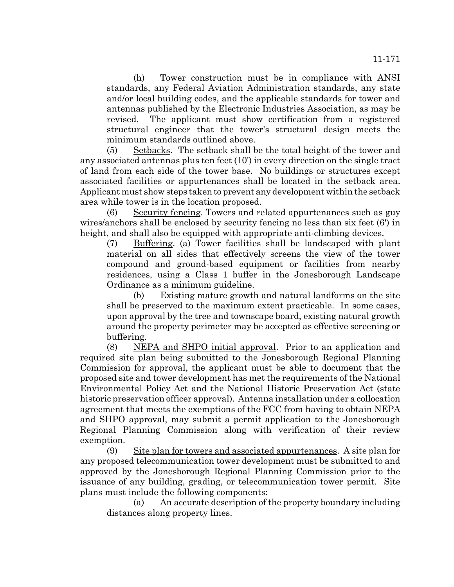(h) Tower construction must be in compliance with ANSI standards, any Federal Aviation Administration standards, any state and/or local building codes, and the applicable standards for tower and antennas published by the Electronic Industries Association, as may be revised. The applicant must show certification from a registered structural engineer that the tower's structural design meets the minimum standards outlined above.

(5) Setbacks. The setback shall be the total height of the tower and any associated antennas plus ten feet (10') in every direction on the single tract of land from each side of the tower base. No buildings or structures except associated facilities or appurtenances shall be located in the setback area. Applicant must show steps taken to prevent any development within the setback area while tower is in the location proposed.

(6) Security fencing. Towers and related appurtenances such as guy wires/anchors shall be enclosed by security fencing no less than six feet (6') in height, and shall also be equipped with appropriate anti-climbing devices.

(7) Buffering. (a) Tower facilities shall be landscaped with plant material on all sides that effectively screens the view of the tower compound and ground-based equipment or facilities from nearby residences, using a Class 1 buffer in the Jonesborough Landscape Ordinance as a minimum guideline.

(b) Existing mature growth and natural landforms on the site shall be preserved to the maximum extent practicable. In some cases, upon approval by the tree and townscape board, existing natural growth around the property perimeter may be accepted as effective screening or buffering.

(8) NEPA and SHPO initial approval. Prior to an application and required site plan being submitted to the Jonesborough Regional Planning Commission for approval, the applicant must be able to document that the proposed site and tower development has met the requirements of the National Environmental Policy Act and the National Historic Preservation Act (state historic preservation officer approval). Antenna installation under a collocation agreement that meets the exemptions of the FCC from having to obtain NEPA and SHPO approval, may submit a permit application to the Jonesborough Regional Planning Commission along with verification of their review exemption.

(9) Site plan for towers and associated appurtenances. A site plan for any proposed telecommunication tower development must be submitted to and approved by the Jonesborough Regional Planning Commission prior to the issuance of any building, grading, or telecommunication tower permit. Site plans must include the following components:

(a) An accurate description of the property boundary including distances along property lines.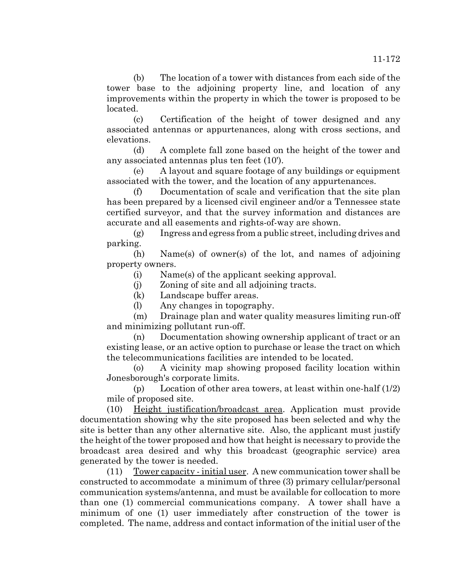(b) The location of a tower with distances from each side of the tower base to the adjoining property line, and location of any improvements within the property in which the tower is proposed to be located.

(c) Certification of the height of tower designed and any associated antennas or appurtenances, along with cross sections, and elevations.

(d) A complete fall zone based on the height of the tower and any associated antennas plus ten feet (10').

(e) A layout and square footage of any buildings or equipment associated with the tower, and the location of any appurtenances.

(f) Documentation of scale and verification that the site plan has been prepared by a licensed civil engineer and/or a Tennessee state certified surveyor, and that the survey information and distances are accurate and all easements and rights-of-way are shown.

(g) Ingress and egress from a public street, including drives and parking.

(h) Name(s) of owner(s) of the lot, and names of adjoining property owners.

(i) Name(s) of the applicant seeking approval.

(j) Zoning of site and all adjoining tracts.

(k) Landscape buffer areas.

(l) Any changes in topography.

(m) Drainage plan and water quality measures limiting run-off and minimizing pollutant run-off.

(n) Documentation showing ownership applicant of tract or an existing lease, or an active option to purchase or lease the tract on which the telecommunications facilities are intended to be located.

(o) A vicinity map showing proposed facility location within Jonesborough's corporate limits.

(p) Location of other area towers, at least within one-half (1/2) mile of proposed site.

(10) Height justification/broadcast area. Application must provide documentation showing why the site proposed has been selected and why the site is better than any other alternative site. Also, the applicant must justify the height of the tower proposed and how that height is necessary to provide the broadcast area desired and why this broadcast (geographic service) area generated by the tower is needed.

(11) Tower capacity - initial user. A new communication tower shall be constructed to accommodate a minimum of three (3) primary cellular/personal communication systems/antenna, and must be available for collocation to more than one (1) commercial communications company. A tower shall have a minimum of one (1) user immediately after construction of the tower is completed. The name, address and contact information of the initial user of the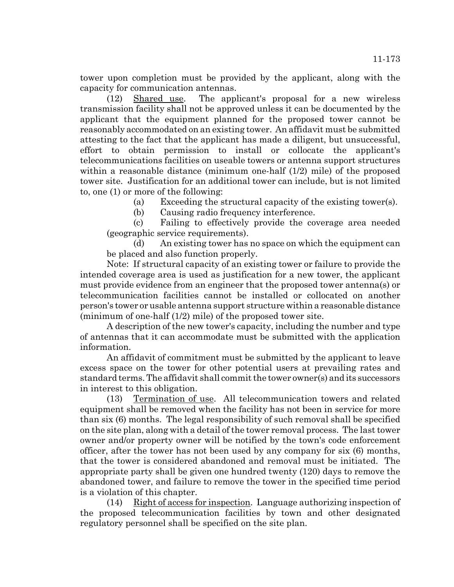tower upon completion must be provided by the applicant, along with the capacity for communication antennas.

(12) Shared use. The applicant's proposal for a new wireless transmission facility shall not be approved unless it can be documented by the applicant that the equipment planned for the proposed tower cannot be reasonably accommodated on an existing tower. An affidavit must be submitted attesting to the fact that the applicant has made a diligent, but unsuccessful, effort to obtain permission to install or collocate the applicant's telecommunications facilities on useable towers or antenna support structures within a reasonable distance (minimum one-half  $(1/2)$  mile) of the proposed tower site. Justification for an additional tower can include, but is not limited to, one (1) or more of the following:

(a) Exceeding the structural capacity of the existing tower(s).

(b) Causing radio frequency interference.

(c) Failing to effectively provide the coverage area needed (geographic service requirements).

(d) An existing tower has no space on which the equipment can be placed and also function properly.

Note: If structural capacity of an existing tower or failure to provide the intended coverage area is used as justification for a new tower, the applicant must provide evidence from an engineer that the proposed tower antenna(s) or telecommunication facilities cannot be installed or collocated on another person's tower or usable antenna support structure within a reasonable distance (minimum of one-half (1/2) mile) of the proposed tower site.

A description of the new tower's capacity, including the number and type of antennas that it can accommodate must be submitted with the application information.

An affidavit of commitment must be submitted by the applicant to leave excess space on the tower for other potential users at prevailing rates and standard terms. The affidavit shall commit the tower owner(s) and its successors in interest to this obligation.

(13) Termination of use. All telecommunication towers and related equipment shall be removed when the facility has not been in service for more than six (6) months. The legal responsibility of such removal shall be specified on the site plan, along with a detail of the tower removal process. The last tower owner and/or property owner will be notified by the town's code enforcement officer, after the tower has not been used by any company for six (6) months, that the tower is considered abandoned and removal must be initiated. The appropriate party shall be given one hundred twenty (120) days to remove the abandoned tower, and failure to remove the tower in the specified time period is a violation of this chapter.

(14) Right of access for inspection. Language authorizing inspection of the proposed telecommunication facilities by town and other designated regulatory personnel shall be specified on the site plan.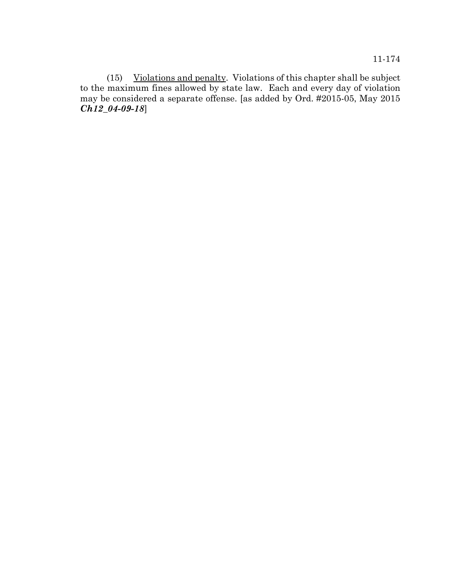11-174

(15) Violations and penalty. Violations of this chapter shall be subject to the maximum fines allowed by state law. Each and every day of violation may be considered a separate offense. [as added by Ord. #2015-05, May 2015 *Ch12\_04-09-18*]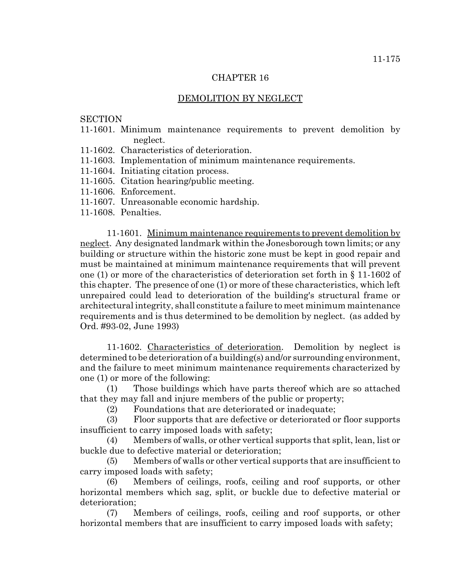## DEMOLITION BY NEGLECT

**SECTION** 

- 11-1601. Minimum maintenance requirements to prevent demolition by neglect.
- 11-1602. Characteristics of deterioration.
- 11-1603. Implementation of minimum maintenance requirements.
- 11-1604. Initiating citation process.
- 11-1605. Citation hearing/public meeting.
- 11-1606. Enforcement.
- 11-1607. Unreasonable economic hardship.
- 11-1608. Penalties.

11-1601. Minimum maintenance requirements to prevent demolition by neglect. Any designated landmark within the Jonesborough town limits; or any building or structure within the historic zone must be kept in good repair and must be maintained at minimum maintenance requirements that will prevent one (1) or more of the characteristics of deterioration set forth in § 11-1602 of this chapter. The presence of one (1) or more of these characteristics, which left unrepaired could lead to deterioration of the building's structural frame or architectural integrity, shall constitute a failure to meet minimum maintenance requirements and is thus determined to be demolition by neglect. (as added by Ord. #93-02, June 1993)

11-1602. Characteristics of deterioration. Demolition by neglect is determined to be deterioration of a building(s) and/or surrounding environment, and the failure to meet minimum maintenance requirements characterized by one (1) or more of the following:

(1) Those buildings which have parts thereof which are so attached that they may fall and injure members of the public or property;

(2) Foundations that are deteriorated or inadequate;

(3) Floor supports that are defective or deteriorated or floor supports insufficient to carry imposed loads with safety;

(4) Members of walls, or other vertical supports that split, lean, list or buckle due to defective material or deterioration;

(5) Members of walls or other vertical supports that are insufficient to carry imposed loads with safety;

(6) Members of ceilings, roofs, ceiling and roof supports, or other horizontal members which sag, split, or buckle due to defective material or deterioration;

(7) Members of ceilings, roofs, ceiling and roof supports, or other horizontal members that are insufficient to carry imposed loads with safety;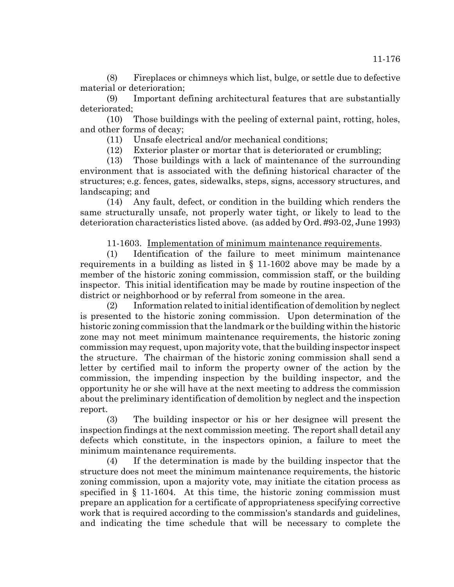(8) Fireplaces or chimneys which list, bulge, or settle due to defective material or deterioration;

(9) Important defining architectural features that are substantially deteriorated;

(10) Those buildings with the peeling of external paint, rotting, holes, and other forms of decay;

(11) Unsafe electrical and/or mechanical conditions;

(12) Exterior plaster or mortar that is deteriorated or crumbling;

(13) Those buildings with a lack of maintenance of the surrounding environment that is associated with the defining historical character of the structures; e.g. fences, gates, sidewalks, steps, signs, accessory structures, and landscaping; and

(14) Any fault, defect, or condition in the building which renders the same structurally unsafe, not properly water tight, or likely to lead to the deterioration characteristics listed above. (as added by Ord. #93-02, June 1993)

11-1603. Implementation of minimum maintenance requirements.

(1) Identification of the failure to meet minimum maintenance requirements in a building as listed in § 11-1602 above may be made by a member of the historic zoning commission, commission staff, or the building inspector. This initial identification may be made by routine inspection of the district or neighborhood or by referral from someone in the area.

(2) Information related to initial identification of demolition by neglect is presented to the historic zoning commission. Upon determination of the historic zoning commission that the landmark or the building within the historic zone may not meet minimum maintenance requirements, the historic zoning commission may request, upon majority vote, that the building inspector inspect the structure. The chairman of the historic zoning commission shall send a letter by certified mail to inform the property owner of the action by the commission, the impending inspection by the building inspector, and the opportunity he or she will have at the next meeting to address the commission about the preliminary identification of demolition by neglect and the inspection report.

(3) The building inspector or his or her designee will present the inspection findings at the next commission meeting. The report shall detail any defects which constitute, in the inspectors opinion, a failure to meet the minimum maintenance requirements.

(4) If the determination is made by the building inspector that the structure does not meet the minimum maintenance requirements, the historic zoning commission, upon a majority vote, may initiate the citation process as specified in § 11-1604. At this time, the historic zoning commission must prepare an application for a certificate of appropriateness specifying corrective work that is required according to the commission's standards and guidelines, and indicating the time schedule that will be necessary to complete the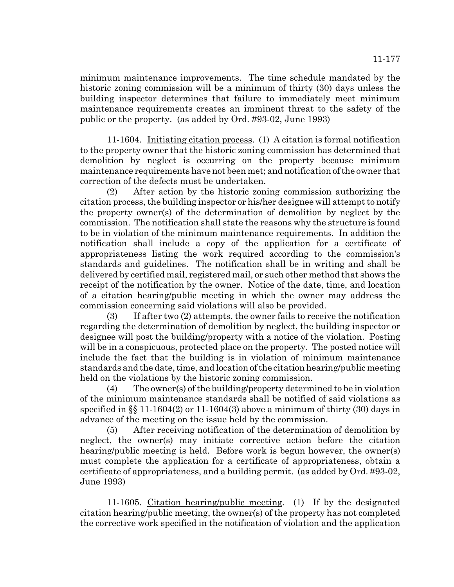minimum maintenance improvements. The time schedule mandated by the historic zoning commission will be a minimum of thirty (30) days unless the building inspector determines that failure to immediately meet minimum maintenance requirements creates an imminent threat to the safety of the public or the property. (as added by Ord. #93-02, June 1993)

11-1604. Initiating citation process. (1) A citation is formal notification to the property owner that the historic zoning commission has determined that demolition by neglect is occurring on the property because minimum maintenance requirements have not been met; and notification of the owner that correction of the defects must be undertaken.

(2) After action by the historic zoning commission authorizing the citation process, the building inspector or his/her designee will attempt to notify the property owner(s) of the determination of demolition by neglect by the commission. The notification shall state the reasons why the structure is found to be in violation of the minimum maintenance requirements. In addition the notification shall include a copy of the application for a certificate of appropriateness listing the work required according to the commission's standards and guidelines. The notification shall be in writing and shall be delivered by certified mail, registered mail, or such other method that shows the receipt of the notification by the owner. Notice of the date, time, and location of a citation hearing/public meeting in which the owner may address the commission concerning said violations will also be provided.

(3) If after two (2) attempts, the owner fails to receive the notification regarding the determination of demolition by neglect, the building inspector or designee will post the building/property with a notice of the violation. Posting will be in a conspicuous, protected place on the property. The posted notice will include the fact that the building is in violation of minimum maintenance standards and the date, time, and location of the citation hearing/public meeting held on the violations by the historic zoning commission.

(4) The owner(s) of the building/property determined to be in violation of the minimum maintenance standards shall be notified of said violations as specified in  $\S$  11-1604(2) or 11-1604(3) above a minimum of thirty (30) days in advance of the meeting on the issue held by the commission.

(5) After receiving notification of the determination of demolition by neglect, the owner(s) may initiate corrective action before the citation hearing/public meeting is held. Before work is begun however, the owner(s) must complete the application for a certificate of appropriateness, obtain a certificate of appropriateness, and a building permit. (as added by Ord. #93-02, June 1993)

11-1605. Citation hearing/public meeting. (1) If by the designated citation hearing/public meeting, the owner(s) of the property has not completed the corrective work specified in the notification of violation and the application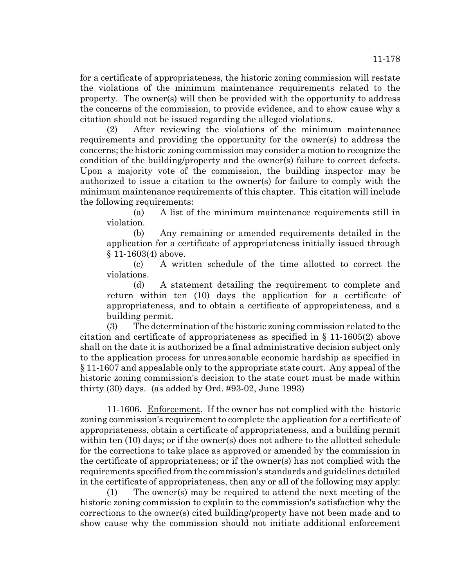for a certificate of appropriateness, the historic zoning commission will restate the violations of the minimum maintenance requirements related to the property. The owner(s) will then be provided with the opportunity to address the concerns of the commission, to provide evidence, and to show cause why a citation should not be issued regarding the alleged violations.

(2) After reviewing the violations of the minimum maintenance requirements and providing the opportunity for the owner(s) to address the concerns; the historic zoning commission may consider a motion to recognize the condition of the building/property and the owner(s) failure to correct defects. Upon a majority vote of the commission, the building inspector may be authorized to issue a citation to the owner(s) for failure to comply with the minimum maintenance requirements of this chapter. This citation will include the following requirements:

(a) A list of the minimum maintenance requirements still in violation.

(b) Any remaining or amended requirements detailed in the application for a certificate of appropriateness initially issued through § 11-1603(4) above.

(c) A written schedule of the time allotted to correct the violations.

(d) A statement detailing the requirement to complete and return within ten (10) days the application for a certificate of appropriateness, and to obtain a certificate of appropriateness, and a building permit.

(3) The determination of the historic zoning commission related to the citation and certificate of appropriateness as specified in § 11-1605(2) above shall on the date it is authorized be a final administrative decision subject only to the application process for unreasonable economic hardship as specified in § 11-1607 and appealable only to the appropriate state court. Any appeal of the historic zoning commission's decision to the state court must be made within thirty (30) days. (as added by Ord. #93-02, June 1993)

11-1606. Enforcement. If the owner has not complied with the historic zoning commission's requirement to complete the application for a certificate of appropriateness, obtain a certificate of appropriateness, and a building permit within ten (10) days; or if the owner(s) does not adhere to the allotted schedule for the corrections to take place as approved or amended by the commission in the certificate of appropriateness; or if the owner(s) has not complied with the requirements specified from the commission's standards and guidelines detailed in the certificate of appropriateness, then any or all of the following may apply:

(1) The owner(s) may be required to attend the next meeting of the historic zoning commission to explain to the commission's satisfaction why the corrections to the owner(s) cited building/property have not been made and to show cause why the commission should not initiate additional enforcement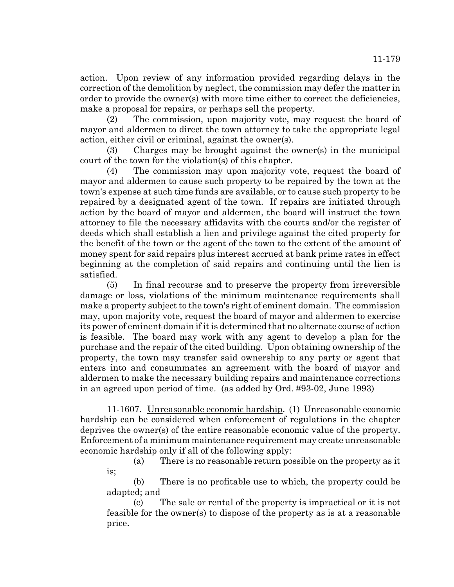action. Upon review of any information provided regarding delays in the correction of the demolition by neglect, the commission may defer the matter in order to provide the owner(s) with more time either to correct the deficiencies, make a proposal for repairs, or perhaps sell the property.

(2) The commission, upon majority vote, may request the board of mayor and aldermen to direct the town attorney to take the appropriate legal action, either civil or criminal, against the owner(s).

(3) Charges may be brought against the owner(s) in the municipal court of the town for the violation(s) of this chapter.

(4) The commission may upon majority vote, request the board of mayor and aldermen to cause such property to be repaired by the town at the town's expense at such time funds are available, or to cause such property to be repaired by a designated agent of the town. If repairs are initiated through action by the board of mayor and aldermen, the board will instruct the town attorney to file the necessary affidavits with the courts and/or the register of deeds which shall establish a lien and privilege against the cited property for the benefit of the town or the agent of the town to the extent of the amount of money spent for said repairs plus interest accrued at bank prime rates in effect beginning at the completion of said repairs and continuing until the lien is satisfied.

(5) In final recourse and to preserve the property from irreversible damage or loss, violations of the minimum maintenance requirements shall make a property subject to the town's right of eminent domain. The commission may, upon majority vote, request the board of mayor and aldermen to exercise its power of eminent domain if it is determined that no alternate course of action is feasible. The board may work with any agent to develop a plan for the purchase and the repair of the cited building. Upon obtaining ownership of the property, the town may transfer said ownership to any party or agent that enters into and consummates an agreement with the board of mayor and aldermen to make the necessary building repairs and maintenance corrections in an agreed upon period of time. (as added by Ord. #93-02, June 1993)

11-1607. Unreasonable economic hardship. (1) Unreasonable economic hardship can be considered when enforcement of regulations in the chapter deprives the owner(s) of the entire reasonable economic value of the property. Enforcement of a minimum maintenance requirement may create unreasonable economic hardship only if all of the following apply:

(a) There is no reasonable return possible on the property as it is;

(b) There is no profitable use to which, the property could be adapted; and

(c) The sale or rental of the property is impractical or it is not feasible for the owner(s) to dispose of the property as is at a reasonable price.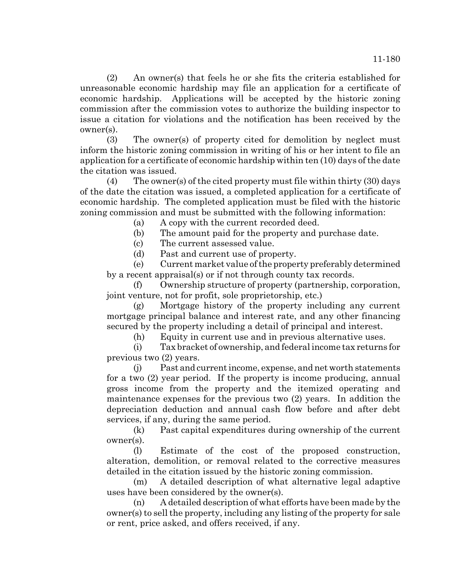(2) An owner(s) that feels he or she fits the criteria established for unreasonable economic hardship may file an application for a certificate of economic hardship. Applications will be accepted by the historic zoning commission after the commission votes to authorize the building inspector to issue a citation for violations and the notification has been received by the owner(s).

(3) The owner(s) of property cited for demolition by neglect must inform the historic zoning commission in writing of his or her intent to file an application for a certificate of economic hardship within ten (10) days of the date the citation was issued.

(4) The owner(s) of the cited property must file within thirty (30) days of the date the citation was issued, a completed application for a certificate of economic hardship. The completed application must be filed with the historic zoning commission and must be submitted with the following information:

(a) A copy with the current recorded deed.

(b) The amount paid for the property and purchase date.

(c) The current assessed value.

(d) Past and current use of property.

(e) Current market value of the property preferably determined by a recent appraisal(s) or if not through county tax records.

(f) Ownership structure of property (partnership, corporation, joint venture, not for profit, sole proprietorship, etc.)

(g) Mortgage history of the property including any current mortgage principal balance and interest rate, and any other financing secured by the property including a detail of principal and interest.

(h) Equity in current use and in previous alternative uses.

(i) Tax bracket of ownership, and federal income tax returns for previous two (2) years.

(j) Past and current income, expense, and net worth statements for a two (2) year period. If the property is income producing, annual gross income from the property and the itemized operating and maintenance expenses for the previous two (2) years. In addition the depreciation deduction and annual cash flow before and after debt services, if any, during the same period.

(k) Past capital expenditures during ownership of the current owner(s).

(l) Estimate of the cost of the proposed construction, alteration, demolition, or removal related to the corrective measures detailed in the citation issued by the historic zoning commission.

(m) A detailed description of what alternative legal adaptive uses have been considered by the owner(s).

(n) A detailed description of what efforts have been made by the owner(s) to sell the property, including any listing of the property for sale or rent, price asked, and offers received, if any.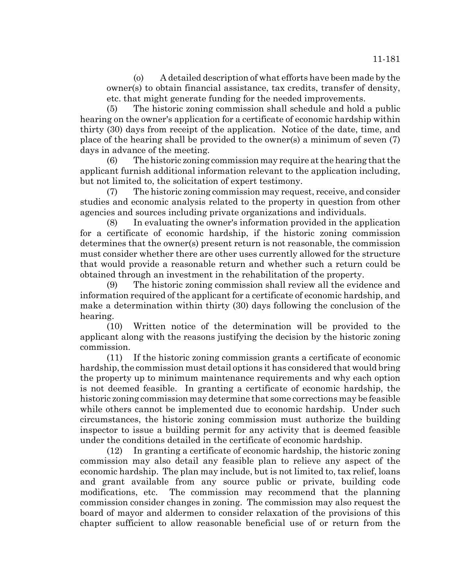(5) The historic zoning commission shall schedule and hold a public hearing on the owner's application for a certificate of economic hardship within thirty (30) days from receipt of the application. Notice of the date, time, and place of the hearing shall be provided to the owner(s) a minimum of seven (7) days in advance of the meeting.

(6) The historic zoning commission may require at the hearing that the applicant furnish additional information relevant to the application including, but not limited to, the solicitation of expert testimony.

(7) The historic zoning commission may request, receive, and consider studies and economic analysis related to the property in question from other agencies and sources including private organizations and individuals.

(8) In evaluating the owner's information provided in the application for a certificate of economic hardship, if the historic zoning commission determines that the owner(s) present return is not reasonable, the commission must consider whether there are other uses currently allowed for the structure that would provide a reasonable return and whether such a return could be obtained through an investment in the rehabilitation of the property.

(9) The historic zoning commission shall review all the evidence and information required of the applicant for a certificate of economic hardship, and make a determination within thirty (30) days following the conclusion of the hearing.

(10) Written notice of the determination will be provided to the applicant along with the reasons justifying the decision by the historic zoning commission.

(11) If the historic zoning commission grants a certificate of economic hardship, the commission must detail options it has considered that would bring the property up to minimum maintenance requirements and why each option is not deemed feasible. In granting a certificate of economic hardship, the historic zoning commission may determine that some corrections may be feasible while others cannot be implemented due to economic hardship. Under such circumstances, the historic zoning commission must authorize the building inspector to issue a building permit for any activity that is deemed feasible under the conditions detailed in the certificate of economic hardship.

(12) In granting a certificate of economic hardship, the historic zoning commission may also detail any feasible plan to relieve any aspect of the economic hardship. The plan may include, but is not limited to, tax relief, loans and grant available from any source public or private, building code modifications, etc. The commission may recommend that the planning commission consider changes in zoning. The commission may also request the board of mayor and aldermen to consider relaxation of the provisions of this chapter sufficient to allow reasonable beneficial use of or return from the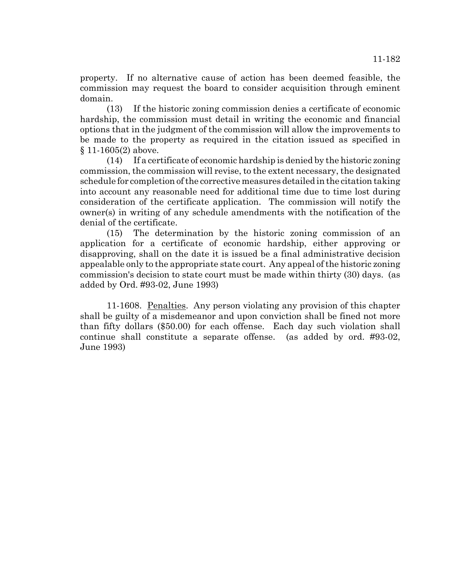property. If no alternative cause of action has been deemed feasible, the commission may request the board to consider acquisition through eminent domain.

(13) If the historic zoning commission denies a certificate of economic hardship, the commission must detail in writing the economic and financial options that in the judgment of the commission will allow the improvements to be made to the property as required in the citation issued as specified in § 11-1605(2) above.

(14) If a certificate of economic hardship is denied by the historic zoning commission, the commission will revise, to the extent necessary, the designated schedule for completion of the corrective measures detailed in the citation taking into account any reasonable need for additional time due to time lost during consideration of the certificate application. The commission will notify the owner(s) in writing of any schedule amendments with the notification of the denial of the certificate.

(15) The determination by the historic zoning commission of an application for a certificate of economic hardship, either approving or disapproving, shall on the date it is issued be a final administrative decision appealable only to the appropriate state court. Any appeal of the historic zoning commission's decision to state court must be made within thirty (30) days. (as added by Ord. #93-02, June 1993)

11-1608. Penalties. Any person violating any provision of this chapter shall be guilty of a misdemeanor and upon conviction shall be fined not more than fifty dollars (\$50.00) for each offense. Each day such violation shall continue shall constitute a separate offense. (as added by ord. #93-02, June 1993)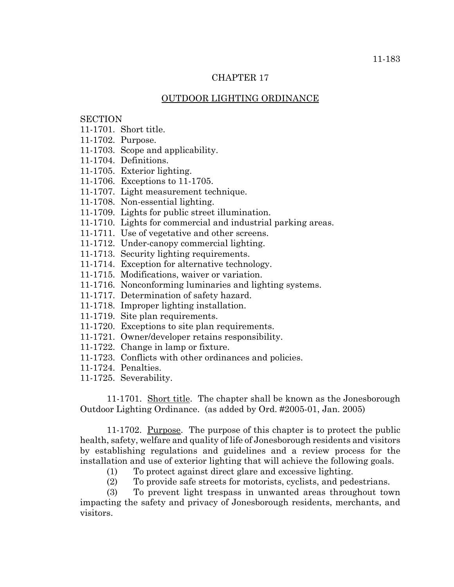## CHAPTER 17

## OUTDOOR LIGHTING ORDINANCE

# **SECTION**

- 11-1701. Short title.
- 11-1702. Purpose.
- 11-1703. Scope and applicability.
- 11-1704. Definitions.
- 11-1705. Exterior lighting.
- 11-1706. Exceptions to 11-1705.
- 11-1707. Light measurement technique.
- 11-1708. Non-essential lighting.
- 11-1709. Lights for public street illumination.
- 11-1710. Lights for commercial and industrial parking areas.
- 11-1711. Use of vegetative and other screens.
- 11-1712. Under-canopy commercial lighting.
- 11-1713. Security lighting requirements.
- 11-1714. Exception for alternative technology.
- 11-1715. Modifications, waiver or variation.
- 11-1716. Nonconforming luminaries and lighting systems.
- 11-1717. Determination of safety hazard.
- 11-1718. Improper lighting installation.
- 11-1719. Site plan requirements.
- 11-1720. Exceptions to site plan requirements.
- 11-1721. Owner/developer retains responsibility.
- 11-1722. Change in lamp or fixture.
- 11-1723. Conflicts with other ordinances and policies.
- 11-1724. Penalties.
- 11-1725. Severability.

11-1701. Short title. The chapter shall be known as the Jonesborough Outdoor Lighting Ordinance. (as added by Ord. #2005-01, Jan. 2005)

11-1702. <u>Purpose</u>. The purpose of this chapter is to protect the public health, safety, welfare and quality of life of Jonesborough residents and visitors by establishing regulations and guidelines and a review process for the installation and use of exterior lighting that will achieve the following goals.

- (1) To protect against direct glare and excessive lighting.
- (2) To provide safe streets for motorists, cyclists, and pedestrians.

(3) To prevent light trespass in unwanted areas throughout town impacting the safety and privacy of Jonesborough residents, merchants, and visitors.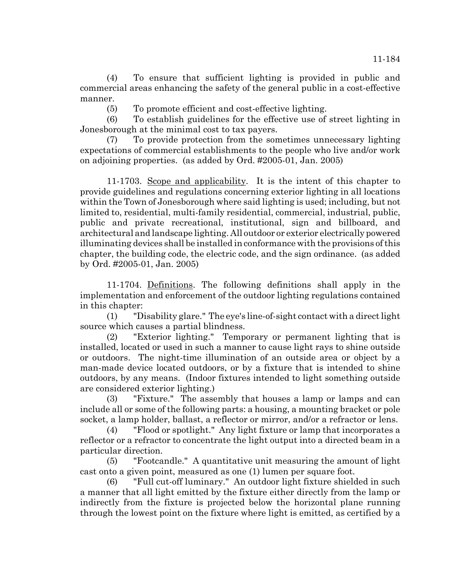(4) To ensure that sufficient lighting is provided in public and commercial areas enhancing the safety of the general public in a cost-effective manner.

(5) To promote efficient and cost-effective lighting.

(6) To establish guidelines for the effective use of street lighting in Jonesborough at the minimal cost to tax payers.

(7) To provide protection from the sometimes unnecessary lighting expectations of commercial establishments to the people who live and/or work on adjoining properties. (as added by Ord. #2005-01, Jan. 2005)

11-1703. Scope and applicability. It is the intent of this chapter to provide guidelines and regulations concerning exterior lighting in all locations within the Town of Jonesborough where said lighting is used; including, but not limited to, residential, multi-family residential, commercial, industrial, public, public and private recreational, institutional, sign and billboard, and architectural and landscape lighting. All outdoor or exterior electrically powered illuminating devices shall be installed in conformance with the provisions of this chapter, the building code, the electric code, and the sign ordinance. (as added by Ord. #2005-01, Jan. 2005)

11-1704. Definitions. The following definitions shall apply in the implementation and enforcement of the outdoor lighting regulations contained in this chapter:

(1) "Disability glare." The eye's line-of-sight contact with a direct light source which causes a partial blindness.

(2) "Exterior lighting." Temporary or permanent lighting that is installed, located or used in such a manner to cause light rays to shine outside or outdoors. The night-time illumination of an outside area or object by a man-made device located outdoors, or by a fixture that is intended to shine outdoors, by any means. (Indoor fixtures intended to light something outside are considered exterior lighting.)

(3) "Fixture." The assembly that houses a lamp or lamps and can include all or some of the following parts: a housing, a mounting bracket or pole socket, a lamp holder, ballast, a reflector or mirror, and/or a refractor or lens.

(4) "Flood or spotlight." Any light fixture or lamp that incorporates a reflector or a refractor to concentrate the light output into a directed beam in a particular direction.

(5) "Footcandle." A quantitative unit measuring the amount of light cast onto a given point, measured as one (1) lumen per square foot.

(6) "Full cut-off luminary." An outdoor light fixture shielded in such a manner that all light emitted by the fixture either directly from the lamp or indirectly from the fixture is projected below the horizontal plane running through the lowest point on the fixture where light is emitted, as certified by a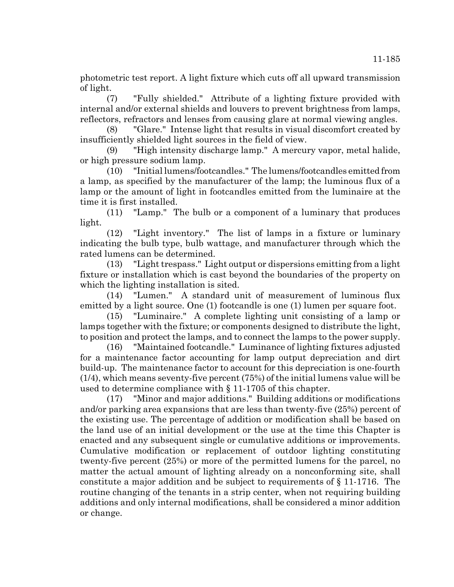photometric test report. A light fixture which cuts off all upward transmission of light.

(7) "Fully shielded." Attribute of a lighting fixture provided with internal and/or external shields and louvers to prevent brightness from lamps, reflectors, refractors and lenses from causing glare at normal viewing angles.

(8) "Glare." Intense light that results in visual discomfort created by insufficiently shielded light sources in the field of view.

(9) "High intensity discharge lamp." A mercury vapor, metal halide, or high pressure sodium lamp.

(10) "Initial lumens/footcandles." The lumens/footcandles emitted from a lamp, as specified by the manufacturer of the lamp; the luminous flux of a lamp or the amount of light in footcandles emitted from the luminaire at the time it is first installed.

(11) "Lamp." The bulb or a component of a luminary that produces light.

(12) "Light inventory." The list of lamps in a fixture or luminary indicating the bulb type, bulb wattage, and manufacturer through which the rated lumens can be determined.

(13) "Light trespass." Light output or dispersions emitting from a light fixture or installation which is cast beyond the boundaries of the property on which the lighting installation is sited.

(14) "Lumen." A standard unit of measurement of luminous flux emitted by a light source. One (1) footcandle is one (1) lumen per square foot.

(15) "Luminaire." A complete lighting unit consisting of a lamp or lamps together with the fixture; or components designed to distribute the light, to position and protect the lamps, and to connect the lamps to the power supply.

(16) "Maintained footcandle." Luminance of lighting fixtures adjusted for a maintenance factor accounting for lamp output depreciation and dirt build-up. The maintenance factor to account for this depreciation is one-fourth (1/4), which means seventy-five percent (75%) of the initial lumens value will be used to determine compliance with § 11-1705 of this chapter.

(17) "Minor and major additions." Building additions or modifications and/or parking area expansions that are less than twenty-five (25%) percent of the existing use. The percentage of addition or modification shall be based on the land use of an initial development or the use at the time this Chapter is enacted and any subsequent single or cumulative additions or improvements. Cumulative modification or replacement of outdoor lighting constituting twenty-five percent (25%) or more of the permitted lumens for the parcel, no matter the actual amount of lighting already on a nonconforming site, shall constitute a major addition and be subject to requirements of § 11-1716. The routine changing of the tenants in a strip center, when not requiring building additions and only internal modifications, shall be considered a minor addition or change.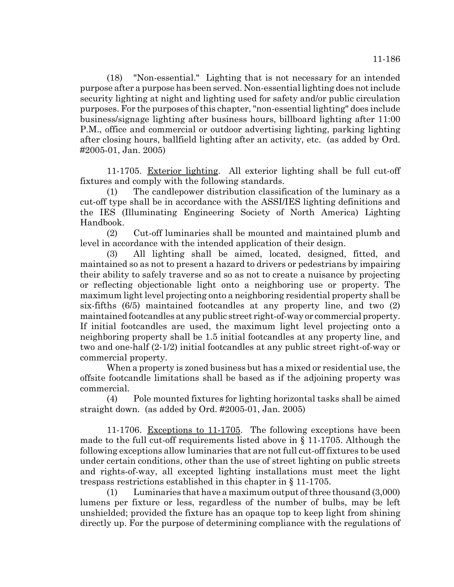(18) "Non-essential." Lighting that is not necessary for an intended purpose after a purpose has been served. Non-essential lighting does not include security lighting at night and lighting used for safety and/or public circulation purposes. For the purposes of this chapter, "non-essential lighting" does include business/signage lighting after business hours, billboard lighting after 11:00 P.M., office and commercial or outdoor advertising lighting, parking lighting after closing hours, ballfield lighting after an activity, etc. (as added by Ord. #2005-01, Jan. 2005)

11-1705. Exterior lighting. All exterior lighting shall be full cut-off fixtures and comply with the following standards.

(1) The candlepower distribution classification of the luminary as a cut-off type shall be in accordance with the ASSI/IES lighting definitions and the IES (Illuminating Engineering Society of North America) Lighting Handbook.

(2) Cut-off luminaries shall be mounted and maintained plumb and level in accordance with the intended application of their design.

(3) All lighting shall be aimed, located, designed, fitted, and maintained so as not to present a hazard to drivers or pedestrians by impairing their ability to safely traverse and so as not to create a nuisance by projecting or reflecting objectionable light onto a neighboring use or property. The maximum light level projecting onto a neighboring residential property shall be six-fifths (6/5) maintained footcandles at any property line, and two (2) maintained footcandles at any public street right-of-way or commercial property. If initial footcandles are used, the maximum light level projecting onto a neighboring property shall be 1.5 initial footcandles at any property line, and two and one-half (2-1/2) initial footcandles at any public street right-of-way or commercial property.

When a property is zoned business but has a mixed or residential use, the offsite footcandle limitations shall be based as if the adjoining property was commercial.

(4) Pole mounted fixtures for lighting horizontal tasks shall be aimed straight down. (as added by Ord. #2005-01, Jan. 2005)

11-1706. Exceptions to 11-1705. The following exceptions have been made to the full cut-off requirements listed above in § 11-1705. Although the following exceptions allow luminaries that are not full cut-off fixtures to be used under certain conditions, other than the use of street lighting on public streets and rights-of-way, all excepted lighting installations must meet the light trespass restrictions established in this chapter in § 11-1705.

(1) Luminaries that have a maximum output of three thousand (3,000) lumens per fixture or less, regardless of the number of bulbs, may be left unshielded; provided the fixture has an opaque top to keep light from shining directly up. For the purpose of determining compliance with the regulations of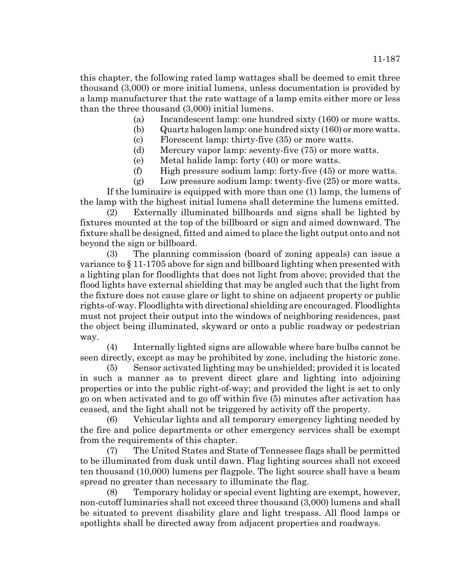this chapter, the following rated lamp wattages shall be deemed to emit three thousand (3,000) or more initial lumens, unless documentation is provided by a lamp manufacturer that the rate wattage of a lamp emits either more or less than the three thousand (3,000) initial lumens.

- (a) Incandescent lamp: one hundred sixty (160) or more watts.
- (b) Quartz halogen lamp: one hundred sixty (160) or more watts.
- (c) Florescent lamp: thirty-five (35) or more watts.
- (d) Mercury vapor lamp: seventy-five (75) or more watts.
- (e) Metal halide lamp: forty (40) or more watts.
- (f) High pressure sodium lamp: forty-five (45) or more watts.

(g) Low pressure sodium lamp: twenty-five (25) or more watts. If the luminaire is equipped with more than one (1) lamp, the lumens of the lamp with the highest initial lumens shall determine the lumens emitted.

(2) Externally illuminated billboards and signs shall be lighted by fixtures mounted at the top of the billboard or sign and aimed downward. The fixture shall be designed, fitted and aimed to place the light output onto and not beyond the sign or billboard.

(3) The planning commission (board of zoning appeals) can issue a variance to § 11-1705 above for sign and billboard lighting when presented with a lighting plan for floodlights that does not light from above; provided that the flood lights have external shielding that may be angled such that the light from the fixture does not cause glare or light to shine on adjacent property or public rights-of-way. Floodlights with directional shielding are encouraged. Floodlights must not project their output into the windows of neighboring residences, past the object being illuminated, skyward or onto a public roadway or pedestrian way.

(4) Internally lighted signs are allowable where bare bulbs cannot be seen directly, except as may be prohibited by zone, including the historic zone.

(5) Sensor activated lighting may be unshielded; provided it is located in such a manner as to prevent direct glare and lighting into adjoining properties or into the public right-of-way; and provided the light is set to only go on when activated and to go off within five (5) minutes after activation has ceased, and the light shall not be triggered by activity off the property.

(6) Vehicular lights and all temporary emergency lighting needed by the fire and police departments or other emergency services shall be exempt from the requirements of this chapter.

(7) The United States and State of Tennessee flags shall be permitted to be illuminated from dusk until dawn. Flag lighting sources shall not exceed ten thousand (10,000) lumens per flagpole. The light source shall have a beam spread no greater than necessary to illuminate the flag.

(8) Temporary holiday or special event lighting are exempt, however, non-cutoff luminaries shall not exceed three thousand (3,000) lumens and shall be situated to prevent disability glare and light trespass. All flood lamps or spotlights shall be directed away from adjacent properties and roadways.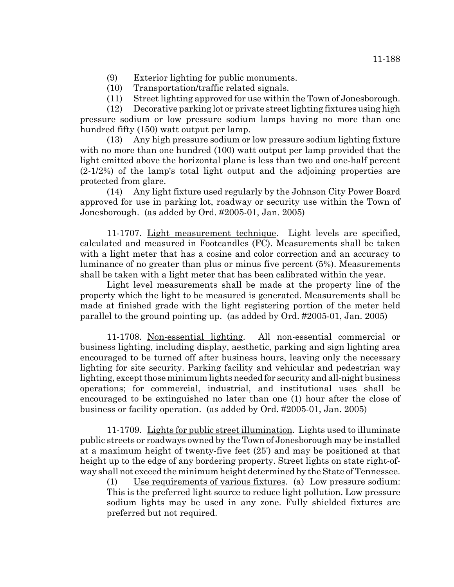- (10) Transportation/traffic related signals.
- (11) Street lighting approved for use within the Town of Jonesborough.

(12) Decorative parking lot or private street lighting fixtures using high pressure sodium or low pressure sodium lamps having no more than one hundred fifty (150) watt output per lamp.

(13) Any high pressure sodium or low pressure sodium lighting fixture with no more than one hundred (100) watt output per lamp provided that the light emitted above the horizontal plane is less than two and one-half percent (2-1/2%) of the lamp's total light output and the adjoining properties are protected from glare.

(14) Any light fixture used regularly by the Johnson City Power Board approved for use in parking lot, roadway or security use within the Town of Jonesborough. (as added by Ord. #2005-01, Jan. 2005)

11-1707. Light measurement technique. Light levels are specified, calculated and measured in Footcandles (FC). Measurements shall be taken with a light meter that has a cosine and color correction and an accuracy to luminance of no greater than plus or minus five percent (5%). Measurements shall be taken with a light meter that has been calibrated within the year.

Light level measurements shall be made at the property line of the property which the light to be measured is generated. Measurements shall be made at finished grade with the light registering portion of the meter held parallel to the ground pointing up. (as added by Ord. #2005-01, Jan. 2005)

11-1708. Non-essential lighting. All non-essential commercial or business lighting, including display, aesthetic, parking and sign lighting area encouraged to be turned off after business hours, leaving only the necessary lighting for site security. Parking facility and vehicular and pedestrian way lighting, except those minimum lights needed for security and all-night business operations; for commercial, industrial, and institutional uses shall be encouraged to be extinguished no later than one (1) hour after the close of business or facility operation. (as added by Ord. #2005-01, Jan. 2005)

11-1709. Lights for public street illumination. Lights used to illuminate public streets or roadways owned by the Town of Jonesborough may be installed at a maximum height of twenty-five feet (25') and may be positioned at that height up to the edge of any bordering property. Street lights on state right-ofway shall not exceed the minimum height determined by the State of Tennessee.

(1) Use requirements of various fixtures. (a) Low pressure sodium: This is the preferred light source to reduce light pollution. Low pressure sodium lights may be used in any zone. Fully shielded fixtures are preferred but not required.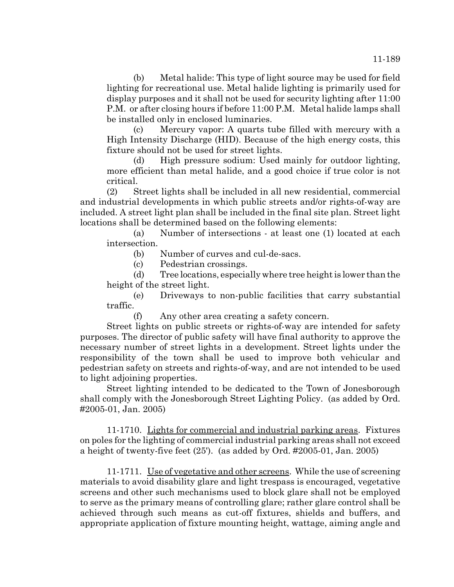(b) Metal halide: This type of light source may be used for field lighting for recreational use. Metal halide lighting is primarily used for display purposes and it shall not be used for security lighting after 11:00 P.M. or after closing hours if before 11:00 P.M. Metal halide lamps shall be installed only in enclosed luminaries.

(c) Mercury vapor: A quarts tube filled with mercury with a High Intensity Discharge (HID). Because of the high energy costs, this fixture should not be used for street lights.

(d) High pressure sodium: Used mainly for outdoor lighting, more efficient than metal halide, and a good choice if true color is not critical.

(2) Street lights shall be included in all new residential, commercial and industrial developments in which public streets and/or rights-of-way are included. A street light plan shall be included in the final site plan. Street light locations shall be determined based on the following elements:

(a) Number of intersections - at least one (1) located at each intersection.

(b) Number of curves and cul-de-sacs.

(c) Pedestrian crossings.

(d) Tree locations, especially where tree height is lower than the height of the street light.

(e) Driveways to non-public facilities that carry substantial traffic.

(f) Any other area creating a safety concern.

Street lights on public streets or rights-of-way are intended for safety purposes. The director of public safety will have final authority to approve the necessary number of street lights in a development. Street lights under the responsibility of the town shall be used to improve both vehicular and pedestrian safety on streets and rights-of-way, and are not intended to be used to light adjoining properties.

Street lighting intended to be dedicated to the Town of Jonesborough shall comply with the Jonesborough Street Lighting Policy. (as added by Ord. #2005-01, Jan. 2005)

11-1710. Lights for commercial and industrial parking areas. Fixtures on poles for the lighting of commercial industrial parking areas shall not exceed a height of twenty-five feet (25'). (as added by Ord. #2005-01, Jan. 2005)

11-1711. Use of vegetative and other screens. While the use of screening materials to avoid disability glare and light trespass is encouraged, vegetative screens and other such mechanisms used to block glare shall not be employed to serve as the primary means of controlling glare; rather glare control shall be achieved through such means as cut-off fixtures, shields and buffers, and appropriate application of fixture mounting height, wattage, aiming angle and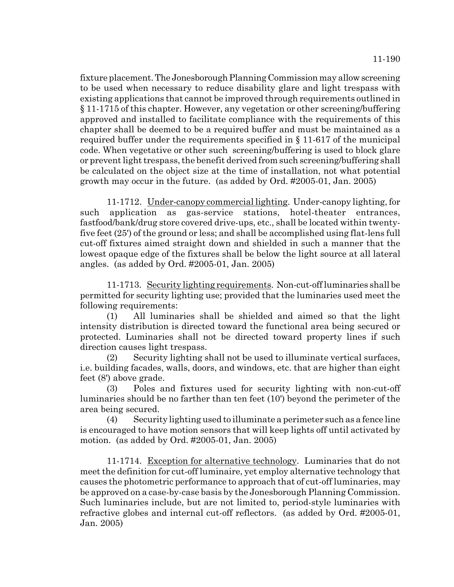fixture placement. The Jonesborough Planning Commission may allow screening to be used when necessary to reduce disability glare and light trespass with existing applications that cannot be improved through requirements outlined in § 11-1715 of this chapter. However, any vegetation or other screening/buffering approved and installed to facilitate compliance with the requirements of this chapter shall be deemed to be a required buffer and must be maintained as a required buffer under the requirements specified in § 11-617 of the municipal code. When vegetative or other such screening/buffering is used to block glare or prevent light trespass, the benefit derived from such screening/buffering shall be calculated on the object size at the time of installation, not what potential growth may occur in the future. (as added by Ord. #2005-01, Jan. 2005)

11-1712. Under-canopy commercial lighting. Under-canopy lighting, for such application as gas-service stations, hotel-theater entrances, fastfood/bank/drug store covered drive-ups, etc., shall be located within twentyfive feet (25') of the ground or less; and shall be accomplished using flat-lens full cut-off fixtures aimed straight down and shielded in such a manner that the lowest opaque edge of the fixtures shall be below the light source at all lateral angles. (as added by Ord. #2005-01, Jan. 2005)

11-1713. Security lighting requirements. Non-cut-off luminaries shall be permitted for security lighting use; provided that the luminaries used meet the following requirements:

(1) All luminaries shall be shielded and aimed so that the light intensity distribution is directed toward the functional area being secured or protected. Luminaries shall not be directed toward property lines if such direction causes light trespass.

(2) Security lighting shall not be used to illuminate vertical surfaces, i.e. building facades, walls, doors, and windows, etc. that are higher than eight feet (8') above grade.

(3) Poles and fixtures used for security lighting with non-cut-off luminaries should be no farther than ten feet (10') beyond the perimeter of the area being secured.

(4) Security lighting used to illuminate a perimeter such as a fence line is encouraged to have motion sensors that will keep lights off until activated by motion. (as added by Ord. #2005-01, Jan. 2005)

11-1714. Exception for alternative technology. Luminaries that do not meet the definition for cut-off luminaire, yet employ alternative technology that causes the photometric performance to approach that of cut-off luminaries, may be approved on a case-by-case basis by the Jonesborough Planning Commission. Such luminaries include, but are not limited to, period-style luminaries with refractive globes and internal cut-off reflectors. (as added by Ord. #2005-01, Jan. 2005)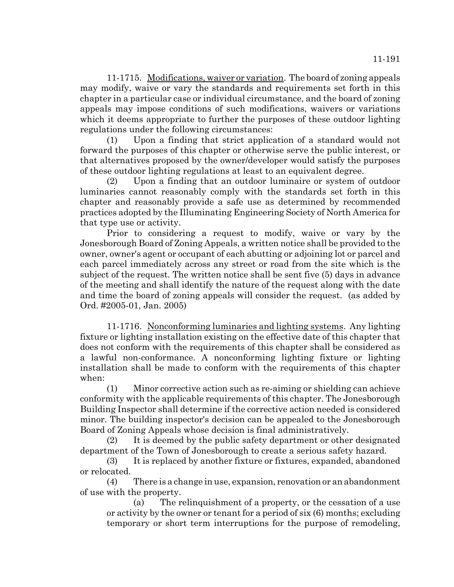11-1715. Modifications, waiver or variation. The board of zoning appeals may modify, waive or vary the standards and requirements set forth in this chapter in a particular case or individual circumstance, and the board of zoning appeals may impose conditions of such modifications, waivers or variations which it deems appropriate to further the purposes of these outdoor lighting regulations under the following circumstances:

(1) Upon a finding that strict application of a standard would not forward the purposes of this chapter or otherwise serve the public interest, or that alternatives proposed by the owner/developer would satisfy the purposes of these outdoor lighting regulations at least to an equivalent degree.

(2) Upon a finding that an outdoor luminaire or system of outdoor luminaries cannot reasonably comply with the standards set forth in this chapter and reasonably provide a safe use as determined by recommended practices adopted by the Illuminating Engineering Society of North America for that type use or activity.

Prior to considering a request to modify, waive or vary by the Jonesborough Board of Zoning Appeals, a written notice shall be provided to the owner, owner's agent or occupant of each abutting or adjoining lot or parcel and each parcel immediately across any street or road from the site which is the subject of the request. The written notice shall be sent five (5) days in advance of the meeting and shall identify the nature of the request along with the date and time the board of zoning appeals will consider the request. (as added by Ord. #2005-01, Jan. 2005)

11-1716. Nonconforming luminaries and lighting systems. Any lighting fixture or lighting installation existing on the effective date of this chapter that does not conform with the requirements of this chapter shall be considered as a lawful non-conformance. A nonconforming lighting fixture or lighting installation shall be made to conform with the requirements of this chapter when:

(1) Minor corrective action such as re-aiming or shielding can achieve conformity with the applicable requirements of this chapter. The Jonesborough Building Inspector shall determine if the corrective action needed is considered minor. The building inspector's decision can be appealed to the Jonesborough Board of Zoning Appeals whose decision is final administratively.

(2) It is deemed by the public safety department or other designated department of the Town of Jonesborough to create a serious safety hazard.

(3) It is replaced by another fixture or fixtures, expanded, abandoned or relocated.

(4) There is a change in use, expansion, renovation or an abandonment of use with the property.

(a) The relinquishment of a property, or the cessation of a use or activity by the owner or tenant for a period of six (6) months; excluding temporary or short term interruptions for the purpose of remodeling,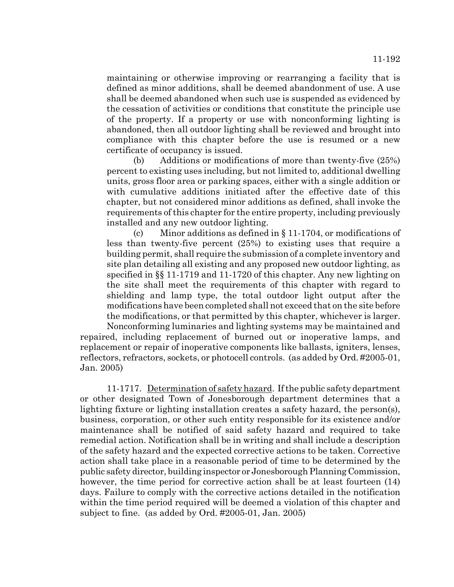maintaining or otherwise improving or rearranging a facility that is defined as minor additions, shall be deemed abandonment of use. A use shall be deemed abandoned when such use is suspended as evidenced by the cessation of activities or conditions that constitute the principle use of the property. If a property or use with nonconforming lighting is abandoned, then all outdoor lighting shall be reviewed and brought into compliance with this chapter before the use is resumed or a new certificate of occupancy is issued.

(b) Additions or modifications of more than twenty-five (25%) percent to existing uses including, but not limited to, additional dwelling units, gross floor area or parking spaces, either with a single addition or with cumulative additions initiated after the effective date of this chapter, but not considered minor additions as defined, shall invoke the requirements of this chapter for the entire property, including previously installed and any new outdoor lighting.

(c) Minor additions as defined in § 11-1704, or modifications of less than twenty-five percent (25%) to existing uses that require a building permit, shall require the submission of a complete inventory and site plan detailing all existing and any proposed new outdoor lighting, as specified in §§ 11-1719 and 11-1720 of this chapter. Any new lighting on the site shall meet the requirements of this chapter with regard to shielding and lamp type, the total outdoor light output after the modifications have been completed shall not exceed that on the site before the modifications, or that permitted by this chapter, whichever is larger.

Nonconforming luminaries and lighting systems may be maintained and repaired, including replacement of burned out or inoperative lamps, and replacement or repair of inoperative components like ballasts, igniters, lenses, reflectors, refractors, sockets, or photocell controls. (as added by Ord. #2005-01, Jan. 2005)

11-1717. Determination of safety hazard. If the public safety department or other designated Town of Jonesborough department determines that a lighting fixture or lighting installation creates a safety hazard, the person(s), business, corporation, or other such entity responsible for its existence and/or maintenance shall be notified of said safety hazard and required to take remedial action. Notification shall be in writing and shall include a description of the safety hazard and the expected corrective actions to be taken. Corrective action shall take place in a reasonable period of time to be determined by the public safety director, building inspector or Jonesborough Planning Commission, however, the time period for corrective action shall be at least fourteen (14) days. Failure to comply with the corrective actions detailed in the notification within the time period required will be deemed a violation of this chapter and subject to fine. (as added by Ord. #2005-01, Jan. 2005)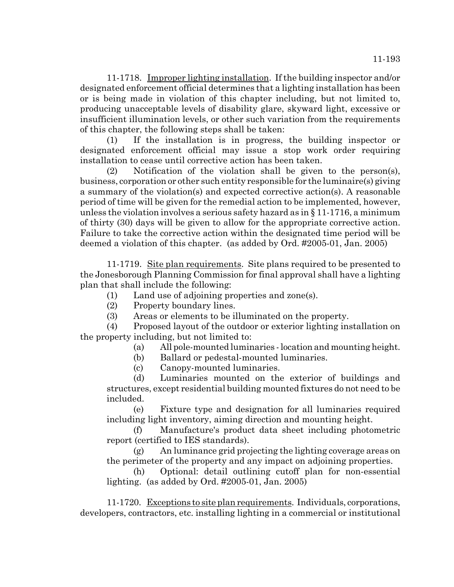11-1718. Improper lighting installation. If the building inspector and/or designated enforcement official determines that a lighting installation has been or is being made in violation of this chapter including, but not limited to, producing unacceptable levels of disability glare, skyward light, excessive or insufficient illumination levels, or other such variation from the requirements of this chapter, the following steps shall be taken:

(1) If the installation is in progress, the building inspector or designated enforcement official may issue a stop work order requiring installation to cease until corrective action has been taken.

(2) Notification of the violation shall be given to the person(s), business, corporation or other such entity responsible for the luminaire(s) giving a summary of the violation(s) and expected corrective action(s). A reasonable period of time will be given for the remedial action to be implemented, however, unless the violation involves a serious safety hazard as in § 11-1716, a minimum of thirty (30) days will be given to allow for the appropriate corrective action. Failure to take the corrective action within the designated time period will be deemed a violation of this chapter. (as added by Ord. #2005-01, Jan. 2005)

11-1719. Site plan requirements. Site plans required to be presented to the Jonesborough Planning Commission for final approval shall have a lighting plan that shall include the following:

- (1) Land use of adjoining properties and zone(s).
- (2) Property boundary lines.
- (3) Areas or elements to be illuminated on the property.

(4) Proposed layout of the outdoor or exterior lighting installation on the property including, but not limited to:

(a) All pole-mounted luminaries - location and mounting height.

(b) Ballard or pedestal-mounted luminaries.

(c) Canopy-mounted luminaries.

(d) Luminaries mounted on the exterior of buildings and structures, except residential building mounted fixtures do not need to be included.

(e) Fixture type and designation for all luminaries required including light inventory, aiming direction and mounting height.

(f) Manufacture's product data sheet including photometric report (certified to IES standards).

(g) An luminance grid projecting the lighting coverage areas on the perimeter of the property and any impact on adjoining properties.

(h) Optional: detail outlining cutoff plan for non-essential lighting. (as added by Ord. #2005-01, Jan. 2005)

11-1720. Exceptions to site plan requirements. Individuals, corporations, developers, contractors, etc. installing lighting in a commercial or institutional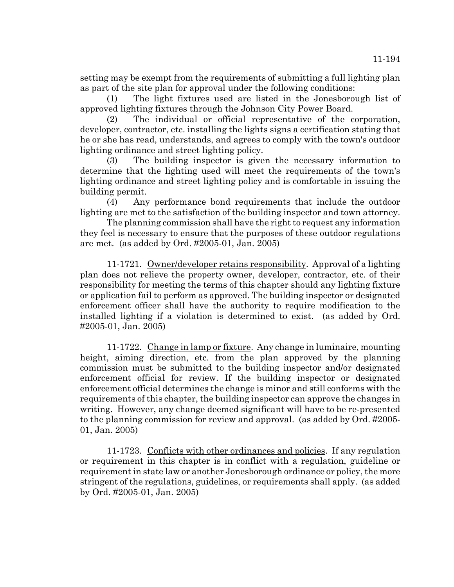setting may be exempt from the requirements of submitting a full lighting plan as part of the site plan for approval under the following conditions:

(1) The light fixtures used are listed in the Jonesborough list of approved lighting fixtures through the Johnson City Power Board.

(2) The individual or official representative of the corporation, developer, contractor, etc. installing the lights signs a certification stating that he or she has read, understands, and agrees to comply with the town's outdoor lighting ordinance and street lighting policy.

(3) The building inspector is given the necessary information to determine that the lighting used will meet the requirements of the town's lighting ordinance and street lighting policy and is comfortable in issuing the building permit.

(4) Any performance bond requirements that include the outdoor lighting are met to the satisfaction of the building inspector and town attorney.

The planning commission shall have the right to request any information they feel is necessary to ensure that the purposes of these outdoor regulations are met. (as added by Ord. #2005-01, Jan. 2005)

11-1721. Owner/developer retains responsibility. Approval of a lighting plan does not relieve the property owner, developer, contractor, etc. of their responsibility for meeting the terms of this chapter should any lighting fixture or application fail to perform as approved. The building inspector or designated enforcement officer shall have the authority to require modification to the installed lighting if a violation is determined to exist. (as added by Ord. #2005-01, Jan. 2005)

11-1722. Change in lamp or fixture. Any change in luminaire, mounting height, aiming direction, etc. from the plan approved by the planning commission must be submitted to the building inspector and/or designated enforcement official for review. If the building inspector or designated enforcement official determines the change is minor and still conforms with the requirements of this chapter, the building inspector can approve the changes in writing. However, any change deemed significant will have to be re-presented to the planning commission for review and approval. (as added by Ord. #2005- 01, Jan. 2005)

11-1723. Conflicts with other ordinances and policies. If any regulation or requirement in this chapter is in conflict with a regulation, guideline or requirement in state law or another Jonesborough ordinance or policy, the more stringent of the regulations, guidelines, or requirements shall apply. (as added by Ord. #2005-01, Jan. 2005)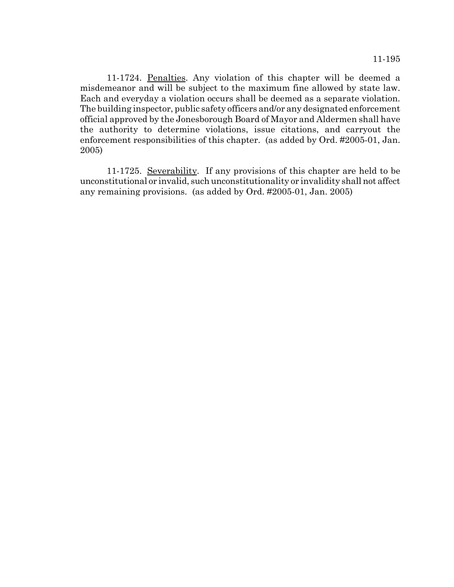11-1724. Penalties. Any violation of this chapter will be deemed a misdemeanor and will be subject to the maximum fine allowed by state law. Each and everyday a violation occurs shall be deemed as a separate violation. The building inspector, public safety officers and/or any designated enforcement official approved by the Jonesborough Board of Mayor and Aldermen shall have the authority to determine violations, issue citations, and carryout the enforcement responsibilities of this chapter. (as added by Ord. #2005-01, Jan. 2005)

11-1725. Severability. If any provisions of this chapter are held to be unconstitutional or invalid, such unconstitutionality or invalidity shall not affect any remaining provisions. (as added by Ord. #2005-01, Jan. 2005)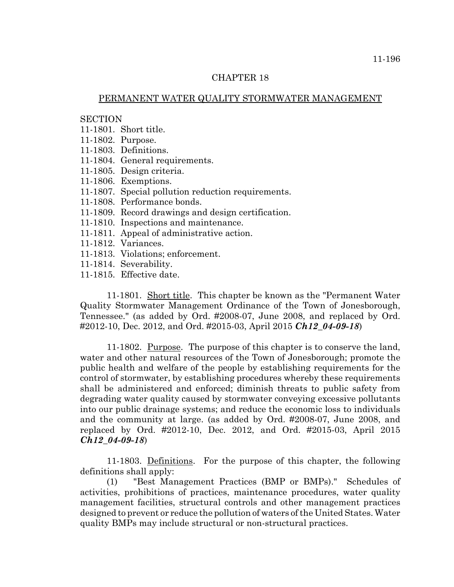#### CHAPTER 18

#### PERMANENT WATER QUALITY STORMWATER MANAGEMENT

# **SECTION**

- 11-1801. Short title.
- 11-1802. Purpose.
- 11-1803. Definitions.
- 11-1804. General requirements.
- 11-1805. Design criteria.
- 11-1806. Exemptions.
- 11-1807. Special pollution reduction requirements.
- 11-1808. Performance bonds.
- 11-1809. Record drawings and design certification.
- 11-1810. Inspections and maintenance.
- 11-1811. Appeal of administrative action.
- 11-1812. Variances.
- 11-1813. Violations; enforcement.
- 11-1814. Severability.
- 11-1815. Effective date.

11-1801. Short title. This chapter be known as the "Permanent Water Quality Stormwater Management Ordinance of the Town of Jonesborough, Tennessee." (as added by Ord. #2008-07, June 2008, and replaced by Ord. #2012-10, Dec. 2012, and Ord. #2015-03, April 2015 *Ch12\_04-09-18*)

11-1802. Purpose. The purpose of this chapter is to conserve the land, water and other natural resources of the Town of Jonesborough; promote the public health and welfare of the people by establishing requirements for the control of stormwater, by establishing procedures whereby these requirements shall be administered and enforced; diminish threats to public safety from degrading water quality caused by stormwater conveying excessive pollutants into our public drainage systems; and reduce the economic loss to individuals and the community at large. (as added by Ord. #2008-07, June 2008, and replaced by Ord. #2012-10, Dec. 2012, and Ord. #2015-03, April 2015 *Ch12\_04-09-18*)

11-1803. Definitions. For the purpose of this chapter, the following definitions shall apply:

(1) "Best Management Practices (BMP or BMPs)." Schedules of activities, prohibitions of practices, maintenance procedures, water quality management facilities, structural controls and other management practices designed to prevent or reduce the pollution of waters of the United States. Water quality BMPs may include structural or non-structural practices.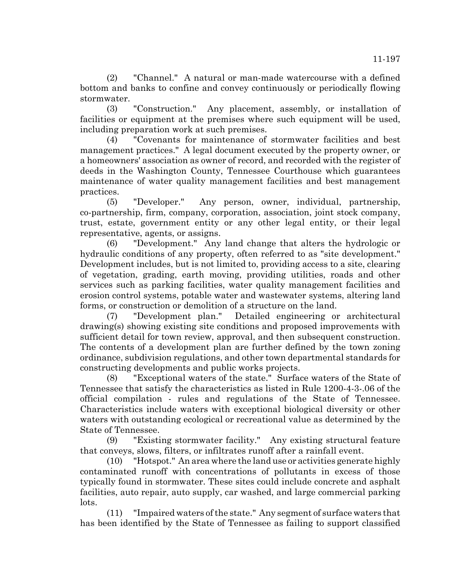(2) "Channel." A natural or man-made watercourse with a defined bottom and banks to confine and convey continuously or periodically flowing stormwater.

(3) "Construction." Any placement, assembly, or installation of facilities or equipment at the premises where such equipment will be used, including preparation work at such premises.

(4) "Covenants for maintenance of stormwater facilities and best management practices." A legal document executed by the property owner, or a homeowners' association as owner of record, and recorded with the register of deeds in the Washington County, Tennessee Courthouse which guarantees maintenance of water quality management facilities and best management practices.

(5) "Developer." Any person, owner, individual, partnership, co-partnership, firm, company, corporation, association, joint stock company, trust, estate, government entity or any other legal entity, or their legal representative, agents, or assigns.

(6) "Development." Any land change that alters the hydrologic or hydraulic conditions of any property, often referred to as "site development." Development includes, but is not limited to, providing access to a site, clearing of vegetation, grading, earth moving, providing utilities, roads and other services such as parking facilities, water quality management facilities and erosion control systems, potable water and wastewater systems, altering land forms, or construction or demolition of a structure on the land.

(7) "Development plan." Detailed engineering or architectural drawing(s) showing existing site conditions and proposed improvements with sufficient detail for town review, approval, and then subsequent construction. The contents of a development plan are further defined by the town zoning ordinance, subdivision regulations, and other town departmental standards for constructing developments and public works projects.

(8) "Exceptional waters of the state." Surface waters of the State of Tennessee that satisfy the characteristics as listed in Rule 1200-4-3-.06 of the official compilation - rules and regulations of the State of Tennessee. Characteristics include waters with exceptional biological diversity or other waters with outstanding ecological or recreational value as determined by the State of Tennessee.

(9) "Existing stormwater facility." Any existing structural feature that conveys, slows, filters, or infiltrates runoff after a rainfall event.

(10) "Hotspot." An area where the land use or activities generate highly contaminated runoff with concentrations of pollutants in excess of those typically found in stormwater. These sites could include concrete and asphalt facilities, auto repair, auto supply, car washed, and large commercial parking lots.

(11) "Impaired waters of the state." Any segment of surface waters that has been identified by the State of Tennessee as failing to support classified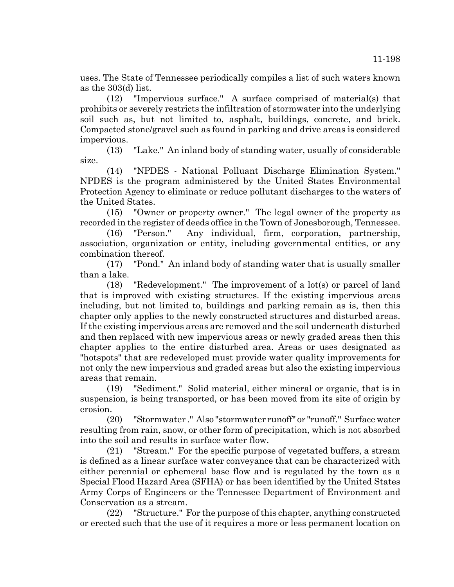uses. The State of Tennessee periodically compiles a list of such waters known as the 303(d) list.

(12) "Impervious surface." A surface comprised of material(s) that prohibits or severely restricts the infiltration of stormwater into the underlying soil such as, but not limited to, asphalt, buildings, concrete, and brick. Compacted stone/gravel such as found in parking and drive areas is considered impervious.

(13) "Lake." An inland body of standing water, usually of considerable size.

(14) "NPDES - National Polluant Discharge Elimination System." NPDES is the program administered by the United States Environmental Protection Agency to eliminate or reduce pollutant discharges to the waters of the United States.

(15) "Owner or property owner." The legal owner of the property as recorded in the register of deeds office in the Town of Jonesborough, Tennessee.

(16) "Person." Any individual, firm, corporation, partnership, association, organization or entity, including governmental entities, or any combination thereof.

(17) "Pond." An inland body of standing water that is usually smaller than a lake.

(18) "Redevelopment." The improvement of a lot(s) or parcel of land that is improved with existing structures. If the existing impervious areas including, but not limited to, buildings and parking remain as is, then this chapter only applies to the newly constructed structures and disturbed areas. If the existing impervious areas are removed and the soil underneath disturbed and then replaced with new impervious areas or newly graded areas then this chapter applies to the entire disturbed area. Areas or uses designated as "hotspots" that are redeveloped must provide water quality improvements for not only the new impervious and graded areas but also the existing impervious areas that remain.

(19) "Sediment." Solid material, either mineral or organic, that is in suspension, is being transported, or has been moved from its site of origin by erosion.

(20) "Stormwater ." Also "stormwater runoff" or "runoff." Surface water resulting from rain, snow, or other form of precipitation, which is not absorbed into the soil and results in surface water flow.

(21) "Stream." For the specific purpose of vegetated buffers, a stream is defined as a linear surface water conveyance that can be characterized with either perennial or ephemeral base flow and is regulated by the town as a Special Flood Hazard Area (SFHA) or has been identified by the United States Army Corps of Engineers or the Tennessee Department of Environment and Conservation as a stream.

(22) "Structure." For the purpose of this chapter, anything constructed or erected such that the use of it requires a more or less permanent location on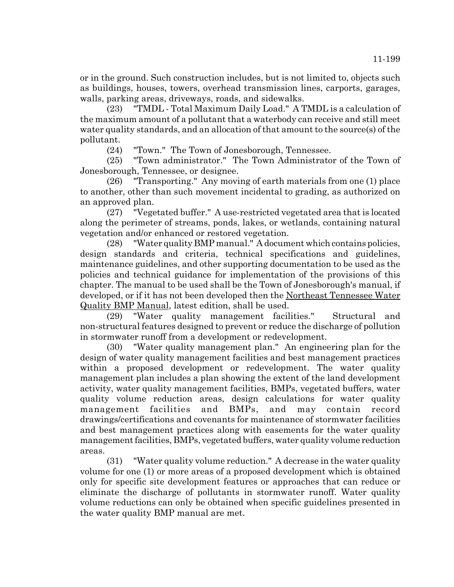or in the ground. Such construction includes, but is not limited to, objects such as buildings, houses, towers, overhead transmission lines, carports, garages, walls, parking areas, driveways, roads, and sidewalks.

(23) "TMDL - Total Maximum Daily Load." A TMDL is a calculation of the maximum amount of a pollutant that a waterbody can receive and still meet water quality standards, and an allocation of that amount to the source(s) of the pollutant.

(24) "Town." The Town of Jonesborough, Tennessee.

(25) "Town administrator." The Town Administrator of the Town of Jonesborough, Tennessee, or designee.

(26) "Transporting." Any moving of earth materials from one (1) place to another, other than such movement incidental to grading, as authorized on an approved plan.

(27) "Vegetated buffer." A use-restricted vegetated area that is located along the perimeter of streams, ponds, lakes, or wetlands, containing natural vegetation and/or enhanced or restored vegetation.

(28) "Water quality BMP manual." A document which contains policies, design standards and criteria, technical specifications and guidelines, maintenance guidelines, and other supporting documentation to be used as the policies and technical guidance for implementation of the provisions of this chapter. The manual to be used shall be the Town of Jonesborough's manual, if developed, or if it has not been developed then the Northeast Tennessee Water Quality BMP Manual, latest edition, shall be used.

(29) "Water quality management facilities." Structural and non-structural features designed to prevent or reduce the discharge of pollution in stormwater runoff from a development or redevelopment.

(30) "Water quality management plan." An engineering plan for the design of water quality management facilities and best management practices within a proposed development or redevelopment. The water quality management plan includes a plan showing the extent of the land development activity, water quality management facilities, BMPs, vegetated buffers, water quality volume reduction areas, design calculations for water quality management facilities and BMPs, and may contain record drawings/certifications and covenants for maintenance of stormwater facilities and best management practices along with easements for the water quality management facilities, BMPs, vegetated buffers, water quality volume reduction areas.

(31) "Water quality volume reduction." A decrease in the water quality volume for one (1) or more areas of a proposed development which is obtained only for specific site development features or approaches that can reduce or eliminate the discharge of pollutants in stormwater runoff. Water quality volume reductions can only be obtained when specific guidelines presented in the water quality BMP manual are met.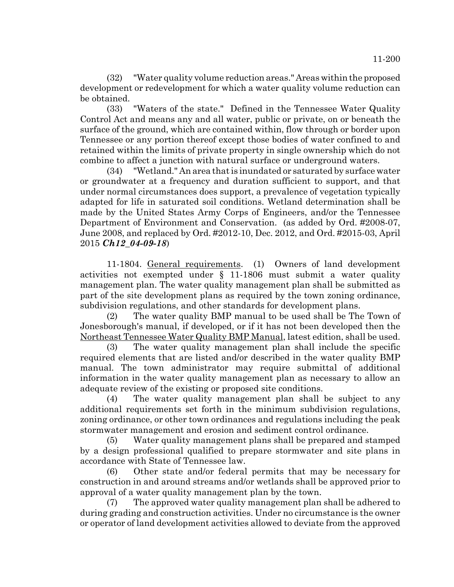(32) "Water quality volume reduction areas." Areas within the proposed development or redevelopment for which a water quality volume reduction can be obtained.

(33) "Waters of the state." Defined in the Tennessee Water Quality Control Act and means any and all water, public or private, on or beneath the surface of the ground, which are contained within, flow through or border upon Tennessee or any portion thereof except those bodies of water confined to and retained within the limits of private property in single ownership which do not combine to affect a junction with natural surface or underground waters.

(34) "Wetland." An area that is inundated or saturated by surface water or groundwater at a frequency and duration sufficient to support, and that under normal circumstances does support, a prevalence of vegetation typically adapted for life in saturated soil conditions. Wetland determination shall be made by the United States Army Corps of Engineers, and/or the Tennessee Department of Environment and Conservation. (as added by Ord. #2008-07, June 2008, and replaced by Ord. #2012-10, Dec. 2012, and Ord. #2015-03, April 2015 *Ch12\_04-09-18*)

11-1804. General requirements. (1) Owners of land development activities not exempted under § 11-1806 must submit a water quality management plan. The water quality management plan shall be submitted as part of the site development plans as required by the town zoning ordinance, subdivision regulations, and other standards for development plans.

(2) The water quality BMP manual to be used shall be The Town of Jonesborough's manual, if developed, or if it has not been developed then the Northeast Tennessee Water Quality BMP Manual, latest edition, shall be used.

(3) The water quality management plan shall include the specific required elements that are listed and/or described in the water quality BMP manual. The town administrator may require submittal of additional information in the water quality management plan as necessary to allow an adequate review of the existing or proposed site conditions.

(4) The water quality management plan shall be subject to any additional requirements set forth in the minimum subdivision regulations, zoning ordinance, or other town ordinances and regulations including the peak stormwater management and erosion and sediment control ordinance.

(5) Water quality management plans shall be prepared and stamped by a design professional qualified to prepare stormwater and site plans in accordance with State of Tennessee law.

(6) Other state and/or federal permits that may be necessary for construction in and around streams and/or wetlands shall be approved prior to approval of a water quality management plan by the town.

(7) The approved water quality management plan shall be adhered to during grading and construction activities. Under no circumstance is the owner or operator of land development activities allowed to deviate from the approved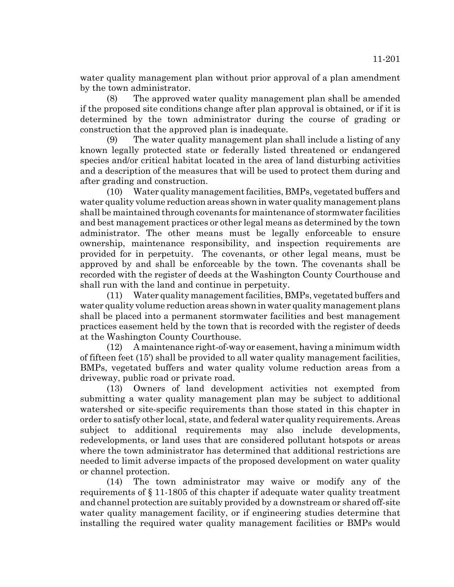water quality management plan without prior approval of a plan amendment by the town administrator.

(8) The approved water quality management plan shall be amended if the proposed site conditions change after plan approval is obtained, or if it is determined by the town administrator during the course of grading or construction that the approved plan is inadequate.

(9) The water quality management plan shall include a listing of any known legally protected state or federally listed threatened or endangered species and/or critical habitat located in the area of land disturbing activities and a description of the measures that will be used to protect them during and after grading and construction.

(10) Water quality management facilities, BMPs, vegetated buffers and water quality volume reduction areas shown in water quality management plans shall be maintained through covenants for maintenance of stormwater facilities and best management practices or other legal means as determined by the town administrator. The other means must be legally enforceable to ensure ownership, maintenance responsibility, and inspection requirements are provided for in perpetuity. The covenants, or other legal means, must be approved by and shall be enforceable by the town. The covenants shall be recorded with the register of deeds at the Washington County Courthouse and shall run with the land and continue in perpetuity.

(11) Water quality management facilities, BMPs, vegetated buffers and water quality volume reduction areas shown in water quality management plans shall be placed into a permanent stormwater facilities and best management practices easement held by the town that is recorded with the register of deeds at the Washington County Courthouse.

(12) A maintenance right-of-way or easement, having a minimum width of fifteen feet (15') shall be provided to all water quality management facilities, BMPs, vegetated buffers and water quality volume reduction areas from a driveway, public road or private road.

(13) Owners of land development activities not exempted from submitting a water quality management plan may be subject to additional watershed or site-specific requirements than those stated in this chapter in order to satisfy other local, state, and federal water quality requirements. Areas subject to additional requirements may also include developments, redevelopments, or land uses that are considered pollutant hotspots or areas where the town administrator has determined that additional restrictions are needed to limit adverse impacts of the proposed development on water quality or channel protection.

(14) The town administrator may waive or modify any of the requirements of § 11-1805 of this chapter if adequate water quality treatment and channel protection are suitably provided by a downstream or shared off-site water quality management facility, or if engineering studies determine that installing the required water quality management facilities or BMPs would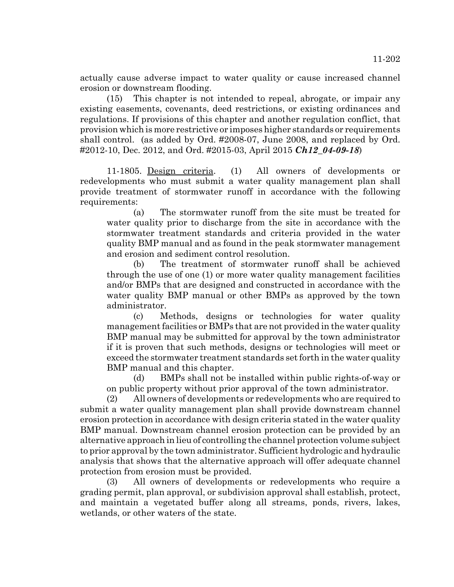actually cause adverse impact to water quality or cause increased channel erosion or downstream flooding.

(15) This chapter is not intended to repeal, abrogate, or impair any existing easements, covenants, deed restrictions, or existing ordinances and regulations. If provisions of this chapter and another regulation conflict, that provision which is more restrictive or imposes higher standards or requirements shall control. (as added by Ord. #2008-07, June 2008, and replaced by Ord. #2012-10, Dec. 2012, and Ord. #2015-03, April 2015 *Ch12\_04-09-18*)

11-1805. Design criteria. (1) All owners of developments or redevelopments who must submit a water quality management plan shall provide treatment of stormwater runoff in accordance with the following requirements:

(a) The stormwater runoff from the site must be treated for water quality prior to discharge from the site in accordance with the stormwater treatment standards and criteria provided in the water quality BMP manual and as found in the peak stormwater management and erosion and sediment control resolution.

(b) The treatment of stormwater runoff shall be achieved through the use of one (1) or more water quality management facilities and/or BMPs that are designed and constructed in accordance with the water quality BMP manual or other BMPs as approved by the town administrator.

(c) Methods, designs or technologies for water quality management facilities or BMPs that are not provided in the water quality BMP manual may be submitted for approval by the town administrator if it is proven that such methods, designs or technologies will meet or exceed the stormwater treatment standards set forth in the water quality BMP manual and this chapter.

(d) BMPs shall not be installed within public rights-of-way or on public property without prior approval of the town administrator.

(2) All owners of developments or redevelopments who are required to submit a water quality management plan shall provide downstream channel erosion protection in accordance with design criteria stated in the water quality BMP manual. Downstream channel erosion protection can be provided by an alternative approach in lieu of controlling the channel protection volume subject to prior approval by the town administrator. Sufficient hydrologic and hydraulic analysis that shows that the alternative approach will offer adequate channel protection from erosion must be provided.

(3) All owners of developments or redevelopments who require a grading permit, plan approval, or subdivision approval shall establish, protect, and maintain a vegetated buffer along all streams, ponds, rivers, lakes, wetlands, or other waters of the state.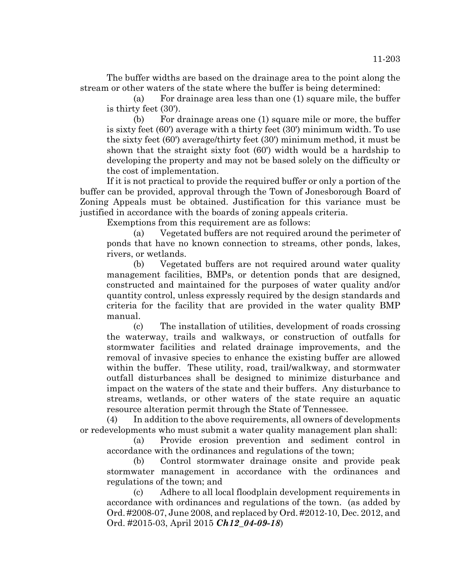The buffer widths are based on the drainage area to the point along the stream or other waters of the state where the buffer is being determined:

(a) For drainage area less than one (1) square mile, the buffer is thirty feet (30').

(b) For drainage areas one (1) square mile or more, the buffer is sixty feet (60') average with a thirty feet (30') minimum width. To use the sixty feet (60') average/thirty feet (30') minimum method, it must be shown that the straight sixty foot (60') width would be a hardship to developing the property and may not be based solely on the difficulty or the cost of implementation.

If it is not practical to provide the required buffer or only a portion of the buffer can be provided, approval through the Town of Jonesborough Board of Zoning Appeals must be obtained. Justification for this variance must be justified in accordance with the boards of zoning appeals criteria.

Exemptions from this requirement are as follows:

(a) Vegetated buffers are not required around the perimeter of ponds that have no known connection to streams, other ponds, lakes, rivers, or wetlands.

(b) Vegetated buffers are not required around water quality management facilities, BMPs, or detention ponds that are designed, constructed and maintained for the purposes of water quality and/or quantity control, unless expressly required by the design standards and criteria for the facility that are provided in the water quality BMP manual.

(c) The installation of utilities, development of roads crossing the waterway, trails and walkways, or construction of outfalls for stormwater facilities and related drainage improvements, and the removal of invasive species to enhance the existing buffer are allowed within the buffer. These utility, road, trail/walkway, and stormwater outfall disturbances shall be designed to minimize disturbance and impact on the waters of the state and their buffers. Any disturbance to streams, wetlands, or other waters of the state require an aquatic resource alteration permit through the State of Tennessee.

(4) In addition to the above requirements, all owners of developments or redevelopments who must submit a water quality management plan shall:

(a) Provide erosion prevention and sediment control in accordance with the ordinances and regulations of the town;

(b) Control stormwater drainage onsite and provide peak stormwater management in accordance with the ordinances and regulations of the town; and

(c) Adhere to all local floodplain development requirements in accordance with ordinances and regulations of the town. (as added by Ord. #2008-07, June 2008, and replaced by Ord. #2012-10, Dec. 2012, and Ord. #2015-03, April 2015 *Ch12\_04-09-18*)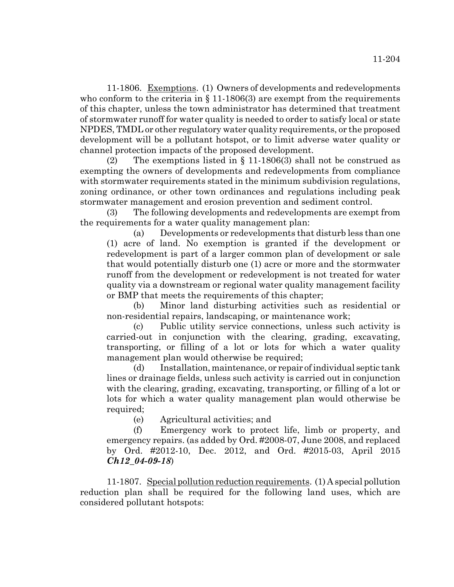11-1806. Exemptions. (1) Owners of developments and redevelopments who conform to the criteria in  $\S$  11-1806(3) are exempt from the requirements of this chapter, unless the town administrator has determined that treatment of stormwater runoff for water quality is needed to order to satisfy local or state NPDES, TMDL or other regulatory water quality requirements, or the proposed development will be a pollutant hotspot, or to limit adverse water quality or channel protection impacts of the proposed development.

(2) The exemptions listed in  $\S$  11-1806(3) shall not be construed as exempting the owners of developments and redevelopments from compliance with stormwater requirements stated in the minimum subdivision regulations, zoning ordinance, or other town ordinances and regulations including peak stormwater management and erosion prevention and sediment control.

(3) The following developments and redevelopments are exempt from the requirements for a water quality management plan:

(a) Developments or redevelopments that disturb less than one (1) acre of land. No exemption is granted if the development or redevelopment is part of a larger common plan of development or sale that would potentially disturb one (1) acre or more and the stormwater runoff from the development or redevelopment is not treated for water quality via a downstream or regional water quality management facility or BMP that meets the requirements of this chapter;

(b) Minor land disturbing activities such as residential or non-residential repairs, landscaping, or maintenance work;

(c) Public utility service connections, unless such activity is carried-out in conjunction with the clearing, grading, excavating, transporting, or filling of a lot or lots for which a water quality management plan would otherwise be required;

(d) Installation, maintenance, or repair of individual septic tank lines or drainage fields, unless such activity is carried out in conjunction with the clearing, grading, excavating, transporting, or filling of a lot or lots for which a water quality management plan would otherwise be required;

(e) Agricultural activities; and

(f) Emergency work to protect life, limb or property, and emergency repairs. (as added by Ord. #2008-07, June 2008, and replaced by Ord. #2012-10, Dec. 2012, and Ord. #2015-03, April 2015 *Ch12\_04-09-18*)

11-1807. Special pollution reduction requirements. (1) A special pollution reduction plan shall be required for the following land uses, which are considered pollutant hotspots: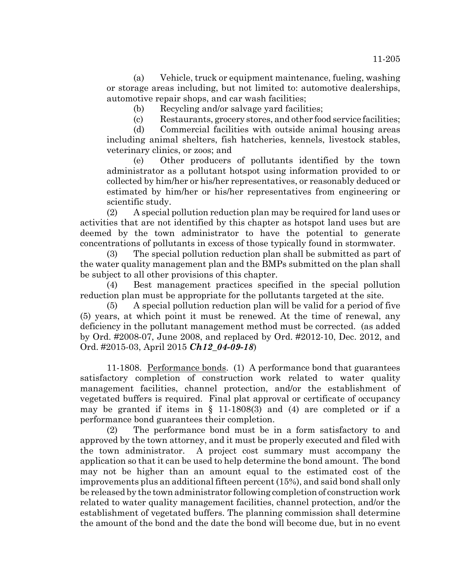(a) Vehicle, truck or equipment maintenance, fueling, washing or storage areas including, but not limited to: automotive dealerships, automotive repair shops, and car wash facilities;

(b) Recycling and/or salvage yard facilities;

(c) Restaurants, grocery stores, and other food service facilities;

(d) Commercial facilities with outside animal housing areas including animal shelters, fish hatcheries, kennels, livestock stables, veterinary clinics, or zoos; and

(e) Other producers of pollutants identified by the town administrator as a pollutant hotspot using information provided to or collected by him/her or his/her representatives, or reasonably deduced or estimated by him/her or his/her representatives from engineering or scientific study.

(2) A special pollution reduction plan may be required for land uses or activities that are not identified by this chapter as hotspot land uses but are deemed by the town administrator to have the potential to generate concentrations of pollutants in excess of those typically found in stormwater.

(3) The special pollution reduction plan shall be submitted as part of the water quality management plan and the BMPs submitted on the plan shall be subject to all other provisions of this chapter.

(4) Best management practices specified in the special pollution reduction plan must be appropriate for the pollutants targeted at the site.

(5) A special pollution reduction plan will be valid for a period of five (5) years, at which point it must be renewed. At the time of renewal, any deficiency in the pollutant management method must be corrected. (as added by Ord. #2008-07, June 2008, and replaced by Ord. #2012-10, Dec. 2012, and Ord. #2015-03, April 2015 *Ch12\_04-09-18*)

11-1808. Performance bonds. (1) A performance bond that guarantees satisfactory completion of construction work related to water quality management facilities, channel protection, and/or the establishment of vegetated buffers is required. Final plat approval or certificate of occupancy may be granted if items in  $\S$  11-1808(3) and (4) are completed or if a performance bond guarantees their completion.

(2) The performance bond must be in a form satisfactory to and approved by the town attorney, and it must be properly executed and filed with the town administrator. A project cost summary must accompany the application so that it can be used to help determine the bond amount. The bond may not be higher than an amount equal to the estimated cost of the improvements plus an additional fifteen percent (15%), and said bond shall only be released by the town administrator following completion of construction work related to water quality management facilities, channel protection, and/or the establishment of vegetated buffers. The planning commission shall determine the amount of the bond and the date the bond will become due, but in no event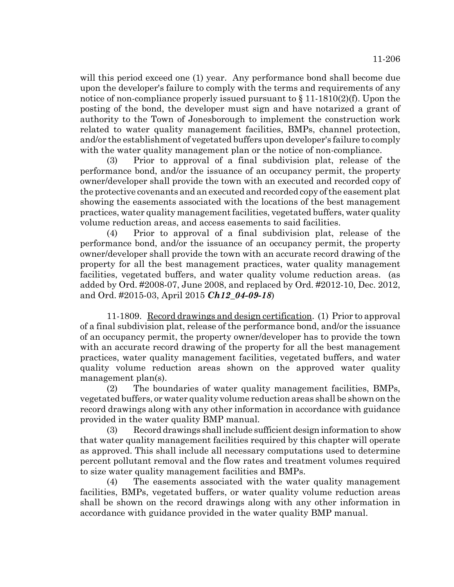will this period exceed one (1) year. Any performance bond shall become due upon the developer's failure to comply with the terms and requirements of any notice of non-compliance properly issued pursuant to  $\S 11-1810(2)$  (f). Upon the posting of the bond, the developer must sign and have notarized a grant of authority to the Town of Jonesborough to implement the construction work related to water quality management facilities, BMPs, channel protection, and/or the establishment of vegetated buffers upon developer's failure to comply with the water quality management plan or the notice of non-compliance.

(3) Prior to approval of a final subdivision plat, release of the performance bond, and/or the issuance of an occupancy permit, the property owner/developer shall provide the town with an executed and recorded copy of the protective covenants and an executed and recorded copy of the easement plat showing the easements associated with the locations of the best management practices, water quality management facilities, vegetated buffers, water quality volume reduction areas, and access easements to said facilities.

(4) Prior to approval of a final subdivision plat, release of the performance bond, and/or the issuance of an occupancy permit, the property owner/developer shall provide the town with an accurate record drawing of the property for all the best management practices, water quality management facilities, vegetated buffers, and water quality volume reduction areas. (as added by Ord. #2008-07, June 2008, and replaced by Ord. #2012-10, Dec. 2012, and Ord. #2015-03, April 2015 *Ch12\_04-09-18*)

11-1809. Record drawings and design certification. (1) Prior to approval of a final subdivision plat, release of the performance bond, and/or the issuance of an occupancy permit, the property owner/developer has to provide the town with an accurate record drawing of the property for all the best management practices, water quality management facilities, vegetated buffers, and water quality volume reduction areas shown on the approved water quality management plan(s).

(2) The boundaries of water quality management facilities, BMPs, vegetated buffers, or water quality volume reduction areas shall be shown on the record drawings along with any other information in accordance with guidance provided in the water quality BMP manual.

(3) Record drawings shall include sufficient design information to show that water quality management facilities required by this chapter will operate as approved. This shall include all necessary computations used to determine percent pollutant removal and the flow rates and treatment volumes required to size water quality management facilities and BMPs.

(4) The easements associated with the water quality management facilities, BMPs, vegetated buffers, or water quality volume reduction areas shall be shown on the record drawings along with any other information in accordance with guidance provided in the water quality BMP manual.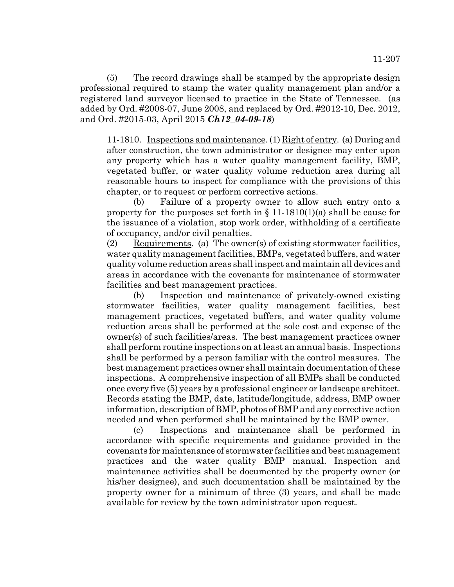(5) The record drawings shall be stamped by the appropriate design professional required to stamp the water quality management plan and/or a registered land surveyor licensed to practice in the State of Tennessee. (as added by Ord. #2008-07, June 2008, and replaced by Ord. #2012-10, Dec. 2012, and Ord. #2015-03, April 2015 *Ch12\_04-09-18*)

11-1810. Inspections and maintenance. (1) Right of entry. (a) During and after construction, the town administrator or designee may enter upon any property which has a water quality management facility, BMP, vegetated buffer, or water quality volume reduction area during all reasonable hours to inspect for compliance with the provisions of this chapter, or to request or perform corrective actions.

(b) Failure of a property owner to allow such entry onto a property for the purposes set forth in  $\S 11-1810(1)(a)$  shall be cause for the issuance of a violation, stop work order, withholding of a certificate of occupancy, and/or civil penalties.

(2) Requirements. (a) The owner(s) of existing stormwater facilities, water quality management facilities, BMPs, vegetated buffers, and water quality volume reduction areas shall inspect and maintain all devices and areas in accordance with the covenants for maintenance of stormwater facilities and best management practices.

(b) Inspection and maintenance of privately-owned existing stormwater facilities, water quality management facilities, best management practices, vegetated buffers, and water quality volume reduction areas shall be performed at the sole cost and expense of the owner(s) of such facilities/areas. The best management practices owner shall perform routine inspections on at least an annual basis. Inspections shall be performed by a person familiar with the control measures. The best management practices owner shall maintain documentation of these inspections. A comprehensive inspection of all BMPs shall be conducted once every five (5) years by a professional engineer or landscape architect. Records stating the BMP, date, latitude/longitude, address, BMP owner information, description of BMP, photos of BMP and any corrective action needed and when performed shall be maintained by the BMP owner.

(c) Inspections and maintenance shall be performed in accordance with specific requirements and guidance provided in the covenants for maintenance of stormwater facilities and best management practices and the water quality BMP manual. Inspection and maintenance activities shall be documented by the property owner (or his/her designee), and such documentation shall be maintained by the property owner for a minimum of three (3) years, and shall be made available for review by the town administrator upon request.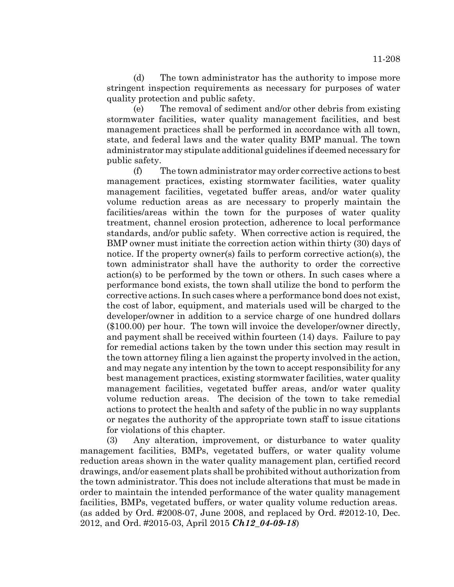(d) The town administrator has the authority to impose more stringent inspection requirements as necessary for purposes of water quality protection and public safety.

(e) The removal of sediment and/or other debris from existing stormwater facilities, water quality management facilities, and best management practices shall be performed in accordance with all town, state, and federal laws and the water quality BMP manual. The town administrator may stipulate additional guidelines if deemed necessary for public safety.

(f) The town administrator may order corrective actions to best management practices, existing stormwater facilities, water quality management facilities, vegetated buffer areas, and/or water quality volume reduction areas as are necessary to properly maintain the facilities/areas within the town for the purposes of water quality treatment, channel erosion protection, adherence to local performance standards, and/or public safety. When corrective action is required, the BMP owner must initiate the correction action within thirty (30) days of notice. If the property owner(s) fails to perform corrective action(s), the town administrator shall have the authority to order the corrective action(s) to be performed by the town or others. In such cases where a performance bond exists, the town shall utilize the bond to perform the corrective actions. In such cases where a performance bond does not exist, the cost of labor, equipment, and materials used will be charged to the developer/owner in addition to a service charge of one hundred dollars (\$100.00) per hour. The town will invoice the developer/owner directly, and payment shall be received within fourteen (14) days. Failure to pay for remedial actions taken by the town under this section may result in the town attorney filing a lien against the property involved in the action, and may negate any intention by the town to accept responsibility for any best management practices, existing stormwater facilities, water quality management facilities, vegetated buffer areas, and/or water quality volume reduction areas. The decision of the town to take remedial actions to protect the health and safety of the public in no way supplants or negates the authority of the appropriate town staff to issue citations for violations of this chapter.

(3) Any alteration, improvement, or disturbance to water quality management facilities, BMPs, vegetated buffers, or water quality volume reduction areas shown in the water quality management plan, certified record drawings, and/or easement plats shall be prohibited without authorization from the town administrator. This does not include alterations that must be made in order to maintain the intended performance of the water quality management facilities, BMPs, vegetated buffers, or water quality volume reduction areas. (as added by Ord. #2008-07, June 2008, and replaced by Ord. #2012-10, Dec. 2012, and Ord. #2015-03, April 2015 *Ch12\_04-09-18*)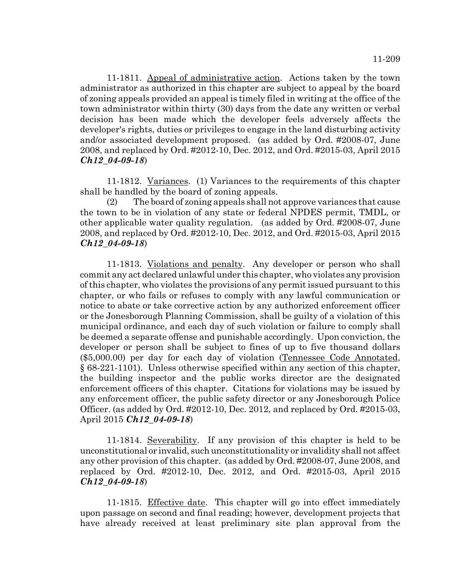11-1811. Appeal of administrative action. Actions taken by the town administrator as authorized in this chapter are subject to appeal by the board of zoning appeals provided an appeal is timely filed in writing at the office of the town administrator within thirty (30) days from the date any written or verbal decision has been made which the developer feels adversely affects the developer's rights, duties or privileges to engage in the land disturbing activity and/or associated development proposed. (as added by Ord. #2008-07, June 2008, and replaced by Ord. #2012-10, Dec. 2012, and Ord. #2015-03, April 2015 *Ch12\_04-09-18*)

11-1812. Variances. (1) Variances to the requirements of this chapter shall be handled by the board of zoning appeals.

(2) The board of zoning appeals shall not approve variances that cause the town to be in violation of any state or federal NPDES permit, TMDL, or other applicable water quality regulation. (as added by Ord. #2008-07, June 2008, and replaced by Ord. #2012-10, Dec. 2012, and Ord. #2015-03, April 2015 *Ch12\_04-09-18*)

11-1813. Violations and penalty. Any developer or person who shall commit any act declared unlawful under this chapter, who violates any provision of this chapter, who violates the provisions of any permit issued pursuant to this chapter, or who fails or refuses to comply with any lawful communication or notice to abate or take corrective action by any authorized enforcement officer or the Jonesborough Planning Commission, shall be guilty of a violation of this municipal ordinance, and each day of such violation or failure to comply shall be deemed a separate offense and punishable accordingly. Upon conviction, the developer or person shall be subject to fines of up to five thousand dollars (\$5,000.00) per day for each day of violation (Tennessee Code Annotated, § 68-221-1101). Unless otherwise specified within any section of this chapter, the building inspector and the public works director are the designated enforcement officers of this chapter. Citations for violations may be issued by any enforcement officer, the public safety director or any Jonesborough Police Officer. (as added by Ord. #2012-10, Dec. 2012, and replaced by Ord. #2015-03, April 2015 *Ch12\_04-09-18*)

11-1814. Severability. If any provision of this chapter is held to be unconstitutional or invalid, such unconstitutionality or invalidity shall not affect any other provision of this chapter. (as added by Ord. #2008-07, June 2008, and replaced by Ord. #2012-10, Dec. 2012, and Ord. #2015-03, April 2015 *Ch12\_04-09-18*)

11-1815. Effective date. This chapter will go into effect immediately upon passage on second and final reading; however, development projects that have already received at least preliminary site plan approval from the